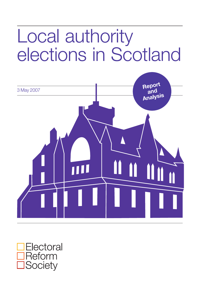

Electoral Reform Society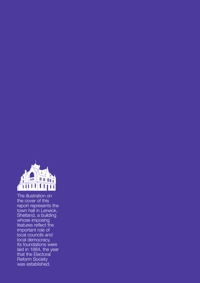

The illustration on the cover of this report represents the town hall in Lerwick, Shetland, a building whose imposing features reflect the important role of local councils and local democracy. Its foundations were laid in 1884, the year that the Electoral Reform Society was established.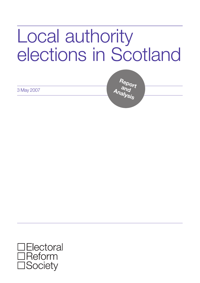3 May 2007



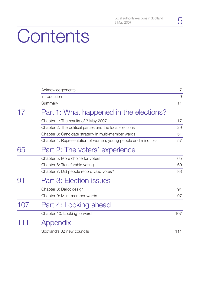## **Contents**

|      | Acknowledgements                                                | 7        |
|------|-----------------------------------------------------------------|----------|
|      | Introduction                                                    | $\Theta$ |
|      | Summary                                                         | 11       |
|      | Part 1: What happened in the elections?                         |          |
|      | Chapter 1: The results of 3 May 2007                            | 17       |
|      | Chapter 2: The political parties and the local elections        | 29       |
|      | Chapter 3: Candidate strategy in multi-member wards             | 51       |
|      | Chapter 4: Representation of women, young people and minorities | 57       |
| 65   | Part 2: The voters' experience                                  |          |
|      | Chapter 5: More choice for voters                               | 65       |
|      | Chapter 6: Transferable voting                                  | 69       |
|      | Chapter 7: Did people record valid votes?                       | 83       |
|      | Part 3: Election issues                                         |          |
|      | Chapter 8: Ballot design                                        | 91       |
|      | Chapter 9: Multi-member wards                                   | 97       |
| 1()7 | Part 4: Looking ahead                                           |          |
|      | Chapter 10: Looking forward                                     | 107      |
|      | Appendix                                                        |          |
|      | Scotland's 32 new councils                                      | 111      |
|      |                                                                 |          |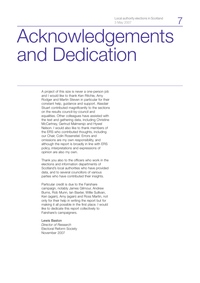## Acknowledgements and Dedication

A project of this size is never a one-person job and I would like to thank Ken Ritchie, Amy Rodger and Martin Steven in particular for their constant help, guidance and support. Alasdair Stuart contributed magnificently to the sections on the results council-by-council and equalities. Other colleagues have assisted with the text and gathering data, including Christine McCartney, Gertrud Malmersjo and Hywel Nelson. I would also like to thank members of the ERS who contributed thoughts, including our Chair, Colin Rosenstiel. Errors and omissions are my own responsibility, and although the report is broadly in line with ERS policy, interpretations and expressions of opinion are also my own.

Thank you also to the officers who work in the elections and information departments of Scotland's local authorities who have provided data, and to several councillors of various parties who have contributed their insights.

Particular credit is due to the Fairshare campaign, notably James Gilmour, Andrew Burns, Rob Munn, Ian Baxter, Willie Sullivan, Ken (again), Amy (again) and Ross Martin, not only for their help in writing the report but for making it all possible in the first place. I would like to dedicate this report collectively to Fairshare's campaigners.

#### Lewis Baston

*Director of Research* Electoral Reform Society November 2007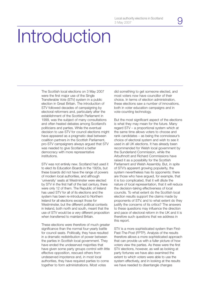Introduction

The Scottish local elections on 3 May 2007 were the first major use of the Single Transferable Vote (STV) system in a public election in Great Britain. The introduction of STV followed decades of campaigning by electoral reformers and, particularly after the establishment of the Scottish Parliament in 1999, was the subject of many consultations and often heated debates among Scotland's politicians and parties. While the eventual decision to use STV for council elections might have appeared as a pragmatic deal between coalition partners in the Scottish Parliament, pro-STV campaigners always argued that STV was needed to give Scotland a better democracy with more representative institutions.

STV was not entirely new. Scotland had used it to elect its Education Boards in the 1920s, but these boards did not have the range of powers of modern local authorities, and although 'university' seats at Westminster were elected by STV in the first half of the last century, there were only 12 of them. The Republic of Ireland has used STV for all of its elections and the system has been re-introduced to Northern Ireland for all elections except those for Westminster, but the different political contexts in Ireland, both north and south, meant that the use of STV would be a very different proposition when transferred to mainland Britain.

These elections were therefore of much greater significance than the normal four-yearly battle for council seats. Politically, they have resulted in a dramatic redistribution of power between the parties in Scottish local government. They have ended the undeserved majorities that have given some party groups control with little effective opposition, rescued others from undeserved impotence and, in most local authorities, they have required parties to come together to form administrations. Most votes

did something to get someone elected, and most voters now have councillor of their choice. In terms of election administration, these elections saw a number of innovations, both in voter education campaigns and in vote-counting technology.

But the most significant aspect of the elections is what they may mean for the future. Many regard STV – a proportional system which at the same time allows voters to choose and rank candidates – as being the connoisseur's choice of electoral system and wish to see it used in all UK elections. It has already been recommended for Welsh local government by the Sunderland Commission, while the Arbuthnott and Richard Commissions have raised it as a possibility for the Scottish Parliament and Welsh Assembly. But, in spite of STV's apparent growing popularity, the system nevertheless has its opponents: there are those who have argued, for example, that it is too complicated, that it will dilute the nature of local representation, that it will reduce the decision-taking effectiveness of local councils. To what extent do the Scottish local election results support the claims made by proponents of STV, and to what extent do they justify the concerns of its critics? The answers to these questions may influence the direction and pace of electoral reform in the UK and it is therefore such questions that we address in this report.

STV is a more sophisticated system than First-Past-The-Post (FPTP). Analysis of the results therefore allows a more sophisticated approach that can provide us with a fuller picture of how voters view the parties. As these were the first STV elections, however, as well as looking at party fortunes we have also examined the extent to which voters were able to use the system effectively, and in looking at the results we have needed to disentangle changes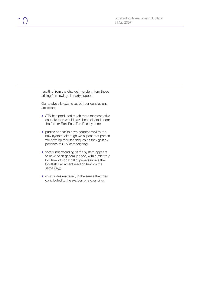resulting from the change in system from those arising from swings in party support.

Our analysis is extensive, but our conclusions are clear:

- **F** STV has produced much more representative councils than would have been elected under the former First-Past-The-Post system;
- **parties appear to have adapted well to the** new system, although we expect that parties will develop their techniques as they gain experience of STV campaigning;
- voter understanding of the system appears to have been generally good, with a relatively low level of spoilt ballot papers (unlike the Scottish Parliament election held on the same day);
- $\blacksquare$  most votes mattered, in the sense that they contributed to the election of a councillor.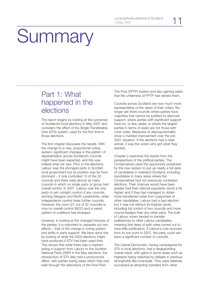# **Summary**

### Part 1: What happened in the elections

The report begins by looking at the outcomes of Scotland's local elections in May 2007 and considers the effect of the Single Transferable Vote (STV) system, used for the first time in those elections.

The first chapter discusses the results. With the change to a new, proportional voting system, significant changes in the pattern of representation across Scotland's councils might have been expected, and this was indeed what we saw. Prior to the elections, Labour was the strongest party in Scottish local government but its position was far from dominant – it only controlled 13 of the 32 councils and there were almost as many councils in which no single party or group had overall control. In 2007, Labour was the only party to win outright control of any councils, winning Glasgow and North Lanarkshire, while Independents control three further councils. However, the norm (27 out of 32 councils) is now no overall control (NOC) and a varied pattern of coalitions has emerged.

However, in looking at the changed fortunes of the parties, it is important to separate out two effects – that of the change in voting system and shifts in party support. We have done this by looking at what the 2003 elections might have produced if STV had been used then. This shows that while there was a marked swing in support from Labour to the Scottish National Party (SNP) in the May elections, the introduction of STV also had a pronounced effect, with parties losing seats which they had held through the distortions of the First-Past-

The-Post (FPTP) system and also gaining seats that the unfairness of FPTP had denied them.

Councils across Scotland are now much more representative of the views of their voters. No longer are there councils where parties have majorities that cannot be justified by electoral support; where parties with significant support have no, or few, seats; or where the largest parties in terms of seats are not those with most votes. Measures of disproportionality show a marked improvement over the pre-2007 situation. If the elections had a clear winner, it was the voters who got what they wanted.

Chapter 2 examines the results from the perspectives of the political parties. The Conservatives used the opportunity presented by the new system to put up nearly a full slate of candidates in mainland Scotland, including candidates in many areas where the Conservatives had not previously contested elections. Their chances would have been greater had their national popularity stood a bit higher, and if they had managed to obtain more transferred votes from supporters of other candidates. Labour had a bad election, but it was not without its brighter spots, including full control of two councils and more council leaders than any other party. The bulk of Labour voters tended to transfer preferences to other Labour candidates, meaning that fears of split votes turned out to have little justification. If Labour's vote recovers from its low point in 2007, the party could win back a significant number of councils.

The Liberal Democrats, having campaigned for STV in local elections, had a disappointing overall result, with gains in some areas such as Highland being matched by defeats in previous strongholds like Inverclyde. They were relatively successful at attracting transfers from other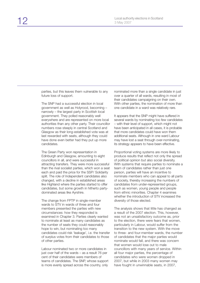parties, but this leaves them vulnerable to any future loss of support.

The SNP had a successful election in local government as well as Holyrood, becoming – narrowly – the largest party in Scottish local government. They polled reasonably well everywhere and are represented on more local authorities than any other party. Their councillor numbers rose steeply in central Scotland and Glasgow as their long-established vote was at last rewarded with seats, although they could have done even better had they put up more candidates.

The Green Party won representation in Edinburgh and Glasgow, amounting to eight councillors in all, and were successful in attracting transfers. They were more successful than the rival socialist parties, which won a seat each and paid the price for the SSP/ Solidarity split. The role of Independent candidates also changed, with a decline in established areas like Highland where the parties started to offer candidates, but some growth in hitherto partydominated areas like Ayrshire.

The change from FPTP in single-member wards to STV in wards of three and four members presented the parties with new circumstances: how they responded is examined in Chapter 3. Parties clearly wanted to nominate at least as many candidates as the number of seats they could reasonably hope to win, but nominating too many candidates could risk 'leakage', i.e. the transfer of surplus votes from their candidates to those of other parties.

Labour nominated two or more candidates in just over half of the wards – as a result 76 per cent of their candidates were members of teams of candidates. The SNP, whose support is more evenly spread across the country, only

nominated more than a single candidate in just over a quarter of all wards, resulting in most of their candidates campaigning on their own. With other parties, the nomination of more than one candidate in a ward was relatively rare.

It appears that the SNP might have suffered in several wards by nominating too few candidates – with their level of support, which might not have been anticipated in all cases, it is probable that more candidates could have won them additional seats. Although in one ward Labour may have lost a seat through over-nominating, its strategy appears to have been effective.

Proportional voting systems are more likely to produce results that reflect not only the spread of political opinion but also social diversity. With systems that require parties to nominate a team of candidates rather than just one person, parties will have an incentive to nominate members who can appeal to all parts of society, thereby increasing the numbers of candidates from under-represented groups, such as women, young people and people from ethnic minorities. Chapter 4 examines whether the introduction of STV increased the diversity of those elected.

The analysis shows that little has changed as a result of the 2007 election. This, however, was not an unsatisfactory outcome as, prior to the election, there were fears that women, particularly in Labour, would suffer from the transition to the new system. With the move to three- and four-member wards, the number of candidates that the major parties would nominate would fall, and there was concern that women would lose out to male councillors with many years of service. Within all four major parties, the percentage of candidates who were women dropped in 2007, but while in 2003 many women may have fought in unwinnable seats, in 2007,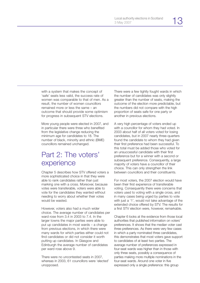with a system that makes the concept of 'safe' seats less valid, the success rate of women was comparable to that of men. As a result, the number of women councillors remained more or less the same – an outcome that should provide some optimism for progress in subsequent STV elections.

More young people were elected in 2007, and in particular there were three who benefited from the legislative change reducing the minimum age for candidates to 18. The number of black, minority and ethnic (BME) councillors remained unchanged.

## Part 2: The voters' experience

Chapter 5 describes how STV offered voters a more sophisticated choice in that they were able to rank candidates rather than just marking one with a cross. Moreover, because votes were transferable, voters were able to vote for the candidates they wanted without needing to worry about whether their votes would be wasted.

However, voters also had a much wider choice. The average number of candidates per ward rose from 3.4 in 2003 to 7.4. In the larger towns the major parties were able to put up candidates in most wards – a change from previous elections, in which there were many wards for which parties either could not find candidates or did not consider it worth putting up candidates. In Glasgow and Edinburgh the average number of candidates per ward rose above 9.

There were no uncontested seats in 2007, whereas in 2003, 61 councillors were 'elected' unopposed.

There were a few tightly fought wards in which the number of candidates was only slightly greater than the number of seats, making the outcome of the election more predictable, but the numbers did not compare with the high proportion of seats safe for one party or another in previous elections.

A very high percentage of voters ended up with a councillor for whom they had voted. In 2003 about half of all voters voted for losing candidates, but in 2007 nearly three-quarters found the candidate to whom they had given their first preference had been successful. To this total must be added those who voted for an unsuccessful candidate with their first preference but for a winner with a second or subsequent preference. Consequently, a large majority of voters have a councillor of their choice. This can only strengthen the link between councillors and their constituents.

For most voters, the 2007 election would have been their first experience of transferable voting. Consequently there were concerns that voters used to voting with a single cross, and in many cases being urged by parties to vote with just a '1', would not take advantage of the extended choice offered by STV. The results for a first STV election were, however, remarkable.

Chapter 6 looks at the evidence from those local authorities that published information on voters' preferences. It shows that the median voter cast three preferences. As there were very few cases in which a party nominated three candidates, this demonstrates that most voters gave support to candidates of at least two parties. The average number of preferences expressed in four-seat wards was higher than in those with only three seats, possibly a consequence of parties making more multiple nominations in the four-seat wards. Around one voter in five expressed only a single preference: this group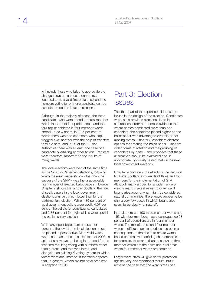will include those who failed to appreciate the change in system and used only a cross (deemed to be a valid first preference) and the numbers voting for only one candidate can be expected to decline in future elections.

Although, in the majority of cases, the three candidates who were ahead in three-member wards in terms of first preferences, and the four top candidates in four-member wards, ended up as winners, in 20.7 per cent of wards there was one candidate who leapfrogged over another with the help of transfers to win a seat, and in 29 of the 32 local authorities there was at least one case of a candidate overtaking another to win. Transfers were therefore important to the results of many wards.

The local elections were held at the same time as the Scottish Parliament elections, following which the main media story – other than the success of the SNP – was the unacceptably high number of rejected ballot papers. However, Chapter 7 shows that across Scotland the rate of spoilt papers in the local government elections was very much lower than for the parliamentary election. While 1.85 per cent of local government ballots were spoilt, 4.07 per cent of the ballots for constituency candidates and 2.88 per cent for regional lists were spoilt in the parliamentary election

While any spoilt ballots are a cause for concern, the level in the local elections must be placed in perspective. More valid votes were cast than in the local elections of 2003, in spite of a new system being introduced for the first time requiring voting with numbers rather than a cross, and that was introduced alongside an existing X-voting system to which voters were accustomed. It therefore appears that, in general, voters did not have problems in adapting to STV.

### Part 3: Election issues

This third part of the report considers some issues in the design of the election. Candidates were, as in previous elections, listed in alphabetical order and there is evidence that where parties nominated more than one candidate, the candidate placed higher on the ballot paper was advantaged over his or her running mates. Chapter 8 considers different options for ordering the ballot paper – random order, forms of rotation and the grouping of candidates by party – and proposes that these alternatives should be examined and, if appropriate, rigorously tested, before the next local government elections.

Chapter 9 considers the effects of the decision to divide Scotland into wards of three and four members for the implementation of STV. Although many argued for a wider range of ward sizes to make it easier to draw ward boundaries around what might be considered natural communities, there would appear to be only a very few cases in which boundaries seem to be clearly 'unnatural'.

In total, there are 190 three-member wards and 163 with four members – as a consequence 53 per cent of councillors are in four-member wards. The mix of three- and four-member wards in different local authorities has been a consequence of the desire to create wards based on areas with defining characteristics – for example, there are urban areas where threemember wards are the norm and rural areas where four-member wards are common.

Larger ward sizes will give better protection against very disproportional results, but it remains the case that the ward sizes used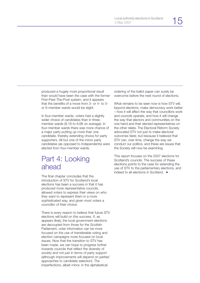produced a hugely more proportional result than would have been the case with the former First-Past-The-Post system, and it appears that the benefits of a move from 3- or 4- to 5 or 6-member wards would be slight.

In four-member wards, voters had a slightly wider choice of candidates than in threemember wards (8.16 to 6.68 on average). In four-member wards there was more chance of a major party putting up more than one candidate, thereby extending choice for party supporters. All but one of the minor party candidates (as opposed to Independents) were elected from four-member wards.

## Part 4: Looking ahead

The final chapter concludes that the introduction of STV for Scotland's local elections has been a success in that it has produced more representative councils, allowed voters to express their views on who they want to represent them in a more sophisticated way, and given most voters a councillor of their choice.

There is every reason to believe that future STV elections will build on this success. If, as appears likely, the local government elections are decoupled from those for the Scottish Parliament, voter information can be more focused on the use of transferable voting and election campaigns more focused on local issues. Now that the transition to STV has been made, we can hope to progress further towards councils that reflect the diversity of society and not just in terms of party support (although improvements will depend on parties' approaches to candidate selection). The imperfections, albeit minor, in the alphabetical

ordering of the ballot paper can surely be overcome before the next round of elections.

What remains to be seen now is how STV will, beyond elections, make democracy work better – how it will affect the way that councillors work and councils operate, and how it will change the way that electors and communities on the one hand and their elected representatives on the other relate. The Electoral Reform Society advocated STV not just to make electoral outcomes fairer, but because it believed that STV can, over time, change the way we conduct our politics, and these are issues that the Society will now be examining.

This report focuses on the 2007 elections for Scotland's councils. The success of these elections points to the case for extending the use of STV to the parliamentary elections, and indeed to all elections in Scotland.  $\blacksquare$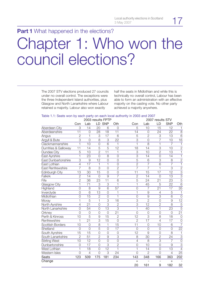## Chapter 1: Who won the council elections?

The 2007 STV elections produced 27 councils under no overall control. The exceptions were the three Independent Island authorities, plus Glasgow and North Lanarkshire where Labour retained a majority. Labour also won exactly

half the seats in Midlothian and while this is technically no overall control, Labour has been able to form an administration with an effective majority on the casting vote. No other party achieved a majority anywhere.

#### Table 1.1: Seats won by each party on each local authority in 2003 and 2007

| 2003 results FPTP       |                         |                 |                 |                         |                         | 2007 results STV |                 |                 |                 |                 |
|-------------------------|-------------------------|-----------------|-----------------|-------------------------|-------------------------|------------------|-----------------|-----------------|-----------------|-----------------|
|                         | Con                     | Lab             |                 | LD SNP                  | Oth                     | Con              | Lab             | LD              | <b>SNP</b>      | Oth             |
| Aberdeen City           | 3                       | $\overline{14}$ | $\overline{20}$ | $\overline{6}$          | $\overline{O}$          | $\overline{5}$   | 10              | $\overline{15}$ | $\overline{12}$ | $\mathbf{1}$    |
| Aberdeenshire           | 11                      | $\overline{O}$  | 28              | $\overline{18}$         | $\overline{11}$         | 14               | $\overline{O}$  | $\overline{24}$ | $\overline{22}$ | $\overline{8}$  |
| Angus                   | $\overline{2}$          | ī               | $\overline{3}$  | $\overline{17}$         | $\overline{6}$          | $\overline{5}$   | $\overline{2}$  | $\overline{3}$  | $\overline{13}$ | $\overline{6}$  |
| Argyll & Bute           | $\overline{3}$          | $\overline{0}$  | $\overline{8}$  | $\overline{3}$          | $\overline{22}$         | $\overline{3}$   | $\overline{0}$  | $\overline{7}$  | 10              | $\overline{16}$ |
| Clackmannanshire        | ī                       | $\overline{10}$ | $\overline{0}$  | $\overline{6}$          | 1                       | $\overline{1}$   | $\overline{8}$  | $\overline{1}$  | $\overline{7}$  | $\overline{1}$  |
| Dumfries & Galloway     | $\overline{11}$         | $\overline{14}$ | $\overline{5}$  | $\overline{5}$          | $\overline{12}$         | $\overline{18}$  | $\overline{14}$ | $\overline{3}$  | 10              | $\overline{2}$  |
| Dundee City             | 5                       | 10              | $\overline{2}$  | $\overline{11}$         | 1                       | 3                | 10              | $\overline{2}$  | $\overline{13}$ | $\overline{1}$  |
| East Ayrshire           | $\overline{1}$          | 23              | $\overline{O}$  | $\overline{8}$          | $\overline{O}$          | $\overline{3}$   | 14              | $\overline{O}$  | 14              | $\overline{1}$  |
| East Dunbartonshire     | $\overline{3}$          | $\overline{9}$  | $\overline{12}$ | $\overline{0}$          | $\overline{O}$          | $\overline{5}$   | 6               | $\overline{3}$  | 8               | $\overline{2}$  |
| East Lothian            | $\overline{4}$          | $\overline{17}$ | 1               | $\overline{\mathbb{1}}$ | $\mathcal{O}$           | $\overline{2}$   | $\overline{7}$  | $\overline{6}$  | $\overline{7}$  | $\overline{1}$  |
| East Renfrewshire       | $\overline{7}$          | 8               | $\overline{3}$  | $\overline{0}$          | $\overline{2}$          | $\overline{7}$   | $\overline{7}$  | $\overline{1}$  | $\overline{3}$  |                 |
| Edinburgh City          | $\overline{13}$         | $\overline{30}$ | $\overline{15}$ | $\overline{0}$          | $\overline{0}$          | $\overline{11}$  | $\overline{15}$ | $\overline{17}$ | $\overline{12}$ | $\frac{2}{3}$   |
| Falkirk                 | $\overline{2}$          | $\overline{14}$ | $\overline{O}$  | $\overline{9}$          | $\overline{7}$          | $\overline{2}$   | $\overline{14}$ | $\overline{O}$  | $\overline{13}$ | $\overline{3}$  |
| Fife                    | $\overline{2}$          | $\overline{36}$ | 23              | $\overline{11}$         | $\overline{6}$          | $\overline{5}$   | $\overline{24}$ | 21              | 23              | $\overline{5}$  |
| Glasgow City            | $\overline{\mathbb{1}}$ | $\overline{71}$ | $\overline{3}$  | $\overline{3}$          | $\overline{\mathbb{1}}$ | $\overline{1}$   | 45              | $\overline{5}$  | $\overline{22}$ | $\overline{6}$  |
| Highland                | $\overline{0}$          | $\overline{8}$  | $\overline{9}$  | $\overline{6}$          | $\overline{57}$         | $\overline{O}$   | $\overline{7}$  | $\overline{21}$ | 17              | $\overline{35}$ |
| Inverclyde              | $\overline{O}$          | $\overline{6}$  | 13              | $\overline{O}$          | 1                       | $\mathbf{1}$     | $\Theta$        | $\overline{4}$  | 5               | $\mathbf{1}$    |
| Midlothian              | $\overline{0}$          | $\overline{15}$ | $\overline{2}$  | $\overline{0}$          | $\overline{1}$          | $\overline{O}$   | $\overline{9}$  | $\overline{3}$  | 6               | $\overline{O}$  |
| Moray                   | $\mathbf 1$             | $\overline{5}$  | $\overline{1}$  | $\overline{3}$          | 16                      | $\overline{3}$   | $\overline{2}$  | $\overline{O}$  | $\overline{9}$  | $\overline{12}$ |
| North Ayrshire          | $\overline{4}$          | 21              | $\overline{O}$  | $\overline{3}$          | $\overline{2}$          | $\overline{3}$   | $\overline{12}$ | $\overline{2}$  | $\overline{8}$  | $\overline{5}$  |
| North Lanarkshire       | $\overline{0}$          | $\overline{54}$ | $\overline{O}$  | $\overline{13}$         | $\overline{3}$          | $\overline{1}$   | 40              | $\mathbf{1}$    | 23              | $\overline{5}$  |
| Orkney                  | $\overline{O}$          | $\overline{O}$  | $\mathcal{O}$   | $\overline{O}$          | $\overline{21}$         | $\overline{O}$   | $\overline{O}$  | $\overline{O}$  | $\overline{O}$  | $\overline{21}$ |
| Perth & Kinross         | 10                      | $\overline{5}$  | $\Theta$        | $\overline{15}$         | $\overline{2}$          | 12               | $\overline{3}$  | 8               | 18              | $\overline{0}$  |
| Renfrewshire            | $\mathbf{1}$            | $\overline{21}$ | $\overline{3}$  | $\overline{15}$         | $\overline{0}$          | $\overline{2}$   | $\overline{17}$ | $\overline{4}$  | $\overline{17}$ | $\overline{0}$  |
| <b>Scottish Borders</b> | 10                      | $\overline{O}$  | $\overline{8}$  | $\overline{1}$          | $\overline{15}$         | $\overline{11}$  | $\overline{O}$  | 10              | 6               | $\overline{7}$  |
| Shetland                | $\overline{O}$          | $\overline{O}$  | $\overline{5}$  | $\overline{O}$          | $\overline{17}$         | $\overline{O}$   | $\overline{O}$  | $\overline{O}$  | $\overline{O}$  | $\overline{22}$ |
| South Ayrshire          | $\overline{15}$         | $\overline{15}$ | $\overline{O}$  | $\overline{O}$          | $\overline{O}$          | $\overline{12}$  | 9               | $\overline{O}$  | 8               | $\mathbf{1}$    |
| South Lanarkshire       | $\overline{2}$          | $\overline{51}$ | $\overline{2}$  | $\overline{9}$          | $\overline{3}$          | 8                | 30              | $\overline{2}$  | 24              | $\overline{3}$  |
| <b>Stirling West</b>    | 10                      | $\overline{12}$ | $\overline{O}$  | $\overline{O}$          | $\bigcirc$              | $\overline{4}$   | 8               | $\overline{3}$  | $\overline{7}$  | $\overline{0}$  |
| Dunbartonshire          | $\overline{0}$          | $\overline{17}$ | $\overline{O}$  | $\overline{3}$          | $\overline{2}$          | $\overline{O}$   | 10              | $\overline{O}$  | 9               | $\overline{3}$  |
| West Lothian            | 1                       | 18              | $\overline{O}$  | $\overline{12}$         | 1                       | $\mathbf{1}$     | 14              | $\overline{O}$  | $\overline{13}$ | $\overline{4}$  |
| Western Isles           | $\overline{O}$          | $\overline{4}$  | $\overline{O}$  | $\overline{3}$          | $\overline{24}$         | $\overline{O}$   | $\overline{2}$  | $\overline{O}$  | $\overline{4}$  | $\overline{25}$ |
| Seats                   | 123                     | 509             | 175             | 181                     | 234                     | 143              | 348             | 166             | 363             | 202             |
| Change                  |                         |                 |                 |                         |                         | $\ddot{}$        | $\overline{a}$  | $\overline{a}$  | $\ddot{}$       |                 |
|                         |                         |                 |                 |                         |                         | 20               | 161             | 9               | 182             | 32              |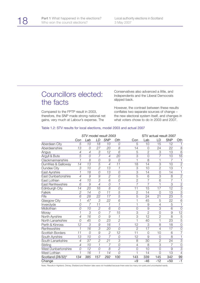## Councillors elected: the facts

Conservatives also advanced a little, and Independents and the Liberal Democrats slipped back.

Compared to the FPTP result in 2003, therefore, the SNP made strong national net gains, very much at Labour's expense. The

However, the contrast between these results conflates two separate sources of change – the new electoral system itself, and changes in what voters chose to do in 2003 and 2007.

#### Table 1.2: STV results for local elections, model 2003 and actual 2007

|                          |                |                          |                 | STV model result 2003 |                          |                |                 | STV actual result 2007 |                 |                         |
|--------------------------|----------------|--------------------------|-----------------|-----------------------|--------------------------|----------------|-----------------|------------------------|-----------------|-------------------------|
|                          | Con            | Lab                      | LD              | <b>SNP</b>            | Oth                      | Con            | Lab             | LD                     | <b>SNP</b>      | Oth                     |
| Aberdeen City            | 5              | 10                       | $\overline{18}$ | $\overline{10}$       | $\Omega$                 | 5              | 10              | $\overline{15}$        | $\overline{12}$ | $\mathbf{1}$            |
| Aberdeenshire            | 13             | 0                        | 27              | 20                    | 8                        | 14             | $\overline{O}$  | 24                     | 22              | 8                       |
| Angus                    | $\overline{4}$ | $\overline{\mathcal{A}}$ | 3               | 12                    | $\overline{6}$           | 5              | $\overline{2}$  | 3                      | 13              | $\overline{6}$          |
| Argyll & Bute            | $\overline{5}$ | $\Omega$                 | $\overline{7}$  | $\overline{4}$        | 20                       | $\overline{3}$ | $\overline{O}$  | 7                      | 10              | 16                      |
| Clackmannanshire         | $\overline{1}$ | 8                        | 0               | 9                     | 0                        | 1              | 8               | $\mathbf{1}$           | $\overline{7}$  | $\mathbf 1$             |
| Dumfries & Galloway      | 14             | 13                       | 5               | $\overline{4}$        | 11                       | 18             | 14              | 3                      | 10              | $\overline{2}$          |
| <b>Dundee City</b>       | 3              | 10                       | $\overline{2}$  | 13                    | $\mathcal I$             | 3              | 10              | $\overline{2}$         | 13              | $\mathbf{1}$            |
| East Ayrshire            | $\overline{1}$ | $\overline{18}$          | $\overline{O}$  | $\overline{13}$       | $\overline{O}$           | $\overline{3}$ | $\overline{14}$ | $\overline{O}$         | $\overline{14}$ | $\overline{1}$          |
| East Dunbartonshire      | 4              | 9                        | 9               | $\overline{2}$        | 0                        | $\overline{5}$ | 6               | 3                      | 8               | $\overline{2}$          |
| East Lothian             | $\overline{4}$ | 10                       | 3               | 6                     | 0                        | $\overline{2}$ | $\overline{7}$  | 6                      | 7               | $\overline{1}$          |
| <b>East Renfrewshire</b> | 6              | 9                        | $\overline{4}$  | $\overline{O}$        | $\mathcal{I}$            | 7              | $\overline{7}$  | 1                      | $\overline{3}$  | $\overline{2}$          |
| Edinburgh City           | 14             | 20                       | 16              | 8                     | 0                        | 11             | 15              | 17                     | 12              | $\overline{3}$          |
| Falkirk                  | $\overline{c}$ | 14                       | 0               | $\overline{11}$       | $\overline{5}$           | $\overline{2}$ | 14              | 0                      | 13              | $\frac{3}{5}$           |
| Fife                     | $\overline{6}$ | 28                       | 22              | $\overline{17}$       | $\overline{5}$           | $\overline{5}$ | 24              | 21                     | 23              |                         |
| Glasgow City             | $\mathcal{I}$  | 47                       | $\overline{3}$  | $\overline{22}$       | $\overline{6}$           | $\mathbf{1}$   | 45              | 5                      | $\overline{22}$ | $\overline{6}$          |
| Inverclyde               | $\overline{O}$ | $\overline{7}$           | $\overline{11}$ | $\mathcal{I}$         | $\overline{1}$           | $\mathbf 1$    | 9               | $\overline{4}$         | 5               | $\overline{\mathbb{1}}$ |
| Midlothian               | 0              | 10                       | $\mathfrak{D}$  | 6                     | 0                        | $\overline{O}$ | 9               | 3                      | 6               | $\overline{O}$          |
| Moray                    | $\mathcal{I}$  | $\overline{3}$           | 0               | 7                     | $\overline{15}$          | $\overline{3}$ | $\overline{2}$  | $\overline{O}$         | $\overline{9}$  | $\overline{12}$         |
| North Ayrshire           | $\overline{4}$ | 16                       | 0               | 9                     | $\overline{1}$           | $\overline{3}$ | $\overline{12}$ | $\overline{2}$         | 8               | $\overline{5}$          |
| North Lanarkshire        | $\overline{O}$ | 45                       | 0               | 23                    | $\overline{2}$           | $\overline{1}$ | 40              | $\mathbf{1}$           | 23              | $\overline{5}$          |
| Perth & Kinross          | 12             | $\overline{3}$           | 9               | 16                    | $\mathcal{I}$            | 12             | $\overline{3}$  | 8                      | 18              | $\overline{0}$          |
| Renfrewshire             | $\overline{1}$ | $\overline{16}$          | $\overline{3}$  | $\overline{20}$       | $\overline{O}$           | $\overline{2}$ | $\overline{17}$ | $\overline{4}$         | $\overline{17}$ | $\overline{0}$          |
| <b>Scottish Borders</b>  | 11             | 0                        | 9               | $\overline{c}$        | 12                       | 11             | $\overline{O}$  | $\overline{10}$        | 6               | $\overline{7}$          |
| South Ayrshire           | 13             | 10                       | 0               | 7                     | 0                        | 12             | 9               | 0                      | 8               | $\mathbf{1}$            |
| South Lanarkshire        | $\overline{4}$ | $\overline{37}$          | $\overline{2}$  | $\overline{21}$       | $\overline{\mathcal{S}}$ | 8              | $\overline{30}$ | $\overline{2}$         | 24              | $\overline{3}$          |
| Stirling                 | $\overline{4}$ | 10                       | $\mathcal{I}$   | 7                     | 0                        | $\overline{4}$ | 8               | $\overline{3}$         | $\overline{7}$  | $\overline{0}$          |
| West Dunbartonshire      | 0              | 12                       | 0               | 8                     | $\overline{2}$           | $\overline{O}$ | 10              | $\overline{O}$         | $\mathcal{G}$   | $\overline{3}$          |
| West Lothian             | $\overline{1}$ | 16                       | $\overline{1}$  | 14                    | 0                        | 1              | 14              | $\bigcap$              | 13              | $\overline{4}$          |
| Scotland (28/32)*        | 134            | 385                      | 157             | 292                   | 100                      | 143            | 339             | 145                    | 342             | 99                      |
| Change                   |                |                          |                 |                       |                          | $+9$           | $-46$           | $-12$                  | $+50$           | $-1$                    |

Note: \*Results in Highland, Orkney, Shetland and Western Isles were not modelled because there were too many non-party and uncontested wards.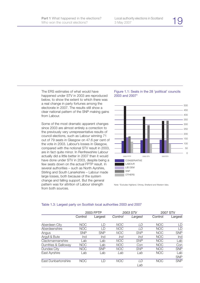The ERS estimates of what would have happened under STV in 2003 are reproduced below, to show the extent to which there was a real change in party fortunes among the electorate in 2007. The results still show a clear national pattern of the SNP making gains from Labour.

Some of the most dramatic apparent changes since 2003 are almost entirely a correction to the previously very unrepresentative results of council elections, such as Labour winning 71 out of 79 seats in Glasgow on 47.6 per cent of the vote in 2003. Labour's losses in Glasgow, compared with the notional STV result in 2003, are in fact quite minor. In Renfrewshire Labour actually did a little better in 2007 than it would have done under STV in 2003, despite being a few seats down on the actual FPTP result. In several authorities – such as North Ayrshire, Stirling and South Lanarkshire – Labour made large losses, both because of the system change and falling support. But the general pattern was for attrition of Labour strength from both sources.

Figure 1.1: Seats in the 28 'political' councils 2003 and 2007\*



Note: \*Excludes Highland, Orkney, Shetland and Western Isles.

|                     | 2003 FPTP  |            |            | 2003 STV   | 2007 STV   |                   |  |
|---------------------|------------|------------|------------|------------|------------|-------------------|--|
|                     | Control    | Largest    | Control    | Largest    | Control    | Largest           |  |
| Aberdeen City       | <b>NOC</b> | l D        | <b>NOC</b> | LD         | <b>NOC</b> | LD                |  |
| Aberdeenshire       | <b>NOC</b> | l D        | <b>NOC</b> | I D        | <b>NOC</b> | LD                |  |
| Angus               | <b>SNP</b> | <b>SNP</b> | <b>NOC</b> | <b>SNP</b> | <b>NOC</b> | <b>SNP</b>        |  |
| Argyll & Bute       | Ind        | Ind        | Ind        | Ind        | <b>NOC</b> | Ind               |  |
| Clackmannanshire    | Lab        | Lab        | <b>NOC</b> | <b>SNP</b> | <b>NOC</b> | Lab               |  |
| Dumfries & Galloway | <b>NOC</b> | Lab        | <b>NOC</b> | Con        | <b>NOC</b> | Con               |  |
| Dundee City         | <b>NOC</b> | <b>SNP</b> | <b>NOC</b> | <b>SNP</b> | <b>NOC</b> | <b>SNP</b>        |  |
| East Ayrshire       | Lab        | Lab        | Lab        | Lab        | <b>NOC</b> | Lab<br><b>SNP</b> |  |
| East Dunbartonshire | <b>NOC</b> | l D        | <b>NOC</b> | ΙD<br>Lab  | <b>NOC</b> | <b>SNP</b>        |  |

#### Table 1.3: Largest party on Scottish local authorities 2003 and 2007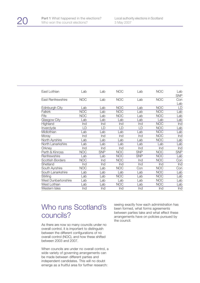| East Lothian               | Lab        | Lab        | <b>NOC</b> | Lab        | <b>NOC</b> | Lab<br><b>SNP</b> |
|----------------------------|------------|------------|------------|------------|------------|-------------------|
| East Renfrewshire          | <b>NOC</b> | Lab        | <b>NOC</b> | Lab        | <b>NOC</b> | Con<br>Lab        |
| <b>Edinburgh City</b>      | Lab        | Lab        | <b>NOC</b> | Lab        | <b>NOC</b> | LD                |
| <b>Falkirk</b>             | <b>NOC</b> | Lab        | <b>NOC</b> | Lab        | <b>NOC</b> | Lab               |
| Fife                       | <b>NOC</b> | Lab        | <b>NOC</b> | Lab        | <b>NOC</b> | Lab               |
| Glasgow City               | Lab        | Lab        | Lab        | Lab        | Lab        | Lab               |
| Highland                   | Ind        | Ind        | Ind        | Ind        | <b>NOC</b> | Ind               |
| Inverclyde                 | ID         | ID         | LD         | ID         | <b>NOC</b> | Lab               |
| Midlothian                 | _ab        | Lab        | Lab        | _ab        | <b>NOC</b> | Lab               |
| Moray                      | Ind        | Ind        | Ind        | Ind        | <b>NOC</b> | Ind               |
| North Ayrshire             | _ab        | Lab        | Lab        | Lab        | <b>NOC</b> | Lab               |
| North Lanarkshire          | _ab        | Lab        | _ab        | Lab        | Lab        | Lab               |
| Orkney                     | Ind        | Ind        | Ind        | Ind        | Ind        | Ind               |
| Perth & Kinross            | <b>NOC</b> | <b>SNP</b> | <b>NOC</b> | <b>SNP</b> | <b>NOC</b> | <b>SNP</b>        |
| Renfrewshire               | Lab        | Lab        | <b>NOC</b> | <b>SNP</b> | <b>NOC</b> | Lab               |
| <b>Scottish Borders</b>    | <b>NOC</b> | Ind        | <b>NOC</b> | Ind        | <b>NOC</b> | Con               |
| Shetland                   | Ind        | Ind        | Ind        | Ind        | Ind        | Ind               |
| South Ayrshire             | <b>NOC</b> | Lab        | <b>NOC</b> | Con        | <b>NOC</b> | Con               |
| South Lanarkshire          | Lab        | Lab        | Lab        | Lab        | <b>NOC</b> | Lab               |
| Stirling                   | Lab        | Lab        | <b>NOC</b> | Lab        | <b>NOC</b> | Lab               |
| <b>West Dunbartonshire</b> | Lab        | Lab        | Lab        | Lab        | <b>NOC</b> | Lab               |
| West Lothian               | Lab        | Lab        | <b>NOC</b> | Lab        | <b>NOC</b> | Lab               |
| Western Isles              | Ind        | Ind        | Ind        | Ind        | Ind        | Ind               |

## Who runs Scotland's councils?

As there are now so many councils under no overall control, it is important to distinguish between the different configurations of no overall control (NOC), and how these shifted between 2003 and 2007.

When councils are under no overall control, a wide variety of governing arrangements can be made between different parties and independent candidates. This will no doubt emerge as a fruitful area for further research:

seeing exactly how each administration has been formed, what forms agreements between parties take and what effect these arrangements have on policies pursued by the council.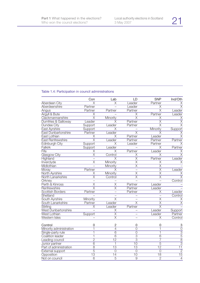#### Table 1.4: Participation in council administrations

|                            | Con                     | Lab                     | LD                       | <b>SNP</b>              | Ind/Oth                             |
|----------------------------|-------------------------|-------------------------|--------------------------|-------------------------|-------------------------------------|
| <b>Aberdeen City</b>       | Χ                       | Χ                       | Leader                   | Partner                 | Х                                   |
| Aberdeenshire              | Partner                 | $\overline{a}$          | Leader                   | $\overline{\mathsf{X}}$ | $\overline{\sf X}$                  |
| Angus                      | Partner                 | Partner                 | Partner                  | $\overline{\mathsf{x}}$ | Leader                              |
| Argyll & Bute              | Χ                       |                         | Χ                        | Partner                 | Leader                              |
| Clackmannanshire           | $\overline{\mathsf{X}}$ | Minority                | $\overline{\mathsf{x}}$  | $\overline{\sf X}$      | $\overline{\mathsf{x}}$             |
| Dumfries & Galloway        | Leader                  | $\overline{\mathsf{x}}$ | Partner                  | $\overline{\sf x}$      | $\overline{\mathsf{X}}$             |
| Dundee City                | Support                 | Leader                  | Partner                  | $\overline{\mathsf{X}}$ | $\overline{\mathsf{X}}$             |
| <b>East Ayrshire</b>       | Support                 | $\overline{\sf X}$      | $\overline{\phantom{0}}$ | Minority                | Support                             |
| East Dunbartonshire        | Partner                 | Leader                  | $\overline{\mathsf{x}}$  | Χ                       | Χ                                   |
| East Lothian               | $\overline{\mathsf{X}}$ | $\overline{\sf X}$      | Partner                  | Leader                  | $\overline{\mathsf{x}}$             |
| <b>East Renfrewshire</b>   | $\overline{\mathsf{X}}$ | Leader                  | Partner                  | Partner                 | Partner                             |
| <b>Edinburgh City</b>      | Support                 | $\overline{\sf x}$      | Leader                   | Partner                 | $\overline{\mathsf{x}}$             |
| <b>Falkirk</b>             | Support                 | Leader                  | $\overline{a}$           | $\overline{\sf X}$      | Partner                             |
| Fife                       | Χ                       | X                       | Partner                  | Leader                  | Χ                                   |
| Glasgow City               | $\overline{\mathsf{x}}$ | Control                 | $\overline{\sf X}$       | X                       | $\overline{\mathsf{X}}$             |
| <b>Highland</b>            | $\equiv$                | Χ                       | $\overline{\mathsf{x}}$  | Partner                 | Leader                              |
| Inverclyde                 | $\overline{\mathsf{X}}$ | Minority                | $\overline{\mathsf{x}}$  | $\overline{\mathsf{X}}$ | $\overline{\mathsf{X}}$             |
| Midlothian                 |                         | Minority                | $\overline{\sf x}$       | $\overline{\mathsf{x}}$ |                                     |
| <b>Moray</b>               | Partner                 | Χ                       | $\overline{\phantom{0}}$ | $\overline{\mathsf{X}}$ | Leader                              |
| North Ayrshire             | $\overline{\mathsf{X}}$ | Minority                | $\overline{\mathsf{x}}$  | $\overline{\mathsf{x}}$ | $\overline{\mathsf{X}}$             |
| North Lanarkshire          | $\overline{\sf x}$      | Control                 | $\overline{\mathsf{x}}$  | $\overline{\mathsf{X}}$ | $\overline{\mathsf{x}}$             |
| Orkney                     | $\overline{a}$          |                         |                          |                         | Control                             |
| Perth & Kinross            | $\overline{\mathsf{x}}$ | $\overline{\mathsf{x}}$ | Partner                  | Leader                  |                                     |
| Renfrewshire               | $\overline{\chi}$       | $\overline{\sf X}$      | Partner                  | Leader                  |                                     |
| Scottish Borders           | Partner                 | $\equiv$                | Partner                  | $\overline{\mathsf{X}}$ | Leader                              |
| Shetland                   |                         |                         | $\overline{\phantom{0}}$ |                         | Control                             |
| South Ayrshire             | Minority                | $\overline{\sf x}$      | $\overline{\phantom{0}}$ | $\overline{\mathsf{X}}$ | $\frac{\overline{X}}{\overline{X}}$ |
| South Lanarkshire          | Partner                 | Leader                  | $\overline{\mathsf{x}}$  | $\overline{\mathsf{X}}$ |                                     |
| Stirling                   | X                       | Leader                  | Partner                  | $\overline{\mathsf{x}}$ |                                     |
| <b>West Dunbartonshire</b> | $\equiv$                | $\overline{\mathsf{X}}$ |                          | Leader                  | Support                             |
| <b>West Lothian</b>        | Support                 | $\overline{\mathsf{x}}$ |                          | Leader                  | Partner                             |
| <b>Western Isles</b>       | $\overline{a}$          | $\overline{\sf X}$      | $\overline{\phantom{0}}$ | $\overline{\mathsf{X}}$ | Control                             |
| Control                    | 0                       | $\overline{2}$          | 0                        | $\mathbf 0$             | 3                                   |
| Minority administration    | ī                       | $\overline{4}$          | $\overline{0}$           | $\overline{1}$          | $\overline{0}$                      |
| Single-party rule          | 1                       | $\overline{6}$          | $\overline{0}$           | 1                       |                                     |
| Coalition leader           | ₹                       | $\overline{6}$          | $\overline{3}$           | $\overline{6}$          |                                     |
| Leading council            | $\overline{2}$          | $\overline{12}$         | $\overline{3}$           | 7                       | $\frac{3}{5}$ $\frac{8}{3}$         |
| Junior partner             | $\overline{6}$          | 1                       | $\overline{10}$          | $\overline{5}$          |                                     |
| Part of administration     | $\overline{8}$          | $\overline{13}$         | $\overline{13}$          | $\overline{12}$         | $\overline{11}$                     |
| <b>External support</b>    | $\overline{5}$          | $\overline{0}$          | $\overline{0}$           | $\overline{0}$          |                                     |
| Opposition                 | $\overline{13}$         | $\overline{14}$         | $\overline{10}$          | $\overline{18}$         | $\frac{2}{15}$                      |
| Not on council             | $\overline{6}$          | $\overline{5}$          | $\overline{9}$           | $\overline{2}$          | $\overline{4}$                      |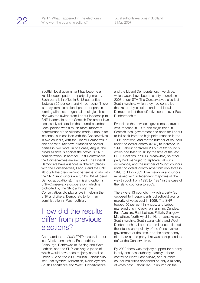Scottish local government has become a kaleidoscopic pattern of party alignments. Each party is in office in 8–13 authorities (between 25 per cent and 41 per cent). There is no systematic national pattern of parties forming alliances on general ideological lines. Nor was the switch from Labour leadership to SNP leadership at the Scottish Parliament level necessarily reflected in the council chamber. Local politics was a much more important determinant of the alliances made. Labour, for instance, is in coalition with the Conservatives in two councils, with the Liberal Democrats in one and with 'rainbow' alliances of several parties in two more. In one case, Angus, the broad alliance is against the previous SNP administration; in another, East Renfrewshire, the Conservatives are excluded. The Liberal Democrats have alliances in different places with the Conservatives, Labour and the SNP, although the predominant pattern is to ally with the SNP (six councils are run by SNP–Liberal Democrat coalitions). The missing option is SNP–Conservative cooperation, which is prohibited by the SNP, although the Conservatives did play a role in helping the SNP and Liberal Democrats to form an administration in West Lothian.

## How did the results differ from previous elections?

Compared to the 2003 FPTP results, Labour lost Clackmannanshire, East Lothian, Edinburgh, Renfrewshire, Stirling and West Lothian, and the SNP lost Angus (none of which would have been majority controlled under STV on the 2003 results). Labour also lost East Ayrshire, Midlothian, North Ayrshire, South Lanarkshire and West Dunbartonshire, and the Liberal Democrats lost Inverclyde, which would have been majority councils in 2003 under STV. The Conservatives also lost South Ayrshire, which they had controlled thanks to a by-election, and the Liberal Democrats lost their effective control over East Dunbartonshire.

Ever since the new local government structure was imposed in 1995, the major trend in Scottish local government has been for Labour to fall back from the high point reached in the 1995 elections, and for the number of councils under no overall control (NOC) to increase. In 1995 Labour controlled 20 out of 32 councils, which had fallen to 13 by the time of the last FPTP elections in 2003. Meanwhile, no other party had managed to replicate Labour's dominance, and the number of 'hung' councils under no overall control rose from only three in 1995 to 11 in 2003. Five mainly rural councils remained with Independent majorities all the way through from 1995 (or 1994 in the case of the Island councils) to 2003.

There were 13 councils in which a party (as opposed to Independents collectively) won a majority of votes cast in 1995. The SNP topped 50 per cent in Angus, and Labour managed this in Clackmannanshire, Dundee, East Ayrshire, East Lothian, Falkirk, Glasgow, Midlothian, North Ayrshire, North Lanarkshire, South Ayrshire, South Lanarkshire and West Dunbartonshire. Labour's dominance reflected the intense unpopularity of the Conservative government at the time, and the ascendancy of Labour as the party that was best placed to defeat the Conservatives.

By 2003 there was majority support for a party in only one local authority, namely Labourcontrolled North Lanarkshire, and all other council majorities depended on only a minority of votes cast. Labour ran Edinburgh on the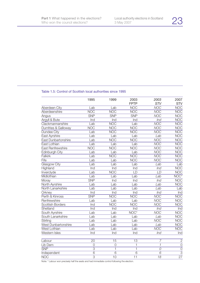#### Table 1.5: Control of Scottish local authorities since 1995

| 1995            | 1999                    | 2003                    | 2003                 | 2007                                                                     |
|-----------------|-------------------------|-------------------------|----------------------|--------------------------------------------------------------------------|
|                 |                         | <b>FPTP</b>             | <b>STV</b>           | <b>STV</b>                                                               |
| Lab             | Lab                     | $\overline{\text{NOC}}$ | NOC                  | NOC                                                                      |
| <b>NOC</b>      | <b>NOC</b>              | <b>NOC</b>              | <b>NOC</b>           | NOC                                                                      |
| SNP             | SNP                     | <b>SNP</b>              | <b>NOC</b>           | $\overline{\text{NOC}}$                                                  |
| Ind             | Ind                     | Ind                     | Ind                  | <b>NOC</b>                                                               |
| Lab             | <b>NOC</b>              | Lab                     | $\overline{NOC}$     | <b>NOC</b>                                                               |
| <b>NOC</b>      | $\overline{\text{NOC}}$ | NOC                     | $\overline{NOC}$     | NOC                                                                      |
| Lab             | <b>NOC</b>              | <b>NOC</b>              | <b>NOC</b>           | $\overline{\text{NOC}}$                                                  |
| Lab             | Lab                     | Lab                     | Lab                  | $\overline{\text{NOC}}$                                                  |
| Lab             | <b>NOC</b>              | <b>NOC</b>              | <b>NOC</b>           | <b>NOC</b>                                                               |
| Lab             | Lab                     | Lab                     | NOC                  | $\overline{\text{NOC}}$                                                  |
| <b>NOC</b>      | $\overline{\text{NOC}}$ | $\overline{\text{NOC}}$ | <b>NOC</b>           | $\overline{\text{NOC}}$                                                  |
| Lab             | Lab                     | Lab                     | <b>NOC</b>           | <b>NOC</b>                                                               |
| Lab             | <b>NOC</b>              | <b>NOC</b>              | <b>NOC</b>           | <b>NOC</b>                                                               |
| Lab             | Lab                     | <b>NOC</b>              | <b>NOC</b>           | <b>NOC</b>                                                               |
| Lab             | Lab                     | Lab                     | Lab                  | Lab                                                                      |
| Ind             | Ind                     | Ind                     | Ind                  | <b>NOC</b>                                                               |
| Lab             | $\overline{\text{NOC}}$ | LD                      | LD                   | <b>NOC</b>                                                               |
| Lab             | Lab                     | Lab                     | Lab                  | $\overline{\text{NOC}^*}$                                                |
| <b>SNP</b>      | Ind                     | Ind                     | Ind                  | <b>NOC</b>                                                               |
| Lab             | Lab                     | Lab                     | Lab                  | <b>NOC</b>                                                               |
| Lab             | Lab                     | Lab                     | Lab                  | Lab                                                                      |
| Ind             | Ind                     | Ind                     | Ind                  | Ind                                                                      |
|                 | <b>NOC</b>              | <b>NOC</b>              | <b>NOC</b>           | <b>NOC</b>                                                               |
| Lab             | Lab                     | Lab                     |                      | <b>NOC</b>                                                               |
| Ind             | <b>NOC</b>              |                         |                      | <b>NOC</b>                                                               |
| Ind             | Ind                     | Ind                     | Ind                  | Ind                                                                      |
| Lab             | Lab                     |                         |                      | <b>NOC</b>                                                               |
| Lab             | Lab                     | Lab                     | Lab                  | <b>NOC</b>                                                               |
| Lab             |                         | Lab                     |                      | NOC                                                                      |
| Lab             | Lab                     | Lab                     | Lab                  | <b>NOC</b>                                                               |
| Lab             | Lab                     | Lab                     |                      | <b>NOC</b>                                                               |
| Ind             | Ind                     | Ind                     | Ind                  | Ind                                                                      |
| $\overline{20}$ | 15                      | 13                      | 7                    | $\mathbf{2}$                                                             |
| $\overline{O}$  | $\overline{O}$          | $\mathbf 1$             | $\mathcal{I}$        | $\overline{0}$                                                           |
| $\overline{3}$  | $\mathbf 1$             | $\overline{\mathbb{1}}$ | 0                    | $\overline{0}$                                                           |
| $\overline{6}$  | $\overline{6}$          | $\overline{6}$          | $\overline{6}$       | $\overline{3}$                                                           |
|                 | 10                      | $\overline{11}$         | $\overline{18}$      | $\overline{27}$                                                          |
|                 | SNP<br>$\overline{3}$   | Lab                     | <b>NOC</b><br>$NOC*$ | <b>NOC</b><br>$\overline{NOC}$<br><b>NOC</b><br><b>NOC</b><br><b>NOC</b> |

Note: \* Labour won precisely half the seats and had immediate control following the election.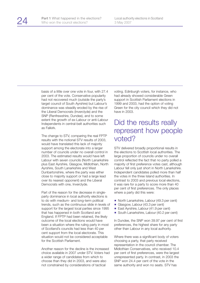basis of a little over one vote in four, with 27.4 per cent of the vote. Conservative popularity had not recovered much (outside the party's target council of South Ayrshire) but Labour's dominance was steadily eroded by the rise of the Liberal Democrats (Inverclyde) and the SNP (Renfrewshire, Dundee), and to some extent the growth of ex-Labour or anti-Labour Independents in central-belt authorities such as Falkirk.

The change to STV, comparing the real FPTP results with the notional STV results of 2003, would have translated this lack of majority support among the electorate into a larger number of councils under no overall control in 2003. The estimated results would have left Labour with seven councils (North Lanarkshire plus East Ayrshire, Glasgow, Midlothian, North Ayrshire, South Lanarkshire and West Dunbartonshire, where the party was either close to majority support or had a large lead over its nearest opponent) and the Liberal Democrats with one, Inverclyde.

Part of the reason for the decrease in singleparty dominance in local authority elections is to do with medium- and long-term political trends, such as the continuous slide in levels of support for the largest local parties since 1995 that has happened in both Scotland and England. If FPTP had been retained, the likely outcome of the local elections would have been a situation where the ruling party in most of Scotland's councils had less than 40 per cent support from the local electorate. This situation would not be considered acceptable for the Scottish Parliament.

Another reason for the decline is the increased choice available in 2007 under STV. Voters had a wider range of candidates from which to choose than they did in 2003, and were also not constrained by considerations of tactical

voting. Edinburgh voters, for instance, who had already showed considerable Green support in Scottish Parliament elections in 1999 and 2003, had the option of voting Green for the city council which they did not have in 2003.

### Did the results really represent how people voted?

STV delivered broadly proportional results in the elections to Scottish local authorities. The large proportion of councils under no overall control reflected the fact that no party polled a majority of first preference votes cast, although Labour fell only just short in North Lanarkshire. Independent candidates polled more than half the votes in the three Island authorities. In contrast to 2003 and previous local elections, it was rare for a party to score more than 40 per cent of first preferences. The only places where a party did this were:

- **North Lanarkshire, Labour (49.3 per cent)**
- Glasgow, Labour (43.3 per cent)
- East Avrshire, Labour (41.9 per cent)
- South Lanarkshire, Labour (40.2 per cent)

In Dundee, the SNP won 39.97 per cent of first preferences, the highest share for any party other than Labour in any local authority.

Where there was a significant body of voters choosing a party, that party received representation in the council chamber. The Midlothian Conservatives, who received 10.4 per cent of first preferences, were the largest unrepresented party. In contrast, in 2003 the SNP won 24.4 per cent of the vote in the same authority and won no seats. STV has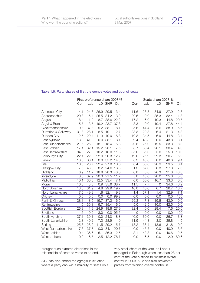#### Table 1.6: Party shares of first preference votes and council seats

|                         | First preference share 2007 % |      |                  |        |                        | Seats share 2007 % |                  |                  |                   |                  |
|-------------------------|-------------------------------|------|------------------|--------|------------------------|--------------------|------------------|------------------|-------------------|------------------|
|                         | Con                           | Lab  |                  | LD SNP | Oth                    | Con                | Lab              | LD               | <b>SNP</b>        | Oth              |
| Aberdeen City           | 14.1                          | 24.6 | 26.9             | 29.5   | 3.4                    | 11.6               | 23.3             | 34.9             | 27.9              | 2.3              |
| Aberdeenshire           | 20.8                          | 5.4  | 25.5             | 34.2   | 13.9                   | 20.6               | 0.0              | 35.3             | 32.4              | 11.8             |
| Angus                   | 18.4                          | 11.9 | 8.7              | 38.6   | 22.3                   | 17.2               | 6.9              | 10.3             | 44.8              | 20.7             |
| Argyll & Bute           | 15.7                          | 3.7  | 19.2             | 23.7   | 37.8                   | 8.3                | 0.0              | 19.4             | $\overline{27.8}$ | 44.4             |
| Clackmannanshire        | 10.8                          | 37.8 | $\overline{5.2}$ | 38.1   | 8.1                    | 5.6                | 44.4             | 5.6              | 38.9              | $\overline{5.6}$ |
| Dumfries & Galloway     | 31.8                          | 28.1 | 8.5              | 19.1   | 12.7                   | 38.3               | 29.8             | 6.4              | 21.3              | $\overline{4.3}$ |
| Dundee City             | 12.5                          | 29.4 | 11.3             | 40.0   | 6.8                    | 10.3               | 34.5             | 6.9              | 44.8              | $\overline{3.4}$ |
| East Ayrshire           | 13.0                          | 41.9 | 0.0              | 38.1   | 8.1                    | 9.4                | 43.8             | 0.0              | 43.8              | $\overline{3.1}$ |
| East Dunbartonshire     | 21.6                          | 26.2 | 18.1             | 18.4   | 15.8                   | 20.8               | 25.0             | 12.5             | 33.3              | 8.3              |
| East Lothian            | 17.1                          | 32.1 | 15.2             | 28.1   | 7.5                    | 8.7                | 30.4             | 26.1             | 30.4              | 4.3              |
| East Renfrewshire       | 34.3                          | 27.8 | 10.2             | 16.0   | 11.8                   | 35.0               | 35.0             | $\overline{5.0}$ | 15.0              | 10.0             |
| Edinburgh City          | 22.1                          | 22.9 | 22.0             | 20.3   | 12.7                   | 19.0               | 25.9             | 29.3             | 20.7              | 5.2              |
| Falkirk                 | 13.5                          | 36.1 | 0.8              | 35.2   | 14.5                   | 6.3                | 43.8             | 0.0              | 40.6              | $\overline{9.4}$ |
| Fife                    | 10.6                          | 28.7 | 22.4             | 27.8   | 10.6                   | 6.4                | 30.8             | 26.9             | 29.5              | 6.4              |
| Glasgow City            | 7.6                           | 43.3 | 8.2              | 24.6   | 16.3                   | 1.3                | 57.0             | 6.3              | 27.8              | $\overline{7.6}$ |
| Highland                | 6.9                           | 11.2 | 18.8             | 20.3   | 43.0                   | 0.0                | 8.8              | 26.3             | 21.3              | 43.8             |
| Inverclyde              | 8.6                           | 37.9 | 20.3             | 21.5   | 11.7                   | 5.0                | 45.0             | 20.0             | 25.0              | $\overline{5.0}$ |
| Midlothian              | 10.1                          | 36.8 | 12.5             | 33.4   | 7.1                    | 0.0                | 50.0             | 16.7             | 33.3              | 0.0              |
| Moray                   | 16.0                          | 8.8  | 0.9              | 35.6   | 38.7                   | 11.5               | $\overline{7.7}$ | $\overline{0}$   | 34.6              | 46.2             |
| North Ayrshire          | 13.6                          | 31.9 | $\overline{4.8}$ | 29.9   | 19.7                   | 10.0               | 40.0             | 6.7              | 26.7              | 16.7             |
| North Lanarkshire       | 7.5                           | 49.3 | 1.8              | 32.1   | 9.3                    | 1.4                | 57.1             | 1.4              | 32.9              | 7.1              |
| Orkney                  | 0.8                           | 0.0  | 0.0              | 0.0    | 99.2                   | 0.0                | 0.0              | 0.0              | 0.0               | 100              |
| Perth & Kinross         | 28.1                          | 8.5  | 19.7             | 37.2   | 6.5                    | 29.3               | 7.3              | 19.5             | 43.9              | 0.0              |
| Renfrewshire            | 11.5                          | 36.8 | 9.7              | 35.4   | 6.6                    | 5.0                | 42.5             | 10.0             | 42.5              | 0.0              |
| <b>Scottish Borders</b> | 26.8                          | 1.9  | 24.9             | 18.8   | 27.9                   | 32.4               | 0.0              | 29.4             | 17.6              | 20.6             |
| Shetland                | 1.5                           | 0.0  | 3.0              | 0.0    | 95.5                   | $\overline{O}$     | 0.0              | 0.0              | 0.0               | $\overline{1}00$ |
| South Ayrshire          | 37.1                          | 30.1 | 0.0              | 24.0   | 8.8                    | 40.0               | 30.0             | 0.0              | 26.7              | $\overline{3.3}$ |
| South Lanarkshire       | 12.8                          | 40.2 | $\overline{7.2}$ | 28.9   | 11.0                   | 11.9               | 44.8             | 3.0              | 35.8              | 4.5              |
| Stirling                | 25.3                          | 28.2 | 11.5             | 29.2   | 5.7                    | 18.2               | 36.4             | 13.6             | 31.8              | 0.0              |
| West Dunbartonshire     | 7.6                           | 37.7 | 0.0              | 34.1   | 20.7                   | 0.0                | 45.5             | 0.0              | 40.9              | 13.6             |
| West Lothian            | 9.4                           | 36.6 | 5.1              | 36.3   | 12.5                   | 3.1                | 43.8             | 0.0              | 40.6              | 12.5             |
| Western Isles           | 0.0                           | 6.7  | 2.5              |        | $\overline{12.2}$ 78.7 | 0.0                | 6.5              | 0.0              | 12.9              | 80.6             |

brought such extreme distortions in the relationship of seats to votes to an end.

STV has also ended the egregious situation where a party can win a majority of seats on a very small share of the vote, as Labour managed in Edinburgh when less than 28 per cent of the vote sufficed to maintain overall control in 2003. STV has also prevented parties from winning overall control in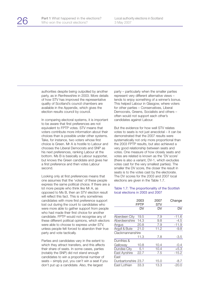authorities despite being outpolled by another party, as in Renfrewshire in 2003. More details of how STV has improved the representative quality of Scotland's council chambers are available in the Appendix, which gives the election results council by council.

In comparing electoral systems, it is important to be aware that first preferences are not equivalent to FPTP votes. STV means that voters contribute more information about their choices than is possible under other systems. Take, for instance, two voters whose first choice is Green. Mr A is hostile to Labour and chooses the Liberal Democrats and SNP as his next preferences, ranking Labour at the bottom. Ms B is basically a Labour supporter, but knows the Green candidate and gives her a first preference and then votes Labour second.

Looking only at first preferences means that one assumes that the 'votes' of these people express the same political choice. If there are a lot more people who think like Mr A, as opposed to Ms B, then an STV election result will reflect this fact. This is why sometimes candidates with more first preference support lost out during the count to candidates who were more able to gather support from people who had made their first choice for another candidate. FPTP would not recognise any of these different political opinions, which electors were able to choose to express under STV, unless people felt forced to abandon their true party and vote tactically.

Parties and candidates vary in the extent to which they attract transfers, and this affects their share of seats. In some cases, parties (notably the SNP) did not stand enough candidates to win a proportional number of seats – simply put, you can't win a seat if you don't put up a candidate. Also, the largest

party – particularly when the smaller parties represent very different alternative views – tends to enjoy something of a winner's bonus. This helped Labour in Glasgow, where voters for other parties – Conservatives, Liberal Democrats, Greens, Socialists and others – often would not support each other's candidates against Labour.

But the evidence for how well STV relates votes to seats is not just anecdotal – it can be demonstrated that the 2007 results were systematically not only more proportional than the 2003 FPTP results, but also achieved a very good relationship between seats and votes. One measure of how closely seats and votes are related is known as the 'DV score' (there is also a variant, DV-1, which excludes votes cast for the very smallest parties). The smaller the DV score, the closer the result in seats is to the votes cast by the electorate. The DV scores for the 2003 and 2007 local elections are given in the Table 1.7.

#### Table 1.7: The proportionality of the Scottish local elections in 2003 and 2007

|                     | 2003<br>FPTP | 2007<br><b>STV</b> | Change  |
|---------------------|--------------|--------------------|---------|
|                     | DV           | DV                 | DV      |
| Aberdeen City       | 19.5         | 7.9                | $-11.6$ |
| Aberdeenshire       | 14.3         | 9.8                | -4.5    |
| Angus               | 20.8         | 7.9                | $-11.9$ |
| Argyll & Bute       | 21.0         | 11.2               | $-9.8$  |
| Clackmannanshire    |              |                    |         |
|                     | 11.3         | 7.8                | $-3.5$  |
| Dumfries &          |              |                    |         |
| Galloway            | 10.8         | 10.4               | $-0.4$  |
| Dundee City         | 5.1          | 10.4               | $+5.3$  |
| East Ayrshire       | 22.7         | 7.5                | $-15.2$ |
| East                |              |                    |         |
| Dunbartonshire 23.7 |              | 15.0               | $-8.7$  |
| East Lothian        | 33.3         | 13.3               | $-20.0$ |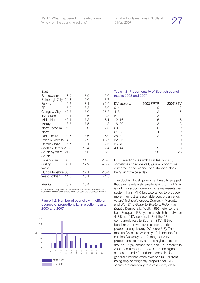#### East

| Renfrewshire         | 13.9 | 7.9  | $-6.0$  |
|----------------------|------|------|---------|
| Edinburgh City       | 24.3 | 10.6 | $-13.7$ |
| Falkirk              | 10.2 | 13.1 | $+2.9$  |
| Fife                 | 17.2 | 8.3  | $-8.9$  |
| Glasgow City         | 42.3 | 17.0 | $-25.3$ |
| Inverclyde           | 24.4 | 10.6 | $-13.8$ |
| Midlothian           | 43.4 | 17.3 | $-16.1$ |
| Moray                | 18.8 | 7.5  | $-11.3$ |
| North Ayrshire       | 27.2 | 9.9  | $-17.3$ |
| North                |      |      |         |
| Lanarkshire          | 24.6 | 8.6  | $-16.0$ |
| Perth & Kinross      | 4.2  | 7.9  | $+3.7$  |
| Renfrewshire         | 15.7 | 13.1 | $-2.6$  |
| Scottish Borders12.8 |      | 10.4 | $-2.4$  |
| South Ayrshire       | 21.8 | 5.6  | $-16.2$ |
| South                |      |      |         |
| Lanarkshire          | 30.3 | 11.5 | $-18.8$ |
| Stirling             | 36.1 | 12.9 | $-23.2$ |
| West                 |      |      |         |
| Dunbartonshire 30.5  |      | 17.1 | $-13.4$ |
| West Lothian         | 14.6 | 13.1 | $-1.5$  |
|                      |      |      |         |
| Median               | 20.9 | 10.4 |         |

Note: Results in Highland, Orkney, Shetland and Western Isles were not included because there were too many non-party and uncontested wards.

#### Figure 1.2: Number of councils with different degrees of proportionality in election results 2003 and 2007



#### Table 1.8: Proportionality of Scottish council results 2003 and 2007

| DV score  | 2003 FPTP | 2007 STV |
|-----------|-----------|----------|
| -4        |           | 2        |
| $4 - 8$   | 2         | 6        |
| $8 - 12$  | 3         | 11       |
| $12 - 16$ | 5         | 6        |
| $16 - 20$ | 3         | 3        |
| $20 - 24$ | 5         | Ω        |
| $24 - 28$ | 4         | ∩        |
| $28 - 32$ | 2         |          |
| $32 - 36$ |           |          |
| $36 - 40$ |           | ∩        |
| $40 - 44$ | 2         |          |
|           | 28        | 28       |

FPTP elections, as with Dundee in 2003, sometimes coincidentally give a proportional outcome in the manner of a stopped clock being right twice a day

The Scottish local government results suggest that even a relatively small-district form of STV is not only a considerably more representative system than FPTP, but also tends to produce more than just a reasonable concordance with voters' first preferences. Dunleavy, Margetts and Weir (*The Guide to Electoral Reform in Britain*, Democratic Audit, 1998) refer to 'the best European PR systems, which hit between 4–8% [sic]' DV scores. In 8 of the 28 comparable results Scottish STV hit this benchmark or was even closer to strict proportionality (Moray DV score 3.3). The median DV score was only 10.4, not too far outside Dunleavy et al.'s range of very proportional scores, and the highest scores around 17 (by comparison, the FPTP results in 2003 had a median of 20.9 and the highest scores around 43, and the scores in UK general elections often exceed 20). Far from being only contingently proportional, STV seems systematically to give a pretty close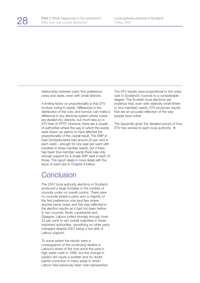relationship between party first preference votes and seats, even with small districts.

A limiting factor on proportionality is that STV involves voting in wards. Differences in the distribution of the vote, and turnout, can make a difference in any electoral system where voters are divided into districts, but much less so in STV than in FPTP. However, there are a couple of authorities where the way in which the wards were drawn up seems to have affected the proportionality of the overall result. The SNP in East Dunbartonshire had around 20 per cent in each ward – enough for one seat per ward with transfers in three-member wards, but if there had been four-member wards there was only enough support for a single SNP seat in each of those. The report deals in more detail with the issue of ward size in Chapter 9 below.

## **Conclusion**

The 2007 local authority elections in Scotland produced a large increase in the number of councils under no overall control. There were no councils where a party won a majority of the first preference vote (and few where anyone came close) and this was reflected in the election results as it had not been before. In two councils, North Lanarkshire and Glasgow, Labour polled strongly enough (over 43 per cent) to win overall majorities in these important authorities, something no other party managed despite 2007 being a low ebb of Labour support.

To some extent the results were a consequence of the continuing decline in Labour's share of the vote since the party's high water mark in 1995, but the change in system did cause a sudden and no doubt painful correction in many areas in which Labour had previously been over-represented.

The STV results were proportional to the votes cast in Scotland's councils to a considerable degree. The Scottish local elections are evidence that, even with relatively small (threeor four-member) wards, STV produces results that are an accurate reflection of the way people have voted.

The Appendix gives the detailed picture of how STV has worked in each local authority.  $\blacksquare$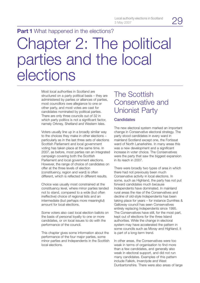#### **Part 1** What happened in the elections?

## Chapter 2: The political parties and the local elections

Most local authorities in Scotland are structured on a party political basis – they are administered by parties or alliances of parties, most councillors owe allegiance to one or other party, and most votes are cast for candidates nominated by political parties. There are only three councils out of 32 in which party politics is not a significant factor, namely Orkney, Shetland and Western Isles.

Voters usually line up in a broadly similar way to the choices they make in other elections – particularly as in the last three sets of elections Scottish Parliament and local government voting has taken place at the same time. In 2007, as before, most parties ran an integrated campaign covering both the Scottish Parliament and local government elections. However, the range of choice of candidates on offer at the three levels of election (constituency, region and ward) is often different, which is reflected in different results.

Choice was usually most constrained at the constituency level, where minor parties tended not to stand, compared to a wide (but often ineffective) choice of regional lists and an intermediate (but perhaps more meaningful) amount for local elections.

Some voters also cast local election ballots on the basis of personal loyalty to one or more candidates, or on local issues to do with the performance of the council.

This chapter gives some information about the performance of the four major parties, some minor parties and Independents in the Scottish local elections.

## The Scottish Conservative and Unionist Party

#### **Candidates**

The new electoral system marked an important change in Conservative electoral strategy. The party stood candidates in every ward in mainland Scotland except one, the Fortissat ward of North Lanarkshire. In many areas this was a new development and a significant increase in voter choice. The Conservatives were the party that saw the biggest expansion in its reach in 2007.

There were broadly two types of area in which there had not previously been much Conservative activity in local elections. In some, such as Highland, the party has not put forward candidates much because Independents have dominated. In mainland rural areas the rise of the Conservatives and decline of old-style Independents has been taking place for years – for instance Dumfries & Galloway council has seen Conservatives entirely replacing Independents since 1995. The Conservatives have still, for the most part, kept out of elections for the three Island authorities. While the change in electoral system may have accelerated the pattern in some councils such as Moray and Highland, it is part of a long-term trend.

In other areas, the Conservatives were too weak in terms of organisation to find more than a few candidates, and generally also weak in electoral support, and did not run many candidates. Examples of this pattern include Falkirk, Inverclyde and West Dunbartonshire. There were also areas of large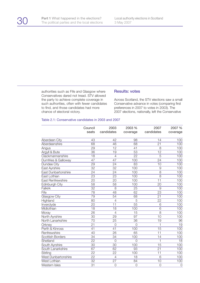authorities such as Fife and Glasgow where Conservatives dared not tread. STV allowed the party to achieve complete coverage in such authorities, often with fewer candidates to find, and those candidates had more chance of electoral victory.

#### Results: votes

Across Scotland, the STV elections saw a small Conservative advance in votes (comparing first preferences in 2007 to votes in 2003). The 2007 elections, nationally, left the Conservative

#### Table 2.1: Conservative candidates in 2003 and 2007

|                     | Council<br>seats | 2003<br>candidates | 2003 %<br>coverage | 2007<br>candidates | 2007 %<br>coverage |
|---------------------|------------------|--------------------|--------------------|--------------------|--------------------|
| Aberdeen City       | 43               | 42                 | 98                 | $\overline{14}$    | 100                |
| Aberdeenshire       | 68               | 46                 | 68                 | $\overline{21}$    | 100                |
| Angus               | 29               | 12                 | 41                 | 8                  | 100                |
| Argyll & Bute       | $\overline{36}$  | 19                 | $\overline{53}$    | $\overline{12}$    | 100                |
| Clackmannanshire    | 18               | $\overline{4}$     | 22                 | 5                  | 100                |
| Dumfries & Galloway | 47               | $\overline{47}$    | 100                | 24                 | 100                |
| Dundee City         | 29               | 24                 | 83                 | 10                 | 100                |
| East Ayrshire       | $\overline{32}$  | $\overline{32}$    | 100                | 9                  | 100                |
| East Dunbartonshire | $\overline{24}$  | 24                 | 100                | $\overline{8}$     | 100                |
| East Lothian        | $\overline{23}$  | $\overline{23}$    | 100                | $\overline{8}$     | 100                |
| East Renfrewshire   | 20               | 20                 | 100                | $\overline{11}$    | 100                |
| Edinburgh City      | $\overline{58}$  | $\overline{58}$    | 100                | $\overline{20}$    | 100                |
| Falkirk             | $\overline{32}$  | 8                  | 25                 | $\overline{9}$     | 100                |
| Fife                | 78               | 48                 | 62                 | 23                 | 100                |
| Glasgow City        | 79               | 54                 | 68                 | $\overline{21}$    | 100                |
| Highland            | 80               | $\overline{4}$     | $\overline{5}$     | $\overline{22}$    | 100                |
| Inverclyde          | $\overline{20}$  | $\overline{11}$    | $\overline{55}$    | 6                  | 100                |
| Midlothian          | $\overline{18}$  | $\overline{18}$    | 100                | $\overline{6}$     | 100                |
| Moray               | $\overline{26}$  | $\overline{4}$     | $\overline{15}$    | $\overline{8}$     | 100                |
| North Ayrshire      | 30               | 29                 | 97                 | 10                 | 100                |
| North Lanarkshire   | 70               | 25                 | 36                 | 19                 | 96                 |
| Orkney              | $\overline{21}$  | $\overline{O}$     | $\overline{O}$     | 1                  | $\overline{19}$    |
| Perth & Kinross     | $\overline{41}$  | 41                 | 100                | $\overline{15}$    | 100                |
| Renfrewshire        | $\overline{40}$  | 26                 | $\overline{65}$    | $\overline{11}$    | 100                |
| Scottish Borders    | $\overline{34}$  | 34                 | 100                | $\overline{14}$    | 100                |
| Shetland            | $\overline{22}$  | $\overline{0}$     | $\overline{0}$     | 1                  | $\overline{18}$    |
| South Ayrshire      | 30               | 30                 | 100                | 15                 | 100                |
| South Lanarkshire   | 67               | 62                 | 93                 | 21                 | 100                |
| Stirling            | $\overline{22}$  | 22                 | 100                | $\overline{11}$    | 100                |
| West Dunbartonshire | $\overline{22}$  | $\overline{4}$     | $\overline{18}$    | $\overline{6}$     | 100                |
| West Lothian        | $\overline{32}$  | $\overline{27}$    | 84                 | 10                 | 100                |
| Western Isles       | $\overline{31}$  | $\overline{0}$     | $\overline{0}$     | $\overline{0}$     | $\overline{0}$     |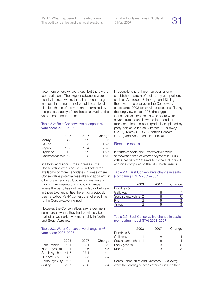vote more or less where it was, but there were local variations. The biggest advances were usually in areas where there had been a large increase in the number of candidates – local election shares of the vote are determined by the parties' supply of candidates as well as the voters' demand for them.

#### Table 2.2: Best Conservative change in % vote share 2003–2007

|                      | 2003 | 2007 | Change  |
|----------------------|------|------|---------|
| Moray                | 4.3  | 15.9 | $+11.6$ |
| <b>Falkirk</b>       | 7.0  | 13.5 | $+6.5$  |
| Angus                | 12.3 | 18.4 | $+5.8$  |
| Highland             | 1.2  | 6.9  | $+5.7$  |
| Clackmannanshire 5.8 |      | 10.8 | $+5.0$  |

In Moray and Angus, the increase in the Conservative vote since 2003 reflected the availability of more candidates in areas where Conservative potential was already apparent. In other areas, such as Clackmannanshire and Falkirk, it represented a foothold in areas where the party has not been a factor before – in those two authorities there had previously been a Labour–SNP contest that offered little to the Conservative-inclined.

However, the Conservatives saw a decline in some areas where they had previously been part of a two-party system, notably in North and South Ayrshire.

#### Table 2.3: Worst Conservative change in % vote share 2003–2007

|                | 2003 | 2007 | Change |
|----------------|------|------|--------|
| East Lothian   | 23.1 | 17.1 | $-6.0$ |
| North Ayrshire | 19.1 | 13.6 | $-5.5$ |
| South Ayrshire | 41.5 | 37.1 | $-4.4$ |
| Dundee City    | 14.9 | 12.5 | $-2.4$ |
| Edinburgh City | 24.5 | 22.1 | $-2.4$ |
| Stirling       | 27 7 | 25.3 | -24    |

In councils where there has been a longestablished pattern of multi-party competition, such as Aberdeen, Edinburgh and Stirling, there was little change in the Conservative share since 2003 (or previous elections). Taking the long view since 1995, the biggest Conservative increases in vote share were in several rural councils where Independent representation has been gradually displaced by party politics, such as Dumfries & Galloway (+21.6), Moray (+13.7), Scottish Borders (+12.0) and Aberdeenshire (+10.0).

#### Results: seats

In terms of seats, the Conservatives were somewhat ahead of where they were in 2003, with a net gain of 20 seats from the FPTP results and nine compared to the STV model results.

#### Table 2.4: Best Conservative change in seats (comparing FPTP) 2003–2007

|                     | 2003 | 2007 | Change |
|---------------------|------|------|--------|
| Dumfries &          |      |      |        |
| Galloway            |      | 18   |        |
| South Lanarkshire 2 |      |      |        |
| Fife                |      |      |        |
| Angus               |      |      |        |

#### Table 2.5: Best Conservative change in seats (comparing model STV) 2003–2007

|                     | 2003 | 2007 | Change |
|---------------------|------|------|--------|
| Dumfries &          |      |      |        |
| Galloway            | 14   | 18   |        |
| South Lanarkshire 4 |      | Χ    |        |
| East Ayrshire       |      |      |        |
| Moray               |      |      |        |

South Lanarkshire and Dumfries & Galloway were the leading success stories under either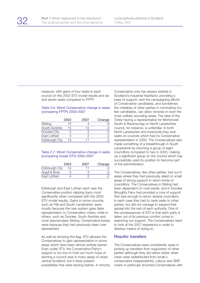measure, with gains of four seats in each council on the 2003 STV model results and six and seven seats compared to FPTP.

#### Table 2.6: Worst Conservative change in seats (comparing FPTP) 2003–2007

|                       | 2003 | 2007 | Change |
|-----------------------|------|------|--------|
| Stirling              | 10   |      |        |
| South Ayrshire        | 15   | 12   | $-3$   |
| Dundee City           |      |      | -2     |
| East Lothian          |      |      | -2     |
| <b>Edinburgh City</b> | 13   |      |        |

Table 2.7: Worst Conservative change in seats (comparing model STV) 2003–2007

|                | 2003 | 2007 | Change |
|----------------|------|------|--------|
| Edinburgh City |      | 11   |        |
| Argyll & Bute  |      |      |        |
| East Lothian   |      |      |        |

Edinburgh and East Lothian each saw the Conservative position slipping back most significantly when compared with the 2003 STV model results. Gains in some councils, such as Fife and South Lanarkshire, were mostly because the new system gave fairer representation to Conservative voters, while in others, such as Dundee, South Ayrshire and most spectacularly Stirling, Conservative losses were because they had previously been overrepresented.

As well as showing the flag, STV allowed the Conservatives to gain representation in some areas which have been almost entirely barren. Even under STV, the Conservative Party's support is too low to hold out much hope of winning a council seat in many areas of urban central Scotland, but it does present possibilities that were lacking before. A minority Conservative vote has always existed in Scotland's industrial heartland, providing a base of support, and the campaigning efforts of Conservative candidates, and sometimes the mistakes of other parties in nominating too few candidates, can allow victories in even the most unlikely sounding areas. The idea of the Tories having a representative for Motherwell South & Ravenscraig on North Lanarkshire council, for instance, is unfamiliar. In both North Lanarkshire and Inverclyde they won seats on councils which had no Conservative representation in 2003. The Conservatives also made something of a breakthrough in South Lanarkshire by returning a group of eight councillors compared to two in 2003, making up a significant group on the council which has successfully used its position to become part of the administration.

The Conservatives, like other parties, lost out in areas where they had previously relied on small areas of strong support to return knots of councillors. The Conservatives in Stirling had been dependent on rural wards, and in Dundee Broughty Ferry had provided a core of support that was enough to return several councillors. In each case they had to cede seats to other parties, but did not manage to expand their appeal into the rest of each authority. One of the consequences of STV is that each party is taken out of its previous comfort zones in searching out support. The Conservatives need to look at the 2007 experience in order to develop means of doing so.

#### Results: transfers

The Conservatives were consistently weak in picking up transfers from supporters of other parties (although they did rather better when votes were redistributed from small-c conservative independents). Labour and SNP voters in particular shunned Conservatives with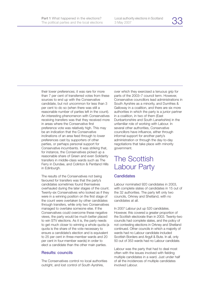their lower preferences; it was rare for more than 7 per cent of transferred votes from these sources to end up with the Conservative candidate, but not uncommon for less than 3 per cent to do so (when there was still a reasonable number of parties left in the count). An interesting phenomenon with Conservatives receiving transfers was that they received more in areas where the Conservative first preference vote was relatively high. This may be an indication that the Conservative inclinations of an area feed through to lower preferences cast by supporters of other parties, or perhaps personal support for Conservative incumbents. It was striking that, for instance, the Conservatives picked up a reasonable share of Green and even Solidarity transfers in middle-class wards such as The Ferry in Dundee, and Colinton & Pentland Hills in Edinburgh.

The results of the Conservatives not being favoured for transfers was that the party's candidates sometimes found themselves overhauled during the later stages of the count. Twenty-six Conservatives who looked as if they were in a winning position on the first stage of the count were overtaken by other candidates through transfers, while only two Conservatives managed to overtake someone else. If the Conservatives could overcome these negative views, the party would be much better placed to win STV elections. As it is, the party needs to get much closer to winning a whole quota (a quota is the share of the vote necessary to ensure a candidate's election and is equivalent to 25 per cent in three-member wards and 20 per cent in four-member wards) in order to elect a candidate than the other main parties.

#### Results: councils

The Conservatives control no local authorities outright, and lost control of South Ayrshire,

over which they exercised a tenuous grip for parts of the 2003–7 council term. However, Conservative councillors lead administrations in South Ayrshire as a minority, and Dumfries & Galloway in a coalition, and there are six more authorities in which the party is a junior partner in a coalition, in two of them (East Dunbartonshire and South Lanarkshire) in the unfamiliar role of working with Labour. In several other authorities, Conservative councillors have influence, either through informal support for another party's administration or through the day-to-day negotiations that take place with minority government.

## The Scottish Labour Party

#### **Candidates**

Labour nominated 920 candidates in 2003, with complete slates of candidates in 15 out of the 32 authorities. The party left only two councils, Orkney and Shetland, with no candidates at all.

In 2007 Labour put up 520 candidates. However, this covered a greater proportion of the Scottish electorate than in 2003. Twenty-two councils had complete slates, and the policy of not contesting elections in Orkney and Shetland continued. Other councils in which a majority of wards had no Labour candidate included Scottish Borders and Argyll & Bute. In all, only 50 out of 353 wards had no Labour candidate.

Labour was the party that had to deal most often with the issues involved with fielding multiple candidates in a ward. Just under half of all the incidences of multiple candidates involved Labour.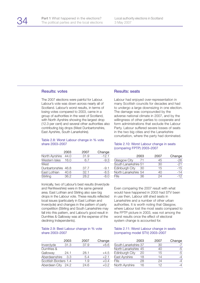#### Results: votes

The 2007 elections were painful for Labour. Labour's vote was down across nearly all of Scotland. Labour's worst results, in terms of losing votes compared to 2003, came in a group of authorities in the west of Scotland, with North Ayrshire showing the largest drop (12.3 per cent) and several other authorities also contributing big drops (West Dunbartonshire, East Ayrshire, South Lanarkshire).

#### Table 2.8: Worst Labour change in % vote share 2003–2007

|                     | 2003 | 2007 | Change  |
|---------------------|------|------|---------|
| North Ayrshire      | 44.0 | 31.9 | $-12.1$ |
| Western Isles       | 16.0 | 6 7  | $-9.3$  |
| West                |      |      |         |
| Dunbartonshire 46.8 |      | 37.7 | $-9.1$  |
| East Lothian        | 40.6 | 32.1 | $-8.5$  |
| Stirling            | 36.2 | 28.2 | $-8.0$  |

Ironically, two of Labour's best results (Inverclyde and Renfrewshire) were in the same general area. East Lothian and Stirling also saw big drops in the Labour vote. These results reflected local issues (particularly in East Lothian and Inverclyde) and changes in the pattern of party competition (Stirling and South Lanarkshire may fall into this pattern, and Labour's good result in Dumfries & Galloway was at the expense of the declining Independents).

#### Table 2.9: Best Labour change in % vote share 2003–2007

|                      | 2003 | 2007 | Change |
|----------------------|------|------|--------|
| Inverclyde           | 31.3 | 37.9 | $+6.6$ |
| Dumfries &           |      |      |        |
| Galloway             | 24.1 | 28.1 | $+4.5$ |
| Aberdeenshire        | 3.3  | 5.4  | $+2.1$ |
| Scottish Borders 1.4 |      | 1.9  | $+0.4$ |
| Aberdeen City 24.2   |      | 24.6 | $+0.2$ |
|                      |      |      |        |

#### Results: seats

Labour had enjoyed over-representation in many Scottish councils for decades and had to undergo a large downsizing in one election. The damage was compounded by the adverse national climate in 2007, and by the willingness of other parties to cooperate and form administrations that exclude the Labour Party. Labour suffered severe losses of seats in the two big cities and the Lanarkshire conurbation, where the party had dominated.

#### Table 2.10: Worst Labour change in seats (comparing FPTP) 2003–2007

|                      | 2003 | 2007 | Change |
|----------------------|------|------|--------|
| Glasgow City         |      | 45   | $-26$  |
| South Lanarkshire 51 |      | 30   | $-21$  |
| Edinburgh City       | 30   | 15   | $-15$  |
| North Lanarkshire 54 |      | 40   | -14    |
| Fife                 | 36   | クム   | $-12$  |

Even comparing the 2007 result with what would have happened in 2003 had STV been in use then, Labour still shed seats in Lanarkshire and a number of other urban authorities. It is worth noting that Glasgow, where Labour lost the most seats compared to the FPTP picture in 2003, was not among the worst results once the effect of electoral system change is accounted for.

#### Table 2.11: Worst Labour change in seats (comparing model STV) 2003–2007

|                       | 2003 | 2007 | Change |
|-----------------------|------|------|--------|
| South Lanarkshire 37  |      | 30   |        |
| North Lanarkshire 45  |      | 40   | -5     |
| <b>Edinburgh City</b> | 20   | 15   | $-5$   |
| East Ayrshire         | 18   | 14   |        |
| Fife                  | 28   | 24   |        |
| North Ayrshire        | 16   | 12   |        |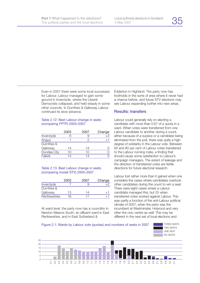Even in 2007 there were some local successes for Labour. Labour managed to gain some ground in Inverclyde, where the Liberal Democrats collapsed, and held steady in some other councils. In Dumfries & Galloway Labour continued its slow advance.

#### Table 2.12: Best Labour change in seats (comparing FPTP) 2003–2007

|             | 2003  | 2007 | Change |
|-------------|-------|------|--------|
| Inverclyde  |       |      | +3     |
| Angus       |       |      |        |
| Dumfries &  |       |      |        |
| Galloway    | 14    | 14   |        |
| Dundee City | 1 ( ) | 10   |        |
| Falkirk     | 1Δ    | 1 Д  |        |

#### Table 2.13: Best Labour change in seats (comparing model STV) 2003–2007

|              | 2003 | 2007 | Change |
|--------------|------|------|--------|
| Inverclyde   |      |      |        |
| Dumfries &   |      |      |        |
| Galloway     | 13   | 14   | $+1$   |
| Renfrewshire | 16   |      |        |

At ward level, the party now has a councillor in Newton Mearns South, an affluent ward in East Renfrewshire, and in East Sutherland &

Edderton in Highland. The party now has footholds in the sorts of area where it never had a chance before, and future STV elections may see Labour expanding further into new areas.

#### Results: transfers

Labour could generally rely on electing a candidate with more than 0.67 of a quota in a ward. When votes were transferred from one Labour candidate to another during a count, either because of a surplus or a candidate being eliminated from the poll, there was quite a high degree of solidarity in the Labour vote. Between 60 and 80 per cent of Labour votes transferred to the Labour running mate, a finding that should cause some satisfaction to Labour's campaign managers. The extent of leakage and the direction of transferred votes are fertile directions for future electoral research.

Labour lost rather more than it gained when one considers the cases where candidates overtook other candidates during the count to win a seat. There were eight cases where a Labour candidate managed this, but 25 when transferred votes worked against Labour. This was partly a function of the anti-Labour political climate of 2007, when the party was the incumbent at Westminster, Holyrood and very often the civic centre as well. This may be different in the next set of local elections and

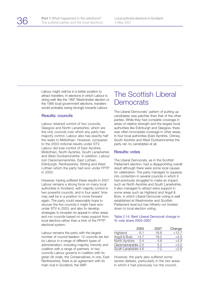Labour might well be in a better position to attract transfers. In elections in which Labour is doing well, like the 1997 Westminster election or the 1995 local government elections, transfers would probably swing strongly towards Labour.

#### Results: councils

Labour retained control of two councils, Glasgow and North Lanarkshire, which are the only councils over which any party has majority control. Labour also has exactly half the seats in Midlothian. However, compared to the 2003 notional results under STV, Labour did lose control of East Ayrshire, Midlothian, North Ayrshire, South Lanarkshire and West Dunbartonshire. In addition, Labour lost Clackmannanshire, East Lothian, Edinburgh, Renfrewshire, Stirling and West Lothian which the party had won under FPTP in 2003.

However, having suffered these results in 2007 Labour remains a strong force on many local authorities in Scotland, with majority control in two powerful councils, and in four years' time may well be in a position to move forward again. The party could reasonably hope to recover the five councils it might have won under STV in 2003, and also to develop strategies to broaden its appeal in other areas and run councils based on mass support from local electors rather than a trick of the FPTP electoral system.

Labour remains the party with the largest number of council leaders: 12 councils are led by Labour in a range of different types of administration, including majority, minority and coalition with a range of partners. In two councils Labour governs in coalition with its great UK rivals, the Conservatives; in one, East Renfrewshire, there is an agreement with its main rival in Scotland, the SNP.

## The Scottish Liberal **Democrats**

The Liberal Democrats' pattern of putting up candidates was patchier than that of the other parties. While they had complete coverage in areas of relative strength and the largest local authorities like Edinburgh and Glasgow, there was often incomplete coverage in other areas. In four local authorities (East Ayrshire, Orkney, South Ayrshire and West Dunbartonshire) the party ran no candidates at all.

#### Results: votes

The Liberal Democrats, as in the Scottish Parliament election, had a disappointing overall result although there were some local causes for celebration. The party managed to squeeze into contention in several councils in which it had previously struggled to make an impact, such as North Ayrshire and South Lanarkshire. It also managed to attract extra support in some areas such as Highland and Argyll & Bute, in which Liberal Democrat voting is well established at Westminster and Scottish Parliament level but has hitherto not trickled down to local election voting.

#### Table 2.14: Best Liberal Democrat change in % vote share 2003–2007

|                       | 2003 | 2007 | Change  |
|-----------------------|------|------|---------|
| Highland              | 6.1  | 18.8 | $+12.7$ |
| Argyll & Bute         | 14.7 | 19.2 | $+4.5$  |
| North Ayrshire        | 0.4  | 4.8  | $+4.4$  |
| Clackmannanshire 2.0  |      | 5.2  | $+3.2$  |
| South Lanarkshire 4.6 |      | 72   | $+2.6$  |

However, the party also suffered some severe defeats, particularly in the two areas in which it had previously run the council,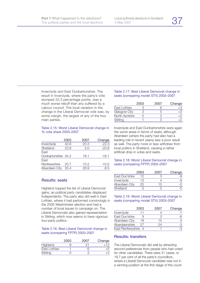Inverclyde and East Dunbartonshire. The result in Inverclyde, where the party's vote slumped 22.3 percentage points, was a much worse rebuff than any suffered by a Labour council. The local variation in the change in the Liberal Democrat vote was, by some margin, the largest of any of the four main parties.

#### Table 2.15: Worst Liberal Democrat change in % vote share 2003–2007

|                     | 2003 | 2007 | Change  |
|---------------------|------|------|---------|
| Inverclyde          | 42.6 | 20.3 | $-22.3$ |
| Shetland            | 23.8 | 3.0  | $-20.8$ |
| East                |      |      |         |
| Dunbartonshire 34.2 |      | 18.1 | -16.1   |
| East                |      |      |         |
| Renfrewshire        | 20.7 | 10.2 | $-10.5$ |
| Aberdeen City       | 35.4 | 26.9 | $-8.5$  |

### Results: seats

Highland topped the list of Liberal Democrat gains, as political party candidates displaced Independents. The party also did well in East Lothian, where it had performed convincingly in the 2005 Westminster election and had a number of local issues to campaign on. The Liberal Democrats also gained representation in Stirling, which now seems to have vigorous four-party politics.

#### Table 2.16: Best Liberal Democrat change in seats (comparing FPTP) 2003–2007

|              | 2003 | 2007 | Change |
|--------------|------|------|--------|
| Highland     |      |      |        |
| East Lothian |      |      |        |
| Stirling     |      |      |        |

#### Table 2.17: Best Liberal Democrat change in seats (comparing model STV) 2003–2007

|                | 2003 | 2007 | Change |
|----------------|------|------|--------|
| East Lothian   |      |      |        |
| Glasgow City   |      |      |        |
| North Ayrshire |      |      |        |
| Stirling       |      |      |        |

Inverclyde and East Dunbartonshire were again the worst areas in terms of seats, although Aberdeen (where the party had also had a leading role in recent years) saw a poor result as well. The party more or less withdrew from local politics in Shetland, causing a rather artificial drop in votes and seats.

#### Table 2.18: Worst Liberal Democrat change in seats (comparing FPTP) 2003–2007

|                | 2003 | 2007 | Change |
|----------------|------|------|--------|
| East Dun'shire | 12   |      |        |
| Inverclyde     | 13   |      |        |
| Aberdeen City  | 20   | 15.  |        |
| Shetland       |      |      |        |

Table 2.19: Worst Liberal Democrat change in seats (comparing model STV) 2003–2007

|                     | 2003 | 2007 | Change |
|---------------------|------|------|--------|
| Inverclyde          | 11   |      |        |
| East Dun'shire      |      |      |        |
| Aberdeen City       | 18   | 15   |        |
| Aberdeenshire       | 27   | 24   |        |
| East Renfrewshire 4 |      |      |        |

### Results: transfers

The Liberal Democrats did well by attracting second preferences from people who had voted for other candidates. There were 31 cases, or 18.7 per cent of all the party's councillors, where a Liberal Democrat candidate was not in a winning position at the first stage of the count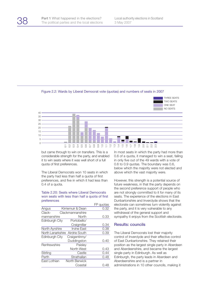

but came through to win on transfers. This is a considerable strength for the party, and enabled it to win seats where it was well short of a full quota of first preferences.

The Liberal Democrats won 10 seats in which the party had less than half a quota of first preferences, and five in which it had less than 0.4 of a quota.

#### Table 2.20: Seats where Liberal Democrats won seats with less than half a quota of first preferences

|                                    |                    | quotas |
|------------------------------------|--------------------|--------|
| Angus                              | Kirriemuir & Dean  | 0.32   |
| Clack-                             | Clackmannanshire   |        |
| mannanshire                        | North              | 0.33   |
| Edinburgh City                     | Portobello/        |        |
|                                    | Craigmillar        | 0.34   |
| North Ayrshire                     | <b>Irvine East</b> | 0.38   |
| North Lanarkshire<br>Airdrie South |                    | 0.39   |
| Edinburgh City                     | Craigentinny/      |        |
|                                    | Duddingston        | 0.40   |
| Renfrewshire                       | Paisley            |        |
|                                    | North West         | 0.43   |
| Stirling                           | Castle             | 0.44   |
| Perth                              | Strathallan        | 0.48   |
| East Lothian                       | North Berwick      |        |
|                                    | Coastal            | 0.48   |

In most seats in which the party had more than 0.6 of a quota, it managed to win a seat, failing in only five out of the 49 wards with a vote of 0.6 to 0.9 quotas. The boundary was 0.6, below which the majority were not elected and above which the vast majority were.

However, this strength is a potential source of future weakness, in that the party depends on the second preference support of people who are not strongly committed to it for many of its seats. The experience of the elections in East Dunbartonshire and Inverclyde shows that the electorate can sometimes turn violently against the party, and it is very vulnerable to any withdrawal of the general support and sympathy it enjoys from the Scottish electorate.

### Results: councils

The Liberal Democrats lost their majority control of Inverclyde and their effective control of East Dunbartonshire. They retained their position as the largest single party in Aberdeen and Aberdeenshire, and became the largest single party in Edinburgh. As well as Edinburgh, the party leads in Aberdeen and Aberdeenshire and is a partner in administrations in 10 other councils, making it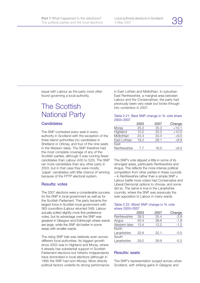equal with Labour as the party most often found governing a local authority.

# The Scottish National Party

### **Candidates**

The SNP contested every seat in every authority in Scotland with the exception of the three Island authorities (no candidates in Shetland or Orkney, and four of the nine seats in the Western Isles). The SNP therefore had the most complete coverage of any of the Scottish parties, although it was running fewer candidates than Labour (433 to 520). The SNP ran more candidates than any other party in 2003, but in that case they were mostly 'paper' candidates with little chance of winning because of the FPTP electoral system.

#### Results: votes

The 2007 elections were a considerable success for the SNP in local government as well as for the Scottish Parliament. The party became the largest force in Scottish local government with 363 councillors (Labour returned 348). Labour actually polled slightly more first preference votes, but its advantage over the SNP was greatest in Glasgow and Edinburgh where wards are large, while the SNP did better in some areas with smaller wards.

The rising SNP tide was relatively even across different local authorities. Its biggest growth since 2003 was in Highland and Moray, where it already has substantial support in Scottish Parliament elections but hitherto Independents have dominated in local elections (although in 1995 the SNP had won Moray). More directly political factors underlie its strong performance in East Lothian and Midlothian. In suburban East Renfrewshire, a marginal area between Labour and the Conservatives, the party had previously been very weak but broke through into contention in 2007.

#### Table 2.21: Best SNP change in % vote share 2003–2007

|              | 2003 | 2007 | Change  |
|--------------|------|------|---------|
| Moray        | 25.2 | 35.3 | $+10.1$ |
| Highland     | 10.2 | 20.2 | $+10.0$ |
| Midlothian   | 24.4 | 33.4 | $+9.0$  |
| East Lothian | 19.2 | 28.1 | $+8.9$  |
| East         |      |      |         |
| Renfrewshire | 77   | 16.0 | +8.3    |

The SNP's vote slipped a little in some of its strongest areas, particularly Renfrewshire and Angus. This reflects the more intense political competition from other parties in these councils – in Renfrewshire rather than a simple SNP v. Labour battle more voters had Conservative and Liberal Democrat options to choose, and some did so. The same is true in the Lanarkshire councils, where the SNP was previously the sole opposition to Labour in many wards.

#### Table 2.22: Worst SNP change in % vote share 2003–2007

|               | 2003 | 2007 | Change |
|---------------|------|------|--------|
| Renfrewshire  | 39.3 | 35.4 | $-3.9$ |
| Angus         | 40.4 | 38.6 | $-1.8$ |
| Western Isles | 13.4 | 12.2 | $-1.2$ |
| North         |      |      |        |
| Lanarkshire   | 32.6 | 32.1 | -0.5   |
| South         |      |      |        |
| Lanarkshire   | 29.2 | 28.9 | -0.3   |

### Results: seats

The SNP's representation surged across urban Scotland, with striking gains in Glasgow and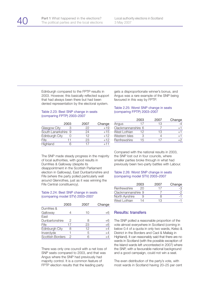Edinburgh compared to the FPTP results in 2003. However, this basically reflected support that had always been there but had been denied representation by the electoral system.

#### Table 2.23: Best SNP change in seats (comparing FPTP) 2003–2007

|                       | 2003 | 2007 | Change |
|-----------------------|------|------|--------|
| Glasgow City          |      | 22   | $+19$  |
| South Lanarkshire 9   |      | 24   | $+15$  |
| <b>Edinburgh City</b> |      | 12   | $+12$  |
| Fife                  | 11   | 23   | $+12$  |
| Highland              |      |      |        |

The SNP made steady progress in the majority of local authorities, with good results in Dumfries & Galloway (despite its disappointment in the Scottish Parliament election in Galloway), East Dunbartonshire and Fife (where the party polled particularly well around Glenrothes, just as it was winning the Fife Central constituency).

#### Table 2.24: Best SNP change in seats (comparing model STV) 2003–2007

|                         | 2003 | 2007 | Change |
|-------------------------|------|------|--------|
| Dumfries &              |      |      |        |
| Galloway                | 4    | 10   | +6     |
| East                    |      |      |        |
| Dunbartonshire          | 2    | 8    | +6     |
| Fife                    | 17   | 23   | $+6$   |
| <b>Edinburgh City</b>   | 8    | 12   | $+4$   |
| Inverclyde              |      | 5    | $+4$   |
| <b>Scottish Borders</b> | 2    | հ    |        |

There was only one council with a net loss of SNP seats compared to 2003, and that was Angus where the SNP had previously had majority control. It is a common feature of FPTP election results that the leading party

gets a disproportionate winner's bonus, and Angus was a rare example of the SNP being favoured in this way by FPTP.

#### Table 2.25: Worst SNP change in seats (comparing FPTP) 2003–2007

|                    | 2003 | 2007 | Change |
|--------------------|------|------|--------|
| Angus              |      | 13   |        |
| Clackmannanshire 6 |      |      |        |
| West Lothian       | 12   | 13   |        |
| Western Isles      |      |      |        |
| Renfrewshire       | 15   |      |        |
|                    |      |      |        |

Compared with the national results in 2003, the SNP lost out in four councils, where smaller parties broke through in what had previously been two-party battles with Labour.

#### Table 2.26: Worst SNP change in seats (comparing model STV) 2003–2007

|                    | 2003 | 2007 | Change |
|--------------------|------|------|--------|
| Renfrewshire       | 20.  |      |        |
| Clackmannanshire 9 |      |      |        |
| North Ayrshire     |      |      |        |
| West Lothian       | 1 /  | 13   |        |

#### Results: transfers

The SNP polled a reasonable proportion of the vote almost everywhere in Scotland (coming in below 0.4 of a quota in only two wards, Kelso & District in the Borders and Caol & Mallaig in Highland). It can reasonably said that there are no wards in Scotland (with the possible exception of the Island wards left uncontested in 2007) where the SNP, with a favourable national background and a good campaign, could not win a seat.

The even distribution of the party's vote, with most wards in Scotland having 20–25 per cent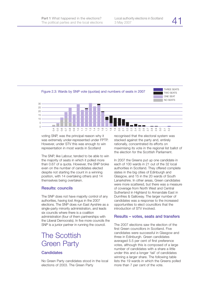

voting SNP, was the principal reason why it was extremely under-represented under FPTP. However, under STV this was enough to win representation in most wards in Scotland

The SNP, like Labour, tended to be able to win the majority of seats in which it polled more than 0.67 of a quota. However, the SNP broke even on the number of candidates elected despite not starting the count in a winning position, with 14 overtaking others and 14 themselves being overtaken.

### Results: councils

The SNP does not have majority control of any authorities, having lost Angus in the 2007 elections. The SNP does run East Ayrshire as a single-party minority administration, and leads six councils where there is a coalition administration (four of them partnerships with the Liberal Democrats). In five more councils the SNP is a junior partner in running the council.

# The Scottish Green Party

### **Candidates**

No Green Party candidates stood in the local elections of 2003. The Green Party

recognised that the electoral system was stacked against the party and, entirely rationally, concentrated its efforts on maximising its vote in the regional list ballot of the election for the Scottish Parliament.

In 2007 the Greens put up one candidate in each of 100 wards in 21 out of the 32 local authorities in Scotland. They offered complete slates in the big cities of Edinburgh and Glasgow, and 15 in the 20 wards of South Lanarkshire. In other areas, Green candidates were more scattered, but there was a measure of coverage from North West and Central Sutherland in Highland to Annandale East in Dumfries & Galloway. The larger number of candidates was a response to the increased opportunities to elect councillors that the introduction of STV involved.

#### Results – votes, seats and transfers

The 2007 elections saw the election of the first Green councillors in Scotland. Five candidates were successful in Glasgow and three in Edinburgh. Green candidates averaged 5.5 per cent of first preference votes, although this is composed of a large number of candidates with a share a little under this and a longer 'tail' of candidates winning a larger share. The following table lists the 19 wards in which the Greens polled more than 7 per cent of the vote.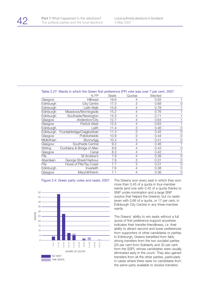#### Table 2.27: Wards in which the Green first preference (FP) vote was over 7 per cent, 2007

|            | <br>%FP                      | Seats | Quotas         | Elected |   |
|------------|------------------------------|-------|----------------|---------|---|
| Glasgow    | Hillhead                     | 18.6  | 4              | 0.93    |   |
| Edinburgh  | <b>City Centre</b>           | 17.0  | 3              | 0.68    | 0 |
| Edinburgh  | Leith Walk                   | 15.6  | 4              | 0.78    |   |
| Edinburgh  | Meadows/Morningside          | 15.2  | 4              | 0.76    |   |
| Edinburgh  | Southside/Newington          | 14.3  | 4              | 0.71    |   |
| Glasgow    | Anderston/City               | 12.7  | 4              | 0.64    |   |
| Glasgow    | Partick West                 | 12.5  | 4              | 0.63    |   |
| Edinburgh  | Leith                        | 11.4  | $\overline{3}$ | 0.46    | 0 |
| Edinburgh  | Fountainbridge/Craiglockhart | 11.3  | 3              | 0.45    | 0 |
| Glasgow    | Pollokshields                | 10.9  | 3              | 0.44    | 0 |
| Midlothian | Bonnyrigg                    | 10.4  | 3              | 0.41    | Ω |
| Glasgow    | Southside Central            | 9.3   | $\overline{4}$ | 0.46    |   |
| Stirling   | Dunblane & Bridge of Allan   | 8.6   | $\overline{4}$ | 0.43    | 0 |
| Glasgow    | Canal                        | 8.3   | 4              | 0.42    |   |
| Fife       | St Andrew's                  | 7.9   | 4              | 0.39    | 0 |
| Aberdeen   | George Street/Harbour        | 7.8   | 3              | 0.31    | 0 |
| Fife       | Howe of Fife/Tay Coast       | 7.7   | 3              | 0.31    | 0 |
| Edinburgh  | Inverleith                   | 7.6   | $\overline{4}$ | 0.38    | 0 |
| Glasgow    | Maryhill/Kelvin              | 7.1   | 4              | 0.36    | 0 |



Figure 2.4: Green party votes and seats, 2007 The Greens won every seat in which they won

more than 0.45 of a quota in four-member wards (and one with 0.42 of a quota thanks to SNP under-nomination and a large SNP surplus that helped the Greens), but no seats (even with 0.68 of a quota, or 17 per cent, in Edinburgh City Centre) in any three-member wards.

The Greens' ability to win seats without a full quota of first preference support anywhere indicates their transfer-friendliness, i.e. their ability to attract second and lower preferences from supporters of other candidates or parties. In Edinburgh, Greens benefited from fairly strong transfers from the two socialist parties (25 per cent from Solidarity and 32 per cent from the SSP), whose candidates were usually eliminated early in the count. They also gained transfers from all the other parties, particularly in cases where there were no candidates from the same party available to receive transfers.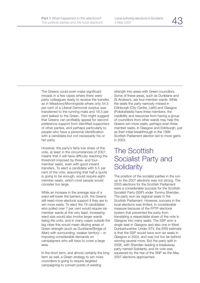The Greens could even make significant inroads in a few cases where there were party colleagues ready to receive the transfer, as in Meadows/Morningside where only 54.5 per cent of a Liberal Democrat surplus was transferred to the running mate and 16.5 per cent leaked to the Green. This might suggest that Greens can profitably appeal for second preference support from identified supporters of other parties, and perhaps particularly to people who have a personal identification with a candidate but not necessarily his or her party.

However, the party's fairly low share of the vote, at least in the circumstances of 2007, means that it will have difficulty reaching the threshold imposed by three- and fourmember seats, even with good inward transfers. To elect a candidate with 5.5 per cent of the vote, assuming that half a quota is going to be enough, would require eightmember seats, which most people would consider too large.

While an increase in the average size of a ward will lower the barriers a bit, the Greens still need more electoral support if they are to win more seats. To elect the 19 candidates who polled over 7 per cent would require sixmember wards at the very least. Increasing ward size would also involve larger wards being the units, and in many cases outside the big cities this would mean diluting areas of Green strength (such as Dunblane/Bridge of Allan) with surrounding, weaker territory – or imposing considerable demands on campaigners who will have to cover a large area.

In the short term, and almost certainly the long term as well, a Green strategy to win more councillors is going to require targeted campaigning to convert points of existing

strength into areas with Green councillors. Some of these areas, such as Dunblane and St Andrew's, are four-member wards. While the seats the party narrowly missed in Edinburgh (City Centre, Leith) and Glasgow (Pollokshields) have three members, the credibility and resources from having a group of councillors from other wards may help the Greens win more seats, perhaps even threemember seats, in Glasgow and Edinburgh, just as their initial breakthrough in the 1999 Scottish Parliament election led to more gains in 2003.

# The Scottish Socialist Party and **Solidarity**

The position of the socialist parties in the runup to the 2007 elections was not strong. The 2003 elections for the Scottish Parliament were a considerable success for the Scottish Socialist Party (SSP) under Tommy Sheridan. The party won six regional seats in the Scottish Parliament. However, success in the local elections was limited, in considerable measure because of the FPTP electoral system that prevented the party from translating a respectable share of the vote in Glasgow into many seats. The SSP won a single seat in Glasgow and also one in West Dunbartonshire. Under STV, the ERS estimate is that the SSP would have won six seats in Glasgow in 2003, and was not too far behind winning several more. But the party split in 2006, with Sheridan leading a breakaway party named Solidarity, and its vote was squeezed by the rise of the SNP as the May 2007 elections approached.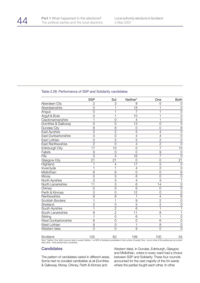#### Table 2.28: Performance of SSP and Solidarity candidates

|                         | <b>SSP</b>      | Sol            | Neither*        | One            | <b>Both</b>             |
|-------------------------|-----------------|----------------|-----------------|----------------|-------------------------|
| Aberdeen City           | $\overline{2}$  | 3              | 8               | 5              | $\circ$                 |
| Aberdeenshire           | $\overline{0}$  | 1              | 18              | 1              | $\overline{O}$          |
| Angus                   | $\overline{O}$  | 1              | 7               | 1              | $\overline{O}$          |
| Argyll & Bute           | $\overline{0}$  | 1              | 10              | 1              | $\overline{0}$          |
| Clackmannanshire        | 1               | $\overline{0}$ | $\overline{4}$  | 1              | $\overline{0}$          |
| Dumfries & Galloway     | $\overline{O}$  | $\overline{O}$ | 13              | $\overline{O}$ | $\overline{0}$          |
| Dundee City             | $\overline{8}$  | $\overline{8}$ | $\overline{O}$  | $\overline{0}$ | $\overline{8}$          |
| East Ayrshire           | $\overline{2}$  | $\overline{2}$ | $\overline{5}$  | $\overline{4}$ | $\overline{0}$          |
| East Dunbartonshire     | $\overline{4}$  | $\overline{0}$ | $\overline{4}$  | $\overline{4}$ | $\overline{0}$          |
| East Lothian            | $\overline{0}$  | $\overline{2}$ | $\overline{5}$  | $\overline{2}$ | $\overline{0}$          |
| East Renfrewshire       | $\overline{2}$  | $\overline{0}$ | $\overline{4}$  | $\overline{2}$ | $\overline{0}$          |
| Edinburgh City          | $\overline{17}$ | 10             | $\overline{O}$  | 7              | 10                      |
| Falkirk                 | 9               | $\overline{O}$ | $\overline{0}$  | $\overline{9}$ | $\overline{0}$          |
| Fife                    | $\overline{3}$  | $\overline{4}$ | 16              | 7              | $\mathcal{O}$           |
| Glasgow City            | $\overline{21}$ | 21             | $\overline{O}$  | $\overline{O}$ | $\overline{21}$         |
| Highland                |                 | $\overline{4}$ | $\overline{17}$ | $\overline{5}$ | $\mathcal{O}$           |
| Inverclyde              | 1               | $\overline{1}$ | $\overline{4}$  | $\overline{2}$ | $\overline{O}$          |
| Midlothian              | $\overline{6}$  | 6              | $\overline{O}$  | $\overline{O}$ | $\overline{6}$          |
| Moray                   | $\overline{0}$  | $\overline{O}$ | $\overline{8}$  | $\overline{O}$ | $\overline{0}$          |
| North Ayrshire          | $\overline{2}$  | $\overline{3}$ | $\overline{4}$  | $\overline{3}$ | $\overline{\mathbf{1}}$ |
| North Lanarkshire       | $\overline{11}$ | $\overline{3}$ | 6               | 14             | $\bigcirc$              |
| Orkney                  | $\overline{O}$  | $\overline{O}$ | 6               | $\overline{0}$ | $\overline{0}$          |
| Perth & Kinross         | $\overline{O}$  | $\Omega$       | 12              | $\overline{O}$ | $\bigcirc$              |
| Renfrewshire            | 8               | 8              | 1               | $\overline{4}$ | $\overline{6}$          |
| <b>Scottish Borders</b> | $\mathbf 1$     | 1              | 9               | $\overline{2}$ | $\overline{O}$          |
| Shetland                | $\overline{2}$  | $\overline{O}$ | $\overline{5}$  | $\overline{2}$ | $\overline{0}$          |
| South Ayrshire          | $\mathbf 1$     | $\overline{2}$ | $\overline{6}$  | 1              | $\mathbf 1$             |
| South Lanarkshire       | $\overline{8}$  | $\overline{2}$ | 11              | $\overline{8}$ | $\mathbf 1$             |
| Stirling                | 1               | $\overline{O}$ | 6               | 1              | $\overline{O}$          |
| West Dunbartonshire     | 6               | $\overline{O}$ | $\circ$         | 6              | $\overline{0}$          |
| West Lothian            | 8               | $\overline{O}$ | $\mathbf{1}$    | 8              | $\mathsf O$             |
| Western Isles           | $\overline{O}$  | $\overline{O}$ | 9               | $\overline{O}$ | $\overline{O}$          |
| Scotland                | 125             | 83             | 199             | 100            | 54                      |

Note \* Neither, One, Both columns refer to wards: Neither – no SSP or Solidarity candidates in this number of wards; One – one or other of the parties put up a candi-<br>date; Both – both parties had a candidate.

#### **Candidates**

The pattern of candidates varied in different areas. Some had no socialist candidates at all (Dumfries & Galloway, Moray, Orkney, Perth & Kinross and

Western Isles). In Dundee, Edinburgh, Glasgow and Midlothian, voters in every ward had a choice between SSP and Solidarity. These four councils accounted for the vast majority of the 54 wards where the parties fought each other. In other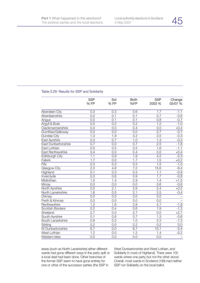#### Table 2.29: Results for SSP and Solidarity

|                          | <b>SSP</b><br>%FP | Sol<br>%FP       | <b>Both</b><br>%FP | <b>SSP</b><br>2003 % | Change<br>03/07 % |
|--------------------------|-------------------|------------------|--------------------|----------------------|-------------------|
| Aberdeen City            | 0.3               | 0.3              | 0.6                | 1.7                  | $-1.1$            |
| Aberdeenshire            | 0.0               | 0.1              | 0.1                | $\overline{0.7}$     | $-0.6$            |
| Angus                    | 0.0               | 0.1              | 0.1                | 0.8                  | $-0.7$            |
| Argyll & Bute            | 0.0               | 0.2              | 0.2                | $\overline{1.2}$     | $-1.0$            |
| Clackmannanshire         | 0.4               | 0.0              | 0.4                | 0.0                  | $+0.4$            |
| Dumfries/Galloway        | 0.0               | 0.0              | 0.0                | 0.7                  | $-0.7$            |
| Dundee City              | $\overline{1.3}$  | 1.9              | $\overline{3.2}$   | $\overline{3.5}$     | $-0.3$            |
| East Ayrshire            | 0.3               | 0.7              | 1.0                | $\overline{1.3}$     | $-0.3$            |
| East Dunbartonshire      | $\overline{0.7}$  | 0.0              | 0.7                | 2.5                  | $-1.8$            |
| East Lothian             | 0.0               | 0.5              | 0.5                | 1.6                  | $-1.1$            |
| <b>East Renfrewshire</b> | 0.4               | 0.0              | 0.4                | 0.0                  | $+0.4$            |
| <b>Edinburgh City</b>    | $\overline{1.1}$  | 0.9              | $\overline{1.9}$   | 4.2                  | $-2.3$            |
| <b>Falkirk</b>           | 1.7               | 0.0              | 1.7                | 1.5                  | $+0.2$            |
| Fife                     | 0.3               | 0.3              | 0.5                | 1.5                  | $-1.0$            |
| Glasgow City             | $\overline{2.3}$  | 4.8              | $\overline{7.2}$   | 15.6                 | $-8.4$            |
| Highland                 | 0.1               | 0.3              | 0.3                | $\overline{1.1}$     | $-0.8$            |
| Inverclyde               | 0.3               | $0.\overline{6}$ | 0.9                | 1.7                  | $-0.8$            |
| Midlothian               | $\overline{1.5}$  | 1.4              | 2.9                | 1.4                  | $+1.5$            |
| Moray                    | 0.0               | 0.0              | 0.0                | 0.6                  | $-0.6$            |
| North Ayrshire           | 0.5               | 2.1              | 2.6                | 2.4                  | $+0.2$            |
| North Lanarkshire        | 1.6               | 0.5              | 2.1                | 2.5                  | $-0.4$            |
| Orkney                   | 0.0               | 0.0              | 0.0                | 0.0                  |                   |
| Perth & Kinross          | 0.0               | 0.0              | 0.0                | 0.0                  |                   |
| Renfrewshire             | $\overline{1.2}$  | 1.6              | 2.8                | 4.7                  | $-1.9$            |
| Scottish Borders         | $\overline{0.2}$  | 0.4              | 0.6                | 1.9                  | $-1.3$            |
| Shetland                 | 2.7               | 0.0              | 2.7                | 0.0                  | $+2.7$            |
| South Ayrshire           | 0.1               | 0.6              | 0.7                | $\overline{1.3}$     | $-0.6$            |
| South Lanarkshire        | 0.8               | 0.2              | 1.0                | 2.3                  | $-1.3$            |
| Stirling                 | 0.2               | 0.0              | 0.2                | 0.2                  | 0.0               |
| W Dunbartonshire         | 6.7               | 0.0              | 6.7                | 10.1                 | $-3.4$            |
| West Lothian             | $\overline{1.2}$  | 0.0              | 1.2                | 1.4                  | $-0.2$            |
| Western Isles            | $\overline{0.0}$  | 0.0              | 0.0                | 0.0                  |                   |

areas (such as North Lanarkshire) either different wards had gone different ways in the party split or a local deal had been done. Other branches of the former SSP seem to have gone entirely for one or other of the successor parties (the SSP in

West Dunbartonshire and West Lothian, and Solidarity in most of Highland). There were 100 wards where one party but not the other stood. Overall, most wards in Scotland (199) had neither SSP nor Solidarity on the local ballot.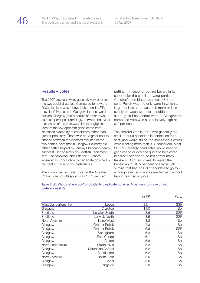#### Results – votes

The 2007 elections were generally very poor for the two socialist parties. Compared to how the 2003 elections would have looked under STV, they 'lost' five seats in Glasgow. In most wards outside Glasgow (and a couple of other towns such as, perhaps surprisingly, Lerwick and Irvine) their share of the vote was almost negligible. Most of the few apparent gains came from increased availability of candidates rather than greater popularity. There was not a great deal to choose between the electoral fortunes of the two parties, save that in Glasgow Solidarity did rather better, helped by Tommy Sheridan's nearly successful bid to retain his Scottish Parliament seat. The following table lists the 16 cases where an SSP or Solidarity candidate obtained 5 per cent or more of first preferences.

The combined socialist total in the Greater Pollok ward of Glasgow was 14.1 per cent, putting it in second, behind Leven, in its support for the small left-wing parties; Craigton's combined total was 13.1 per cent. Pollok was the only ward in which a large socialist vote was split more or less evenly between two rival candidates, although in East Centre ward in Glasgow the combined vote was also relatively high at 9.7 per cent.

The socialist vote in 2007 was generally too small to put a candidate in contention for a seat, and would still be too small even if wards were electing more than 3–4 councillors. Most SSP or Solidarity candidates would need to get close to or over the quota to be elected because their parties do not attract many transfers. Ruth Black was, however, the beneficiary of 18.5 per cent of a large SNP surplus that had no SNP candidate to go to – although even so she was elected last, without having reached a quota.

Table 2.30: Wards where SSP or Solidarity candidate obtained 5 per cent or more of first preferences (FP)

|                     |                       | %FP  | Party      |
|---------------------|-----------------------|------|------------|
| West Dunbartonshire | Leven                 | 21.1 | <b>SSP</b> |
| Glasgow             | Craigton              | 11.0 | Sol        |
| Shetland            | Lerwick South         | 8.6  | <b>SSP</b> |
| Shetland            | Lerwick North         | 8.5  | <b>SSP</b> |
| North Ayrshire      | <b>Irvine West</b>    | 8.2  | Sol        |
| Glasgow             | <b>Greater Pollok</b> | 7.3  | Sol        |
| Glasgow             | <b>Greater Pollok</b> | 6.8  | <b>SSP</b> |
| Glasgow             | Springburn            | 6.3  | Sol        |
| Glasgow             | East Centre           | 6.1  | Sol        |
| Glasgow             | Calton                | 5.8  | Sol        |
| North Lanarkshire   | Strathkelvin          | 5.3  | Sol        |
| Glasgow             | Southside Central     | 5.2  | Sol        |
| Glasgow             | Shettleston           | 5.2  | Sol        |
| North Ayrshire      | <b>Irvine East</b>    | 5.0  | Sol        |
| Glasgow             | Canal                 | 5.0  | Sol        |
| Glasgow             | Langside              | 5.0  | Sol        |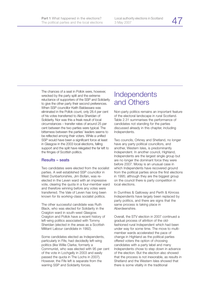The chances of a seat in Pollok were, however, wrecked by the party split and the extreme reluctance of supporters of the SSP and Solidarity to give the other party their second preferences. When SSP councillor Keith Baldassara was eliminated in the Pollok count, only 28.4 per cent of his votes transferred to Alice Sheridan of Solidarity. Nor was this a freak result of local circumstances – transfer rates of around 25 per cent between the two parties were typical. The bitterness between the parties' leaders seems to be reflected among their voters. While a unified SSP would have been a significant force at least in Glasgow in the 2003 local elections, falling support and the split have relegated the far left to the fringes of Scottish politics.

### Results – seats

Two candidates were elected from the socialist parties. A well established SSP councillor in West Dunbartonshire, Jim Bollan, was reelected in the Leven ward with an impressive vote, clearing the quota in a four-member ward and therefore winning before any votes were transferred. The Vale of Leven has long been known for its working-class socialist politics.

The other successful candidate was Ruth Black, who was elected for Solidarity in the Craigton ward in south-west Glasgow. Craigton and Pollok have a recent history of left-wing politics associated with Tommy Sheridan (elected in the areas as a Scottish Militant Labour candidate in 1992).

Some candidates elected as Independents, particularly in Fife, had decidedly left-wing politics (like Willie Clarke, formerly a Communist, who was elected with 95 per cent of the vote in Lochgelly in 2003 and easily passed the quota in The Lochs in 2007). However, the Fife left is separate from the warring SSP and Solidarity forces.

## Independents and Others

Non-party politics remains an important feature of the electoral landscape in rural Scotland. Table 2.31 summarises the performance of candidates not standing for the parties discussed already in this chapter, including Independents.

Two councils, Orkney and Shetland, no longer have any party political councillors, and another, Western Isles, is predominantly Independent. In another council, Highland, Independents are the largest single group but are no longer the dominant force they were before 2007. Moray is an unusual case in which Independents have recovered ground from the political parties since the first elections in 1995; although they are the biggest group on the council there is party competition in local elections.

In Dumfries & Galloway and Perth & Kinross Independents have largely been replaced by party politics, and there are signs that the same process is taking place in Aberdeenshire.

Overall, the STV election in 2007 continued a gradual process of attrition of the oldfashioned rural Independent which had been under way for some time. The move to multimember wards accelerated the pace of change in Highland as the political parties offered voters the option of choosing candidates with a party label and many Independents chose to step down in advance of the election. But the election also showed that the process is not inexorable, as results in Shetland and the Western Isles showed that there is some vitality in the traditional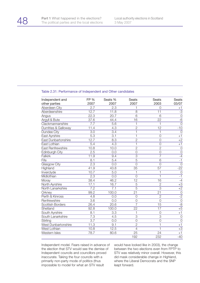#### Table 2.31: Performance of Independent and Other candidates

| Independent and         | <b>FP %</b>      | Seats %          | Seats                   | <b>Seats</b>    | <b>Seats</b>    |
|-------------------------|------------------|------------------|-------------------------|-----------------|-----------------|
| other parties           | 2007             | 2007             | 2007                    | 2003            | 03/07           |
| Aberdeen City           | 2.7              | 2.3              | 1                       | $\Omega$        | $+1$            |
| Aberdeenshire           | 12.7             | 11.8             | $\overline{8}$          | 11              | $-3$            |
| Angus                   | 22.3             | 20.7             | $\overline{6}$          | $\overline{6}$  | $\overline{0}$  |
| Argyll & Bute           | 37.6             | 44.4             | 16                      | $\overline{22}$ | $-6$            |
| Clackmannanshire        | $\overline{7.7}$ | $\overline{5.6}$ | $\overline{1}$          | 1               | $\overline{0}$  |
| Dumfries & Galloway     | 11.4             | 4.3              | $\overline{2}$          | $\overline{12}$ | $-10$           |
| Dundee City             | $\overline{3.0}$ | $\overline{3.4}$ | $\overline{1}$          | $\overline{1}$  | $\overline{0}$  |
| East Ayrshire           | 5.3              | $\overline{3.1}$ | $\overline{\mathbf{1}}$ | $\overline{0}$  | $+1$            |
| East Dunbartonshire     | 12.7             | 8.3              | $\overline{2}$          | $\overline{0}$  | $+2$            |
| East Lothian            | $\overline{5.4}$ | 4.3              | ī                       | $\overline{0}$  | $+1$            |
| East Renfrewshire       | 10.8             | 10.0             | $\overline{2}$          | $\overline{2}$  | $\overline{0}$  |
| Edinburgh City          | 2.5              | 0.0              | $\overline{O}$          | $\overline{O}$  | $\overline{O}$  |
| Falkirk                 | 11.9             | 9.4              | $\overline{3}$          | $\overline{7}$  | $-4$            |
| Fife                    | 8.1              | $\overline{5.4}$ | $\overline{5}$          | $\overline{6}$  | $-1$            |
| Glasgow City            | 2.3              | 0.0              | $\overline{0}$          | $\overline{0}$  | $\overline{0}$  |
| Highland                | 41.9             | 43.8             | $\overline{35}$         | 57              | $-22$           |
| Inverclyde              | 10.7             | 5.0              | $\mathbf 1$             |                 | $\overline{0}$  |
| Midlothian              | 2.3              | 0.0              | $\overline{O}$          | 1               | $-1$            |
| Moray                   | 38.4             | 46.2             | 12                      | 16              | $-4$            |
| North Ayrshire          | 17.1             | 16.7             | $\overline{5}$          | $\overline{2}$  | $+3$            |
| North Lanarkshire       | 7.2              | 7.1              | $\overline{5}$          | $\overline{3}$  | $+2$            |
| Orkney                  | 99.2             | 100.0            | $\overline{21}$         | $\overline{21}$ | $\overline{0}$  |
| Perth & Kinross         | $\overline{4.8}$ | 0.0              | $\overline{O}$          | $\overline{2}$  | $-2$            |
| Renfrewshire            | $\overline{3.6}$ | 0.0              | $\overline{O}$          | $\overline{0}$  | $\overline{0}$  |
| <b>Scottish Borders</b> | 26.4             | 20.6             | $\overline{7}$          | $\overline{15}$ | $-\overline{8}$ |
| Shetland                | 92.8             | 100.0            | 22                      | $\overline{17}$ | $\overline{+5}$ |
| South Ayrshire          | 8.1              | 3.3              | $\mathbf 1$             | $\overline{O}$  | $+1$            |
| South Lanarkshire       | 7.3              | 4.5              | $\overline{3}$          | $\overline{3}$  | $\overline{0}$  |
| Stirling                | $\overline{3.7}$ | 0.0              | $\overline{O}$          | $\overline{O}$  | $\overline{0}$  |
| West Dunbartonshire     | 11.3             | 9.1              | $\overline{2}$          | $\mathbf{1}$    | $+1$            |
| West Lothian            | 10.8             | 12.5             | $\overline{4}$          | 1               | $+3$            |
| Western Isles           | 78.7             | 80.6             | $\overline{25}$         | 24              | $+1$            |
|                         |                  |                  | 192                     | 232             | $-40$           |

Independent model. Fears raised in advance of the election that STV would see the demise of Independent councils and councillors proved inaccurate. Taking the four councils with a primarily non-party mode of politics (thus impossible to model for what an STV result

would have looked like in 2003), the change between the two elections even from FPTP to STV was relatively minor overall. However, this did mask considerable change in Highland, where the Liberal Democrats and the SNP leapt forward.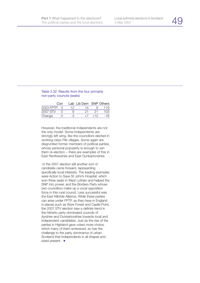Table 2.32: Results from the four primarily non-party councils (seats)

|           | Con |    | Lab Lib Dem SNP Others |     |       |
|-----------|-----|----|------------------------|-----|-------|
| 2003 FPTP |     |    | 14                     |     | 119   |
| 2007 STV  |     |    |                        | 21  | 103   |
| Change    |     | -3 |                        | +12 | $-16$ |

However, the traditional Independents are not the only model. Some Independents are strongly left wing, like the councillors elected in working-class Fife villages. Some again are disgruntled former members of political parties, whose personal popularity is enough to win them re-election – there are examples of this in East Renfrewshire and East Dunbartonshire.

In the 2007 election still another sort of candidate came forward, representing specifically local interests. The leading examples were Action to Save St John's Hospital, which won three seats in West Lothian and helped the SNP into power, and the Borders Party whose two councillors make up a vocal opposition force in this rural council. Less successful was the East Kilbride Alliance. While these parties can arise under FPTP, as they have in England in places such as Wyre Forest and Castle Point, the 2007 STV election saw a definite trend in the hitherto party-dominated councils of Ayrshire and Dunbartonshire towards local and independent candidates. Just as the rise of the parties in Highland gave voters more choice, which many of them embraced, so has the challenge to the party dominance of urban Scotland that Independents in all shapes and sized present.  $\blacksquare$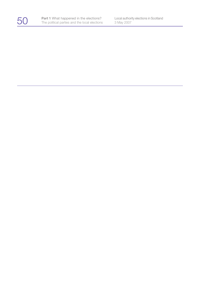

**Fart 1** What happened in the elections?<br>The political parties and the local elections

Local authority elections in Scotland 3 May 2007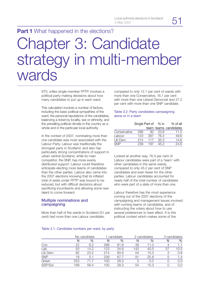### **Part 1** What happened in the elections?

# Chapter 3: Candidate strategy in multi-member wards

STV, unlike single-member FPTP, involves a political party making decisions about how many candidates to put up in each ward.

This calculation involves a number of factors, including the basic political sympathies of the ward, the personal reputations of the candidates, balancing a ticket by locality, sex or ethnicity, and the prevailing political climate in the country as a whole and in the particular local authority.

In the context of 2007, nominating more than one candidate was most associated with the Labour Party. Labour was traditionally the strongest party in Scotland, and also has particularly strong concentrations of support in urban central Scotland, while its main competitor, the SNP, has more evenly distributed support. Labour could therefore anticipate electing more teams of candidates than the other parties. Labour also came into the 2007 elections knowing that its inflated total of seats under FPTP was bound to be reduced, but with difficult decisions about sacrificing incumbents and allowing some new talent to come forward.

### Multiple nominations and campaigning

More than half of the wards in Scotland (51 per cent) had more than one Labour candidate,

compared to only 12.1 per cent of wards with more than one Conservative, 16.1 per cent with more than one Liberal Democrat and 27.2 per cent with more than one SNP candidate.

#### Table 3.2: Party candidates campaigning alone or in a team

|              | Single Part of % in |     |      | % of all              |
|--------------|---------------------|-----|------|-----------------------|
|              |                     |     |      | team teams candidates |
| Conservative | 288                 | 90  | 23.8 | 11.2                  |
| Labour       | 123                 | 397 | 76.3 | 49.6                  |
| Lib Dem      | 214                 | 117 | 35.3 | 14.6                  |
| <b>SNP</b>   | 239                 | 197 | 45 2 | 24.6                  |

Looked at another way, 76.3 per cent of Labour candidates were part of a 'team' with other candidates in the same wards, compared to only 45.2 per cent of SNP candidates and even fewer for the other parties. Labour candidates accounted for nearly half of the total number of candidates who were part of a slate of more than one.

Labour therefore has the most experience coming out of the 2007 elections of the campaigning and management issues involved with running teams of candidates, and of instructing the voters about how to use several preferences to best effect. It is this political context which makes some of the

#### Table 3.1: Candidate numbers per ward, by party

|            |     | No candidate |     | 1 candidate |     | 2 candidates |    | 3 candidates |
|------------|-----|--------------|-----|-------------|-----|--------------|----|--------------|
|            |     | %            |     | $\%$        |     | %            |    | %            |
| Con        | 22  | 6.2          | 288 | 81.8        | 39  | 11.0         |    |              |
| Lab        | 50  | 14.2         | 123 | 34.8        | 143 | 40.5         | 37 | 10.5         |
| Lib Dem    | 82  | 23.2         | 214 | 60.6        | 54  | 15.3         |    | 0.8          |
| <b>SNP</b> | 18  | 5.1          | 239 | 67.7        | 91  | 25.8         | h  | 1.4          |
| Green      | 253 | 71.7         | 100 | 28.3        |     | 0.0          |    | 0.0          |
| SSP/Sol    | 199 | 56.4         | 100 | 28.3        | 54  | 15.3         |    | 0.0          |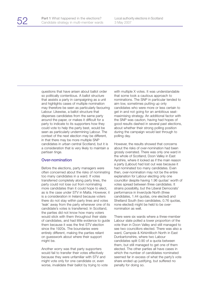questions that have arisen about ballot order so politically contentious. A ballot structure that assists a party in campaigning as a unit and highlights cases of multiple nomination may therefore be seen as particularly favouring Labour. Likewise, a ballot structure that disperses candidates from the same party around the paper, or makes it difficult for a party to indicate to its supporters how they could vote to help the party best, would be seen as particularly undermining Labour. The context of the next election may be different, in that there may be more multiple SNP candidates in urban central Scotland, but it is a consideration that is very likely to maintain a partisan tinge.

#### Over-nomination

Before the elections, party managers were often concerned about the risks of nominating too many candidates in a ward. If votes transferred completely along party lines, the party could not lose out from nominating more candidates than it could hope to elect, as is the case under STV in Malta. However, it is a consideration in Ireland because voters there do not stay within party lines and votes 'leak' away from the party whenever one of its candidate's votes is transferred. In Scotland, the parties did not know how many voters would stick with them throughout their slate of candidates, and had little evidence to guide them because it was the first STV election since the 1920s. The boundaries were entirely different, making the parties reliant on guesswork about where their support might be.

Another worry was that party supporters would fail to transfer their votes effectively because they were unfamiliar with STV and might vote only for one candidate or, even worse, invalidate their ballot by trying to vote with multiple X votes. It was understandable that some took a cautious approach to nominations. The SNP in particular tended to aim low, sometimes putting up only candidates who were more or less certain to get in and not going for an ambitious seatmaximising strategy. An additional factor with the SNP was caution, having had hopes of good results dashed in several past elections, about whether their strong polling position during the campaign would last through to polling day.

However, the results showed that concerns about the risks of over-nomination had been grossly overrated. There was only one ward in the whole of Scotland, Doon Valley in East Ayrshire, where it looked as if the main reason a party (Labour) had lost out was because it had nominated too many candidates. Even then, over-nomination may not be the entire explanation for Labour electing only one councillor despite having 1.96 quotas' worth of votes spread between three candidates. It strains possibility, but the Liberal Democrats' performance in Inverclyde North (three candidates, 1.44 quotas, one elected) and Shetland South (two candidates, 0.76 quotas, none elected) might be held to be overnomination as well.

There were six wards where a three-member Labour slate polled a lower proportion of the vote than in Doon Valley and still managed to see two councillors elected. There was also a ward, Campsie & Kirkintilloch North in East Dunbartonshire, where two Labour candidates split 0.90 of a quota between them, but still managed to get one of them elected. The other parties all have cases in which the number of candidates nominated seemed far in excess of what the party's vote share ended up justifying, but suffered no penalty for doing so.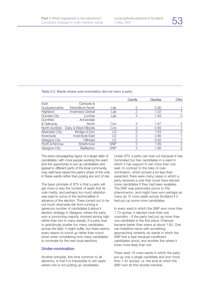#### Table 3.3: Wards where over-nomination did not harm a party

|                 |                          |            | Cands          | Quotas | <b>Cllrs</b>   |
|-----------------|--------------------------|------------|----------------|--------|----------------|
| East            | Campsie &                |            |                |        |                |
| Dunbartonshire  | Kirkintilloch North      | Lab        | $\overline{2}$ | 0.90   |                |
| Highland        | <b>Inverness Central</b> | Lab        | $\overline{2}$ | 1.02   |                |
| Dundee City     | Lochee                   | Lab        | 3              | 1.83   | 2              |
| <b>Dumfries</b> | Annandale                |            |                |        |                |
| & Galloway      | North                    | Con        | 3              | 1.67   | 2              |
| North Ayrshire  | Dalry & West Kilbride    | Con        | 2              | 0.85   |                |
| Aberdeen City   | <b>Bridge of Don</b>     | l D        | 3              | 1.64   | $\overline{2}$ |
| Inverclyde      | Inverclyde East          | l D        | $\mathbf{2}$   | 0.86   |                |
| Glasgow City    | Hillhead                 | l D        | $\overline{2}$ | 0.92   |                |
| Perth & Kinross | Strathmore               | <b>SNP</b> | 3              | 1.89   | 2              |
| Glasgow City    | <b>Baillieston</b>       | <b>SNP</b> | $\mathcal{P}$  | 1.66   | 2              |

The extra campaigning vigour of a larger slate of candidates, with more people working the ward and the opportunity to put up candidates who appeal to different parts of the local community, may well have raised the party's share of the vote in these wards rather than posing any sort of risk.

The basic principle of STV is that a party will get more or less the number of seats that its vote merits, and perhaps too much attention was paid to some of the technicalities in advance of the election. There turned out to be not much downside risk from running a generous number of candidates (Labour's election strategy in Glasgow, where the party won a convincing majority, involved aiming high rather than low in many wards). If a party was to gratuitously scatter too many candidates across the field, it might suffer, but there seems every reason to round up rather than round down when considering how many candidates to nominate for the next local elections.

#### Under-nomination

Another principle, this time common to all elections, is that it is impossible to win seats where one is not putting up candidates.

Under STV, a party can lose out because it has nominated too few candidates in a ward in which it has support to win more than one seat. In contrast to the risks of overnomination, which proved a lot less than expected, there were many cases in which a party received a vote that could have elected more candidates if they had been available. The SNP was particularly prone to this phenomenon, and might have won perhaps as many as 15 more seats across Scotland if it had put up some more candidates.

In every ward in which the SNP won more than 1.73 quotas, it elected more than one councillor – if the party had put up more than one candidate in the first place. Chances became better than evens at about 1.60. One can therefore name with something approaching certainty six wards in which the SNP lost a seat because insufficient candidates stood, and another five where it looks more likely than not.

There were 19 more wards in which the party put up only a single candidate and won more than 1.42 quotas, i.e. the level at which the SNP won its first double-member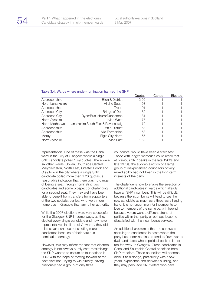#### Table 3.4: Wards where under-nomination harmed the SNP

|                   |                                      | Quotas | Cands | Elected |
|-------------------|--------------------------------------|--------|-------|---------|
| Aberdeenshire     | Ellon & District                     | 2.02   |       |         |
| North Lanarkshire | Airdrie South                        | 1.98   |       |         |
| Aberdeenshire     | Troup                                | 1.91   |       |         |
| Aberdeen City     | <b>Bridge of Don</b>                 | 1.82   |       |         |
| Aberdeen City     | Dyce/Bucksburn/Danestone             | 1.81   |       |         |
| North Ayrshire    | <b>Irvine West</b>                   | 1.77   |       |         |
| North Motherwell  | Lanarkshire South East & Ravenscraig | 1.72   |       |         |
| Aberdeenshire     | <b>Turriff &amp; District</b>        | 1.68   |       |         |
| Aberdeenshire     | Mid Formartine                       | 1.68   |       |         |
| Moray             | Elgin City North                     | 1.65   |       |         |
| North Ayrshire    | <b>Irvine East</b>                   | 1.62   |       |         |
|                   |                                      |        |       |         |

representation. One of these was the Canal ward in the City of Glasgow, where a single SNP candidate polled 1.49 quotas. There were six other wards (Govan, Southside Central, Maryhill/Kelvin, North East, Greater Pollok and Craigton) in the city where a single SNP candidate polled more than 1.20 quotas, a reasonable indication that there was no danger of losing a seat through nominating two candidates and some prospect of challenging for a second seat. They may well have been able to benefit from transfers from supporters of the two socialist parties, who were more numerous in Glasgow than any other authority.

While the 2007 elections were very successful for the Glasgow SNP in some ways, as they elected every single candidate and now have representatives in all the city's wards, they did miss several chances of electing more candidates because of their cautious nomination strategy.

However, this may reflect the fact that electoral strategy is not always purely seat-maximising: the SNP wanted to secure its foundations in 2007 with the hope of moving forward at the next elections. Trying to win directly, having previously had a group of only three

councillors, would have been a stern test. Those with longer memories could recall that at previous SNP peaks in the late 1960s and late 1970s, the sudden election of a large group of inexperienced councillors of very mixed ability had not been in the long-term interests of the party.

The challenge is now to enable the selection of additional candidates in wards which already have an SNP incumbent. This will be difficult, because the incumbents will tend to see the new candidate as much as a threat as a helping hand: it is not uncommon for incumbents to lose to members of the same party in Ireland because voters want a different strand of politics within that party, or perhaps become dissatisfied with the incumbent's services.

An additional problem is that the surpluses accruing to candidates in seats where the party has under-nominated tend to flow over to rival candidates whose political position is not too far away. In Glasgow, Green candidates in Canal and Southside Central benefited from SNP transfers. These councillors will become difficult to dislodge, particularly with a few years' experience and network-building, and they may persuade SNP voters who gave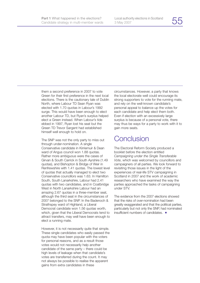them a second preference in 2007 to vote Green for their first preference in the next local elections. There is the cautionary tale of Dublin North, where Labour TD Sean Ryan was elected with 1.70 quotas in Labour's 1992 surge. This would have been enough to elect another Labour TD, but Ryan's surplus helped elect a Green instead. When Labour's tide ebbed in 1997, Ryan lost his seat but the Green TD Trevor Sargent had established himself well enough to hold on.

The SNP was not the only party to miss out through under-nomination. A single Conservative candidate in Kirriemuir & Dean ward of Angus council won 1.88 quotas. Rather more ambiguous were the cases of Girvan & South Carrick in South Ayrshire (1.49 quotas), and Bishopton & Bridge of Weir in Renfrewshire with 1.41 quotas. The lowest level of quotas that actually managed to elect two Conservative councillors was 1.63. In Hamilton South, South Lanarkshire, Labour had 2.41 quotas with two candidates, and in Coatbridge West in North Lanarkshire Labour had an amazing 2.67 quotas in a three-member seat, although the third seat in the circumstances of 2007 belonged to the SNP. In the Badenoch & Strathspey ward of Highland, a Liberal Democrat candidate won 1.56 quotas worth, which, given that the Liberal Democrats tend to attract transfers, may well have been enough to elect a running mate.

However, it is not necessarily quite that simple. These single candidates who easily passed the quota may have been popular with the voters for personal reasons, and as a result those votes would not necessarily help another candidate of the same party – there could be high levels of leakage when that candidate's votes are transferred during the count. It may not always be possible to realise the apparent gains from extra candidates in these

circumstances. However, a party that knows the local electorate well could encourage its strong supporters to vote for the running mate, and rely on the well-known candidate's personal appeal to balance up the votes for each candidate and help elect them both. Even if election with an excessively large surplus is because of a personal vote, there may thus be ways for a party to work with it to gain more seats.

### **Conclusion**

The Electoral Reform Society produced a booklet before the election entitled *Campaigning under the Single Transferable Vote*, which was welcomed by councillors and campaigners of all parties. We look forward to revisiting those issues in the light of the experiences of real-life STV campaigning in Scotland in 2007 and the work of academic researchers who have examined the way the parties approached the tasks of campaigning under STV.

The evidence from the 2007 elections showed that the risks of over-nomination had been greatly exaggerated and that the political parties, particularly but not only the SNP, had nominated  $insu$  ifficient numbers of candidates.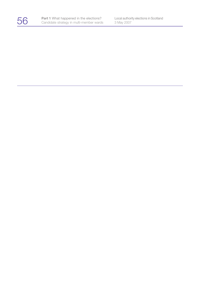

**56** Part 1 What happened in the elections?<br>Candidate strategy in multi-member wards

Local authority elections in Scotland 3 May 2007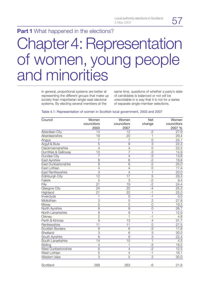### **Part 1** What happened in the elections?

# Chapter4: Representation of women, young people and minorities

In general, proportional systems are better at representing the different groups that make up society than majoritarian single-seat electoral systems. By electing several members at the

same time, questions of whether a party's slate of candidates is balanced or not will be unavoidable in a way that it is not for a series of separate single-member selections.

#### Table 4.1: Representation of women in Scottish local government, 2003 and 2007

| Council                 | Women           | Women           | <b>Net</b>     | Women            |
|-------------------------|-----------------|-----------------|----------------|------------------|
|                         | councillors     | councillors     | change         | councillors      |
|                         | 2003            | 2007            |                | 2007 %           |
| Aberdeen City           | $\overline{14}$ | $\overline{12}$ | $-2$           | 27.9             |
| Aberdeenshire           | $\overline{19}$ | $\overline{20}$ | $\overline{1}$ | 29.4             |
| Angus                   | 7               | 7               | $\overline{O}$ | 24.1             |
| Argyll & Bute           | $\overline{5}$  | $\overline{8}$  | $\overline{3}$ | 22.2             |
| Clackmannanshire        | $\overline{4}$  | $\overline{4}$  | $\mathcal{O}$  | 22.2             |
| Dumfries & Galloway     | 10              | $\overline{7}$  | $-3$           | 14.9             |
| Dundee City             | $\overline{7}$  | $\overline{4}$  | $-3$           | 13.8             |
| East Ayrshire           | $\overline{8}$  | $\overline{6}$  | $-2$           | 18.8             |
| East Dunbartonshire     | $\overline{8}$  | $\overline{6}$  | $-2$           | 25.0             |
| East Lothian            | $\overline{4}$  | $\overline{4}$  | $\mathcal{O}$  | 17.4             |
| East Renfrewshire       | $\overline{3}$  | $\overline{4}$  | $\mathbf{1}$   | 20.0             |
| <b>Edinburgh City</b>   | $\overline{12}$ | $\overline{17}$ | $\overline{5}$ | 29.3             |
| Falkirk                 | $\overline{5}$  | $\overline{3}$  | $-2$           | 9.4              |
| Fife                    | $\overline{21}$ | $\overline{19}$ | $-2$           | 24.4             |
| Glasgow City            | $\overline{24}$ | 20              | $-4$           | 25.3             |
| Highland                | 21              | 20              | $-1$           | 25.0             |
| Inverclyde              | 1               | $\overline{O}$  | $-1$           | 0.0              |
| Midlothian              | $\overline{3}$  | 5               | $\overline{2}$ | 27.8             |
| Moray                   | 5               | $\overline{5}$  | $\circ$        | 19.2             |
| North Ayrshire          | 8               | 8               | $\overline{0}$ | 26.7             |
| North Lanarkshire       | $\overline{8}$  | $\overline{9}$  | $\overline{1}$ | 12.9             |
| Orkney                  | $\overline{2}$  | $\mathbf 1$     | $-1$           | $\overline{4.8}$ |
| Perth & Kinross         | $\overline{9}$  | 13              | $\overline{4}$ | 31.7             |
| Renfrewshire            | $\overline{11}$ | $\overline{11}$ | $\overline{O}$ | 27.5             |
| <b>Scottish Borders</b> | 9               | 6               | -3             | 17.6             |
| Shetland                | $\overline{3}$  | 6               | $\overline{3}$ | 30.0             |
| South Ayrshire          | $\overline{6}$  | $\overline{9}$  | $\overline{3}$ | 22.4             |
| South Lanarkshire       | $\overline{14}$ | $\overline{15}$ | $\overline{1}$ | $\overline{4.5}$ |
| Stirling                | $\overline{4}$  | 1               | $-3$           | 18.2             |
| West Dunbartonshire     | $\overline{6}$  | $\overline{4}$  | $-2$           | 12.5             |
| West Lothian            | 5               | $\overline{4}$  | $-1$           | 16.1             |
| Western Isles           | $\overline{3}$  | $\overline{5}$  | $\overline{2}$ | 30.0             |
| Scotland                | 269             | 263             | $-6$           | 21.6             |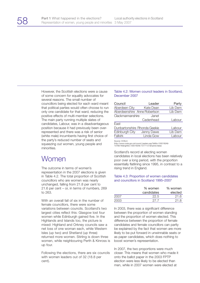However, the Scottish elections were a cause of some concern for equality advocates for several reasons. The small number of councillors being elected for each ward meant that political parties would often choose to run only one candidate for that ward, reducing the positive effects of multi-member selections. The main party running multiple slates of candidates, Labour, was in a disadvantageous position because it had previously been overrepresented and there was a risk of senior (white male) incumbents having first choice of the party's reduced number of seats and squeezing out women, young people and minorities.

# **Women**

The outcome in terms of women's representation in the 2007 elections is given in Table 4.2. The total proportion of Scottish councillors who are women was nearly unchanged, falling from 21.8 per cent to 21.6 per cent – or, in terms of numbers, 269 to 263.

With an overall fall of six in the number of female councillors, there were some variations between councils. Scotland's two largest cities reflect this: Glasgow lost four women while Edinburgh gained five. In the Highlands and Islands too, the picture is mixed: Highland and Orkney councils saw a net loss of one woman each, while Western Isles (up two) and Shetland (up three) returned more women. Stirling is down three women, while neighbouring Perth & Kinross is up four.

Following the elections, there are six councils with women leaders out of 32 (18.8 per cent).

#### Table 4.2: Women council leaders in Scotland, December 2007

| Council                      | Leader     | Party   |
|------------------------------|------------|---------|
| Aberdeen City                | Kate Dean  | Lib Dem |
| Aberdeenshire Anne Robertson |            | Lib Dem |
| Clackmannanshire             | Janet      |         |
|                              | Cadenhead  | Labour  |
| Fast                         |            |         |
| Dunbartonshire Rhonda Geekie |            | Labour  |
| <b>Edinburgh City</b>        | Jenny Dawe | Lib Dem |
| Falkirk                      | Linda Gow  | Labour  |
|                              |            |         |

Source: COSLA (http://www.cosla.gov.uk/council\_leaders.asp?leftId=1000195A6- 10766746&rightId=1000195A6-10771121&hybrid=false)

Scotland's record at electing women candidates in local elections has been relatively poor over a long period, with the proportion essentially flatlining since 1995, in contrast to a rising trend in England.

#### Table 4.3: Proportion of women candidates and councillors in Scotland 1995–2007

|      | % women    | % women |
|------|------------|---------|
|      | candidates | elected |
| 2007 | 22.5       | 21.6    |
| 2003 | 27 7       | 21 R    |

In 2003, there was a significant difference between the proportion of women standing and the proportion of women elected. This difference between the proportion of female candidates and female councillors can partly be explained by the fact that women are more likely to be put forward in unwinnable seats or as paper candidates, which does nothing to boost women's representation.

In 2007, the two proportions were much closer. This means that women who made it onto the ballot paper in the 2003 FPTP election were less likely to be elected than men, while in 2007 women were elected at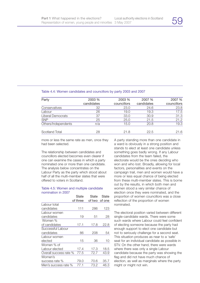#### Table 4.4: Women candidates and councillors by party 2003 and 2007

| Party               | 2003 %<br>candidates | 2003 %<br>councillors | 2007 %<br>candidates | 2007 %<br>councillors |
|---------------------|----------------------|-----------------------|----------------------|-----------------------|
| Conservatives       | 32                   | 23.0                  | 24.6                 | 23.8                  |
| Labour              | 26                   | 19.0                  | 19.3                 | 17.5                  |
| Liberal Democrats   | 37                   | 33.0                  | 30.9                 | 31.3                  |
| <b>SNP</b>          | 25                   | 25.0                  | 21.5                 | 21.2                  |
| Others/Independents | n/a                  | 15.0                  | 20.8                 | 19.3                  |
| Scotland Total      | 28                   | 21.8                  | 22.5                 | 21.6                  |

more or less the same rate as men, once they had been selected.

The relationship between candidates and councillors elected becomes even clearer if one can examine the cases in which a party nominated one or more than one candidate. The analysis below concentrates on the Labour Party as the party which stood about half of all the multi-member slates that were offered to voters in Scotland.

#### Table 4.5: Women and multiple candidate nomination in 2007

|                        | Slate    | Slate | Slate         |
|------------------------|----------|-------|---------------|
|                        | of three |       | of two of one |
| Labour total           |          |       |               |
| candidates             | 111      | 286   | 123           |
| Labour women           |          |       |               |
| candidates             | 19       | 51    | 28            |
| Women %                |          |       |               |
| of candidates          | 17.1     | 17.8  | 22.8          |
| Successful Labour      |          |       |               |
| candidates             | 86       | 208   | 54            |
| Labour women           |          |       |               |
| elected                | 15       | 36    | 10            |
| Women % of             |          |       |               |
| Labour elected         | 17.4     | 17.3  | 18.5          |
| Overall success rate % | 77.5     | 72.7  | 43.9          |
| Women's                |          |       |               |
| success rate %         | 79.0     | 70.6  | 35.7          |
| Men's success rate %   | 77 1     | 73.2  | 46.3          |

A party standing more than one candidate in a ward is obviously in a strong position and stands to elect at least one candidate unless something goes badly wrong. If any Labour candidates from the team failed, the electorate would be the ones deciding who won and who lost. Broadly, allowing for local factors, personalities and events on the campaign trail, men and women would have a more or less equal chance of being elected from these multi-member slates. This is borne out by the results, in which both men and women stood a very similar chance of election once they were nominated, and the proportion of women councillors was a close reflection of the proportion of women nominated.

The electoral position varied between different single-candidate wards. There were some such wards where Labour could feel confident of electing someone because the party had enough support to elect one candidate but not to seriously challenge for a second seat. This situation produces as near to a 'safe' seat for an individual candidate as possible in STV. On the other hand, there were wards where there was only a single Labour candidate because the party was showing the flag and did not have much chance of election, as well as marginals where the party might or might not win.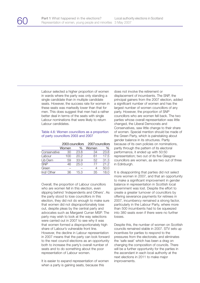Labour selected a higher proportion of women in wards where the party was only standing a single candidate than in multiple candidate seats. However, the success rate for women in these seats was markedly lower than that for men. This does suggest that men had a rather better deal in terms of the seats with single Labour nominations that were likely to return Labour candidates.

#### Table 4.6: Women councillors as a proportion of party councillors 2003 and 2007

|              |       | 2003 councillors |       | 2007 councillors |
|--------------|-------|------------------|-------|------------------|
|              | Women | ℅                | Women | ℅                |
| Conservative | 30    | 23.8             | 34    | 23.8             |
| Labour       | 100   | 20.2             | 61    | 17.5             |
| Lib Dem      | 59    | 33.9             | 52    | 31.3             |
| <b>SNP</b>   | 46    | 25.0             | 77    | 21.2             |
| Green        |       |                  |       | 50.0             |
| Ind/Other    | 36    | 15.3             | 35    | 180              |

Overall, the proportion of Labour councillors who are women fell in this election, even slipping behind 'Independents and Others'. As the party stood to lose councillors in this election, they did not do enough to make sure that women did not disproportionately lose out, despite pleas by the central party and advocates such as Margaret Curran MSP. The party may wish to look at the way selections were carried out in 2007 to see why it was that women formed a disproportionately high share of Labour's vulnerable front line. However, the decline in Labour representation in 2007 means that the party can look forward to the next council elections as an opportunity both to increase the party's overall number of seats and to do something about the poor representation of Labour women.

It is easier to expand representation of women when a party is gaining seats, because this

does not involve the retirement or displacement of incumbents. The SNP, the principal gainers from the 2007 election, added a significant number of women and has the largest number of women councillors of any party. However, the proportion of SNP councillors who are women fell back. The two parties whose overall representation was little changed, the Liberal Democrats and Conservatives, saw little change to their share of women. Special mention should be made of the Green Party, which is painstaking about gender balance in its structures. Partly because of its own policies on nominations, partly through the pattern of its electoral performance, it ended up with 50:50 representation; two out of its five Glasgow councillors are women, as are two out of three in Edinburgh.

It is disappointing that parties did not select more women in 2007, and that an opportunity to make a significant improvement in gender balance in representation in Scottish local government was lost. Despite the effort to create a greater turnover of councillors by offering severance payments for retirees in 2007, incumbency remained a strong factor, particularly in the Labour Party, where more than 500 incumbents had to be squeezed into 380 seats even if there were no further losses.

Despite this, the number of women on Scottish councils remained stable in 2007. STV sets up incentives for parties to respond to the pressures from the electorate, and eliminates the 'safe seat' which has been a drag on changing the composition of councils. There will be a further opportunity for the parties in the ascendant in each local authority at the next elections in 2011 to make major improvements.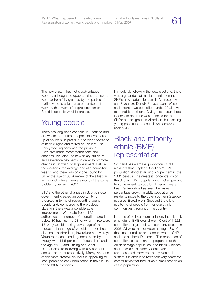The new system has not disadvantaged women, although the opportunities it presents were far from fully grasped by the parties. If parties were to select greater numbers of women, then women's representation on Scottish councils would increase.

# Young people

There has long been concern, in Scotland and elsewhere, about the unrepresentative makeup of councils, in particular the preponderance of middle-aged and retired councillors. The Kerley working party and the previous Executive made recommendations and changes, including the new salary structure and severance payments, in order to promote change in Scottish local government. Before the elections, the average age of a councillor was 55 and there was only one councillor under the age of 30. A review of the situation in England, where there are many of the same problems, began in 2007.

STV and the other changes in Scottish local government created an opportunity for progress in terms of representing young people and, compared to the previous situation, there was a considerable improvement. With data from all 32 authorities, the number of councillors aged below 30 has risen to 28, of whom three were 18–21-year-olds taking advantage of the reduction in the age of candidature for these elections (in Aberdeen, Inverclyde and Moray). Youth representation in general is led by Moray, with 11.5 per cent of councillors under the age of 30, and Stirling and West Dunbartonshire following with 9.5 per cent and 9.1 per cent respectively. Moray was one of the most creative councils in appealing to local people to seek nomination in the run-up to the 2007 elections.

Immediately following the local elections, there was a great deal of media attention on the SNP's new leadership team in Aberdeen, with an 18-year-old Deputy Provost (John West) and another two councillors under 30 also with responsible positions. Giving these councillors leadership positions was a choice for the SNP's council group in Aberdeen, but electing young people to the council was achieved under STV.

# Black and minority ethnic (BME) representation

Scotland has a smaller proportion of BME residents than England; Scotland's BME population stood at around 2.2 per cent in the 2001 census. The greatest concentration of the Scottish BME population is in Glasgow and to some extent its suburbs. In recent years East Renfrewshire has seen the largest percentage growth in BME population as residents move to the outer southern Glasgow suburbs. Elsewhere in Scotland there is a scattering of people from various ethnic communities throughout the country.

In terms of political representation, there is only a handful of BME councillors – 9 out of 1,222 councillors, or just below 1 per cent, elected in 2007. All were men of Asian heritage. Six of the nine councillors are Labour, two are SNP and one a Liberal Democrat. The proportion of councillors is less than the proportion of the Asian heritage population, and black, Chinese and other ethnic minority Scots were unrepresented. However, in any electoral system it is difficult to represent very scattered communities that form such a small proportion of the population.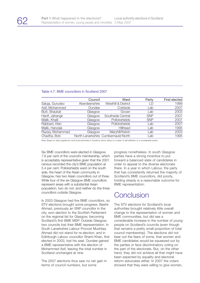#### Table 4.7: BME councillors in Scotland 2007

|                 | Council       | Ward                                | Party      | First elected |
|-----------------|---------------|-------------------------------------|------------|---------------|
| Saluja, Gurudeo | Aberdeenshire | Westhill & District                 | l D        | 1999          |
| Asif, Mohammed  | Dundee        | Coldside                            | Lab        | 2007          |
| Butt, Shaukat   | Glasgow       | Govan                               | Lab        | 2003          |
| Hanif, Jahangir | Glasgow       | Southside Central                   | <b>SNP</b> | 2007          |
| Malik, Khalil   | Glasgow       | Pollokshields                       | <b>SNP</b> | 2007          |
| Rabbani, Irfan  | Glasgow       | Pollokshields                       | Lab        | 2007          |
| Malik, Hanzala  | Glasgow       | Hillhead                            | Lab        | 1995          |
| Razaq, Mohammed | Glasgow       | Maryhill/Kelvin                     | Lab        | 2003          |
| Chadha, Bob     |               | North Lanarkshire Cumbernauld North | Lab        | 1995          |

Note: Based on data supplied by most local authorities in Scotland; ethnic status is a matter of self-definition to a considerable extent.

Six BME councillors were elected in Glasgow, 7.6 per cent of the council's membership, which is acceptably representative given that the 2001 census recorded the city's BME population at 5.4 per cent. Pollokshields ward on the south side, the heart of the Asian community in Glasgow, has two Asian councillors out of three. While four of the six Glasgow BME councillors represent areas with a substantial Asian population, two do not, and neither do the three councillors outside Glasgow.

In 2003 Glasgow had five BME councillors, so STV elections brought some progress. Bashir Ahmad, previously an SNP councillor in the city, won election to the Scottish Parliament on the regional list for Glasgow, becoming Scotland's first BME MSP. Outside Glasgow, two councils lost their BME representation. In South Lanarkshire Labour Provost Mushtaq Ahmad did not stand for re-election, and in Edinburgh Labour councillor Shami Khan, first elected in 2003, lost his seat. Dundee gained a BME representative with the election of Mohammed Asif, leaving the total number in Scotland unchanged at nine.

The 2007 elections thus saw no net gain in terms of council numbers, but some

progress nonetheless. In south Glasgow parties have a strong incentive to put forward a balanced slate of candidates in order to appeal to the diverse electorate there. In a year in which Labour, the party that has consistently returned the majority of Scotland's BME councillors, did poorly, holding steady is a reasonable outcome for BME representation.

## **Conclusion**

The STV elections for Scotland's local authorities brought relatively little overall change to the representation of women and BME communities, but did see a considerable increase in the number of young people on Scotland's councils (even though that remains a pretty small proportion of total council membership). The elections did not bear out the fears of some, that women and BME candidates would be squeezed out by the parties or face discriminatory voting on the part of the electorate. But, on the other hand, they did not achieve all that might have been expected by equality and electoral reform advocates either. In 2007 the voters showed that they were willing to give women.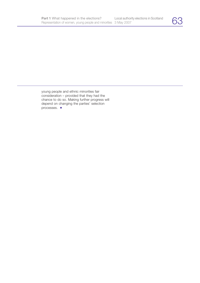young people and ethnic minorities fair consideration – provided that they had the chance to do so. Making further progress will depend on changing the parties' selection processes.  $\blacksquare$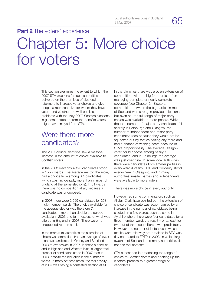### **Part 2** The voters' experience

# Chapter 5: More choice for voters

This section examines the extent to which the 2007 STV elections for local authorities delivered on the promises of electoral reformers to increase voter choice and give people a representative for whom they have voted, and whether the well-publicised problems with the May 2007 Scottish elections in general detracted from the benefits voters might have enjoyed from STV.

# Were there more candidates?

The 2007 council elections saw a massive increase in the amount of choice available to Scottish voters.

In the 2003 elections 4,195 candidates stood in 1,222 wards. The average elector, therefore, had a choice from among 3.4 candidates (which was, incidentally, more than in most of England at the same elections). In 61 wards there was no competition at all, because a candidate was unopposed.

In 2007 there were 2,599 candidates for 353 multi-member wards. The choice available for the average elector was therefore 7.4 candidates – more than double the spread available in 2003 and far in excess of what was offered in England in 2007. There were no unopposed returns at all.

In the more rural authorities the extension of choice was dramatic – from an average of fewer than two candidates in Orkney and Shetland in 2003 to over seven in 2007. In these authorities, and in Highland and Western Isles, a larger total number of candidates stood in 2007 than in 2003, despite the reduction in the number of wards. In many of these areas, the real novelty of 2007 was having a contested election at all.

In the big cities there was also an extension of competition, with the big four parties often managing complete or nearly complete coverage (see Chapter 2). Electoral competition between the big parties in most of Scotland was strong in previous elections, but even so, the full range of major party choice was available to more people. While the total number of major party candidates fell sharply in Edinburgh and Glasgow, the number of Independent and minor party candidates rose because they would not be squeezed out by tactical voting any more and had a chance of winning seats because of STV's proportionality. The average Glasgow voter could choose among nearly 10 candidates, and in Edinburgh the average was just over nine. In some local authorities there were candidates from smaller parties in every ward (Greens, SSP and Solidarity stood everywhere in Glasgow), and in many authorities smaller parties and independents were available to more voters.

There was more choice in every authority.

However, as some commentators such as Alistair Clark have pointed out, the extension of choice of candidate was accompanied by an increase in the number of candidates being elected. In a few wards, such as some in Ayrshire where there were four candidates for a three-member ward, the result – or at least for two out of three councillors – was predictable. However, the number of instances in which results were relatively pre-ordained in STV was tiny compared to FPTP in 2003, in which large swathes of Scotland, and many authorities, did not see real contests.

STV succeeded in broadening the range of choice to Scottish voters and opening up the electoral process to a greater range of candidates.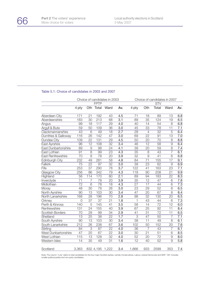#### Table 5.1: Choice of candidates in 2003 and 2007

|                         | Choice of candidates in 2003 |                 |                  |                 |                  |                 | Choice of candidates in 2007 |                 |                 |                  |
|-------------------------|------------------------------|-----------------|------------------|-----------------|------------------|-----------------|------------------------------|-----------------|-----------------|------------------|
|                         |                              |                 | <b>FPTP</b>      |                 |                  |                 |                              | <b>STV</b>      |                 |                  |
|                         | 4 pty                        | Oth             | Total            | Ward            | Av.              | 4 pty           | Oth                          | Total           | Ward            | Av.              |
| Aberdeen City           | 171                          | $\overline{21}$ | 192              | 43              | 4.5              | $\overline{71}$ | 18                           | 89              | $\overline{13}$ | 6.8              |
| Aberdeenshire           | 183                          | $\overline{30}$ | 213              | 68              | $\overline{3.1}$ | 89              | $\overline{35}$              | 124             | 19              | 6.5              |
| Angus                   | 99                           | $\overline{18}$ | 117              | 29              | 4.0              | 40              | $\overline{14}$              | $\overline{54}$ | $\overline{8}$  | 6.8              |
| Argyll & Bute           | 59                           | 50              | 109              | 36              | $\overline{3.0}$ | 45              | $\overline{33}$              | $\overline{78}$ | $\overline{11}$ | 7.1              |
| Clackmannanshire        | $\overline{43}$              | $\overline{6}$  | 49               | 18              | 2.7              | $\overline{28}$ | $\overline{4}$               | $\overline{32}$ | $\overline{5}$  | 6.4              |
| Dumfries & Galloway     | 116                          | $\overline{26}$ | $\overline{142}$ | $\overline{47}$ | $\overline{3.0}$ | 69              | $\overline{22}$              | $\overline{91}$ | $\overline{13}$ | $\overline{7.0}$ |
| Dundee City             | 109                          | $\overline{22}$ | 131              | 29              | 4.5              | $\overline{50}$ | $\overline{20}$              | $\overline{70}$ | $\overline{8}$  | 8.8              |
| East Ayrshire           | 96                           | $\overline{12}$ | 108              | $\overline{32}$ | $\overline{3.4}$ | 46              | $\overline{12}$              | $\overline{58}$ | $\overline{9}$  | 6.4              |
| East Dunbartonshire     | 89                           | 9               | 98               | 24              | 4.1              | 39              | 20                           | $\overline{59}$ | 8               | 7.4              |
| East Lothian            | $\overline{91}$              | $\overline{8}$  | 99               | $\overline{23}$ | 4.3              | $\overline{35}$ | $\overline{8}$               | 43              | $\overline{7}$  | 6.1              |
| East Renfrewshire       | 70                           | $\overline{8}$  | 78               | 20              | $\overline{3.9}$ | $\overline{32}$ | $\overline{9}$               | $\overline{41}$ | 6               | 6.8              |
| Edinburgh City          | 232                          | 49              | 281              | $\overline{58}$ | 4.8              | $\overline{84}$ | $\overline{71}$              | 155             | $\overline{17}$ | 9.1              |
| Falkirk                 | $\overline{75}$              | $\overline{22}$ | $\overline{97}$  | $\overline{32}$ | $\overline{3.0}$ | $\overline{39}$ | $\overline{23}$              | 62              | $\overline{9}$  | 6.9              |
| Fife                    | 253                          | $\overline{37}$ | 290              | 78              | $\overline{3.7}$ | 122             | 41                           | 163             | $\overline{23}$ | $\overline{7.1}$ |
| Glasgow City            | 256                          | 86              | 342              | 79              | 4.3              | 118             | 90                           | 208             | $\overline{21}$ | 9.9              |
| Highland                | 56                           | 114             | 170              | 80              | 2.1              | 89              | 94                           | 183             | 22              | 8.3              |
| Inverclyde              | $\overline{71}$              | $\overline{7}$  | 78               | 20              | $\overline{3.9}$ | 35              | $\overline{12}$              | 47              | 6               | 7.8              |
| Midlothian              | 72                           | 6               | 78               | 18              | 4.3              | 27              | 17                           | 44              | 6               | 7.3              |
| Moray                   | 48                           | 30              | 78               | 26              | $\overline{3.0}$ | 23              | 29                           | $\overline{52}$ | 8               | 6.5              |
| North Ayrshire          | 90                           | 13              | 103              | 30              | $\overline{3.4}$ | 47              | 20                           | 67              | 8               | 8.4              |
| North Lanarkshire       | 168                          | 28              | 196              | 70              | 2.8              | 98              | 32                           | 130             | 20              | 6.5              |
| Orkney                  | $\overline{O}$               | $\overline{37}$ | $\overline{37}$  | 21              | 1.8              | $\mathbf{1}$    | 43                           | 44              | 6               | $\overline{7.3}$ |
| Perth & Kinross         | 140                          | $\overline{5}$  | 145              | 41              | 3.5              | 58              | 14                           | 72              | 12              | 6.0              |
| Renfrewshire            | 131                          | $\overline{24}$ | 155              | 40              | $\overline{3.9}$ | $\overline{67}$ | $\overline{25}$              | $\overline{92}$ | $\overline{11}$ | 8.4              |
| <b>Scottish Borders</b> | 70                           | $\overline{29}$ | 99               | 34              | 2.9              | 41              | $\overline{31}$              | $\overline{72}$ | 11              | 6.5              |
| Shetland                | $\overline{13}$              | $\overline{25}$ | $\overline{38}$  | $\overline{22}$ | 1.7              | $\overline{3}$  | 47                           | $\overline{50}$ | $\overline{7}$  | $\overline{7.1}$ |
| South Ayrshire          | 90                           | $\overline{13}$ | 103              | 30              | $\overline{3.4}$ | $\overline{38}$ | $\overline{11}$              | 49              | 8               | 6.1              |
| South Lanarkshire       | 212                          | $\overline{26}$ | 238              | 67              | $\overline{3.6}$ | 102             | $\overline{50}$              | 152             | 20              | 7.6              |
| Stirling                | 84                           | $\overline{3}$  | $\overline{87}$  | 22              | 4.0              | 36              | $\overline{7}$               | $\overline{43}$ | $\overline{7}$  | 6.1              |
| West Dunbartonshire     | 47                           | 20              | 67               | 22              | 3.0              | 30              | 21                           | $\overline{51}$ | 6               | 8.5              |
| West Lothian            | 115                          | $\overline{13}$ | 128              | $\overline{32}$ | 4.0              | $\overline{52}$ | $\overline{20}$              | $\overline{72}$ | $\overline{9}$  | 8.0              |
| Western Isles           | $\overline{14}$              | $\overline{35}$ | 49               | 31              | 1.6              | $\overline{12}$ | $\overline{40}$              | $\overline{52}$ | $\overline{9}$  | $\overline{5.8}$ |
| Scotland                | 3,363                        |                 | 832 4,195        | 1,222           | 3.4              | 1,666           | 933                          | 2599            | 353             | 7.4              |

Note: The column '4 pty' refers to total candidates for the four major Scottish parties, namely Conservatives, Labour, Liberal Democrats and SNP; 'Oth' includes<br>smaller political parties and non-party candidates.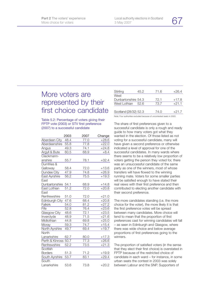# More voters are represented by their first choice candidate

Table 5.2: Percentage of voters giving their FPTP vote (2003) or STV first preference (2007) to a successful candidate

|                 | 2003              | 2007              | Change  |
|-----------------|-------------------|-------------------|---------|
| Aberdeen City   | 48.4              | 77.0              | $+28.6$ |
| Aberdeenshire   | 55.8              | 77.8              | $+22.0$ |
| Angus           | 49.3              | 74.1              | $+24.8$ |
| Argyll & Bute   | 60.5              | 68.9              | $+8.4$  |
| Clackmann-      |                   |                   |         |
| anshire         | 55.7              | 78.1              | $+32.4$ |
| Dumfries &      |                   |                   |         |
| Galloway        | 58.4              | 72.0              | $+13.6$ |
| Dundee City     | 47.9              | 74.8              | $+26.9$ |
| East Ayrshire   | 56.2              | 75.5              | $+19.3$ |
| East            |                   |                   |         |
| Dunbartonshire  | 54.1              | 68.9              | $+14.8$ |
| East Lothian    | $\overline{51.2}$ | 72.0              | $+20.8$ |
| East            |                   |                   |         |
| Renfrewshire    | 51.0              | 72.0              | $+21.0$ |
| Edinburgh City  | 47.6              | 68.4              | $+20.8$ |
| Falkirk         | 54.0              | 81.2              | $+27.2$ |
| Fife            | 52.8              | 76.4              | $+23.6$ |
| Glasgow City    | 48.6              | 72.1              | $+23.5$ |
| Inverclyde      | 48.9              | $\overline{71.5}$ | $+21.6$ |
| Midlothian      | 44.8              | 69.8              | $+25.0$ |
| Moray           | 59.3              | 74.7              | $+15.4$ |
| North Ayrshire  | $\overline{4}9.7$ | 69.4              | $+19.7$ |
| North           |                   |                   |         |
| Lanarkshire     | 62.7              | 80.0              | $+17.3$ |
| Perth & Kinross | 50.7              | 77.3              | $+26.6$ |
| Renfrewshire    | 52.2              | $73.\overline{5}$ | $-21.3$ |
| Scottish        |                   |                   |         |
| <b>Borders</b>  | 51.3              | 71.2              | $+19.9$ |
| South Ayrshire  | 53.7              | 83.1              | $+29.4$ |
| South           |                   |                   |         |
| Lanarkshire     | 53.6              | 73.8              | $+20.2$ |

| Stirling              | 45.2 | 71.6 | $+26.4$ |
|-----------------------|------|------|---------|
| West                  |      |      |         |
| Dunbartonshire 54.3   |      | 72.1 | $+17.8$ |
| West Lothian          | 52.6 | 73.7 | $+21.1$ |
|                       |      |      |         |
| Scotland (28/32) 52.3 |      | 74.N | $+217$  |

Note: Four authorities excluded because of uncontested seats in 2003.

The share of first preferences given to a successful candidate is only a rough and ready guide to how many voters got what they wanted in the election. Of those listed as not voting for a successful candidate, many will have given a second preference or otherwise indicated a level of approval for one of the successful candidates. In many wards where there seems to be a relatively low proportion of voters getting the person they voted for, there was an unsuccessful candidate of the same party as one of the winners, most of whose transfers will have flowed to the winning running mate. Voters for some smaller parties will be satisfied enough to have stated their real views with their first preference and then contributed to electing another candidate with their second preference.

The more candidates standing (i.e. the more choice for the voter), the more likely it is that the first preference votes will be spread between many candidates. More choice will tend to mean that the proportion of first preferences cast for winning candidates will fall – as seen in Edinburgh and Glasgow, where there was wide choice and below average proportions of first preferences going to the winners.

The proportion of satisfied voters (in the sense that they elect their first choice) is overstated in FPTP because of the restricted choice of candidate in each ward – for instance, in some urban seats the contest in 2003 was solely between Labour and the SNP. Supporters of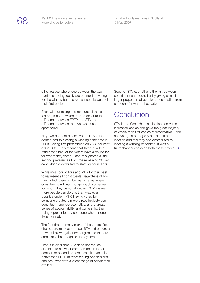other parties who chose between the two parties standing locally are counted as voting for the winner, but in a real sense this was not their first choice.

Even without taking into account all these factors, most of which tend to obscure the difference between FPTP and STV, the difference between the two systems is spectacular.

Fifty-two per cent of local voters in Scotland contributed to electing a winning candidate in 2003. Taking first preferences only, 74 per cent did in 2007. This means that three-quarters, rather than half, of the voters have a councillor for whom they voted – and this ignores all the second preferences from the remaining 26 per cent which contributed to electing councillors.

While most councillors and MPs try their best to represent all constituents, regardless of how they voted, there will be many cases where constituents will want to approach someone for whom they personally voted. STV means more people can do this than was ever possible under FPTP. Having voted for someone creates a more direct link between constituent and representative, and a greater sense of accountability and ownership, than being represented by someone whether one likes it or not.

The fact that so many more of the voters' first choices are respected under STV is therefore a powerful blow against two arguments that are sometimes heard against the system.

First, it is clear that STV does not reduce elections to a lowest common denominator contest for second preferences – it is actually better than FPTP at representing people's first choices, even with a wider range of candidates available.

Second, STV strengthens the link between constituent and councillor by giving a much larger proportion of people representation from someone for whom they voted.

### **Conclusion**

STV in the Scottish local elections delivered increased choice and gave the great majority of voters their first choice representative – and an even greater majority could look at the election and feel they had contributed to electing a winning candidate. It was a triumphant success on both these criteria.  $\blacksquare$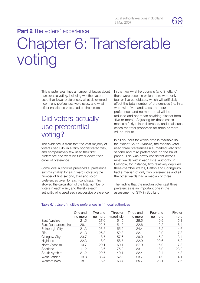# **Part 2** The voters' experience Chapter 6: Transferable voting

This chapter examines a number of issues about transferable voting, including whether voters used their lower preferences, what determined how many preferences were used, and what effect transferred votes had on the results.

# Did voters actually use preferential voting?

The evidence is clear that the vast majority of voters used STV in a fairly sophisticated way, and comparatively few used their first preference and went no further down their order of preference.

Some local authorities published a 'preference summary table' for each ward indicating the number of first, second, third and so on preferences given for each candidate. This allowed the calculation of the total number of voters in each ward, and therefore each authority, who used each successive preference. In the two Ayrshire councils (and Shetland) there were cases in which there were only four or five candidates, which will artificially affect the total number of preferences (i.e. in a ward with five candidates, the 'four preferences and no more' total will be reduced and not mean anything distinct from 'five or more'). Adjusting for these cases makes a fairly minor difference, and in all such cases the total proportion for three or more will be robust.

In all councils for which data is available so far, except South Ayrshire, the median voter used three preferences (i.e. marked valid first, second and third preferences on the ballot paper). This was pretty consistent across most wards within each local authority. In Glasgow, for instance, two relatively deprived three-member wards, Calton and Springburn, had a median of only two preferences and all the other wards had a median of three.

The finding that the median voter cast three preferences is an important one in the assessment of STV in Scotland.

|                     | One and | Two and | Three or     | Three and | Four and | Five or |
|---------------------|---------|---------|--------------|-----------|----------|---------|
|                     | no more | no more | more (incl.) | no more   | no more  | more    |
| East Ayrshire       | 21.5    | 27.0    | 51.5         | 25.5      | 10.9     | 15.1    |
| East Dunbartonshire | 26.1    | 22.7    | 51.2         | 22.6      | 12.2     | 16.4    |
| Edinburgh City      | 21.3    | 23.5    | 55.2         | 24.4      | 16.2     | 14.6    |
| Fife                | 21.3    | 26.3    | 52.3         | 22.1      | 12.9     | 17.3    |
| Glasgow City        | 23.7    | 18.7    | 57.6         | 29.0      | 15.2     | 13.4    |
| Highland            | 22.3    | 18.9    | 58.7         | 22.9      | 20.6     | 15.2    |
| North Ayrshire      | 19.7    | 20.1    | 60.1         | 27.9      | 15.0     | 17.3    |
| Shetland            | 11.2    | 13.6    | 75.2         | 33.1      | 18.9     | 23.2    |
| South Ayrshire      | 21.2    | 29.7    | 49.1         | 22.4      | 12.4     | 14.3    |
| West Lothian        | 13.8    | 33.4    | 52.8         | 23.7      | 14.9     | 14.1    |
| Western Isles       | 18.1    | 18.5    | 63.4         | 25.7      | 23.1     | 7.6     |

#### Table 6.1: Use of multiple preferences in 11 local authorities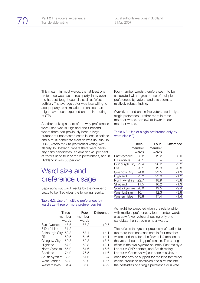This meant, in most wards, that at least one preference was cast across party lines, even in the hardest-fought councils such as West Lothian. The average voter was less willing to accept party as a limitation on choice than might have been expected on the first outing of STV.

Another striking aspect of the way preferences were used was in Highland and Shetland, where there had previously been a large number of uncontested seats in local elections and a multi-candidate election was unusual. In 2007, voters took to preferential voting with alacrity. In Shetland, where there were hardly any party candidates, an amazing 42 per cent of voters used four or more preferences, and in Highland it was 35 per cent.

## Ward size and preference usage

Separating out ward results by the number of seats to be filled gives the following results.

#### Table 6.2: Use of multiple preferences by ward size (three or more preferences %)

|                | Three-<br>member<br>wards | Four-<br>member<br>wards | <b>Difference</b> |
|----------------|---------------------------|--------------------------|-------------------|
| East Ayrshire  | 45.5                      | 55.2                     | $+9.7$            |
| E Dun'shire    | 51.2                      |                          |                   |
| Edinburgh City | 53.3                      | 57.4                     | $+4.1$            |
| Fife           | 50.5                      | 54.6                     | $+4.1$            |
| Glasgow City   | 50.8                      | 59.3                     | $+8.5$            |
| Highland       | 57.2                      | 59.3                     | $+2.1$            |
| North Ayrshire | 55.0                      | 61.6                     | $+6.6$            |
| Shetland       | 74.9                      | 76.5                     | $+1.6$            |
| South Ayrshire | 38.2                      | 51.6                     | $+13.4$           |
| West Lothian   | 52.3                      | 53.0                     | $+0.7$            |
| Western Isles  | 61.4                      | 65.3                     | $+3.9$            |

Four-member wards therefore seem to be associated with a greater use of multiple preferences by voters, and this seems a relatively robust finding.

Overall, around one in five voters used only a single preference – rather more in threemember wards, somewhat fewer in fourmember wards.

#### Table 6.3: Use of single preference only by ward size (%)

|                | Three-<br>member<br>wards | Four-<br>member<br>wards | <b>Difference</b> |
|----------------|---------------------------|--------------------------|-------------------|
| East Ayrshire  | 25.2                      | 19.2                     | $-6.0$            |
| E Dun'shire    | 26.1                      |                          |                   |
| Edinburgh City | 22.4                      | 20.2                     | $-2.2$            |
| Fife           | 23.1                      | 19.3                     | $-3.8$            |
| Glasgow City   | 24.8                      | 23.5                     | $-1.3$            |
| Highland       | 23.2                      | 22.0                     | $-1.2$            |
| North Ayrshire | 22.7                      | 18.9                     | $-3.8$            |
| Shetland       | 11.5                      | 10.2                     | $-1.3$            |
| South Ayrshire | 28.9                      | 19.5                     | $-9.4$            |
| West Lothian   | 16.1                      | 12.3                     | $-3.8$            |
| Western Isles  | 18.8                      | 17.4                     | $-1.4$            |

As might be expected given the relationship with multiple preferences, four-member wards also saw fewer voters choosing only one candidate than three-member wards.

This reflects the greater propensity of parties to run more than one candidate in four-member wards, and therefore the flow of information to the voter about using preferences. The strong effect in the two Ayrshire councils (East mainly a Labour v. SNP contest, and South mainly Labour v. Conservative) supports this view. It does not provide support for the idea that wider choice produced confusion and a retreat into the certainties of a single preference or X vote.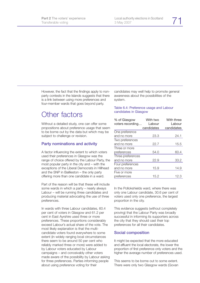However, the fact that the findings apply to nonparty contests in the Islands suggests that there is a link between using more preferences and four-member wards that goes beyond party.

# Other factors

Without a detailed study, one can offer some propositions about preference usage that seem to be borne out by the data but which may be subject to challenge or revision.

### Party nominations and activity

A factor influencing the extent to which voters used their preferences in Glasgow was the range of choice offered by the Labour Party, the most popular party in the city and – with the exceptions of the Liberal Democrats in Hillhead and the SNP in Baillieston – the only party offering more than one candidate in a ward.

Part of the reason will be that these will include some wards in which a party – nearly always Labour – will be running three candidates and producing material advocating the use of three preferences.

In wards with three Labour candidates, 60.4 per cent of voters in Glasgow and 61.2 per cent in East Ayrshire used three or more preferences. These proportions considerably exceed Labour's actual share of the vote. The most likely explanation is that the multicandidate voters found everywhere to some extent (in widely ranging local circumstances there seem to be around 50 per cent who reliably marked three or more) were added to by Labour voters educated by Labour campaigns – and conceivably other voters made aware of the possibility by Labour asking for three preferences. Parties informing people about using preference voting for their

candidates may well help to promote general awareness about the possibilities of the system.

#### Table 6.4: Preference usage and Labour candidates in Glasgow

| % of Glasgow      | With two   | With three |
|-------------------|------------|------------|
| voters recording  | Labour     | Labour     |
|                   | candidates | candidates |
| One preference    |            |            |
| and no more       | 23.3       | 24.1       |
| Two preferences   |            |            |
| and no more       | 22.7       | 15.5       |
| Three or more     |            |            |
| preferences       | 54.0       | 60.4       |
| Three preferences |            |            |
| and no more       | 22.9       | 33.2       |
| Four preferences  |            |            |
| and no more       | 15.9       | 14.9       |
| Five or more      |            |            |
| preferences       | 15.2       | 12.3       |

In the Pollokshields ward, where there was only one Labour candidate, 30.6 per cent of voters used only one preference, the largest proportion in the city.

This evidence suggests (without completely proving) that the Labour Party was broadly successful in informing its supporters across the city that they should cast their top preferences for all their candidates.

### Social composition

It might be expected that the more educated and affluent the local electorate, the lower the proportion of first preference only voters and the higher the average number of preferences used.

This seems to be borne out to some extent. There were only two Glasgow wards (Govan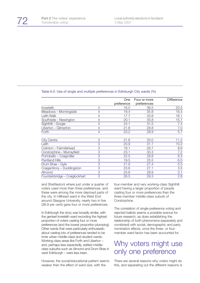#### Table 6.5: Use of single and multiple preferences in Edinburgh City wards (%)

|                                |                | One<br>preference | Four or more<br>preferences | <b>Difference</b> |
|--------------------------------|----------------|-------------------|-----------------------------|-------------------|
| Inverleith                     | 4              | 16.0              | 36.5                        | 20.5              |
| Meadows - Morningside          | 4              | 19.4              | 35.8                        | 16.4              |
| Leith Walk                     | 4              | 17.7              | 33.8                        | 16.1              |
| Southside - Newington          | 4              | 20.1              | 35.8                        | 15.7              |
| Sighthill - Gorgie             | 4              | 24.1              | 31.5                        | 7.4               |
| Liberton - Gilmerton           | 4              | 21.8              | 28.8                        | 7.0               |
| Forth                          | $\overline{4}$ | 23.2              | 28.9                        | $\overline{5.7}$  |
| <b>City Centre</b>             | 3              | 21.8              | 33.0                        | 11.2              |
| Leith                          | 3              | 20.9              | 31.1                        | 10.2              |
| Colinton - Fairmilehead        | 3              | 18.1              | 26.7                        | 8.6               |
| Corstorphine - Murrayfield     | 3              | 23.1              | 30.3                        | 7.2               |
| Portobello - Craigmillar       | 3              | 22.5              | 28.8                        | 6.3               |
| Pentland Hills                 | 3              | 19.5              | 25.5                        | 6.0               |
| Drum Brae - Gyle               | 3              | 21.9              | 27.4                        | 5.5               |
| Craigentinny - Duddingston     | 3              | 23.6              | 27.1                        | 3.5               |
| Almond                         | 3              | 25.8              | 28.9                        | 3.1               |
| Fountainbridge - Craiglockhart | 3              | 26.5              | 29.3                        | 2.8               |

and Shettleston) where just under a quarter of voters used more than three preferences, and these were among the more deprived parts of the city. In Hillhead ward in the West End around Glasgow University, nearly two in five (38.9 per cent) gave four or more preferences.

In Edinburgh the story was broadly similar, with the genteel Inverleith ward recording the highest proportion of voters casting four or more preferences (and the lowest proportion plumping). Other wards that were particularly enthusiastic about casting lots of preferences tended to be inner urban middle-class and student wards. Working-class areas like Forth and Liberton – and, perhaps less expectedly, settled middleclass suburbs such as Almond and Drum Brae in west Edinburgh – were less keen.

However, the social/educational pattern seems weaker than the effect of ward size, with the

four-member and very working-class Sighthill ward having a larger proportion of people casting four or more preferences than the three-member middle-class suburb of Corstorphine.

The correlation of single-preference voting and rejected ballots seems a possible avenue for future research, as does establishing the relationship of both phenomena (separately and combined) with social, demographic and party nomination effects, once the three- or fourmember ward factor has been accounted for.

# Why voters might use only one preference

There are several reasons why voters might do this, and separating out the different reasons is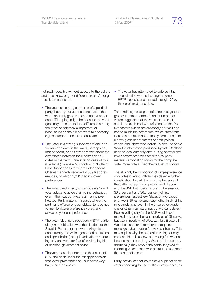not really possible without access to the ballots and local knowledge of different areas. Among possible reasons are:

- $\blacksquare$  The voter is a strong supporter of a political party that only put up one candidate in the ward, and only gave that candidate a preference. 'Plumping' might be because the voter genuinely does not feel the difference among the other candidates is important, or because he or she did not want to show any sign of support for such a candidate.
- **P** The voter is a strong supporter of one particular candidate in the ward, perhaps an Independent, or has strong views about the differences between their party's candidates in the ward. One striking case of this is Ward 4 (Campsie & Kirkintilloch North) of East Dunbartonshire where Independent Charles Kennedy received 2,609 first preferences, of which 1,031 had no lower preferences.
- **P** The voter used a party or candidate's 'how to vote' advice to guide their voting behaviour, even if their support was less than wholehearted. Party material, in cases where the party only offered one candidate, tended not to mention lower preference votes, and asked only for one preference.
- **P** The voter felt unsure about using STV (particularly in combination with the election for the Scottish Parliament that was taking place concurrently and which generated confusion and spoilt ballots) and played safe by recording only one vote, for fear of invalidating his or her local government ballot.
- **P** The voter has misunderstood the nature of STV, and been under the misapprehension that lower preferences could in some way harm their top choice.

 $\blacksquare$  The voter has attempted to vote as if the local election were still a single-member FPTP election, and marked a single 'X' by their preferred candidate.

The tendency for single-preference usage to be greater in three-member than four-member wards suggests that the variation, at least, should be explained with reference to the first two factors (which are essentially political) and not so much the latter three (which stem from lack of information about the system – the third reason given has elements of both political choice and information deficit). Where the official 'how to' information produced by Vote Scotland and the local authority about using second and lower preferences was amplified by party materials advocating voting for the complete slate, more voters used their full set of options.

The strikingly low proportion of single-preference only votes in West Lothian may deserve further investigation. In part, this must be because of the pattern of party competition, with Labour and the SNP both being strong in the area with 36.6 per cent and 36.3 per cent of first preferences respectively. Slates of two Labour and two SNP ran against each other in six of the nine wards, and even in the three other wards one or other main party put up two candidates. People voting only for the SNP would have marked only one choice in nearly all of Glasgow, but two in nearly all of West Lothian. Electors in West Lothian therefore received frequent messages about voting for two candidates. This may explain why the proportion voting for only one candidate is so low, and voting for two (no less, no more) is so large. West Lothian council, additionally, may have done particularly well at informing voters that it was possible to use more than one preference.

Party activity cannot be the sole explanation for voters choosing to use multiple preferences, as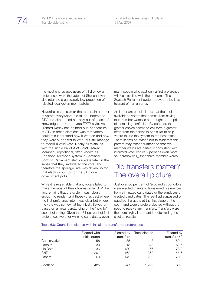the most enthusiastic users of third or lower preferences were the voters of Shetland (who also returned a particularly low proportion of rejected local government ballots).

Nevertheless, it is clear that a certain number of voters everywhere did fail to understand STV and either used a 1 only out of a lack of knowledge, or tried to vote FPTP style. As Richard Kerley has pointed out, one feature of STV in these elections was that voters could misunderstand how it worked and how they were supposed to vote, but still manage to record a valid vote. Nearly all mistakes with the single ballot AMS/MMP (Mixed Member Proportional, often known as Additional Member System in Scotland) Scottish Parliament election were fatal, in the sense that they invalidated the vote, and therefore the spoilage rate was driven up for that election but not for the STV local government polls.

While it is regrettable that any voters failed to make the most of their choices under STV, the fact remains that the system was robust enough to render valid those votes cast where the first preference intent was clear but where the vote was somewhat technically flawed or based on a misunderstanding of the 'how to' aspect of voting. Given that 74 per cent of first preferences were for winning candidates, even

many people who cast only a first preference will feel satisfied with the outcome. The Scottish Parliament system proved to be less tolerant of human error.

An important conclusion is that the choice available to voters that comes from having four-member wards is not bought at the price of increasing confusion. By contrast, the greater choice seems to call forth a greater effort from the parties in particular to help voters to use the system to the best effect. There seems no reason not to think that this pattern may extend further and that fivemember wards are perfectly consistent with informed voter choice – perhaps even more so, paradoxically, than three-member wards.

## Did transfers matter? The overall picture

Just over 60 per cent of Scotland's councillors were elected thanks to transferred preferences from eliminated candidates or the surpluses of elected candidates. The rest had surpassed or equalled the quota at the first stage of the count and were therefore elected without the need to receive any transfers. Transfers were therefore highly important in determining the election results.

#### Table 6.6: Councillors elected with initial and transferred preferences

|              | Elected with  | Elected by | Total elected | Elected by  |
|--------------|---------------|------------|---------------|-------------|
|              | initial quota | transfers  |               | transfers % |
| Conservative | 58            | 85         | 143           | 59.4        |
| Labour       | 130           | 218        | 348           | 62.6        |
| Lib Dem      | 36            | 130        | 166           | 78.3        |
| <b>SNP</b>   | 201           | 162        | 363           | 44.6        |
| Others       | 60            | 142        | 202           | 70.3        |
|              |               |            |               |             |
| Scotland     | 485           | 747        | 1.222         | 60.3        |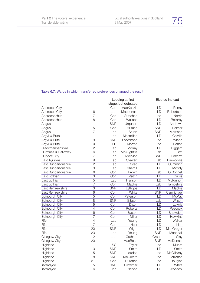### Table 6.7: Wards in which transferred preferences changed the result

|                       |                 |                         | Leading at first<br>stage, but defeated |                          | <b>Elected instead</b> |
|-----------------------|-----------------|-------------------------|-----------------------------------------|--------------------------|------------------------|
| Aberdeen City         | 1               | Con                     | MacKenzie                               | LD                       | Penny                  |
| Aberdeen City         | $\overline{6}$  | Lab                     | Macdonald                               | $\overline{\mathsf{LD}}$ | Robertson              |
| Aberdeenshire         | 7               | Con                     | Strachan                                | Ind                      | Norrie                 |
| Aberdeenshire         | $\overline{18}$ | Con                     | Wallace                                 | LD                       | Bellarby               |
| Angus                 | $\overline{1}$  | SNP                     | Urquhart                                | $\overline{\mathsf{LD}}$ | Andrews                |
| Angus                 | $\overline{5}$  | Con                     | Hillman                                 | SNP                      | Palmer                 |
| Angus                 | $\overline{7}$  | Lab                     | Stuart                                  | SNP                      | Morrison               |
| Argyll & Bute         | 1               | Lab                     | Macmillan                               | LD                       | Colville               |
| Argyll & Bute         | $\overline{3}$  | <b>SNP</b>              | Stevenson                               | Ind                      | Philand                |
| Argyll & Bute         | $\overline{10}$ | LD                      | Morton                                  | Ind                      | Dance                  |
| Clackmannanshire      | $\overline{2}$  | Lab                     | <b>McKay</b>                            | LD                       | <b>Biggam</b>          |
| Dumfries & Galloway   | $\overline{6}$  | Lab                     | McAughtrie                              | Lab                      | Stitt                  |
| Dundee City           | $\overline{7}$  | Lab                     | McIrvine                                | <b>SNP</b>               | Roberts                |
| East Ayrshire         | $\overline{9}$  | Lab                     | Stewart                                 | Lab                      | Dinwoodie              |
| East Dunbartonshire   | $\overline{2}$  | Lab                     | Syed                                    | LD                       | Cumming                |
| East Dunbartonshire   | $\overline{3}$  | Lab                     | Shergill                                | LD                       | Moody                  |
| East Dunbartonshire   | $\overline{6}$  | Con                     | <b>Brown</b>                            | Lab                      | O'Donnell              |
| East Lothian          | $\overline{3}$  | Con                     | Veitch                                  | LD                       | Currie                 |
| East Lothian          | $\overline{5}$  | Lab                     | Hanson                                  | LD                       | McKinnon               |
| East Lothian          | $\overline{7}$  | Con                     | Mackie                                  | Lab                      | Hampshire              |
| East Renfrewshire     | $\overline{3}$  | <b>SNP</b>              | Lythgoe                                 | LD                       | Mackie                 |
| East Renfrewshire     | $\overline{6}$  | Con                     | White                                   | <b>SNP</b>               | Carmichael             |
| <b>Edinburgh City</b> | $\overline{5}$  | $\overline{\text{Con}}$ | Paterson                                | LD                       | <b>McKay</b>           |
| <b>Edinburgh City</b> | $\overline{8}$  | SNP                     | Gibson                                  | Lab                      | Wilson                 |
| <b>Edinburgh City</b> | $\overline{9}$  | Con                     | Dixon                                   | LD                       | Lowrie                 |
| Edinburgh City        | $\overline{14}$ | $\overline{\text{Con}}$ | Roberts                                 | LD                       | Peacock                |
| Edinburgh City        | $\overline{16}$ | Con                     | Easton                                  | LD                       | Snowden                |
| <b>Edinburgh City</b> | $\overline{17}$ | Con                     | Miller                                  | LD                       | <b>Hawkins</b>         |
| Fife                  | $\overline{4}$  | Lab                     | Young                                   | LD                       | Walker                 |
| Fife                  | $\overline{17}$ | Con                     | Heer                                    | LD                       | Lothian                |
| Fife                  | $\overline{20}$ | SNP                     | Wight                                   | $\overline{LD}$          | MacGregor              |
| Fife                  | $\overline{23}$ | Lab                     | Young                                   | <b>SNP</b>               | Macphail               |
| Glasgow City          | $\overline{12}$ | Lab                     | Graham                                  | Green                    | Clay                   |
| Glasgow City          | $\overline{20}$ | Lab                     | <b>MacBean</b>                          | <b>SNP</b>               | McDonald               |
| Highland              | 1               | $\overline{SC}$         | Taylor                                  | Ind                      | Munro                  |
| Highland              | $\overline{3}$  | <b>SNP</b>              | Smith                                   | LD                       | Smith                  |
| Highland              | $\overline{5}$  | <b>SNP</b>              | Louden                                  | Ind                      | McGillivray            |
| Highland              | $\overline{8}$  | <b>SNP</b>              | McCreath                                | Ind                      | Torrance               |
| Highland              | $\overline{21}$ | $\overline{\text{Con}}$ | Durance                                 | Ind                      | Douglas                |
| Inverclyde            | $\overline{5}$  | <b>SNP</b>              | Crowther                                | LD                       | White                  |
| Inverclyde            | $\overline{6}$  | Ind                     | Nelson                                  | LD                       | Rebecchi               |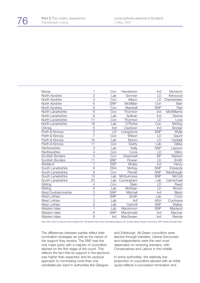| Moray                   |                 | Con        | Henderson         | Ind        | Murdoch           |
|-------------------------|-----------------|------------|-------------------|------------|-------------------|
| North Ayrshire          | $\overline{2}$  | Lab        | Gorman            | LD         | Kirkwood          |
| North Ayrshire          | $\overline{3}$  | Con        | Allison           | LD         | Chamberlain       |
| North Ayrshire          | $\overline{6}$  | <b>SNP</b> | McMillan          | Con        | Barr              |
| North Ayrshire          | $\overline{8}$  | Con        | Marshall          | <b>SNP</b> | Rae               |
| North Lanarkshire       | $\overline{6}$  | Con        | Thornton          | Ind        | <b>McWilliams</b> |
| North Lanarkshire       | $\overline{8}$  | Lab        | Sullivan          | Ind        | Devine            |
| North Lanarkshire       | $\overline{11}$ | Con        | Thornton          | LD         | Love              |
| North Lanarkshire       | $\overline{18}$ | Lab        | O'Rorke           | Con        | <b>McKay</b>      |
| Orkney                  | $\overline{6}$  | Ind        | Clackson          | Ind        | Sinclair          |
| Perth & Kinross         | $\overline{5}$  | LD         | Livingstone       | <b>SNP</b> | Wylie             |
| Perth & Kinross         | 7               | Con        | Wilson            | LD         | Gaunt             |
| Perth & Kinross         | $\overline{10}$ | Lab        | Munro             | LD         | Caddell           |
| Perth & Kinross         | $\overline{11}$ | Con        | Gratty            | Lab        | Gillies           |
| Renfrewshire            | $\overline{3}$  | Lab        | Kelly             | <b>SNP</b> | Lawson            |
| Renfrewshire            | $\overline{4}$  | Con        | Cook              | LD         | Dillon            |
| <b>Scottish Borders</b> | $\overline{5}$  | Con        | Greenwell         | <b>BP</b>  | Watson            |
| <b>Scottish Borders</b> | $\overline{11}$ | <b>SNP</b> | Rowan             | LD         | Smith             |
| Shetland                | $\overline{7}$  | <b>SSP</b> | Mullay            | Ind        | Henry             |
| South Lanarkshire       | $\overline{6}$  | <b>EKA</b> | McKay             | <b>SNP</b> | Edwards           |
| South Lanarkshire       | $\overline{8}$  | Con        | Perratt           | <b>SNP</b> | Wardhaugh         |
| South Lanarkshire       | $\overline{13}$ | Lab        | <b>McGuinness</b> | <b>SNP</b> | McColl            |
| South Lanarkshire       | 20              | Lab        | Cunningham        | Lab        | Carmichael        |
| Stirling                | 4               | Con        | Stein             | LD         | Reed              |
| Stirling                | $\overline{6}$  | Lab        | McKean            | LD         | <b>Brown</b>      |
| West Dunbartonshire     | $\overline{3}$  | <b>SNP</b> | Mitchell          | Ind        | <b>Black</b>      |
| West Lothian            | $\mathbf 1$     | <b>SNP</b> | Smith             | Lab        | Conn              |
| West Lothian            | $\overline{3}$  | Lab        | Arif              | <b>ASH</b> | Cochrane          |
| West Lothian            | 8               | Lab        | Cartmill          | <b>SNP</b> | Walker            |
| Western Isles           | $\mathbf 1$     | Lab        | Mackinnon         | <b>SNP</b> | Macleod           |
| Western Isles           | 8               | <b>SNP</b> | Macdonald         | Ind        | MacIver           |
| Western Isles           | $\overline{9}$  | Ind        | MacSween          | Ind        | Rennie            |

Note: ASH: Action to Save St John's Hospital; BP: The Borders Party; EKA: East Kilbride Alliance; SC: Scottish Senior Citizens' Unity Party; SSP: Scottish Socialist Party.

The differences between parties reflect their nomination strategies as well as the nature of the support they receive. The SNP was the only major party with a majority of councillors elected on the first stage of the count. This reflects the fact that its support in the elections was higher than expected, and its cautious approach to nominating more than one candidate per ward in authorities like Glasgow

and Edinburgh. All Green councillors were elected through transfers. Liberal Democrats and Independents were the next most dependent on receiving transfers, with Conservatives and Labour in the middle.

In some authorities, the relatively low proportion of councillors elected with an initial quota reflects a successful nomination and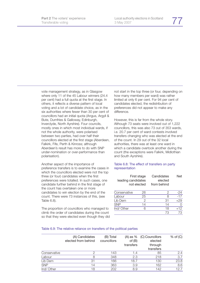vote management strategy, as in Glasgow where only 11 of the 45 Labour winners (24.4 per cent) had a full quota at the first stage. In others, it reflects a diverse pattern of local voting and a lot of candidate choice, as in the six authorities where fewer than 30 per cent of councillors had an initial quota (Angus, Argyll & Bute, Dumfries & Galloway, Edinburgh, Inverclyde, North Ayrshire). Four councils, mostly ones in which most individual wards, if not the whole authority, were polarised between two parties, had over half their councillors elected at the first stage (Aberdeen, Falkirk, Fife, Perth & Kinross; although Aberdeen's result has more to do with SNP under-nomination or over-performance than polarisation).

Another aspect of the importance of preference transfers is to examine the cases in which the councillors elected were not the top three (or four) candidates when the first preferences were totalled. In such cases, one candidate further behind in the first stage of the count has overtaken one or more candidates to win election by the end of the count. There were 73 instances of this, (see Table 6.8).

The proportion of councillors who managed to climb the order of candidates during the count so that they were elected even though they did not start in the top three (or four, depending on how many members per ward) was rather limited at only 6 per cent. For 94 per cent of candidates elected, the redistribution of preferences did not appear to make any difference.

However, this is far from the whole story. Although 73 seats were involved out of 1,222 councillors, this was also 73 out of 353 wards, i.e. 20.7 per cent of ward contests involved transfers changing who was elected at the end of the count. In 29 out of the 32 local authorities, there was at least one ward in which a candidate overtook another during the count (the exceptions were Falkirk, Midlothian and South Ayrshire).

#### Table 6.8: The effect of transfers on party representation

| First stage<br>leading candidates<br>not elected |    | Candidates<br>elected<br>from behind | Net   |  |
|--------------------------------------------------|----|--------------------------------------|-------|--|
| Conservative                                     | 26 | 2                                    | $-24$ |  |
| Labour                                           | 25 | 8                                    | $-17$ |  |
| Lib Dem                                          | 2  | 31                                   | $+29$ |  |
| <b>SNP</b>                                       | 14 | 14                                   |       |  |
| Ind/Other                                        |    | 18                                   | $+12$ |  |
|                                                  |    | 73                                   | 73    |  |

#### Table 6.9: The relative reliance on transfers of the political parties

|              | (A) Candidates<br>elected from behind | (B) Total<br>councillors | $(A)$ as $%$<br>$of$ (B)<br>transfers | (C) Councillors<br>elected<br>through<br>transfers | $%$ of $(C)$ |
|--------------|---------------------------------------|--------------------------|---------------------------------------|----------------------------------------------------|--------------|
| Conservative |                                       | 143                      | 1.4                                   | 85                                                 | 2.4          |
| Labour       |                                       | 348                      | 2.3                                   | 218                                                | 3.7          |
| Lib Dem      | 31                                    | 166                      | 18.7                                  | 130                                                | 23.8         |
| <b>SNP</b>   | 14                                    | 363                      | 3.9                                   | 162                                                | 8.6          |
| Ind/Other    | 18                                    | 202                      | 8.9                                   | 142                                                | 12.7         |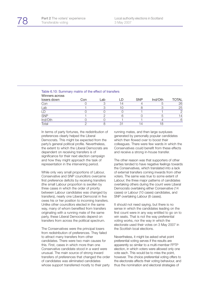| Table 6.10: Summary matrix of the effect of transfers |     |     |   |            |         |              |
|-------------------------------------------------------|-----|-----|---|------------|---------|--------------|
| Winners across                                        |     |     |   |            |         |              |
| losers down                                           | Con | Lab |   | <b>SNP</b> | Ind/Oth | <b>TOTAL</b> |
| Con                                                   |     |     | 4 |            |         | 26           |
| Lab                                                   |     |     |   |            |         | 25           |
|                                                       |     |     |   |            |         |              |
| <b>SNP</b>                                            |     |     |   |            |         | 14           |
| Ind/Oth                                               |     |     |   |            |         |              |
| Total                                                 |     |     |   |            |         |              |

Table 6.10: Summary matrix of the effect of transfers

In terms of party fortunes, the redistribution of preferences clearly helped the Liberal Democrats. This might be expected from the party's general political profile. Nevertheless, the extent to which the Liberal Democrats are dependent on receiving transfers is of significance for their next election campaign and how they might approach the task of representation in the intervening period.

While only very small proportions of Labour, Conservative and SNP councillors overcame first preference deficits by receiving transfers (the small Labour proportion is swollen by three cases in which the order of priority between Labour candidates was changed by transfers), nearly one Liberal Democrat in five owes his or her position to incoming transfers. Unlike other councillors elected in the same way, many of whom benefited from transfers originating with a running mate of the same party, these Liberal Democrats depend on transfers from across the political spectrum.

The Conservatives were the principal losers from redistribution of preferences. They failed to attract many transfers from other candidates. There were two main causes for this. First, cases in which more than one Conservative candidate stood in a ward were unusual. The main source of strong inward transfers of preferences that changed the order of candidates was eliminated candidates whose support transferred mostly to their party

running mates, and then large surpluses generated by personally popular candidates which then flowed over to boost their colleagues. There were few wards in which the Conservatives could benefit from these effects and receive a strong in-house transfer.

The other reason was that supporters of other parties tended to have negative feelings towards the Conservatives, which translated into a lack of external transfers coming inwards from other voters. The same was true to some extent of Labour; the three major patterns of candidates overtaking others during the count were Liberal Democrats overtaking either Conservative (14 cases) or Labour (10 cases) candidates, and SNP overtaking Labour (8 cases).

It should not need saying, but there is no sense in which the candidates leading on the first count were in any way entitled to go on to win seats. That is not the way preferential voting works, nor the way in which the electorate used their votes on 3 May 2007 in the Scottish local elections.

Nevertheless, it might be asked what point preferential voting serves if the results are apparently so similar to a multi-member FPTP election, in which voters were allowed only one vote each. This would be to miss the point, however. The choice preferential voting offers to the electorate affects their voting behaviour, and thus the nomination and electoral strategies of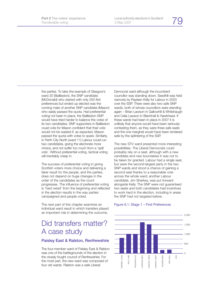the parties. To take the example of Glasgow's ward 20 (Baillieston), the SNP candidate (McDonald) who started with only 250 first preferences but ended up elected was the running mate of another SNP candidate (Mason) who easily passed the quota. Had preferential voting not been in place, the Baillieston SNP would have tried harder to balance the votes of its two candidates. SNP supporters in Baillieston could vote for Mason confident that their vote would not be wasted if, as expected, Mason passed the quota with votes to spare. Similarly, in Perth City North (ward 11) Labour could run two candidates, giving the electorate more choice, and not suffer too much from a 'split vote'. Without preferential voting, tactical voting will inevitably creep in.

The success of preferential voting in giving Scottish voters more choice and delivering a fairer result for the people, and the parties, does not depend on huge changes in the order of the candidates as the count progresses. The influence of preferential voting is 'hard wired' from the beginning and reflected in the election results in the way parties campaigned and people voted.

The next part of this chapter examines an individual ward result in which transfers played an important role in determining the outcome.

## Did transfers matter? A case study

#### Paisley East & Ralston, Renfrewshire

The four-member ward of Paisley East & Ralston was one of the battlegrounds of the election in the closely fought council of Renfrewshire. For the most part, the new ward was composed of four old wards. Ralston was a safe Liberal

Democrat ward although the incumbent councillor was standing down. Seedhill was held narrowly by Rayleen Kelly for Labour in 2003 over the SSP. There were also two safe SNP wards, both of whose councillors were standing again – Brian Lawson in Gallowhill & Whitehaugh and Celia Lawson in Blackhall & Hawkhead. If these wards had been in place in 2007 it is unlikely that anyone would have been seriously contesting them, as they were three safe seats and the one marginal would have been rendered safe by the splintering of the SSP.

The new STV ward presented more interesting possibilities. The Liberal Democrats could probably rely on a seat, although with a new candidate and new boundaries it was not to be taken for granted. Labour had a single seat, but were the second-largest party in the two SNP wards and stood a chance of gaining a second seat thanks to a reasonable vote across the whole ward; another Labour candidate, Jim Sharkey, was put forward alongside Kelly. The SNP were not guaranteed two seats and both candidates had incentives to work hard in the election, including in areas the SNP had not targeted before.

#### Figure 6.1: Stage 1 – First Preferences

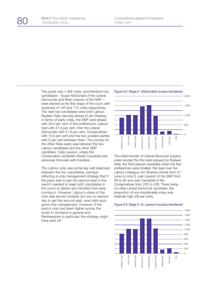The quota was 1,468 votes, and therefore two candidates – Susan McDonald of the Liberal Democrats and Brian Lawson of the SNP – were elected at the first stage of the count with surpluses of 140 and 115 votes respectively. The next two candidates were both Labour, Rayleen Kelly narrowly ahead of Jim Sharkey. In terms of party votes, the SNP were ahead with 34.3 per cent of first preferences, Labour next with 27.9 per cent, then the Liberal Democrats with 21.9 per cent, Conservatives with 10.9 per cent and the two socialist parties with 5 per cent between them. The contest for the other three seats was between the two Labour candidates and the other SNP candidate, Celia Lawson, unless the Conservative candidate Alistair Campbell was extremely fortunate with transfers.

The Labour vote was extremely well balanced between the two candidates, perhaps reflecting a vote management strategy that if the party was to get the second seat in the ward it needed to keep both candidates in the count to attract any transfers that were coming in. However, Labour's share of the vote was almost certainly too low on election day to get the second seat, even with such good vote management. However, if the party's vote had been higher across the board in Scotland in general and Renfrewshire in particular, the strategy might have paid off.





The initial transfer of Liberal Democrat surplus votes eroded the thin lead enjoyed by Rayleen Kelly, the third-placed candidate when the first preferences were totalled. Her lead over her Labour colleague Jim Sharkey shrank from 21 votes to only 8, over Lawson of the SNP from 99 to 85 and over Campbell of the Conservatives from 235 to 208. There being no other Liberal Democrat candidate, the proportion of non-transferable votes was relatively high (28 per cent).

#### Figure 6.3: Stage 3–B. Lawson's surplus transferred

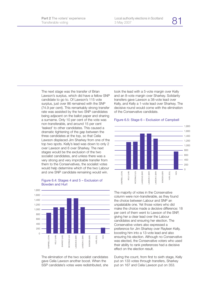The next stage was the transfer of Brian Lawson's surplus, which did have a fellow SNP candidate to go to. Of Lawson's 115 vote surplus, just over 86 remained with the SNP (74.9 per cent). This remarkably strong transfer rate was assisted by the two SNP candidates being adjacent on the ballot paper and sharing a surname. Only 10 per cent of the vote was non-transferable, and around 15 per cent 'leaked' to other candidates. This caused a dramatic tightening of the gap between the three candidates at the top, so that Celia Lawson displaced Jim Sharkey from one of the top two spots. Kelly's lead was down to only 2 over Lawson and 6 over Sharkey. The next stages would be the exclusion of the two socialist candidates, and unless there was a very strong and very improbable transfer from them to the Conservatives, the socialist votes would help determine which of the two Labour and one SNP candidate remaining would win.

#### Figure 6.4: Stages 4 and 5 – Exclusion of Bowden and Hurl



The elimination of the two socialist candidates gave Celia Lawson another boost. When the SSP candidate's votes were redistributed, she took the lead with a 5-vote margin over Kelly and an 8-vote margin over Sharkey. Solidarity transfers gave Lawson a 38-vote lead over Kelly, and Kelly a 1-vote lead over Sharkey. The decisive round would come with the elimination of the Conservative candidate.

#### Figure 6.5: Stage 6 – Exclusion of Campbell



The majority of votes in the Conservative column were non-transferable, as they found the choice between Labour and SNP an unpalatable one. Yet those voters who did make the choice made a decisive difference: 18 per cent of them went to Lawson of the SNP, giving her a clear lead over the Labour candidates and ensuring her election. The Conservative voters also expressed a preference for Jim Sharkey over Rayleen Kelly, boosting him into a 13-vote lead and also ensuring his election. Although no Conservative was elected, the Conservative voters who used their ability to rank preferences had a decisive effect on the election result.

During the count, from first to sixth stage, Kelly put on 133 votes through transfers, Sharkey put on 167 and Celia Lawson put on 353.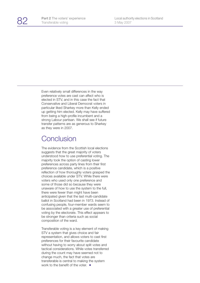Even relatively small differences in the way preference votes are cast can affect who is elected in STV, and in this case the fact that Conservative and Liberal Democrat voters in particular liked Sharkey more than Kelly ended up getting him elected. Kelly may have suffered from being a high-profile incumbent and a strong Labour partisan. We shall see if future transfer patterns are as generous to Sharkey as they were in 2007.

## **Conclusion**

The evidence from the Scottish local elections suggests that the great majority of voters understood how to use preferential voting. The majority took the option of casting lower preferences across party lines from their first preference candidate, which is a positive reflection of how thoroughly voters grasped the choices available under STV. While there were voters who used only one preference and some of those did so because they were unaware of how to use the system to the full, there were fewer than might have been anticipated given that the last multi-candidate ballot in Scotland had been in 1973. Instead of confusing people, four-member wards seem to be associated with a greater use of preferential voting by the electorate. This effect appears to be stronger than criteria such as social composition of the ward.

Transferable voting is a key element of making STV a system that gives choice and fair representation, and allows voters to cast first preferences for their favourite candidate without having to worry about split votes and tactical considerations. While votes transferred during the count may have seemed not to change much, the fact that votes are transferable is central to making the system work to the benefit of the voter.  $\blacksquare$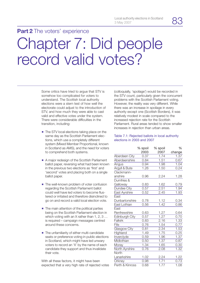### **Part 2** The voters' experience

## Chapter 7: Did people record valid votes?

Some critics have tried to argue that STV is somehow too complicated for voters to understand. The Scottish local authority elections were a stern test of how well the electorate could adjust to the introduction of STV, and how much they were able to cast valid and effective votes under the system. There were considerable difficulties in the transition, including:

- The STV local elections taking place on the same day as the Scottish Parliament elections, which use a completely different system (Mixed Member Proportional, known in Scotland as AMS), and the need for voters to comprehend both systems.
- A major redesign of the Scottish Parliament ballot paper, reversing what had been known in the previous two elections as 'first' and 'second' votes and placing both on a single ballot paper.
- **The well-known problem of voter confusion** regarding the Scottish Parliament ballot could well have led voters to become flustered or irritated and therefore disinclined to go on and record a valid local election vote.
- The main attention of the political parties being on the Scottish Parliament election in which voting with an X rather than 1, 2, 3 ... is required – campaign messages centred around these concerns.
- **The unfamiliarity of either multi-candidate** seats or preference voting in public elections in Scotland, which might have led unwary voters to record an 'X' by the name of each candidate they support and thus invalidate their vote.

With all these factors, it might have been expected that a very high rate of rejected votes (colloquially, 'spoilage') would be recorded in the STV count, particularly given the concurrent problems with the Scottish Parliament voting. However, the reality was very different. While there was an increase in spoilage in every authority except one (Scottish Borders), it was relatively modest in scale compared to the increased rejection rate for the Scottish Parliament. Rural areas tended to show smaller increases in rejection than urban areas.

#### Table 7.1: Rejected ballots in local authority elections in 2003 and 2007

|                 | % spoil | % spoil | %      |
|-----------------|---------|---------|--------|
|                 | 2003    | 2007    | change |
| Aberdeen City   | 0.37    | 1.74    | 1.37   |
| Aberdeenshire   | 0.84    | 1.51    | 0.67   |
| Angus           | 0.94    | 1.98    | 1.04   |
| Argyll & Bute   | 1.26    | 1.50    | 0.24   |
| Clackmann-      |         |         |        |
| anshire         | 0.96    | 2.24    | 1.28   |
| Dumfries &      |         |         |        |
| Galloway        | 0.83    | 1.62    | 0.79   |
| Dundee City     | 0.57    | 2.51    | 1.94   |
| East Ayrshire   | 0.52    | 2.45    | 1.93   |
| East            |         |         |        |
| Dunbartonshire  | 0.78    | 1.12    | 0.34   |
| East Lothian    | 0.56    | 1.42    | 0.86   |
| East            |         |         |        |
| Renfrewshire    | 0.63    | 1.27    | 0.64   |
| Edinburgh City  | 0.57    | 1.27    | 0.70   |
| <b>Falkirk</b>  | 0.83    | 2.16    | 1.33   |
| Fife            | 0.76    | 1.54    | 0.77   |
| Glasgow City    | 0.81    | 2.34    | 1.53   |
| Highland        | 1.49    | 1.75    | 0.25   |
| Inverclyde      | 0.59    | 1.96    | 1.37   |
| Midlothian      | 0.50    | 1.37    | 0.87   |
| Moray           | 1.34    | 1.65    | 0.30   |
| North Ayrshire  | 0.76    | 2.08    | 1.32   |
| North           |         |         |        |
| Lanarkshire     | 1.02    | 2.24    | 1.22   |
| Orkney          | 0.98    | 1.71    | 0.73   |
| Perth & Kinross | 0.68    | 1.77    | 1.08   |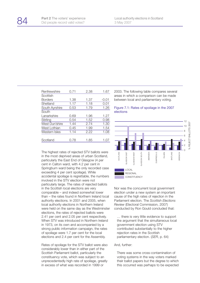| Renfrewshire   | 0.71 | 2.38 | 1.67    |
|----------------|------|------|---------|
| Scottish       |      |      |         |
| <b>Borders</b> | 1.38 | 1.37 | $-0.01$ |
| Shetland       | 1.17 | 1.18 | 0.01    |
| South Ayrshire | 0.53 | 1.79 | 1.26    |
| South          |      |      |         |
| Lanarkshire    | 0.69 | 1.96 | 1.27    |
| Stirling       | 0.54 | 1.52 | 0.98    |
| West Dun'shire | 1.44 | 2.74 | 1.30    |
| West Lothian   | 0.45 | 1.99 | 1.54    |
| Western Isles  | 1.14 | 2.22 | 1.08    |
|                |      |      |         |
| Scotland       | 0.78 | 1.85 | 1.07    |
|                |      |      |         |

The highest rates of rejected STV ballots were in the most deprived areas of urban Scotland, particularly the East End of Glasgow (4 per cent in Calton ward, with 4.2 per cent in Springburn ward being the only recorded case exceeding 4 per cent spoilage). While accidental spoilage is regrettable, the numbers involved in the STV election were not particularly large. The rates of rejected ballots in the Scottish local elections are very comparable – and indeed somewhat lower than – the rates found in Northern Ireland local authority elections. In 2001 and 2005, when local authority elections in Northern Ireland were held on the same day as the Westminster elections, the rates of rejected ballots were 2.41 per cent and 2.05 per cent respectively. When STV was introduced in Northern Ireland in 1973, on its own and accompanied by a strong public information campaign, the rates of spoilage were 1.7 per cent for the local elections and 2.4 per cent for the Assembly.

Rates of spoilage for the STV ballot were also considerably lower than in either part of the Scottish Parliament ballot, particularly the constituency vote, which was subject to an unprecedentedly high rate of spoilage, greatly in excess of what was recorded in 1999 or

2003. The following table compares several areas in which a comparison can be made between local and parliamentary voting.





Nor was the concurrent local government election under a new system an important cause of the high rates of rejection in the Parliament election. The *Scottish Elections Review* (Electoral Commission, 2007) conducted by Ron Gould concluded that:

… there is very little evidence to support the argument that the simultaneous local government election using STV contributed substantially to the higher rejection rates in the Scottish parliamentary election. (*SER*, p. 64)

#### And, further:

There was some cross-contamination of voting systems in the way voters marked their ballot papers but the degree to which this occurred was perhaps to be expected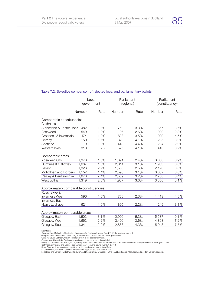#### Table 7.2: Selective comparison of rejected local and parliamentary ballots

|                                         | Local<br>government |      |        | Parliament<br>(regional) |        | Parliament<br>(constituency) |  |
|-----------------------------------------|---------------------|------|--------|--------------------------|--------|------------------------------|--|
|                                         | Number              | Rate | Number | Rate                     | Number | Rate                         |  |
| Comparable constituencies               |                     |      |        |                          |        |                              |  |
| Caithness,                              |                     |      |        |                          |        |                              |  |
| <b>Sutherland &amp; Easter Ross</b>     | 482                 | 1.8% | 759    | 3.3%                     | 867    | 3.7%                         |  |
| Eastwood                                | 549                 | 1.3% | 1,107  | 2.6%                     | 990    | 2.3%                         |  |
| Greenock & Inverclyde                   | 474                 | 1.9% | 838    | 3.5%                     | 1,099  | 4.5%                         |  |
| Orkney                                  | 150                 | 1.7% | 370    | 4.1%                     | 285    | 3.2%                         |  |
| Shetland                                | 119                 | 1.2% | 442    | 4.4%                     | 294    | 2.9%                         |  |
| Western Isles                           | 310                 | 2.2  | 575    | 4.1%                     | 446    | 3.2%                         |  |
| Comparable areas                        |                     |      |        |                          |        |                              |  |
| Aberdeen City                           | 1,370               | 1.8% | 1,891  | 2.4%                     | 3,088  | 3.9%                         |  |
| Dumfries & Galloway                     | 1,067               | 1.6% | 2,014  | 3.1%                     | 1,983  | 3.0%                         |  |
| Falkirk                                 | 1,326               | 2.2% | 1,536  | 2.5%                     | 2,176  | 3.6%                         |  |
| Midlothian and Borders                  | 1,152               | 1.4% | 2,598  | 3.1%                     | 3,062  | 3.6%                         |  |
| Paisley & Renfrewshire                  | 1,870               | 2.4% | 2,539  | 3.2%                     | 2,738  | 3.4%                         |  |
| West Lothian                            | 1,319               | 2.0% | 1,987  | 3.0%                     | 3,356  | 5.1%                         |  |
| Approximately comparable constituencies |                     |      |        |                          |        |                              |  |
| Ross, Skye &                            |                     |      |        |                          |        |                              |  |
| <b>Inverness West</b>                   | 596                 | 1.8% | 753    | 2.3%                     | 1,419  | 4.3%                         |  |
| Inverness East,                         |                     |      |        |                          |        |                              |  |
| Nairn, Lochaber                         | 621                 | 1.6% | 895    | 2.2%                     | 1,249  | 3.1%                         |  |
| Approximately comparable areas          |                     |      |        |                          |        |                              |  |
| Glasgow East                            | 1,502               | 3.1% | 2,909  | 5.3%                     | 5,587  | 10.1%                        |  |
| Glasgow West                            | 1,662               | 2.2% | 2,406  | 3.6%                     | 4,808  | 7.2%                         |  |
| Glasgow South                           | 1,341               | 2.0% | 2,883  | 4.3%                     | 5,043  | 7.5%                         |  |

Definitions:<br>Glasgow East: Baillieston, Shettleston, Springburn for Parliament; wards 9 and 17–21 for local government.<br>Glasgow East: Baillieston, Kelvin, Maryhill for Parliament; wards 10–16 for local government.<br>Glasgow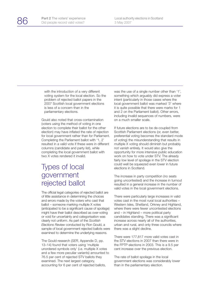with the introduction of a very different voting system for the local election. So the problem of rejected ballot papers in the 2007 Scottish local government elections is less of a concern than in the parliamentary elections.

Gould also noted that cross-contamination (voters using the method of voting in one election to complete their ballot for the other election) may have inflated the rate of rejection for local government rather than for Parliament. Completing the Parliament ballot with '1, 2' resulted in a valid vote if these were in different columns (candidate and party list), while completing the local government ballot with two X votes rendered it invalid.

## Types of local government rejected ballot

The official legal categories of rejected ballot are of little assistance in determining the choices and errors made by the voters who cast that ballot – someone marking multiple X votes (anticipated to be a significant cause of spoilage) might have their ballot described as over-voting or void for uncertainty and categorisation was clearly not uniform. As part of the *Scottish Elections Review* conducted by Ron Gould, a sample of local government rejected ballots were examined to determine the underlying reasons.

The Gould research (*SER*, Appendix D, pp. 13–14) found that voters using 'multiple unordered symbols only' (i.e. multiple X votes and a few more peculiar variants) amounted to 76.5 per cent of rejected STV ballots they examined. The next largest category, accounting for 6 per cent of rejected ballots,

was the use of a single number other than '1', something which arguably did express a voter intent (particularly in those cases where the local government ballot was marked '3' where it is quite possible that there were marks for 1 and 2 on the Parliament ballot). Other errors, including invalid sequences of numbers, were on a much smaller scale.

If future elections are to be de-coupled from Scottish Parliament elections (or, even better, preferential voting becomes the standard mode of voting) the misunderstanding that results in multiple X voting should diminish but probably not vanish entirely. It would also give the opportunity for more intensive public education work on how to vote under STV. The already fairly low level of spoilage in the STV election could well be squeezed even lower in future elections in Scotland.

The increase in party competition (no seats going uncontested) and the increase in turnout resulted in a general increase in the number of valid votes in the local government elections.

There were particularly large increases in valid votes cast in the most rural local authorities – Western Isles, Shetland, Orkney and Highland, where there were fewer uncontested elections and – in Highland – more political party candidates standing. There was a significant increase across nearly all of the authorities, urban and rural, and only three councils where there was a slight decline.

There were 177,817 more valid votes cast in the STV elections in 2007 than there were in the FPTP elections in 2003. This is a 9.5 per cent increase over the previous election.

The rate of ballot spoilage in the local government elections was considerably lower than in the parliamentary election.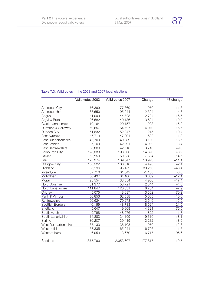#### Table 7.3: Valid votes in the 2003 and 2007 local elections

|                         | Valid votes 2003 | Valid votes 2007 | Change   | % change |
|-------------------------|------------------|------------------|----------|----------|
| Aberdeen City           | 76,399           | 77,369           | 970      | $+1.3$   |
| Aberdeenshire           | 83,550           | 95,944           | 12,394   | $+14.8$  |
| Angus                   | 41,999           | 44,723           | 2,724    | $+6.5$   |
| Argyll & Bute           | 36,582           | 40,186           | 3,604    | $+9.9$   |
| Clackmannanshire        | 19,164           | 20,157           | 993      | $+5.2$   |
| Dumfries & Galloway     | 60,657           | 64,727           | 4,070    | $+6.7$   |
| Dundee City             | 51,832           | 52,047           | 215      | $+0.4$   |
| East Ayrshire           | 47,713           | 47,091           | $-622$   | $-1.3$   |
| East Dunbartonshire     | 46,709           | 49,839           | 3,130    | $+6.7$   |
| East Lothian            | 37,109           | 42,091           | 4,982    | $+13.4$  |
| East Renfrewshire       | 38,800           | 42,516           | 3,716    | $+9.6$   |
| Edinburgh City          | 178,333          | 193,006          | 14,673   | $+8.2$   |
| <b>Falkirk</b>          | 52,259           | 59,953           | 7,694    | $+14.7$  |
| Fife                    | 125,374          | 139,347          | 13,973   | $+11.1$  |
| Glasgow City            | 183,522          | 188,018          | 4,496    | $+2.4$   |
| Highland                | 65,196           | 95,452           | 30,256   | $+46.4$  |
| Inverclyde              | 32,710           | 31,542           | $-1,168$ | $-3.6$   |
| Midlothian              | 30,437           | 34,106           | 3,669    | $+12.1$  |
| Moray                   | 28,554           | 33,534           | 4,980    | $+17.4$  |
| North Ayrshire          | 51,377           | 53,721           | 2,344    | $+4.6$   |
| North Lanarkshire       | 111,847          | 120,631          | 8,784    | $+7.9$   |
| Orkney                  | 5,075            | 8,637            | 3,562    | $+70.2$  |
| Perth & Kinross         | 56,853           | 62,538           | 5,685    | $+10.0$  |
| Renfrewshire            | 66,624           | 70,273           | 3,649    | $+5.5$   |
| <b>Scottish Borders</b> | 40,159           | 48,783           | 8,624    | $+21.5$  |
| Shetland                | 5,647            | 9,968            | 4,321    | $+76.5$  |
| South Ayrshire          | 49,798           | 48,976           | $-822$   | $-1.7$   |
| South Lanarkshire       | 114,883          | 124,199          | 9,316    | $+8.1$   |
| Stirling                | 36,207           | 39,419           | 3,212    | $+8.9$   |
| West Dunbartonshire     | 35,133           | 36,103           | 970      | $+2.8$   |
| West Lothian            | 58,335           | 65,041           | 6,706    | $+11.5$  |
| Western Isles           | 6,953            | 13,670           | 6,717    | $+96.6$  |
| Scotland                | 1,875,790        | 2,053,607        | 177,817  | $+9.5$   |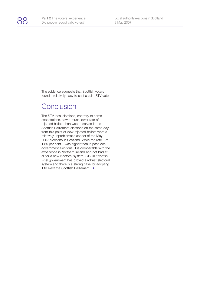The evidence suggests that Scottish voters found it relatively easy to cast a valid STV vote.

## **Conclusion**

The STV local elections, contrary to some expectations, saw a much lower rate of rejected ballots than was observed in the Scottish Parliament elections on the same day; from this point of view rejected ballots were a relatively unproblematic aspect of the May 2007 elections in Scotland. While the rate – at 1.85 per cent – was higher than in past local government elections, it is comparable with the experience in Northern Ireland and not bad at all for a new electoral system. STV in Scottish local government has proved a robust electoral system and there is a strong case for adopting it to elect the Scottish Parliament.  $\blacksquare$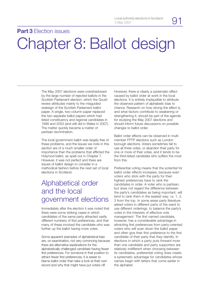### **Part 3** Election issues

# Chapter 8: Ballot design

The May 2007 elections were overshadowed by the large number of rejected ballots in the Scottish Parliament election, which the Gould review attributes mainly to the misguided redesign of the Scottish Parliament ballot paper. A single, two-column paper replaced the two separate ballot papers which had listed constituency and regional candidates in 1999 and 2003 (and still did in Wales in 2007). The matter quickly became a matter of partisan recrimination.

The local government ballot was largely free of these problems, and the issues we note in this section are of a much smaller order of importance than the problems that afflicted the Holyrood ballot, as spelt out in Chapter 7. However, it was not perfect and there are issues of ballot design to consider in a methodical fashion before the next set of local elections in Scotland.

## Alphabetical order and the local government elections

Immediately after the election it was noted that there were some striking cases in which candidates of the same party attracted vastly different numbers of first preferences, and that many of these involved the candidate who was further up the ballot having more votes.

Some apparent examples of alphabetical bias are, on examination, not very convincing because there are alternative explanations for the alphabetically challenged candidate having fewer first preferences. For someone in that position to attract fewer first preferences, it is easier to blame ballot order than take a look at their own record and why that might have put voters off.

However, there is clearly a systematic effect caused by ballot order at work in the local elections. It is entirely implausible to attribute the observed pattern of alphabetic bias to chance. Research on how strong the effect is, and what factors contribute to weakening or strengthening it, should be part of the agenda for studying the May 2007 elections and should inform future discussions on possible changes to ballot order.

Ballot order effects can be observed in multimember FPTP elections such as London borough elections. Voters sometimes fail to use all three votes, or abandon their party for one or more of their votes, and it tends to be the third-listed candidate who suffers the most from this.

Preferential voting means that the potential for ballot order effects increases, because even voters who stick with the party for their highest preferences have to rank the candidates in order. A voter who is partisan, but does not regard the difference between the party's candidates as being important, will tend to rank them in the easiest way, i.e. 1, 2, 3 from the top. In some areas party literature asked voters in different parts of the ward to use different orderings, to balance the party's votes in the interests of effective vote management. The first named candidate, however, has a considerable advantage in attracting first preferences from party-oriented voters who will scan down the ballot paper and often give their first preference to the first candidate of their party that they identify. In elections in which a party puts forward more than one candidate and party supporters are relatively indifferent when choosing between its candidates, preferential voting does create a systematic advantage for candidates whose names begin with letters that come earlier in the alphabet.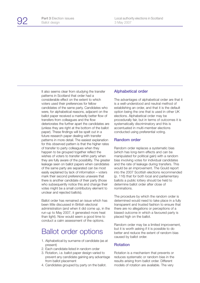It also seems clear from studying the transfer patterns in Scotland that order had a considerable effect on the extent to which voters used their preferences for fellow candidates of the same party. Candidates who were, for alphabetical reasons, adjacent on the ballot paper received a markedly better flow of transfers from colleagues and the flow deteriorates the further apart the candidates are (unless they are right at the bottom of the ballot paper). These findings will be spelt out in a future research paper dealing with transfer patterns in more detail. The easiest explanation for this observed pattern is that the higher rates of transfer to party colleagues when they happen to be grouped together reflect the wishes of voters to transfer within party when they are fully aware of the possibility. The greater leakage seen on ballot papers when candidates of the same party are separated can be most easily explained by lack of information – voters mark their second preferences unaware that there is another candidate of their party (those who subsequently notice this and change their votes might be a small contributory element to unclear and rejected ballots).

Ballot order has remained an issue which has been little discussed in British electoral administration (and when it did come up, in the run-up to May 2007, it generated more heat than light). Now would seem a good time to conduct a calm assessment of the options.

## Ballot order options

- 1. Alphabetical by surname of candidate (as at present)
- 2. Each candidate listed in random order
- 3. Rotation, i.e. ballot paper design varied to prevent any candidate gaining any advantage from ballot placement
- 4. Candidates grouped by party on the ballot.

#### Alphabetical order

The advantages of alphabetical order are that it is a well-understood and neutral method of establishing an order, and that it is the default option being the one that is used in other UK elections. Alphabetical order may be procedurally fair, but in terms of outcomes it is systematically discriminatory and this is accentuated in multi-member elections conducted using preferential voting.

#### Random order

Random order replaces a systematic bias (which has long-term effects and can be manipulated for political gain) with a random bias involving votes for individual candidates and the rate of leakage during transfers. This would be an improvement. The Gould report into the 2007 Scottish elections recommended (p. 116) that for both local and parliamentary ballots a public lottery should be held to determine ballot order after close of nominations.

The procedure by which the random order is determined would need to take place in a fully transparent and trusted fashion to ensure that there are no allegations or perceptions of a biased outcome in which a favoured party is placed high on the ballot.

Random order may be a limited improvement, but it is worth asking if it is possible to do better and reduce the extent of random bias caused by ballot order.

#### **Rotation**

Rotation is a mechanism that prevents or reduces systematic or random bias in the results arising from ballot order. Different models of rotation are available. The very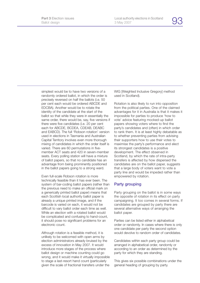simplest would be to have two versions of a randomly ordered ballot, in which the order is precisely reversed on half the ballots (i.e. 50 per cent each would be ordered ABCDE and EDCBA). Another would be to rotate the identity of the candidate at the start of the ballot so that while they were in essentially the same order, there would be, say, five versions if there were five candidates (i.e. 20 per cent each for ABCDE, BCDEA, CDEAB, DEABC and EABCD). The full 'Robson rotation' version used in elections in Tasmania and Australian Capital Territory involves even more thorough mixing of candidates in which the order itself is varied. There are 60 permutations in fivemember ACT seats and 420 in seven-member seats. Every polling station will have a mixture of ballot papers, so that no candidate has an advantage from being prominently positioned in the ballot papers going to a strong ward.

Even full-scale Robson rotation is more technically feasible than it has ever been. The system of bar-coding ballot papers (rather than the previous need to make an official mark on a generically printed ballot paper) means that each Scottish local authority ballot paper is already a unique printed image, and if the barcode is varied on each, it would not be difficult to vary ballot order each time as well. While an election with a rotated ballot would be complicated and confusing to hand-count, it should pose no significant problems for an electronic count.

Although rotation is a feasible method, it is unlikely to be welcomed with open arms by election administrators already bruised by the excess of innovation in May 2007. It would introduce more stages of the process where ballot design or machine counting could go wrong, and it would make it virtually impossible to stage a last-resort hand count (particularly given the scale of fractional transfers under the

WIG [Weighted Inclusive Gregory] method used in Scotland).

Rotation is also likely to run into opposition from the political parties. One of the claimed advantages for it in Australia is that it makes it impossible for parties to produce 'how to vote' advice featuring mocked-up ballot papers showing voters where to find the party's candidates and (often) in which order to rank them. It is at least highly debatable as to whether preventing parties from advising their supporters how to use their votes to maximise the party's performance and elect its strongest candidates is a positive development. The effect observed in Scotland, by which the rate of intra-party transfers is affected by how dispersed the candidates are on the ballot paper, suggests that a large body of voters want to vote a party line and would be impeded rather than empowered by rotation.

#### Party grouping

Party grouping on the ballot is in some ways the opposite of rotation in its effect on party campaigning. It too comes in several forms. If candidates are grouped by party there are several alternative ways of arranging the ballot paper.

Parties can be listed either in alphabetical order or randomly. In cases where there is only one candidate per party the second option would devolve to random order of candidates.

Candidates within each party group could be arranged in alphabetical order, randomly or according to an order as determined by the party for which they are standing.

This gives six possible combinations under the general heading of grouping by party.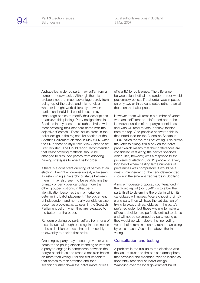Alphabetical order by party may suffer from a number of drawbacks. Although there is probably not that much advantage purely from being top of the ballot, and it is not clear whether it might work differently between parties and individual candidates, it may encourage parties to modify their descriptions to achieve this placing. Party designations in Scotland in any case are all rather similar, with most prefacing their standard name with the adjective 'Scottish'. These issues arose in the ballot design in the regional list section of the Scottish Parliament election in May 2007 when the SNP chose to style itself 'Alex Salmond for First Minister'. The Gould report recommended that ballot ordering methods should be changed to dissuade parties from adopting naming strategies to affect ballot order.

If there is a consistent ordering of parties at an election, it might – however unfairly – be seen as establishing a hierarchy of status between them. It may also seem to be establishing the primacy of party over candidate more than other grouped options, in that party identification becomes the main criterion determining ballot placement. The placement of Independent and non-party candidates also becomes problematic, as seen in the Scottish Parliament ballot, when they are relegated to the bottom of the paper.

Random ordering by party suffers from none of these issues, although once again there needs to be a decision process that is impeccably trustworthy to decide that order.

Grouping by party may encourage voters who come to the polling station intending to vote for a party to engage in comparison between the party's candidates and reach a decision based on more than voting 1 for the first candidate that comes to their attention and then scanning further down the ballot (more or less

efficiently) for colleagues. The difference between alphabetical and random order would presumably be less if that order was imposed on only two or three candidates rather than all those on the ballot paper.

However, there will remain a number of voters who are indifferent or uninformed about the individual qualities of the party's candidates and who will tend to vote 'donkey' fashion from the top. One possible answer to this is that introduced for the Australian Senate in 1984, called 'above the line' voting. This allows the voter to simply tick a box on the ballot paper which means that their preferences are considered cast along the party's specified order. This, however, was a response to the problems of electing 6 or 12 people on a very long ballot where casting large numbers of preferences was compulsory. It would be a drastic infringement of the candidate-centred choice in the smaller-sized wards in Scotland.

A more moderate proposal, countenanced in the Gould report (pp. 60–61) is to allow the party itself to determine the order in which its candidates will appear. Voters choosing simply along party lines will have the satisfaction of trying to elect their candidates in the party's preferred order, but those wishing to make a different decision are perfectly entitled to do so and will not be swamped by party voting as they would be with 'above the line' voting. Voter choice remains central, rather than being by-passed as in Australian 'above the line' voting.

#### Consultation and testing

A problem in the run-up to the elections was the lack of trust and the partisan atmosphere that prevailed and extended even to issues as apparently technical as ballot design. Wrangling over the local government ballot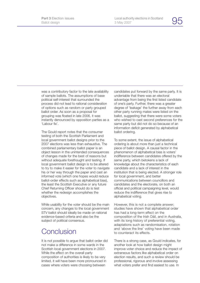was a contributory factor to the late availability of sample ballots. The assumptions of base political self-interest that surrounded the process did not lead to rational consideration of options such as random or party grouped ballot order. As soon as a proposal for grouping was floated in late 2006, it was instantly denounced by opposition parties as a 'Labour fix'.

The Gould report notes that the consumer testing of both the Scottish Parliament and local government ballot designs prior to the 2007 elections was less than exhaustive. The combined parliamentary ballot paper is an object lesson in the unintended consequences of changes made for the best of reasons but without adequate forethought and testing. If local government ballot design is to be altered to try to make it easier for the voter to navigate his or her way through the paper and cast an informed vote (which one hopes would reduce ballot-order effects such as alphabetical bias), the least the Scottish Executive or any future Chief Returning Officer should do is test whether the redesign accomplishes the objectives.

While usability for the voter should be the main concern, any changes to the local government STV ballot should ideally be made on rational evidence-based criteria and also be the subject of political consensus.

## **Conclusion**

It is not possible to argue that ballot order did not make a difference in some wards in the Scottish local government elections in 2007. While the effect on the overall party composition of authorities is likely to be very limited, it will have been more pronounced in cases where voters were choosing between

candidates put forward by the same party. It is undeniable that there was an electoral advantage from being the first listed candidate of one's party. Further, there was a greater degree of 'leakage' the further away from each other party running mates were listed on the ballot, suggesting that there were some voters who wished to cast second preferences for the same party but did not do so because of an information deficit generated by alphabetical ballot ordering.

To some extent, the issue of alphabetical ordering is about more than just a technical piece of ballot design. A causal factor in the phenomenon of alphabetical bias is voters' indifference between candidates offered by the same party, which betokens a lack of knowledge about the characteristics of each candidate and a lack of interest in the institution that is being elected. A stronger role for local government, and better communications between councillors and candidates and the electorate, on both an official and political campaigning level, would reduce the indifference that gives rise to alphabetical voting.

However, this is not a complete answer; studies have shown that alphabetical order has had a long-term effect on the composition of the Irish Dáil, and in Australia, with its long history of preferential voting. adaptations such as randomisation, rotation and 'above the line' voting have been made to counteract its effects.

There is a strong case, as Gould indicates, for another look at how ballot design might improve voter choice and reduce the impact of extraneous factors like alphabetical order on election results, and such a review should be professional, rigorous and involve assessing what voters prefer and find easiest to use. In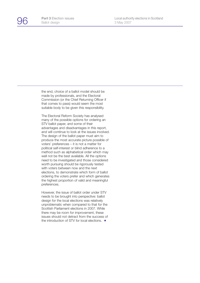the end, choice of a ballot model should be made by professionals, and the Electoral Commission (or the Chief Returning Officer if that comes to pass) would seem the most suitable body to be given this responsibility.

The Electoral Reform Society has analysed many of the possible options for ordering an STV ballot paper, and some of their advantages and disadvantages in this report, and will continue to look at the issues involved. The design of the ballot paper must aim to produce the most accurate picture possible of voters' preferences – it is not a matter for political self-interest or blind adherence to a method such as alphabetical order which may well not be the best available. All the options need to be investigated and those considered worth pursuing should be rigorously tested with voters between now and the next elections, to demonstrate which form of ballot ordering the voters prefer and which generates the highest proportion of valid and meaningful preferences.

However, the issue of ballot order under STV needs to be brought into perspective: ballot design for the local elections was relatively unproblematic when compared to that for the Scottish Parliament elections in 2007. While there may be room for improvement, these issues should not detract from the success of the introduction of STV for local elections.  $\blacksquare$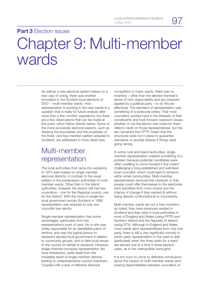### **Part 3** Election issues

## Chapter 9: Multi-member wards

As well as a new electoral system based on a new way of voting, there was another innovation in the Scottish local elections of 2007 – multi-member wards. How representation is working in the new wards is a question that is really for future analysis after more than a few months' experience, but there are a few observations that can be made at this point, which follow directly below. Some of the more exclusively electoral aspects, such as drawing the boundaries and the properties of the three- and four-member pattern adopted in Scotland, are addressed in more detail here.

## Multi-member representation

The local authorities that came into existence in 1975 were based on single-member electoral districts, in contrast to the usual pattern in the predecessor authorities of multimember wards. Other than in the Island authorities, however, the elector still had two councillors – one for the Regional council, one for the District. With the move to single-tier local government across Scotland in 1995, representation was reduced to only one councillor per elector.

Single-member representation had some advantages, particularly from the representative's point of view. He or she was solely responsible for an identifiable patch of territory, and was the logical person to represent elected local government in relation to community groups, and to take local issues to the council on behalf of residents. However, single-channel monopoly representation did have drawbacks, quite aside from the inevitable result of single-member districts leading to unrepresentative council chambers. Coupled with a lack of effective electoral

competition in many wards, there was no incentive – other than the elected member's sense of civic responsibility and any pressure applied by a political party  $-$  to do the job effectively. The standard of representation was something of a postcode lottery. That most councillors worked hard in the interests of their constituents and took forward casework issues whether or not the elector had voted for them reflects credit on those representatives, but the fact remained that FPTP meant that the structures were not in place to guarantee standards or provide redress if things were going wrong.

In some rural and Island authorities, singlemember representation created something of a problem because potential candidates were often unwilling to come forward if that meant challenging a long-established and well-liked local councillor, which could lead to tensions within small communities. Multi-member representation removed this obstacle, in that people could offer themselves to the electorate (who benefited from more choice and the chance of change if they wanted it) without being directly confrontational to incumbents.

Multi-member wards are not a new invention; as noted, they have previously existed in Scotland and they exist in local authorities in most of England and Wales (using FPTP) and Northern Ireland and the Republic of Ireland (using STV). Although in England and Wales most wards elect representatives from only one party, there is still a very significant minority in which party representation in the ward is split (particularly when the three seats for a ward are elected one at a time in three election years, as in the metropolitan boroughs).

It is too soon to come to definitive conclusions about the impact of multi-member wards (and sharing responsibilities between councillors of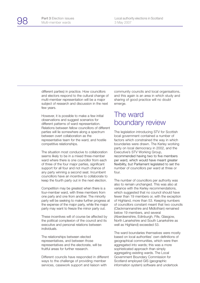different parties) in practice. How councillors and electors respond to the cultural change of multi-member representation will be a major subject of research and discussion in the next few years.

However, it is possible to make a few initial observations and suggest scenarios for different patterns of ward representation. Relations between fellow councillors of different parties will lie somewhere along a spectrum between overt collaboration as the representative team for the ward, and hostile competitive relationships.

The situation most conducive to collaboration seems likely to be in a mixed three-member ward where there is one councillor from each of three of the four major parties, significant support for all four and not much chance of any party winning a second seat. Incumbent councillors have an incentive to collaborate to keep the fourth party out in the next election.

Competition may be greatest when there is a four-member ward, with three members from one party and one from another. The minority party will be seeking to make further progress at the expense of the major party, while the major party may want to freeze the minor party out.

These incentives will of course be affected by the political complexion of the council and its executive and personal relations between individuals.

The relationships between elected representatives, and between those representatives and the electorate, will be fruitful areas for further research.

Different councils have responded in different ways to the challenge of providing member services, casework support and liaison with

community councils and local organisations, and this again is an area in which study and sharing of good practice will no doubt emerge.

## The ward boundary review

The legislation introducing STV for Scottish local government contained a number of factors which constrained the way in which boundaries were drawn. The Kerley working party on local democracy in 2002, and the Executive's STV Working Group, recommended having two to five members per ward, which would have meant greater flexibility, but Parliament legislated to set the number of councillors per ward at three or four.

The number of councillors per authority was also to remain unchanged. This was also at variance with the Kerley recommendations, which suggested that no council should have fewer than 19 members or, with the exception of Highland, more than 53. Keeping numbers of councillors constant meant that two councils (Clackmannanshire and Midlothian) remained below 19 members, and several (Aberdeenshire, Edinburgh, Fife, Glasgow, North Lanarkshire and South Lanarkshire as well as Highland) exceeded 53.

The ward boundaries themselves were mostly based on local authorities' own definitions of geographical communities, which were then aggregated into wards; this was a more sophisticated approach than simply aggregating existing wards. The Local Government Boundary Commission for Scotland employed GIS (geographic information system) software and undertook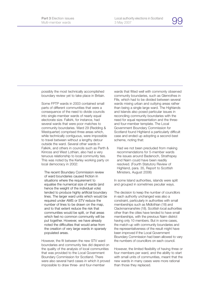possibly the most technically accomplished boundary review yet to take place in Britain.

Some FPTP wards in 2003 contained small parts of different communities that were a consequence of the need to divide councils into single-member wards of nearly equal electorate size. Falkirk, for instance, had several wards that were poor matches to community boundaries. Ward 29 (Redding & Westquarter) comprised three areas which, while technically contiguous, were impossible to travel between without a lengthy detour outside the ward. Several other wards in Falkirk, and others in councils such as Perth & Kinross and West Lothian, also had a very tenuous relationship to local community ties. This was noted by the Kerley working party on local democracy in 2002:

The recent Boundary Commission review of ward boundaries caused friction in situations where the requirement to equalise the numerical size of wards (and hence the weight of the individual vote) tended to produce highly artificial boundary lines. The larger ward units which would be required under AMS or STV reduce the number of lines to be drawn on the map, and to that extent reduce the risk that communities would be split, or that areas which feel no common community will be put together. However, we have already noted the difficulties that would arise from the creation of very large wards in sparsely populated areas.

However, the fit between the new STV ward boundaries and community ties did depend on the quality of the analysis of local communities that was provided to the Local Government Boundary Commission for Scotland. There were also several hard cases in which it proved impossible to draw three- and four-member

wards that fitted well with commonly observed community boundaries, such as Glenrothes in Fife, which had to be divided between several wards mixing urban and outlying areas rather than being a single large ward. The Highlands and Islands also posed particular issues in reconciling community boundaries with the need for equal representation and the threeand four-member template. The Local Government Boundary Commission for Scotland found Highland a particularly difficult case and ended up adopting a second-best scheme, noting that:

Had we not been precluded from making recommendations for 5-member wards the issues around Badenoch, Strathspey and Nairn could have been readily resolved. (Fourth Statutory Review of Highland, para. 35, Report to Scottish Ministers, August 2006)

In some Island authorities, islands were split and grouped in sometimes peculiar ways.

The decision to keep the number of councillors in each authority unchanged was also a constraint, particularly in authorities with small memberships such as Midlothian (18) and Clackmannanshire (18). Scottish local authorities other than the cities have tended to have small memberships, with the previous Nairn district having only 10 members. But in some cases, the match-up with community boundaries and the representativeness of the result might have been improved if the Local Government Boundary Commission had been allowed to vary the numbers of councillors on each council.

However, the limited flexibility of having three or four members per ward, and the ability to start with small units of communities, meant that the new wards in many cases were more rational than those they replaced.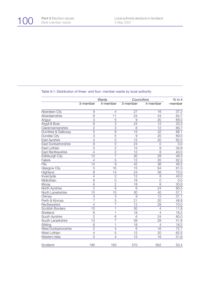### Table 9.1: Distribution of three- and four- member wards by local authority

|                         | Wards           |                         | Councillors     | $%$ in 4        |         |
|-------------------------|-----------------|-------------------------|-----------------|-----------------|---------|
|                         | 3-member        | 4-member                | 3-member        | 4-member        | -member |
| Aberdeen City           | $\overline{9}$  | $\overline{4}$          | $\overline{27}$ | 16              | 37.2    |
| Aberdeenshire           | $\overline{8}$  | $\overline{11}$         | $\overline{24}$ | $\overline{44}$ | 64.7    |
| Angus                   | $\overline{3}$  | $\overline{5}$          | $\overline{9}$  | $\overline{20}$ | 69.0    |
| Argyll & Bute           | $\overline{8}$  | $\overline{3}$          | $\overline{24}$ | $\overline{12}$ | 33.3    |
| Clackmannanshire        | $\overline{2}$  | $\overline{3}$          | $\overline{6}$  | $\overline{12}$ | 66.7    |
| Dumfries & Galloway     | $\overline{5}$  | $\overline{8}$          | $\overline{15}$ | $\overline{32}$ | 68.1    |
| Dundee City             | $\overline{3}$  | $\overline{5}$          | $\overline{9}$  | $\overline{20}$ | 69.0    |
| East Ayrshire           | $\overline{4}$  | $\overline{5}$          | $\overline{12}$ | $\overline{20}$ | 62.5    |
| East Dunbartonshire     | $\overline{8}$  | $\overline{0}$          | $\overline{24}$ | $\overline{O}$  | 0.0     |
| East Lothian            | $\overline{5}$  | $\overline{2}$          | $\overline{15}$ | $\overline{8}$  | 34.8    |
| East Renfrewshire       | $\overline{4}$  | $\overline{2}$          | $\overline{12}$ | $\overline{8}$  | 40.0    |
| Edinburgh City          | 10              | $\overline{7}$          | $\overline{30}$ | $\overline{28}$ | 48.3    |
| Falkirk                 | $\overline{4}$  | $\overline{5}$          | $\overline{12}$ | 20              | 62.5    |
| Fife                    | $\overline{14}$ | $\overline{9}$          | $\overline{42}$ | $\overline{36}$ | 46.2    |
| Glasgow City            | $\overline{5}$  | $\overline{16}$         | $\overline{15}$ | 64              | 81.0    |
| Highland                | $\overline{8}$  | 14                      | $\overline{24}$ | $\overline{56}$ | 70.0    |
| Inverclyde              | $\overline{4}$  | $\overline{2}$          | $\overline{12}$ | $\overline{8}$  | 40.0    |
| Midlothian              | $\overline{6}$  | $\overline{0}$          | $\overline{18}$ | $\overline{0}$  | 0.0     |
| Moray                   | $\overline{6}$  | $\overline{2}$          | $\overline{18}$ | $\overline{8}$  | 30.8    |
| North Ayrshire          | $\overline{2}$  | $\overline{6}$          | $\overline{6}$  | $\overline{24}$ | 80.0    |
| North Lanarkshire       | 10              | 10                      | $\overline{30}$ | 40              | 57.1    |
| Orkney                  | $\overline{3}$  | $\overline{3}$          | $\overline{9}$  | $\overline{12}$ | 57.1    |
| Perth & Kinross         | $\overline{7}$  | $\overline{5}$          | $\overline{21}$ | 20              | 48.8    |
| Renfrewshire            | $\overline{4}$  | $\overline{7}$          | $\overline{12}$ | $\overline{28}$ | 70.0    |
| <b>Scottish Borders</b> | 10              | $\mathbf 1$             | $\overline{30}$ | $\overline{4}$  | 11.8    |
| Shetland                | $\overline{6}$  | $\overline{\mathbb{1}}$ | $\overline{18}$ | $\overline{4}$  | 18.2    |
| South Ayrshire          | $\overline{2}$  | $\overline{6}$          | $\overline{6}$  | 24              | 80.0    |
| South Lanarkshire       | $\overline{13}$ | $\overline{7}$          | $\overline{39}$ | $\overline{28}$ | 41.8    |
| Stirling                | $\overline{6}$  | 1                       | $\overline{18}$ | $\overline{4}$  | 18.2    |
| West Dunbartonshire     | $\overline{2}$  | $\overline{4}$          | $\overline{6}$  | 16              | 72.7    |
| West Lothian            | $\overline{4}$  | $\overline{5}$          | $\overline{12}$ | 20              | 62.5    |
| Western Isles           | $\overline{5}$  | $\overline{4}$          | $\overline{15}$ | 16              | 51.6    |
| Scotland                | 190             | 163                     | 570             | 652             | 53.4    |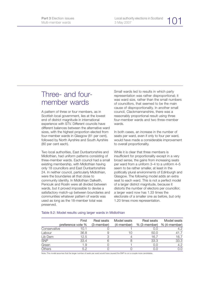## Three- and fourmember wards

A pattern of three or four members, as in Scottish local government, lies at the lowest end of district magnitude in international experience with STV. Different councils have different balances between the alternative ward sizes, with the highest proportion elected from four-member wards in Glasgow (81 per cent), followed by North Ayrshire and South Ayrshire (80 per cent each).

Two local authorities, East Dunbartonshire and Midlothian, had uniform patterns consisting of three-member wards. Each council had a small existing membership, with Midlothian having only 18 councillors and East Dunbartonshire 24. In neither council, particularly Midlothian, were the boundaries all that close to community identity. In Midlothian Dalkeith, Penicuik and Roslin were all divided between wards, but it proved impossible to devise a satisfactory match-up between boundaries and communities whatever pattern of wards was used as long as the 18-member total was preserved.

Small wards led to results in which party representation was rather disproportional; it was ward size, rather than the small numbers of councillors, that seemed to be the main cause of disproportionality. In another small council, Clackmannanshire, there was a reasonably proportional result using three four-member wards and two three-member wards.

In both cases, an increase in the number of seats per ward, even if only to four per ward, would have made a considerable improvement to overall proportionality.

While it is clear that three members is insufficient for proportionality except in a very broad sense, the gains from increasing seats per ward from a uniform 3–4 to a uniform 4–5 seem to be rather smaller, at least in the politically plural environments of Edinburgh and Glasgow. The following model adds an extra seat to each ward. This is not a perfect model of a larger district magnitude, because it distorts the number of electors per councillor; a larger ward now has 1.33 times the electorate of a smaller one as before, but only 1.20 times more representation.

#### Table 9.2: Model results using larger wards in Midlothian

|               | First             | Real seats | Model seats | Real seats   | Model seats  |
|---------------|-------------------|------------|-------------|--------------|--------------|
|               | preference vote % | (3-member) | (4-member)  | % (3-member) | % (4-member) |
| Conservative  | 10.1              |            |             | U.U          | 4.2          |
| Labour        | 36.8              |            |             | 50.0         | 41.7         |
| Lib Dem       | 12.5              |            |             | 16.7         | 16.7         |
| <b>SNP</b>    | 33.4              |            |             | 33.3         | 33.3         |
| Green         | 1.9               |            |             | 0.0          | 4.2          |
| <b>Others</b> | 5.2               |            |             | 0.O          | 0.0          |

Note: This model assumes that the larger number of seats per ward would have caused the SNP to run a couple more candidates.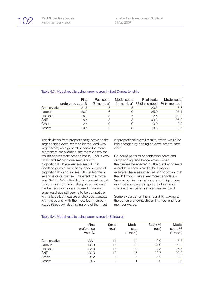#### Table 9.3: Model results using larger wards in East Dunbartonshire

|               | First             | Real seats | Model seats | Real seats   | Model seats  |
|---------------|-------------------|------------|-------------|--------------|--------------|
|               | preference vote % | (3-member) | (4-member)  | % (3-member) | % (4-member) |
| Conservative  | 21.6              |            |             | 20.8         | 15.6         |
| Labour        | 26.2              |            |             | 25.0         | 28.1         |
| Lib Dem       | 18.1              |            |             | 12.5         | 21.9         |
| SNP           | 18.4              |            |             | 33.3         | 25.0         |
| Green         | 2.4               |            |             | 0.0          | 0.0          |
| <b>Others</b> | 13.4              |            |             | 8.3          | 9.4          |
|               |                   |            |             |              |              |

The deviation from proportionality between the larger parties does seem to be reduced with larger seats; as a general principle the more seats there are available, the more closely the results approximate proportionality. This is why FPTP and AV, with one seat, are not proportional while even 3–4-seat STV in Scotland gives a surprisingly good degree of proportionality and six-seat STV in Northern Ireland is quite precise. The effect of a move from 3–4 to 4–5 in the Scottish context would be strongest for the smaller parties because the barriers to entry are lowered. However, large ward size still seems to be compatible with a large DV measure of disproportionality, with the council with the most four-member wards (Glasgow) also having one of the most

disproportional overall results, which would be little changed by adding an extra seat to each ward.

No doubt patterns of contesting seats and campaigning, and hence votes, would themselves be affected by the number of seats available in each ward (in the Glasgow example I have assumed, as in Midlothian, that the SNP would run a few more candidates). Smaller parties, for instance, might fight more vigorous campaigns inspired by the greater chance of success in a five-member ward.

Some evidence for this is found by looking at the patterns of contestation in three- and fourmember wards.

|               | First<br>preference<br>vote % | Seats<br>(real) | Model<br>seat<br>$(1$ more) | Seats %<br>(real) | Model<br>seats %<br>$(1$ more) |
|---------------|-------------------------------|-----------------|-----------------------------|-------------------|--------------------------------|
| Conservative  | 22.1                          |                 | 14                          | 19.0              | 18.7                           |
| Labour        | 22.9                          | 15              | 20                          | 25.9              | 26.7                           |
| Lib Dem       | 22.0                          |                 | 20                          | 29.3              | 26.7                           |
| <b>SNP</b>    | 20.3                          | 12              | 15                          | 20.7              | 20.0                           |
| Green         | 8.2                           | 3               | 5                           | 5.2               | 6.7                            |
| <b>Others</b> | 4.5                           |                 |                             | 0.0               | 1.3                            |

#### Table 9.4: Model results using larger wards in Edinburgh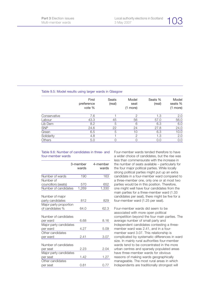#### Table 9.5: Model results using larger wards in Glasgow

|              | First<br>preference | Seats<br>(real) | Model<br>seat  | Seats %<br>(real) | Model<br>seats % |
|--------------|---------------------|-----------------|----------------|-------------------|------------------|
|              | vote %              |                 | (1 more)       |                   | $(1$ more)       |
| Conservative | 7.6                 |                 | $\overline{2}$ | 1.3               | 2.0              |
| Labour       | 43.3                | 45              | 56             | 57.0              | 56.0             |
| Lib Dem      | 8.2                 | 5               | 6              | 6.3               | 6.0              |
| <b>SNP</b>   | 24.6                | 22              | 24             | 27.8              | 24.0             |
| Green        | 6.5                 | 5               | 10             | 6.3               | 10.0             |
| Solidarity   | 4.8                 |                 | $\overline{2}$ | 1.3               | 2.0              |
| Others       | 5.0                 |                 | Ω              | 0.0               | 0.0              |

#### Table 9.6: Number of candidates in three- and four-member wards

|                                     | 3-member<br>wards | 4-member<br>wards |
|-------------------------------------|-------------------|-------------------|
| Number of wards                     | 190               | 163               |
| Number of                           |                   |                   |
| councillors (seats)                 | 570               | 652               |
| Number of candidates                | 1,269             | 1,330             |
| Number of major<br>party candidates | 812               | 829               |
| Major party proportion              |                   |                   |
| of candidates %                     | 64.0              | 62.3              |
| Number of candidates<br>per ward    | 6.68              | 8.16              |
| Major party candidates<br>per ward  | 4.27              | 5.09              |
| Other candidates<br>per ward        | 2.41              | 3.07              |
| Number of candidates<br>per seat    | 2.23              | 2.04              |
| Major party candidates              |                   |                   |
| per seat                            | 1.42              | 1.27              |
| Other candidates                    |                   |                   |
| per seat                            | 0.81              | 0.77              |

Four-member wards tended therefore to have a wider choice of candidates, but the rise was less than commensurate with the increase in the number of seats available – particularly for the four major political parties. While locally strong political parties might put up an extra candidate in a four-member ward compared to a three-member one, only one or at most two parties would be in this position. Therefore, one might well have four candidates from the main parties for a three-member ward (1.33 candidates per seat), there might be five for a four-member ward (1.25 per seat).

Four-member wards did seem to be associated with more open political competition beyond the four main parties. The average number of small party and Independent candidates contesting a threemember ward was 2.41, and in a fourmember ward 3.07. This relationship is complicated by systematic differences in ward size. In mainly rural authorities four-member wards tend to be concentrated in the more urban centres and sparsely populated areas have three-member wards for obvious reasons of making wards geographically manageable. The most rural areas in which Independents are traditionally strongest will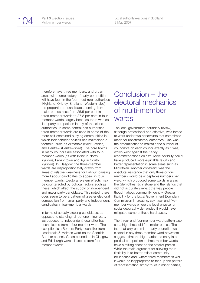therefore have three members, and urban areas with some history of party competition will have four. In the four most rural authorities (Highland, Orkney, Shetland, Western Isles) the proportion of candidates coming from major parties rises from 25.5 per cent in three-member wards to 37.8 per cent in fourmember wards, largely because there was so little party competition in any of the Island authorities. In some central belt authorities three-member wards are used in some of the more self-contained outlying communities in which Independent politics has maintained a foothold, such as Armadale (West Lothian) and Renfrew (Renfrewshire). The core towns in many councils are associated with fourmember wards (as with Irvine in North Ayrshire, Falkirk town and Ayr in South Ayrshire). In Glasgow, the three-member wards are disproportionately drawn from areas of relative weakness for Labour, causing more Labour candidates to appear in fourmember wards. Electoral system effects may be counteracted by political factors such as these, which affect the supply of independent and major party candidates. This noted, there does seem to be a pattern of greater electoral competition from small party and Independent candidates in four-member wards.

In terms of actually electing candidates, as opposed to standing, all but one minor party (as opposed to Independent) councillor has been elected from a four-member ward. The exception is a Borders Party councillor from Leaderdale & Melrose ward on the Scottish Borders council. Green councillors in Glasgow and Edinburgh were all elected from fourmember wards.

## Conclusion – the electoral mechanics of multi-member wards

The local government boundary review, although professional and effective, was forced to work under two constraints that sometimes made for unsatisfactory outcomes. One was the determination to maintain the number of councillors on each council exactly as it was, which went against the Kerley recommendations on size. More flexibility could have produced more equitable results and better representation in some areas such as Midlothian. Another constraint was the absolute insistence that only three or four members would be acceptable numbers per ward, which produced some wards in areas like Glenrothes, Johnstone and the Islands that did not accurately reflect the way people thought about community identity. Greater flexibility for the Local Government Boundary Commission in creating, say, two- and fivemember wards where the local physical or social geography demanded it would have mitigated some of these hard cases.

The three- and four-member ward pattern also set a high threshold for smaller parties. The fact that only one minor party councillor was elected in any three-member ward anywhere suggests that the high barriers to entry into political competition in three-member wards have a stifling effect on the smaller parties. While the main argument for allowing more flexibility is to better reflect community boundaries and, where three members fit well it would be inappropriate to tear up the pattern of representation simply to let in minor parties,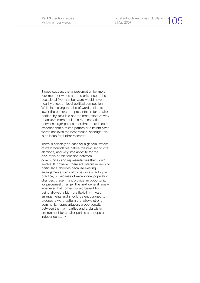it does suggest that a presumption for more four-member wards and the existence of the occasional five-member ward would have a healthy effect on local political competition. While increasing the size of wards helps to lower the barriers to representation for smaller parties, by itself it is not the most effective way to achieve more equitable representation between larger parties – for that, there is some evidence that a mixed pattern of different sized wards achieves the best results, although this is an issue for further research.

There is certainly no case for a general review of ward boundaries before the next set of local elections, and very little appetite for the disruption of relationships between communities and representatives that would involve. If, however, there are interim reviews of particular authorities because existing arrangements turn out to be unsatisfactory in practice, or because of exceptional population changes, these might provide an opportunity for piecemeal change. The next general review, whenever that comes, would benefit from being allowed a bit more flexibility in ward arrangements and should be encouraged to produce a ward pattern that allows strong community representation, proportionality between the main parties and a pluralistic environment for smaller parties and popular Independents.  $\blacksquare$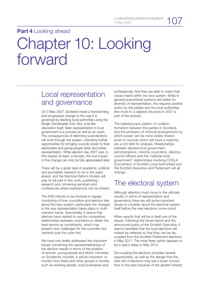## **Part 4** Looking ahead Chapter 10: Looking forward

## Local representation and governance

On 3 May 2007, Scotland made a transforming and progressive change to the way it is governed by electing local authorities using the Single Transferable Vote. But, a bit like devolution itself, fairer representation in local government is a process as well as an event. The consequences of reforming local elections will work through the system, unlocking further opportunities for bringing councils closer to their electorates and giving people fairer and better representation. While election day 2007 was, in this respect at least, a triumph, the true impact of the change can only be fully appreciated later.

There will be a great deal of academic, political and journalistic research to do in the years ahead, and the Electoral Reform Society will play its full part in this work, publishing research and convening seminars and conferences where experiences can be shared.

The ERS intends to be involved in regular monitoring of how councillors and electors feel about the new system, particularly the changes in the way representation takes place in multimember wards. Anecdotally, it seems that electors have started to use the competitive relationships between councillors to obtain the best service as constituents, which may present new challenges for the councillor but certainly puts the voter first.

We have only briefly addressed the important issues concerning the representativeness of the election results in terms of the position of women, young people and ethnic minorities on Scotland's councils. It will be important to monitor how these and other groups in society, such as working people, local businesses and

professionals, find they are able to make their voices heard within the new system. While in general proportional systems are better for diversity of representation, this requires positive action by the parties and the local authorities (the move to a salaried structure in 2007 is part of the picture).

The kaleidoscopic pattern of coalition formation between the parties in Scotland, and the profusion of informal arrangements by which power can be more widely shared (even in councils which still have a majority), are a rich field for analysis. Relationships between elected local government administrations, minority councillors, electors, council officers and the 'national local government' relationships involving COSLA (Convention of Scottish Local Authorities) and the Scottish Executive and Parliament will all change.

## The electoral system

Although attention must move to the ultimate results, in terms of representation and governance there are still some important issues to consider about the electoral system itself before the next elections come round.

When exactly that will be is itself one of the issues. Following the Gould report and the announced policy of the Scottish Executive, it seems inevitable that the local elections will indeed be deferred so that they can be decoupled from the Scottish Parliament elections in May 2011. The most likely option appears to be a year's delay to May 2012.

De-coupling the elections provides several opportunities, as well as the danger that the next set of elections may see a lower turnout than in the past because of the greater interest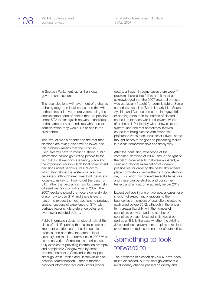in Scottish Parliament rather than local government elections.

The local elections will have more of a chance of being fought on local issues, and this will perhaps result in even more voters using the sophisticated sorts of choice that are possible under STV to distinguish between candidates of the same party and indicate what sort of administration they would like to see in the civic centre.

The level of media attention to the fact that elections are taking place will be lower, and this probably means that the Scottish Executive will have to mount a strong public information campaign alerting people to the fact that local elections are taking place and the important ways in which local government decisions affect people's lives. 'How to' information about the system will also be necessary, although next time it will be able to focus exclusively on how to get the best from STV rather than explaining two fundamentally different methods of voting as in 2007. The 2007 results showed that voters generally do grasp how to use STV, and there is every reason to expect the next elections to produce another successful experience of STV, with perhaps fewer single preference votes and even fewer rejected ballots.

Public information does not stop simply at the close of poll. Reporting the results is itself an important contribution to the democratic process, and here the standards of local authority and media performance in 2007 were extremely varied. Some local authorities were truly excellent at providing information promptly and completely: Glasgow was by some distance the best in Scotland in this respect, although West Lothian and Renfrewshire also deserve commendation. Other authorities provided information late and without proper

details, although in some cases there were IT problems behind this failure and it must be acknowledged that the 2007 electoral process was particularly fraught for administrators. Some authorities' websites (South Lanarkshire, South Ayrshire and Dundee come to mind) gave little or nothing more than the names of elected councillors for each ward until several weeks after the poll. Particularly with a new electoral system, and one that sometimes involves councillors being elected with fewer first preference votes than unsuccessful rivals, some thought needs to be given to presenting results in a clear, comprehensible and timely way.

After the confusing experience of the combined elections of 2007, and in the light of the ballot order effects that were apparent, a calm and rational examination of different possibilities for ordering the ballot should take place comfortably before the next local election day. This report has offered several alternatives and these can be studied and consumer tested, and an outcome agreed, before 2012.

Except perhaps in one or two special cases, one should not expect any alterations to the boundaries or numbers of councillors elected to each ward before 2012, although in the longer term greater flexibility with the number of councillors per ward and the number of councillors on each local authority would be desirable. This is the case whether the existing 32-council local government template is retained or reformed to reduce the number of authorities.

## Something to look forward to

The problems of election day 2007 have been much discussed, but for local government a revolutionary change passed off quietly and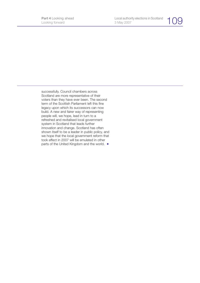successfully. Council chambers across Scotland are more representative of their voters than they have ever been. The second term of the Scottish Parliament left this fine legacy upon which its successors can now build. A new and fairer way of representing people will, we hope, lead in turn to a refreshed and revitalised local government system in Scotland that leads further innovation and change. Scotland has often shown itself to be a leader in public policy, and we hope that the local government reform that took effect in 2007 will be emulated in other parts of the United Kingdom and the world.  $\blacksquare$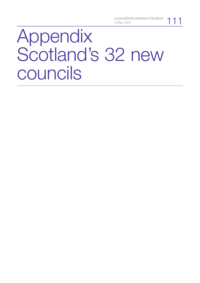Local authority elections in Scotland  $\begin{array}{ccc} \uparrow & \uparrow & \uparrow \\ \downarrow & \downarrow & \downarrow \end{array}$ 3 May 2007

### Appendix Scotland's 32 new councils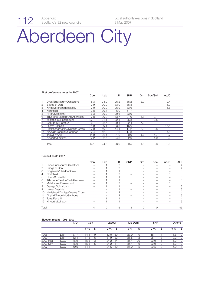Local authority elections in Scotland

### Aberdeen City

### First preference votes % 2007

|                   |                                | Con  | Lab  | LD   | <b>SNP</b> | Grn | Soc/Sol                  | Ind/O |  |
|-------------------|--------------------------------|------|------|------|------------|-----|--------------------------|-------|--|
|                   | Dyce/Bucksburn/Danestone       | 8.3  | 24.9 | 26.2 | 36.2       | 2.0 |                          | 2.4   |  |
| 2                 | Bridge of Don                  | 7.9  | 20.9 | 33.0 | 36.3       |     |                          | 1.9   |  |
| 3                 | Kingswells/Sheddocksley        | 7.0  | 30.9 | 26.9 | 33.6       |     |                          | 1.6   |  |
| 4                 | Northfield                     | 2.8  | 39.4 | 6.0  | 51.7       |     |                          |       |  |
| 5                 | Hilton/Stockethill             | 6.3  | 39.2 | 20.6 | 33.9       |     |                          |       |  |
| 6                 | Tillydrone/Seaton/Old Aberdeen | 7.8  | 39.0 | 13.7 | 31.9       | 5.7 | 2.1                      |       |  |
| 7                 | Midstocket/Rosemount           | 27.7 | 21.1 | 22.1 | 26.3       |     | 2.8                      |       |  |
| 8                 | George St/Harbour              | 6.7  | 32.7 | 20.4 | 32.4       | 7.8 | $\overline{\phantom{0}}$ |       |  |
| 9                 | Lower Deeside                  | 24.0 | 9.1  | 33.3 | 16.6       | -   | $\overline{\phantom{0}}$ | 17.1  |  |
| 10                | Hazlehead/Ashley/Queens Cross  | 27.0 | 10.8 | 44.4 | 14.2       | 2.8 | 0.8                      |       |  |
| 11                | Airyhall/Broomhill/Garthdee    | 27.4 | 12.8 | 37.6 | 17.3       |     |                          | 4.8   |  |
| $12 \overline{ }$ | Torry/Ferryhill                | 11.9 | 26.4 | 21.9 | 30.9       | 4.7 | 1.7                      | 2.7   |  |
| 13                | Kincorth/Loirston              | 7.2  | 32.5 | 24.3 | 32.0       |     | 1.0                      | 3.0   |  |
|                   | Total                          | 14.1 | 24.6 | 26.9 | 29.5       | 1.6 | 0.6                      | 2.8   |  |

|                  |                                | Con | Lab | LD | <b>SNP</b> | Grn | Soc | Ind/O | <b>ALL</b> |
|------------------|--------------------------------|-----|-----|----|------------|-----|-----|-------|------------|
|                  | Dyce/Bucksburn/Danestone       |     |     | っ  |            |     |     |       | 4          |
| $\overline{2}$   | <b>Bridge of Don</b>           |     |     | ∩  |            |     |     |       | 4          |
| 3                | Kingswells/Sheddocksley        |     |     |    |            |     |     |       | 3          |
| 4                | Northfield                     |     |     | っ  |            |     |     | 3     |            |
| 5                | Hilton/Stockethill             |     |     |    |            |     |     |       | 3          |
| 6                | Tillydrone/Seaton/Old Aberdeen |     |     |    |            |     |     |       | 3          |
|                  | Midstocket/Rosemount           |     |     |    |            |     |     | 3     |            |
| 8                | George St/Harbour              |     |     |    |            |     |     |       | 3          |
| 9                | Lower Deeside                  |     |     |    |            |     |     |       | 3          |
| 10               | Hazlehead/Ashley/Queens Cross  |     |     |    |            |     |     |       | 4          |
| 11.              | Airyhall/Broomhill/Garthdee    |     |     |    |            |     |     |       | 3          |
| 12 <sup>12</sup> | Torry/Ferryhill                |     |     |    |            |     |     |       | 4          |
| 13.              | Kincorth/Loirston              |     |     |    |            |     |     |       | 3          |
| Total            |                                |     | 10  | 15 | 13         |     |     |       | 43         |

| Election results 1995-2007 |            |      |      |     |      |        |      |         |      |            |     |               |
|----------------------------|------------|------|------|-----|------|--------|------|---------|------|------------|-----|---------------|
|                            |            | T/O  |      | Con |      | Labour |      | Lib Dem |      | <b>SNP</b> |     | <b>Others</b> |
|                            |            |      | V%   | S   | V%   | S      | V%   | s       | V %  | S          | V%  | <sub>S</sub>  |
| 1995                       | _ab        | 37.7 | 14.4 | 9   | 42.0 | 30     | 23.9 | 10      | 18.1 |            | . 6 | O             |
| 1999                       | _ab        | 52.4 | 17.3 | 6   | 31.9 | 22     | 25.5 | 12      | 25.1 | 3          | 0.2 | $\Omega$      |
| 2003 Real                  | <b>NOC</b> | 46.9 | 15.3 | 3   | 24.2 | 14     | 35.4 | 20      | 22.9 | 6          | 1.2 | 0             |
| 2003 STV                   | <b>NOC</b> | 46.9 | 15.3 | 5   | 24.2 | 11     | 35.4 | 19      | 22.9 | 9          | 1.2 | 0             |
| 2007                       | NOC        | 50.0 | 14.1 | 4   | 24.6 | 10     | 26.9 | 15      | 29.5 | 13         | 5.0 |               |
|                            |            |      |      |     |      |        |      |         |      |            |     |               |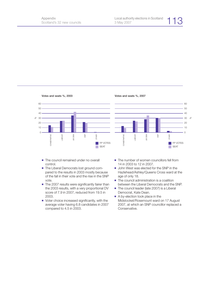

- The council remained under no overall control.
- **The Liberal Democrats lost ground com**pared to the results in 2003 mostly because of the fall in their vote and the rise in the SNP vote.
- The 2007 results were significantly fairer than the 2003 results, with a very proportional DV score of 7.9 in 2007, reduced from 19.5 in 2003.
- $\blacksquare$  Voter choice increased significantly, with the average voter having 6.8 candidates in 2007 compared to 4.5 in 2003.





- The number of women councillors fell from 14 in 2003 to 12 in 2007.
- **p** John West was elected for the SNP in the Hazlehead/Ashley/Queens Cross ward at the age of only 18.
- $\blacksquare$  The council administration is a coalition between the Liberal Democrats and the SNP.
- The council leader (late 2007) is a Liberal Democrat, Kate Dean.
- A by-election took place in the Midstocket/Rosemount ward on 17 August 2007, at which an SNP councillor replaced a Conservative.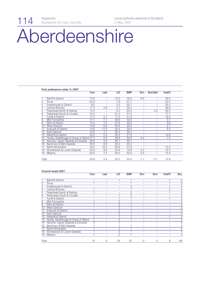Local authority elections in Scotland 3 May 2007

### Aberdeenshire

|       | First preference votes % 2007             |      |                          |      |            |                          |                          |                          |  |
|-------|-------------------------------------------|------|--------------------------|------|------------|--------------------------|--------------------------|--------------------------|--|
|       |                                           | Con  | Lab                      | LD   | <b>SNP</b> | Grn                      | Soc/Sol                  | Ind/O                    |  |
|       |                                           |      |                          |      |            |                          |                          |                          |  |
| 1     | <b>Banff &amp; District</b>               | 13.6 | $\overline{\phantom{0}}$ | 15.3 | 35.0       | 6.6                      | $\overline{\phantom{0}}$ | 29.5                     |  |
| 2     | <b>Troup</b>                              | 24.3 | $\overline{a}$           | 7.6  | 47.7       | $\overline{\phantom{0}}$ | $\overline{\phantom{0}}$ | 20.4                     |  |
| 3     | Fraserburgh & District                    | 8.5  | $\overline{\phantom{0}}$ | 3.0  | 62.1       | $\overline{\phantom{0}}$ | $\overline{\phantom{0}}$ | 26.4                     |  |
| 4     | Central Buchan                            | 17.2 | 5.9                      | 4.7  | 33.4       | $\overline{\phantom{0}}$ | $\overline{\phantom{0}}$ | 38.9                     |  |
| 5     | Peterhead North & Rattray                 | 14.4 | $\overline{\phantom{0}}$ | 6.3  | 50.3       | $\overline{\phantom{0}}$ | 2.5                      | 26.5                     |  |
| 6     | Peterhead South & Cruden                  | 10.3 | $\overline{\phantom{0}}$ | 21.0 | 51.0       | $\overline{a}$           | $\overline{\phantom{0}}$ | 17.7                     |  |
| 7     | <b>Turriff &amp; District</b>             | 17.4 | 5.1                      | 17.3 | 41.9       | -                        | $\overline{\phantom{0}}$ | 18.3                     |  |
| 8     | Mid Formartine                            | 17.1 | 7.7                      | 38.6 | 33.6       | -                        | $\overline{\phantom{0}}$ | 3.1                      |  |
| 9     | Ellon & District                          | 14.4 | 7.5                      | 31.8 | 40.5       | -                        | $\overline{\phantom{0}}$ | 5.8                      |  |
| 10    | West Garioch                              | 15.8 | 6.0                      | 40.6 | 35.5       | -                        | $\overline{\phantom{0}}$ | 2.1                      |  |
| 11    | Inverurie & District                      | 14.8 | 11.0                     | 42.4 | 29.4       | -                        | $\overline{\phantom{0}}$ | 2.4                      |  |
| 12    | East Garioch                              | 15.5 | 7.1                      | 45.5 | 32.0       | -                        | $\overline{\phantom{0}}$ | $\overline{\phantom{0}}$ |  |
| 13    | <b>Westhill &amp; District</b>            | 23.0 | 5.3                      | 35.4 | 21.6       | $\overline{\phantom{0}}$ | $\overline{\phantom{0}}$ | 14.8                     |  |
| 14    | Huntly, Strathbogie & Howe of Alford 27.3 |      | 6.3                      | 29.9 | 30.8       | 4.2                      | $\overline{\phantom{0}}$ | 1.5                      |  |
| 15    | Aboyne, Upper Deeside & Donside           | 49.8 | 4.0                      | 26.1 | 20.1       | $\overline{\phantom{0}}$ | $\overline{\phantom{0}}$ | $\overline{\phantom{0}}$ |  |
| 16    | Banchory & Mid Deeside                    | 35.6 | 6.8                      | 33.4 | 24.2       | $\overline{\phantom{0}}$ | $\overline{\phantom{0}}$ | $\overline{\phantom{0}}$ |  |
| 17    | North Kincardine                          | 18.4 | 10.5                     | 28.9 | 27.8       | $\overline{\phantom{0}}$ | $\overline{\phantom{0}}$ | 14.4                     |  |
| 18    | Stonehaven & Lower Deeside                | 35.8 | 8.0                      | 20.8 | 18.9       | 4.2                      | $\overline{\phantom{0}}$ | 12.3                     |  |
| 19    | Mearns                                    | 20.5 | 7.2                      | 30.4 | 23.0       | 5.5                      | $\overline{\phantom{0}}$ | 13.4                     |  |
|       |                                           |      |                          |      |            |                          |                          |                          |  |
| Total |                                           | 20.8 | 5.4                      | 25.5 | 34.2       | 1.1                      | 0.1                      | 12.8                     |  |

|                   | Council seats 2007                   |     |                          |                |            |                          |                          |                          |                |
|-------------------|--------------------------------------|-----|--------------------------|----------------|------------|--------------------------|--------------------------|--------------------------|----------------|
|                   |                                      | Con | Lab                      | LD             | <b>SNP</b> | Grn                      | Soc                      | Ind/O                    | <b>ALL</b>     |
|                   | <b>Banff &amp; District</b>          |     | $\overline{\phantom{0}}$ |                |            | $\overline{\phantom{0}}$ | $\overline{\phantom{0}}$ |                          | $\overline{3}$ |
| $\overline{c}$    | Troup                                |     | -                        |                |            | -                        |                          |                          | 3              |
| 3                 | Fraserburgh & District               |     |                          |                | 3          |                          |                          |                          | 4              |
| 4                 | Central Buchan                       |     | -                        |                |            |                          |                          | 2                        | 4              |
| 5                 | Peterhead North & Rattray            |     |                          |                | 2          |                          |                          |                          | 4              |
| 6                 | Peterhead South & Cruden             |     | -                        |                | 2          |                          |                          |                          | 3              |
|                   | <b>Turriff &amp; District</b>        |     | -                        |                |            |                          |                          |                          | $\overline{3}$ |
| 8                 | Mid Formartine                       |     | -                        | $\overline{2}$ |            |                          |                          |                          | 4              |
| 9                 | Ellon & District                     |     | -                        | $\overline{2}$ |            |                          |                          |                          | 4              |
| 10                | <b>West Garioch</b>                  |     | -                        | $\overline{2}$ |            | -                        |                          | $\overline{\phantom{0}}$ | 3              |
| 11                | <b>Inverurie &amp; District</b>      |     | $\overline{\phantom{0}}$ | $\overline{2}$ |            | $\overline{\phantom{0}}$ | $\overline{\phantom{0}}$ | $\overline{\phantom{0}}$ | 4              |
| $12 \overline{ }$ | East Garioch                         |     | $\overline{\phantom{0}}$ | $\overline{2}$ |            | $\overline{\phantom{0}}$ | $\overline{\phantom{0}}$ |                          | 3              |
| 13                | <b>Westhill &amp; District</b>       |     | -                        |                |            | $\overline{\phantom{0}}$ | $\overline{\phantom{0}}$ | 1                        | 4              |
| 14                | Huntly, Strathbogie & Howe of Alford |     | $\overline{\phantom{0}}$ | 2              |            | -                        |                          | $\equiv$                 | 4              |
| 15                | Aboyne, Upper Deeside & Donside      | 2   | -                        |                |            |                          |                          |                          | 3              |
| 16                | Banchory & Mid Deeside               |     | -                        |                |            |                          |                          |                          | 3              |
| 17                | North Kincardine                     |     | $\overline{\phantom{0}}$ | 2              |            | $\overline{\phantom{0}}$ |                          |                          | 4              |
|                   | 18 Stonehaven & Lower Deeside        |     | $\overline{\phantom{0}}$ | 2              |            |                          |                          |                          | 4              |
| 19                | Mearns                               |     | -                        | $\overline{2}$ |            |                          |                          |                          | 4              |
| Total             |                                      | 14  | $\Omega$                 | 24             | 22         | O                        |                          | 8                        | 68             |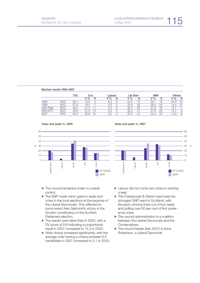### Election results 1995–2007

|           |     | T/O  | Con        | Labour   | Lib Dem    | <b>SNP</b>     | <b>Others</b> |
|-----------|-----|------|------------|----------|------------|----------------|---------------|
|           |     |      | $'$ %<br>s | V %<br>S | V %<br>s   | V %            | S<br>V %      |
| 1995      | NOC | 39.1 | 10.8<br>4  | 6.3      | 24.C<br>15 | 33.<br>15      | 25.8<br>13    |
| 1999      | NOC | 57.6 | 18.4       | 5.C      | 32.8<br>28 | 29.4<br>23     | 10<br>14.4    |
| 2003 Real | NOC | 48.3 |            | 3.3      | 35.4<br>28 | 27<br>18<br>.6 | 14.7          |
| 2003 STV  | NOC | 48.3 | 13         | 3.3      | 35.4<br>27 | 27<br>20<br>ĥ  | 8<br>14.7     |
| 2007      | NOC | 53.0 | 20.8<br>14 | 5.4      | 25.5<br>24 | 34.<br>22      | 8<br>14.L     |





- The council remained under no overall control.
- **The SNP made minor gains in seats and** votes in the local elections at the expense of the Liberal Democrats. This reflected to some extent Alex Salmond's victory in the Gordon constituency in the Scottish Parliament election.
- The results were fairer than in 2003, with a DV score of 9.8 indicating a proportional result in 2007 compared to 14.3 in 2003.
- Voter choice increased significantly, with the average voter having a choice between 6.5 candidates in 2007 compared to 3.1 in 2003.
- **Example 1** Labour did not come very close to winning a seat.
- **P** The Fraserburgh & District ward was the strongest SNP ward in Scotland, with the party winning three out of four seats and polling over 60 per cent of first preference votes.
- **The council administration is a coalition** between the Liberal Democrats and the Conservatives.
- **The council leader (late 2007) is Anne** Robertson, a Liberal Democrat.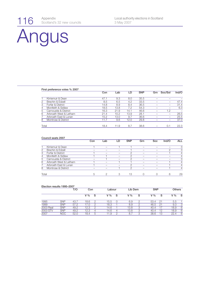### Angus

|       | First preference votes % 2007 |      |      |      |            |     |         |       |
|-------|-------------------------------|------|------|------|------------|-----|---------|-------|
|       |                               | Con  | Lab  | LD   | <b>SNP</b> | Grn | Soc/Sol | Ind/O |
|       | Kirriemuir & Dean             | 47.1 | 9.3  | 8.0  | 35.5       |     |         |       |
| 2     | Brechin & Edzell              | 8.5  | 6.5  | 4.2  | 33.5       |     |         | 47.4  |
| З     | Forfar & District             | 14.8 | 8.9  | 8.4  | 36.5       |     |         | 31.4  |
| 4     | Monifeith & Sidlaw            | 18.5 | 13.8 | 7.2  | 54.3       |     |         | 6.3   |
| 5     | Carnoustie & District         | 16.3 | 21.9 | 14.1 | 46.6       |     | 1.2     |       |
| 6     | Arbroath West & Letham        | 21.4 | 10.2 | 13.9 | 28.1       |     | -       | 26.5  |
|       | Arbroath East & Lunan         | 15.2 | 13.0 | 9.7  | 36.6       |     |         | 25.5  |
| 8     | Montrose & District           | 11.7 | 9.6  | 12.0 | 29.8       |     | -       | 37.0  |
| Total |                               | 18.4 | 11.9 | 8.7  | 38.6       |     | 0.1     | 22.3  |

|       |                        | Con | ∟ab | LD | <b>SNP</b> | Grn | Soc | Ind/O | <b>ALL</b>     |
|-------|------------------------|-----|-----|----|------------|-----|-----|-------|----------------|
|       | Kirriemuir & Dean      |     |     |    |            |     |     |       | 3              |
| 2     | Brechin & Edzell       |     |     |    |            |     |     | ∩     | 3              |
| 3     | Forfar & District      |     |     |    |            |     |     |       | $\overline{4}$ |
| 4     | Monifeith & Sidlaw     |     |     |    |            |     |     |       | 4              |
| 5     | Carnoustie & District  |     |     |    |            |     |     |       | 3              |
| 6.    | Arbroath West & Letham |     |     |    |            |     |     |       | 4              |
| 7     | Arbroath East & Lunan  |     |     |    |            |     |     |       | 4              |
| 8     | Montrose & District    |     |     |    |            |     |     |       | 4              |
|       |                        |     |     |    |            |     |     |       |                |
| Total |                        | 5   | ⌒   | 3  | 13         |     |     | 6     | 29             |

| Election results 1995-2007 |            |      |      |     |      |        |      |                       |                     |    |      |    |  |               |
|----------------------------|------------|------|------|-----|------|--------|------|-----------------------|---------------------|----|------|----|--|---------------|
|                            |            | T/O  |      | Con |      | Labour |      | <b>SNP</b><br>Lib Dem |                     |    |      |    |  | <b>Others</b> |
|                            |            |      | V%   | S   | V%   | S      | V%   | S                     | V %                 | s  | V%   | -S |  |               |
| 1995                       | <b>SNP</b> | 43.7 | 18.6 | っ   | 15.5 |        | 6.9  | Ω                     | 53<br>$\mathcal{A}$ | 21 | 5.5  |    |  |               |
| 1999                       | <b>SNP</b> | 57.2 | 17.0 | ◠   | 18.3 |        | 8.9  | ◠                     | 46.5                | 21 | 9.3  | 3  |  |               |
| 2003 Real                  | <b>SNP</b> | 49.2 | 12.3 | っ   | 14.6 |        | 13.8 | ↷                     | 40.4                | 17 | 18.9 | 6  |  |               |
| 2003 STV                   | <b>SNP</b> | 49.2 | 12.3 | 4   | 14.6 | 4      | 13.8 | 3                     | 40.4                | 12 | 18.9 | 6  |  |               |
| 2007                       | <b>NOC</b> | 52.0 | 18.4 | 5   | 11.9 | ◠      | 8.7  | 3                     | 38.6                | 13 | 22.4 | 6  |  |               |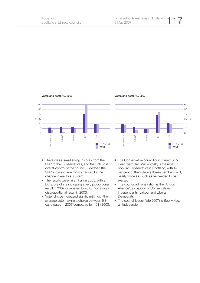

- **P** There was a small swing in votes from the SNP to the Conservatives, and the SNP lost overall control of the council. However, the SNP's losses were mostly caused by the change in electoral system.
- The results were fairer than in 2003, with a DV score of 7.9 indicating a very proportional result in 2007 compared to 20.8, indicating a disproportional result in 2003.
- **Voter choice increased significantly, with the** average voter having a choice between 6.8 candidates in 2007 compared to 4.0 in 2003.



- **The Conservative councillor in Kirriemuir &** Dean ward, Ian Mackintosh, is the most popular Conservative in Scotland, with 47 per cent of the vote in a three-member ward, nearly twice as much as he needed to be elected.
- **P** The council administration is the 'Angus' Alliance', a coalition of Conservatives, Independents, Labour and Liberal Democrats.
- The council leader (late 2007) is Bob Myles, an Independent.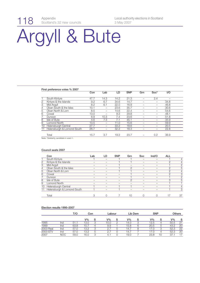### Argyll & Bute

|                | First preference votes % 2007          |      |                          |      |            |     |        |      |  |
|----------------|----------------------------------------|------|--------------------------|------|------------|-----|--------|------|--|
|                |                                        | Con  | Lab                      | LD   | <b>SNP</b> | Grn | $Soc*$ | I/O  |  |
|                | South Kintyre                          | 47.7 | 14.3                     | 14.2 | 21.3       |     | 2.4    |      |  |
| $\overline{2}$ | Kintyre & the Islands                  | 9.2  | 6.7                      | 34.6 | 14.7       |     |        | 34.8 |  |
| 3              | Mid Argyll                             | 8.2  | 6.1                      | 22.0 | 16.9       |     |        | 46.8 |  |
| 4              | Oban South & the Isles                 | 10.1 | -                        | 23.6 | 35.7       |     |        | 30.6 |  |
| 5              | Oban North & Lorn                      | 8.5  | -                        | 14.6 | 22.4       |     |        | 54.6 |  |
| 6              | Cowal                                  | 13.0 |                          | 9.2  | 29.8       |     |        | 48.1 |  |
|                | Dunoon                                 | 6.9  | 10.3                     | 7.4  | 23.6       |     |        | 51.8 |  |
| 8              | Isle of Bute                           | 4.6  | 7.3                      | 7.1  | 45.1       |     | -      | 35.9 |  |
| 9              | Lomond North                           | 13.5 | $\overline{\phantom{0}}$ | 11.0 | 15.6       |     |        | 59.9 |  |
| 10             | Helensburgh Central                    | 27.7 |                          | 33.2 | 18.6       |     |        | 20.5 |  |
|                | Helensburgh & Lomond South             | 26.7 |                          | 32.2 | 18.3       |     |        | 22.8 |  |
|                | Total                                  | 15.7 | 3.7                      | 19.2 | 23.7       |     | 0.2    | 36.9 |  |
|                | Note: *Solidarity candidate in ward 1. |      |                          |      |            |     |        |      |  |

Council seats 2007

|                | Con                        | Lab | LD | <b>SNP</b> | Grn    | <b>Soc</b> | Ind/O | <b>ALL</b>     |                |
|----------------|----------------------------|-----|----|------------|--------|------------|-------|----------------|----------------|
|                | South Kintyre              |     |    |            |        |            |       |                | 4              |
| $\overline{2}$ | Kintyre & the Islands      |     |    |            |        |            |       | 2              | $\overline{4}$ |
| 3              | Mid Argyll                 |     |    |            |        |            |       |                | $\overline{2}$ |
| 4              | Oban South & the Isles     |     |    |            | ◠      |            |       | 2              | 5              |
| 5              | Oban North & Lorn          |     |    |            |        |            |       | 2              | $\overline{4}$ |
| 6              | Cowal                      |     |    |            |        |            |       | $\overline{2}$ | $\overline{3}$ |
| 7              | Dunoon                     |     |    |            |        |            |       |                | $\overline{2}$ |
| 8              | Isle of Bute               |     |    |            | $\cap$ |            |       | 3              | 5              |
| 9              | Lomond North               |     |    |            |        |            |       |                |                |
| 10             | Helensburgh Central        |     |    |            |        |            |       |                | 4              |
| 11             | Helensburgh & Lomond South |     |    |            |        |            |       |                | 3              |
|                |                            |     |    |            |        |            |       |                |                |
|                | Total                      | 3   | 0  |            | 10     |            |       | 17             | 37             |
|                |                            |     |    |            |        |            |       |                |                |

|           |            | T/O  | Con  |   |      | Labour |            | Lib Dem |      | <b>SNP</b> |      | <b>Others</b> |
|-----------|------------|------|------|---|------|--------|------------|---------|------|------------|------|---------------|
|           |            |      | V%   | s | V%   | S      | V%         | S       | V%   | s          | V%   | S             |
| 1995      | Ind        | 51.1 | 13.0 | 3 | 10.0 |        | <b>4.0</b> |         | 12.5 |            | 50.5 | 21            |
| 1999      | Ind        | 63.8 | 10.7 | 4 | 9.9  |        | 15.8       | 6       | 20.5 | b          | 43.2 | 20            |
| 2003 Real | Ind        | 57.0 | 13.2 | 3 | 2.7  |        | 4.7        |         | 17.0 | 3          | 52.3 | 22            |
| 2003 STV  | Ind        | 57.0 | 13.2 | 5 | -2.7 |        | 14.7       |         | 17.0 |            | 52.3 | 20            |
| 2007      | <b>NOC</b> | 59.0 | 16.0 | 3 | 4.   |        | 19.0       |         | 23.8 | 10         | 37   | 17            |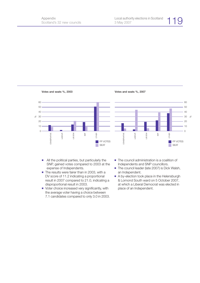

- **P** All the political parties, but particularly the SNP, gained votes compared to 2003 at the expense of Independents.
- The results were fairer than in 2003, with a DV score of 11.2 indicating a proportional result in 2007 compared to 21.0, indicating a disproportional result in 2003.
- Voter choice increased very significantly, with the average voter having a choice between 7.1 candidates compared to only 3.0 in 2003.





- The council administration is a coalition of Independents and SNP councillors.
- The council leader (late 2007) is Dick Walsh, an Independent.
- A by-election took place in the Helensburgh & Lomond South ward on 5 October 2007, at which a Liberal Democrat was elected in place of an Independent.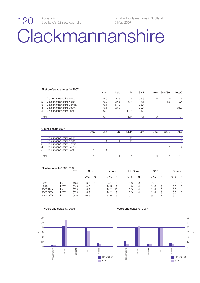120 Appendix<br>Scotland's 32 new councils

Local authority elections in Scotland 3 May 2007

### **Clackmannanshire**

|       |                          | Con  | Lab  | LD   | <b>SNP</b> | Grn                      | Soc/Sol | Ind/O |
|-------|--------------------------|------|------|------|------------|--------------------------|---------|-------|
|       | Clackmannanshire West    | 8.6  | 44.9 | 7.2  | 39.3       | $\overline{\phantom{a}}$ |         |       |
| 2     | Clackmannanshire North   | 6.9  | 30.5 | 6.7  | 51         |                          | 1.6     | 3.4   |
| 3     | Clackmannanshire Central | 6.1  | 57.2 |      | 36.7       |                          |         |       |
| 4     | Clackmannanshire South   | 5.5  | 33.8 |      | 29.4       |                          |         | 31.3  |
| 5     | Clackmannanshire East    | 29.8 | 27.3 | 11.7 | 31.2       |                          |         |       |
| Total |                          | 10.8 | 37.8 | 5.2  | 38.1       |                          |         | 8.1   |
|       |                          |      |      |      |            |                          |         |       |

### Council seats 2007

|       |                          | Con | Lab | LD | <b>SNP</b> | Grn | Soc | Ind/O | ALL |
|-------|--------------------------|-----|-----|----|------------|-----|-----|-------|-----|
|       | Clackmannanshire West    |     |     | -  |            |     |     |       |     |
| 2     | Clackmannanshire North   |     |     |    |            |     |     |       |     |
| 3     | Clackmannanshire Central |     |     |    |            |     |     |       | 3   |
| 4     | Clackmannanshire South   |     |     |    |            |     |     |       |     |
| 5     | Clackmannanshire East    |     |     |    |            |     |     |       | З   |
| Total |                          |     |     |    |            |     |     |       | 18  |
|       |                          |     |     |    |            |     |     |       |     |

| Election results 1995-2007 |            |      |      |   |        |              |         |   |            |   |               |    |
|----------------------------|------------|------|------|---|--------|--------------|---------|---|------------|---|---------------|----|
|                            |            | T/O  | Con  |   | Labour |              | Lib Dem |   | <b>SNP</b> |   | <b>Others</b> |    |
|                            |            |      | V%   | S | V%     | <sub>S</sub> | V%      | s | V%         | s | V%            | -S |
| 1995                       | _ab        | 46.4 | 3.0  |   | 54.1   | 8            | 3.9     |   | 38.5       | 3 | 0.6           | 0  |
| 1999                       | <b>NOC</b> | 63.8 | 8.7  |   | 44.5   | 8            | .6      |   | 44.5       | 9 | 0.6           | Ω  |
| 2003 Real                  | _ab        | 57.9 | 5.8  |   | 44.2   | 10           | 2.0     |   | 41.4       | 6 | 6.6           |    |
| 2003 STV                   | <b>NOC</b> | 57.9 | 5.8  |   | 44.2   | 8            | 2.0     |   | 41.4       | 9 | 6.6           | 0  |
| 2007 STV                   | <b>NOC</b> | 54.6 | 10.8 |   | 37.8   | 8            | 5.2     |   | 38.        |   | 8.1           |    |



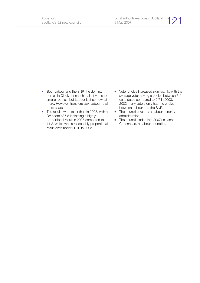- **Both Labour and the SNP, the dominant** parties in Clackmannanshire, lost votes to smaller parties, but Labour lost somewhat more. However, transfers saw Labour retain more seats.
- The results were fairer than in 2003, with a DV score of 7.8 indicating a highly proportional result in 2007 compared to 11.3, which was a reasonably proportional result even under FPTP in 2003.
- **•** Voter choice increased significantly, with the average voter having a choice between 6.4 candidates compared to 2.7 in 2003. In 2003 many voters only had the choice between Labour and the SNP.
- **•** The council is run by a Labour minority administration.
- **P** The council leader (late 2007) is Janet Cadenhead, a Labour councillor.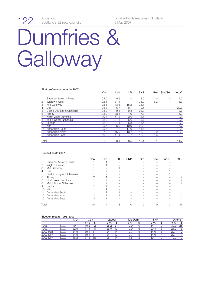# Dumfries & **Galloway**

|       | First preference votes % 2007 |      |      |                          |            |     |         |       |
|-------|-------------------------------|------|------|--------------------------|------------|-----|---------|-------|
|       |                               | Con  | Lab  | LD                       | <b>SNP</b> | Grn | Soc/Sol | Ind/O |
|       | Stranraer & North Rhins       | 24.0 | 40.9 | $\overline{\phantom{0}}$ | 18.0       |     |         | 17.0  |
| 2     | Wigtown West                  | 22.1 | 31.4 |                          | 33.0       | 5.2 |         | 8.3   |
| 3     | Mid Galloway                  | 32.5 | 13.6 | 15.2                     | 38.7       |     |         |       |
| 4     | Dee                           | 35.8 | 6.7  | 8.1                      | 19.5       | -   |         | 29.7  |
| 5     | Castle Douglas & Glenkens     | 38.2 | 9.4  | 9.8                      | 23.9       |     |         | 18.7  |
| 6     | Abbev                         | 33.9 | 28.1 | 4.9                      | 17.8       |     |         | 15.3  |
|       | North West Dumfries           | 20.4 | 57.3 | 3.6                      | 15.6       |     |         | 3.1   |
| 8     | Mid & Upper Nithsdale         | 32.3 | 37.3 | 6.6                      | 13.7       |     |         | 10.1  |
| 9     | Lochar                        | 32.8 | 31.1 | 6.3                      | 16.5       |     |         | 13.2  |
| 10    | Nith                          | 25.7 | 36.0 | 10.9                     | 20.8       |     |         | 6.7   |
|       | Annandale South               | 25.6 | 37.2 | 17.0                     | 11.6       |     |         | 8.6   |
| 12    | Annandale North               | 37.3 | 15.0 | 13.7                     | 13.0       | 2.9 |         | 18.2  |
| 13    | Annandale East                | 56.8 | 17.4 | 7.7                      | 12.9       | 5.3 |         |       |
| Total |                               | 31.8 | 28.1 | 8.5                      | 19.1       |     | 0       | 11.7  |

### Council seats 2007

|                 |                                      | Con    | Lab           | LD | <b>SNP</b> | Grn | Soc | Ind/O | <b>ALL</b>     |
|-----------------|--------------------------------------|--------|---------------|----|------------|-----|-----|-------|----------------|
|                 | Stranraer & North Rhins              |        |               |    |            |     |     |       | 3              |
| 2               | Wigtown West                         |        |               |    |            |     |     |       | 3              |
| 3               | Mid Galloway                         |        |               |    |            |     |     |       | 3              |
| 4               | Dee                                  |        |               |    |            |     |     |       | $\overline{3}$ |
| 5               | <b>Castle Douglas &amp; Glenkens</b> |        |               |    |            |     |     |       | 3              |
| 6               | Abbey                                | $\cap$ |               |    |            |     |     |       | 4              |
| 7               | North West Dumfries                  |        | 2             |    |            |     |     |       | 4              |
| 8               | Mid & Upper Nithsdale                |        | 2             |    |            |     |     |       | 4              |
| 9               | Lochar                               | $\cap$ |               |    |            |     |     |       | 4              |
| 10              | <b>Nith</b>                          |        | $\mathcal{P}$ |    |            |     |     |       | 4              |
| 11              | Annandale South                      |        | 2             |    |            |     |     |       | 4              |
| 12 <sup>2</sup> | Annandale North                      | 2      |               |    |            |     |     |       | 4              |
| 13              | Annandale East                       | 3      |               |    |            |     |     |       | $\overline{4}$ |
| Total           |                                      | 18     | 14            | 3  | 10         | Ω   | Ω   | 2     | 47             |

|                  |            | Т/О  | Con            | _abour     | Lib Dem    | <b>SNP</b> | <b>Others</b>  |
|------------------|------------|------|----------------|------------|------------|------------|----------------|
|                  |            |      | $\sim$ %<br>S  | $1\%$<br>s | V %<br>c   | V %        | S<br>V%        |
| 1995             | NOC        | 49.1 | 10.2           | 25.2<br>21 | 10.9<br>10 | 14.7       | 28<br>39.1     |
| 1999             | <b>NOC</b> | 62.9 | 17.4<br>8      | 26.0<br>13 | 9.9<br>6   | 20.4       | 15<br>26.3     |
| <b>2003 Real</b> | <b>NOC</b> | 54.9 | 30.            | 24.1<br>14 | 9.         | 14.0<br>.h | 12<br>22.      |
| 2003 STV         | <b>NOC</b> | 54.9 | 30.<br>14      | 24.<br>13  | 9.         | 4.0        | 22.            |
| STV<br>2007      | <b>NOC</b> | 56.2 | 18<br>31<br>.8 | 28.<br>14  | 8.5        | 19.1       | 12.7<br>$\cap$ |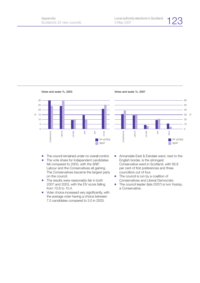



- **•** The council remained under no overall control.
- The vote share for Independent candidates fell compared to 2003, with the SNP, Labour and the Conservatives all gaining. The Conservatives became the largest party on the council.
- **P** The results were reasonably fair in both 2007 and 2003, with the DV score falling from 10.8 to 10.4.
- **•** Voter choice increased very significantly, with the average voter having a choice between 7.0 candidates compared to 3.0 in 2003.





- **P** Annandale East & Eskdale ward, next to the English border, is the strongest Conservative ward in Scotland, with 56.8 per cent of first preferences and three councillors out of four.
- **P** The council is run by a coalition of Conservatives and Liberal Democrats.
- **The council leader (late 2007) is Ivor Hyslop,** a Conservative.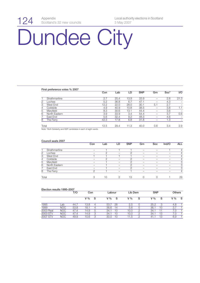Appendix Scotland's 32 new councils

124

Local authority elections in Scotland 3 May 2007

# Dundee City

### First preference votes % 2007 Con Lab LD SNP Grn Soc\* I/O 1 Strathmartine 2.7 25.4 13.9 33.9 – 2.8 21.3<br>2 Lochee 5.2 36.8 6.7 47.1 – 4.3 – 2 Lochee 5.2 36.8 6.7 47.1 – 4.3 – 3 West End 12.2 22.0 28.0 30.1 5.1 2.7 – 4 Coldside 4.9 40.9 10.8 38.5 – 3.8 1.1 5 Maryfield 8.3 30.6 13.1 44.4 – 3.6 – 6 North Eastern 2.0 3.9 33.9 3.4 54.4 – 3.7 0.6<br>
7 East End 5.6 32.4 9.2 48.3 – 4.6 – 7 East End 5.6 32.4 9.2 48.3 – 4.6 – 8 The Ferry 42.3 17.8 6.8 31.8 – 1.3 – Total 12.5 29.4 11.3 40.0 0.6 3.4 2.9

Note: \*Both Solidarity and SSP candidates in each of eight wards.

|       | Council seats 2007 |        |               |                          |            |                          |     |       |                |
|-------|--------------------|--------|---------------|--------------------------|------------|--------------------------|-----|-------|----------------|
|       |                    | Con    | Lab           | LD                       | <b>SNP</b> | Grn                      | Soc | Ind/O | <b>ALL</b>     |
|       | Strathmartine      |        |               |                          |            | $\overline{\phantom{a}}$ | -   |       | 4              |
| 2     | Lochee             |        | $\mathcal{P}$ | $\sim$                   | Ω          | -                        |     |       | $\overline{4}$ |
| 3     | West End           |        |               |                          |            |                          |     |       | 4              |
| 4     | Coldside           |        |               |                          | റ          | -                        |     |       | 4              |
| 5     | Maryfield          |        |               | -                        | ∩          |                          |     |       | 3              |
| 6     | North Eastern      | -      |               | $\overline{\phantom{a}}$ | Ω          | $\overline{\phantom{a}}$ |     | -     | 3              |
| 7     | East End           |        |               |                          | $\Omega$   |                          |     |       | 3              |
| 8     | The Ferry          | $\cap$ |               | $\overline{\phantom{a}}$ |            |                          |     |       | $\overline{4}$ |
| Total |                    | 3      | 10            | 2                        | 13         | 0                        | 0   |       | 29             |

|           | Election results 1995-2007 |      |      |   |        |    |         |   |            |    |               |   |  |
|-----------|----------------------------|------|------|---|--------|----|---------|---|------------|----|---------------|---|--|
|           |                            | T/O  | Con  |   | Labour |    | Lib Dem |   | <b>SNP</b> |    | <b>Others</b> |   |  |
|           |                            |      | V%   | S | V %    | S  | V%      | S | V %        | s  | V%            | S |  |
| 1995      | .ab                        | 44.7 | 13.8 | 4 | 53.7   | 28 | 2.5     |   | 25.2       | 3  | 4.8           |   |  |
| 1999      | <b>NOC</b>                 | 53.8 | 18.1 | 4 | 36.6   | 14 | 5.6     |   | 36.        | 10 | 3.7           |   |  |
| 2003 Real | <b>NOC</b>                 | 47.4 | 14.9 | 5 | 34.1   | 10 | 10.0    | っ | 34.        |    | 7.0           |   |  |
| 2003 STV  | <b>NOC</b>                 | 47.4 | 14.9 | 3 | 34.1   | 10 | 10.0    | 2 | 34.        | 13 | 7.0           |   |  |
| 2007 STV  | NOC                        | 49.9 | 10.6 | 3 | 30.0   | 10 | 11.5    | ◠ | 41.        | 13 | 6.9           |   |  |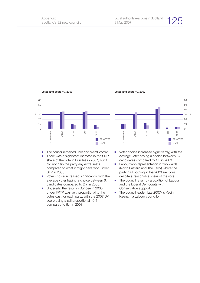



- **P** The council remained under no overall control.
- **P** There was a significant increase in the SNP share of the vote in Dundee in 2007, but it did not gain the party any extra seats compared to what it might have won under STV in 2003.
- **•** Voter choice increased significantly, with the average voter having a choice between 6.4 candidates compared to 2.7 in 2003.
- **•** Unusually, the result in Dundee in 2003 under FPTP was very proportional to the votes cast for each party, with the 2007 DV score being a still proportional 10.4 compared to 5.1 in 2003.





- **•** Voter choice increased significantly, with the average voter having a choice between 8.8 candidates compared to 4.5 in 2003.
- **E** Labour won representation in two wards (North Eastern and The Ferry) where the party had nothing in the 2003 elections despite a reasonable share of the vote.
- **P** The council is run by a coalition of Labour and the Liberal Democrats with Conservative support.
- **P** The council leader (late 2007) is Kevin Keenan, a Labour councillor.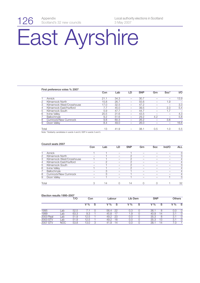Appendix 126 Appendix<br>
Scotland's 32 new councils Local authority elections in Scotland 3 May 2007

## East Ayrshire

### First preference votes % 2007

|       |                                                                                                                                                                                                                                       | Con  | Lab  | LD | <b>SNP</b> | Grn | $Soc*$ | I/O           |
|-------|---------------------------------------------------------------------------------------------------------------------------------------------------------------------------------------------------------------------------------------|------|------|----|------------|-----|--------|---------------|
|       | Annick                                                                                                                                                                                                                                | 21.1 | 34.3 |    | 30.7       |     |        | 13.9          |
| 2     | Kilmarnock North                                                                                                                                                                                                                      | 15.8 | 26.7 |    | 55.6       |     | 1.9    |               |
| 3     | Kilmarnock West/Crosshouse                                                                                                                                                                                                            | 17.0 | 32.5 |    | 47.2       |     |        | 3.3           |
| 4     | Kilmarnock East/Hurlford                                                                                                                                                                                                              | 7.7  | 45.0 |    | 39.5       |     | 2.3    | 5.4           |
| 5     | Kilmarnock South                                                                                                                                                                                                                      | 5.9  | 47.7 |    | 44.7       |     |        |               |
| 6     | <b>Irvine Vallev</b>                                                                                                                                                                                                                  | 20.5 | 31.6 |    | 43.5       |     |        | 4.3           |
|       | Ballochmyle                                                                                                                                                                                                                           | 9.2  | 51.6 |    | 29.2       | 4.2 |        | 5.8           |
| 8     | Cumnock/New Cumnock                                                                                                                                                                                                                   | 9.8  | 60.3 |    | 26.2       |     | 3.8    |               |
| 9     | Doon Vallev                                                                                                                                                                                                                           | 8.4  | 49.0 | -  | 26.0       |     |        | 16.6          |
| Total |                                                                                                                                                                                                                                       | 13   | 41.9 |    | 38.1       | 0.5 | 1.0    | $5.5^{\circ}$ |
|       | $\mathbf{a}$ . The state $\mathbf{a}$ is a second to the state of the state of the state of the state of the state of the state of the state of the state of the state of the state of the state of the state of the state of the sta |      |      |    |            |     |        |               |

Note: \*Solidarity candidates in wards 4 and 8, SSP in wards 2 and 5.

|       | Council seats 2007         |     |     |    |            |     |     |       |            |
|-------|----------------------------|-----|-----|----|------------|-----|-----|-------|------------|
|       |                            | Con | Lab | LD | <b>SNP</b> | Grn | Soc | Ind/O | <b>ALL</b> |
|       | <b>Annick</b>              |     |     |    |            |     |     |       | 3          |
| 2     | Kilmarnock North           |     |     |    | っ          | -   |     |       | 3          |
| 3     | Kilmarnock West/Crosshouse |     |     |    | റ          |     |     |       | 4          |
| 4     | Kilmarnock East/Hurlford   |     | ∩   |    | ∩          |     |     |       | 4          |
| 5     | Kilmarnock South           |     |     |    | っ          |     |     |       | 3          |
| 6     | <b>Irvine Valley</b>       |     |     |    | ∩          |     |     |       | 4          |
|       | Ballochmyle                |     | 3   |    |            |     |     |       | 4          |
| 8     | Cumnock/New Cumnock        |     | 3   |    |            |     |     |       | 4          |
| 9     | Doon Valley                |     |     |    |            |     |     |       | 3          |
| Total |                            | З   | 14  |    | 14         |     |     |       | 32         |

|                  |            | T/O  |      | Con |      | Labour |      | Lib Dem |      | <b>SNP</b> | <b>Others</b>       |  |
|------------------|------------|------|------|-----|------|--------|------|---------|------|------------|---------------------|--|
|                  |            |      | V %  | S   | V%   | S      | V %  | s       | V%   | S          | V %<br><sub>S</sub> |  |
| 1995             | _ab        | 52.5 |      |     | 56.4 | 22     | 0.3  |         | 36.7 |            | 0.0<br>$\Omega$     |  |
| 1999             | _ab        | 63.3 | 9.3  |     | 45.8 | 17     | l .9 |         | 40.9 | 14         | 3.1<br>0            |  |
| <b>2003 Real</b> | _ab        | 51.9 | 12.5 |     | 49.2 | 23     | 0.0  |         | 35.3 | 8          | 3.1<br>0            |  |
| 2003 STV         | _ab        | 51.9 | 12.5 |     | 49.2 | 18     | 0.0  |         | 35.3 | 13         | 3.1<br>0            |  |
| 2007 STV         | <b>NOC</b> | 53.8 | 13.0 | 3   | 41.9 | 14     | 0.0  |         | 38.  | 14         | 7.0                 |  |
|                  |            |      |      |     |      |        |      |         |      |            |                     |  |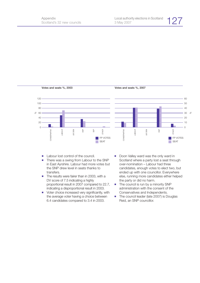



- **•** Labour lost control of the council.
- **P** There was a swing from Labour to the SNP in East Ayrshire. Labour had more votes but the SNP drew level in seats thanks to transfers.
- **P** The results were fairer than in 2003, with a DV score of 7.5 indicating a highly proportional result in 2007 compared to 22.7, indicating a disproportional result in 2003.
- **•** Voter choice increased very significantly, with the average voter having a choice between 6.4 candidates compared to 3.4 in 2003.



- p Doon Valley ward was the only ward in Scotland where a party lost a seat through over-nomination – Labour had three candidates, enough votes to elect two, but ended up with one councillor. Everywhere else, running more candidates either helped the party or did no harm.
- **P** The council is run by a minority SNP administration with the consent of the Conservatives and Independents.
- **The council leader (late 2007) is Douglas** Reid, an SNP councillor.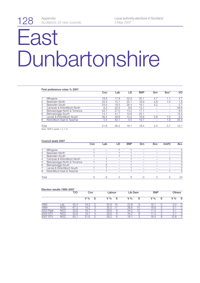Appendix 128 Appendix<br>
Scotland's 32 new councils Local authority elections in Scotland 3 May 2007

## East Dunbartonshire

|       |                                 | Con  | Lab  | LD   | <b>SNP</b> | Grn | $Soc*$ | I/O  |
|-------|---------------------------------|------|------|------|------------|-----|--------|------|
|       | Milngavie                       | 18.8 | 17.8 | 32.9 | 20.1       | 4.7 | 1.1    | 4.7  |
| 2     | Bearsden North                  | 33.3 | 15.1 | 25.1 | 18.9       | 4.8 | 1.0    | 1.8  |
| 3     | Bearsden South                  | 24.4 | 19.3 | 26.4 | 19.1       | 5.2 |        | 5.7  |
| 4     | Campsie & Kirkintilloch North   | 6.2  | 22.5 | 9.6  | 13.1       |     |        | 48.6 |
| 5     | Bishopbriggs North & Torrance   | 33.7 | 27.0 | 13.2 | 17.7       |     |        | 8.5  |
| 6     | <b>Bishopbriggs South</b>       | 14.1 | 41.7 | 10.8 | 20.1       |     |        | 13.4 |
|       | Lenzie & Kirkintilloch South    | 26.4 | 28.8 | 14.2 | 16.8       | 2.8 | 1.5    | 9.5  |
| 8     | Kirkintilloch East & Twechar    | 5.4  | 42.1 | 5.5  | 19.7       |     | 1.9    | 25.4 |
| Total |                                 | 21.6 | 26.2 | 18.1 | 18.4       | 2.4 | 0.7    | 12.7 |
|       | Note: *SSP in wards 1, 2, 7, 8. |      |      |      |            |     |        |      |

|       | Council seats 2007                       |     |     |    |            |     |     |       |            |
|-------|------------------------------------------|-----|-----|----|------------|-----|-----|-------|------------|
|       |                                          | Con | Lab | LD | <b>SNP</b> | Grn | Soc | Ind/O | <b>ALL</b> |
|       | Milngavie                                |     |     |    |            |     |     |       | 3          |
| 2     | Bearsden North                           |     |     |    |            |     |     |       | 3          |
| З     | Bearsden South                           |     |     |    |            |     |     |       | 3          |
| 4     | Campsie & Kirkintilloch North            |     |     |    |            |     |     |       | 3          |
| 5     | <b>Bishopbriggs North &amp; Torrance</b> |     |     |    |            |     |     |       | 3          |
| 6     | <b>Bishopbriggs South</b>                |     | റ   | -  |            |     |     |       | 3          |
|       | Lenzie & Kirkintilloch South             |     |     |    |            |     |     |       | 3          |
| 8     | Kirkintilloch East & Twechar             |     |     |    |            |     |     |       | 3          |
| Total |                                          | 5   | 6   | 3  | 8          |     |     | 2     | 24         |

| LICOLIOII ICOUILO TUUU LUUT |     | T/O  | Con  |   | Labour |    | Lib Dem |    | <b>SNP</b> |   | <b>Others</b> |   |
|-----------------------------|-----|------|------|---|--------|----|---------|----|------------|---|---------------|---|
|                             |     |      | V %  | S | V %    | S  | V %     | s  | V %        | s | V%            | S |
| 1995                        | _ab | 52.4 | 19.3 | 2 | 40.8   | 15 | 23.8    | 9  | 16.        |   | 0.0           |   |
| 1999                        | NOC | 67.2 | 19.2 | 3 | 35.5   |    | 26.6    | 10 | 18.6       |   | 0.1           |   |
| 2003 Real                   | NOC | 55.8 | 19.7 | 3 | 29.6   | 9  | 34.2    | 12 | 11.3       |   | 5.1           |   |
| 2003 STV                    | NOC | 55.8 | 19.7 | 4 | 29.6   | 9  | 34.2    | 9  | 11.3       | ◠ | 5.1           |   |
| 2007 STV                    | NOC | 62.1 | 21.6 | 5 | 26.2   | 6  | 18.1    | 3  | 18.4       | 8 | 15.8          | 2 |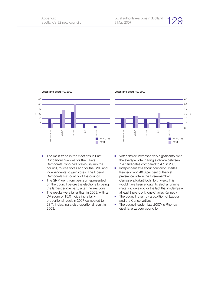

- The main trend in the elections in East Dunbartonshire was for the Liberal Democrats, who had previously run the council, to lose votes and for the SNP and Independents to gain votes. The Liberal Democrats lost control of the council.
- **P** The SNP went from being unrepresented on the council before the elections to being the largest single party after the elections.
- The results were fairer than in 2003, with a DV score of 15.0 indicating a fairly proportional result in 2007 compared to 23.7, indicating a disproportional result in 2003.





- **•** Voter choice increased very significantly, with the average voter having a choice between 7.4 candidates compared to 4.1 in 2003.
- **•** Independent ex-Labour councillor Charles Kennedy won 48.6 per cent of the first preference vote in the three-member Campsie & Kirkintilloch North ward. This would have been enough to elect a running mate, if it were not for the fact that in Campsie at least there is only one Charles Kennedy.
- $\blacksquare$  The council is run by a coalition of Labour and the Conservatives.
- The council leader (late 2007) is Rhonda Geekie, a Labour councillor.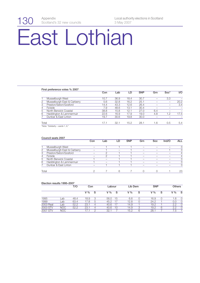Appendix 130 Appendix<br>
Scotland's 32 new councils Local authority elections in Scotland 3 May 2007

## East Lothian

### First preference votes % 2007

|       |                             | Con  | Lab  | LD   | <b>SNP</b> | Grn | $Soc*$ | I/O  |
|-------|-----------------------------|------|------|------|------------|-----|--------|------|
|       | Musselburgh West            | 10.7 | 36.9 | 18.4 | 30.7       |     | 3.3    |      |
| 2     | Musselburgh East & Carberry | 5.6  | 32.8 | 16.2 | 25.1       |     |        | 20.2 |
| 3     | Preston/Seton/Gosford       | 14.4 | 43.3 | 12.6 | 26.4       |     |        | 3.4  |
| 4     | Fa'side                     | 7.9  | 48.6 | 13.1 | 30.4       |     |        |      |
| 5     | North Berwick Coastal       | 38.8 | 15.8 | 12.1 | 27.0       | 6.4 |        |      |
| 6     | Haddington & Lammermuir     | 22.6 | 16.9 | 17.9 | 19.0       | 4.8 | .2     | 17.5 |
|       | Dunbar & East Linton        | 19.7 | 30.6 | 19.8 | 30.0       |     |        |      |
|       |                             |      |      |      |            |     |        |      |
| Total |                             | 17.1 | 32.1 | 15.2 | 28.1       | 1.6 | 0.5    | 5.4  |
|       |                             |      |      |      |            |     |        |      |

"Note: \*Solidarity – wards 1, 6."

|       |                             | Con | Lab | LD | <b>SNP</b> | Grn | Soc | Ind/O | <b>ALL</b> |
|-------|-----------------------------|-----|-----|----|------------|-----|-----|-------|------------|
|       | Musselburgh West            |     |     |    |            |     |     |       |            |
| 2     | Musselburgh East & Carberry |     |     | -  |            |     |     |       | 3          |
| 3     | Preston/Seton/Gosford       |     | റ   |    |            |     |     |       | 4          |
| 4     | Fa'side                     |     | ∩   |    |            |     |     |       | 4          |
| 5     | North Berwick Coastal       |     |     |    |            |     |     |       | 3          |
| 6     | Haddington & Lammermuir     |     |     |    |            |     |     |       | 3          |
|       | Dunbar & East Linton        |     |     |    |            |     |     |       | 3          |
|       |                             |     |     |    |            |     |     |       |            |
| Total |                             |     |     |    |            |     |     |       | 23         |

|            |      | V%                                | S | V %  | S  | V%     | s | V%      | S | V%         | -S            |
|------------|------|-----------------------------------|---|------|----|--------|---|---------|---|------------|---------------|
| _ab        | 48.4 | 18.9                              | 3 | 56.0 | 15 | 6.6    |   | 16.9    |   | 1.6        | 0             |
| _ab        | 63.4 | 17.8                              | 5 | 45.2 | 17 | 12.8   |   | 24.2    |   | 0.0        | 0             |
| _ab        | 52.2 | 23.1                              | 4 | 40.6 | 17 | 14.9   |   | 19.2    |   | 2.2        | 0             |
| <b>NOC</b> | 52.2 | 23.1                              | 4 | 40.6 | 10 | 14.9   | 3 | 19.2    | 6 | 2.2        | 0             |
| <b>NOC</b> |      | 17.1                              | っ | 32.1 |    | 15.2   | 6 | 28.1    |   | 7.5        |               |
|            |      | Election results 1995-2007<br>T/O |   | Con  |    | Labour |   | Lib Dem |   | <b>SNP</b> | <b>Others</b> |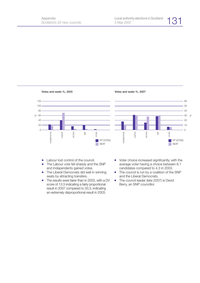



- **E** Labour lost control of the council.
- $\blacksquare$  The Labour vote fell sharply and the SNP and Independents gained votes.
- **•** The Liberal Democrats did well in winning seats by attracting transfers.
- **P** The results were fairer than in 2003, with a DV score of 13.3 indicating a fairly proportional result in 2007 compared to 33.3, indicating an extremely disproportional result in 2003.



- voter choice increased significantly, with the average voter having a choice between 6.1 candidates compared to 4.3 in 2003.
- $\blacksquare$  The council is run by a coalition of the SNP and the Liberal Democrats.
- **P** The council leader (late 2007) is David Berry, an SNP councillor.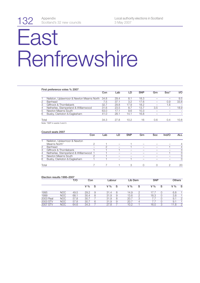Appendix 132 Appendix<br>
Scotland's 32 new councils Local authority elections in Scotland 3 May 2007

## **East** Renfrewshire

|       | First preference votes % 2007             |      |      |            |            |     |                          |            |
|-------|-------------------------------------------|------|------|------------|------------|-----|--------------------------|------------|
|       |                                           | Con  | Lab  | LD         | <b>SNP</b> | Grn | $Soc*$                   | I/O        |
|       | Neilston, Uplawmoor & Newton Mearns North | 34.8 | 29.4 | 8.1        | 18.3       |     | -                        | 9.5        |
| 2     | Barrhead                                  | 7.5  | 37.1 | 3.2        | 17.6       |     | 0.9                      | 33.8       |
| З     | Giffnock & Thornliebank                   | 32.7 | 29.8 | 17.9       | 18.2       |     | 1.6                      |            |
| 4     | Netherlee, Stamperland & Williamwood      | 31.6 | 23.5 | 8.7        | 13.7       | 3.5 | $\overline{\phantom{0}}$ | 18.9       |
| 5     | Newton Mearns South                       | 63.0 | 17.1 | 9.6        | 10.3       |     |                          |            |
| 6     | Busby, Clarkston & Eaglesham              | 41.0 | 28.1 | 14.1       | 16.8       |     |                          |            |
| Total |                                           | 34.3 | 27.8 | 10.2       | 16         | 0.6 | 0.4                      | 10.8       |
|       | Note: *SSP in wards 2 and 3.              |      |      |            |            |     |                          |            |
|       | Council seats 2007                        |      |      |            |            |     |                          |            |
|       | Con                                       | Lab  | LD   | <b>SNP</b> | Grn        | Soc | Ind/O                    | <b>ALL</b> |
|       |                                           |      |      |            |            |     |                          |            |

|       | Neilston, Uplawmoor & Newton           |  |  |  |    |
|-------|----------------------------------------|--|--|--|----|
|       | Mearns North"                          |  |  |  | 4  |
| 2     | Barrhead                               |  |  |  |    |
| З     | Giffnock & Thornliebank                |  |  |  |    |
| 4     | Netherlee, Stamperland & Williamwood 1 |  |  |  |    |
| 5     | Newton Mearns South                    |  |  |  |    |
| 6     | Busby, Clarkston & Eaglesham           |  |  |  | З  |
|       |                                        |  |  |  |    |
| Total |                                        |  |  |  | 20 |
|       |                                        |  |  |  |    |

|           |            | T/O  | Con  |   |      | Labour |      | Lib Dem |      | <b>SNP</b> |      | <b>Others</b> |
|-----------|------------|------|------|---|------|--------|------|---------|------|------------|------|---------------|
|           |            |      | V%   | S | V%   | S      | V%   | S       | V %  | S          | V%   | -S            |
| 1995      | NOC        | 49.5 | 29.2 | 9 | 31.4 | 8      | 14.9 | ∩       |      |            | 6.8  |               |
| 1999      | <b>NOC</b> | 68.1 | 30.4 | 8 | 31.9 | 9      | 13.6 | ∩       | 18.3 |            | 3.8  |               |
| 2003 Real | <b>NOC</b> | 57.8 | 30.7 |   | 31.9 | 8      | 20.7 | 3       | 7.7  |            | 9.1  | 2             |
| 2003 STV  | <b>NOC</b> | 57.8 | 30.7 | 6 | 31.9 | 9      | 20.7 |         |      |            | 9.1  |               |
| 2007 STV  | NOC        | 64.6 | 34.3 |   | 27.8 |        | 10.2 |         | 16.C | 3          | 11.8 | 2             |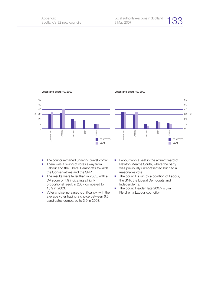





- **•** The council remained under no overall control.
- $\blacksquare$  There was a swing of votes away from Labour and the Liberal Democrats towards the Conservatives and the SNP.
- The results were fairer than in 2003, with a DV score of 7.9 indicating a highly proportional result in 2007 compared to 13.9 in 2003.
- **•** Voter choice increased significantly, with the average voter having a choice between 6.8 candidates compared to 3.9 in 2003.





- **E** Labour won a seat in the affluent ward of Newton Mearns South, where the party was previously unrepresented but had a reasonable vote.
- **P** The council is run by a coalition of Labour, the SNP, the Liberal Democrats and Independents.
- **P** The council leader (late 2007) is Jim Fletcher, a Labour councillor.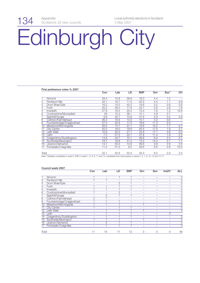134 Appendix Scotland's 32 new councils

Council seats 2007

Local authority elections in Scotland 3 May 2007

# Edinburgh City

|                | First preference votes % 2007 |      |      |      |            |      |        |                          |
|----------------|-------------------------------|------|------|------|------------|------|--------|--------------------------|
|                |                               | Con  | Lab  | LD   | <b>SNP</b> | Grn  | $Soc*$ | I/O                      |
|                | Almond                        | 28.4 | 10.8 | 36.9 | 18.3       | 4.4  | 1.2    | $\overline{\phantom{0}}$ |
| 2              | <b>Pentland Hills</b>         | 42.1 | 19.7 | 11.5 | 20.5       | 4.4  | 1.1    | 0.9                      |
| 3              | Drum Brae/Gyle                | 16.2 | 15.0 | 45.3 | 18.6       | 3.2  | 0.9    | 0.8                      |
| 4              | Forth                         | 20.2 | 29.0 | 17.9 | 22.7       | 5.8  | 2.6    | 1.8                      |
| $\overline{5}$ | Inverleith                    | 27.9 | 18.4 | 20.4 | 13.4       | 7.6  | 1.3    | 10.9                     |
| 6              | Corstorphine/Murrayfield      | 26   | 15.3 | 38.1 | 15.1       | 4.9  | 0.7    | -                        |
|                | Sighthill/Gorgie              | 9.8  | 35.7 | 10.8 | 31.6       | 5.9  | 3.4    | 2.8                      |
| 8              | Colinton/Fairmilehead         | 46.2 | 18.9 | 14.9 | 15.1       | 4.2  | 0.6    |                          |
| 9              | Fountainbridge/Craiglockhart  | 27.4 | 22.8 | 17.3 | 18.8       | 11.3 | 2.5    | $\overline{\phantom{0}}$ |
| 10             | Meadows/Morningside           | 26.5 | 14.1 | 31.1 | 10.6       | 15.2 | 1.7    | 0.7                      |
| 11             | <b>City Centre</b>            | 20.2 | 18.0 | 19.9 | 20.4       | 17.0 | 1.8    | 2.7                      |
| 12             | eith Walk                     | 10.9 | 20.3 | 21.1 | 24.8       | 17.1 | 3.8    | 2.0                      |
| 13             | Leith                         | 7.2  | 27.2 | 22.1 | 27.8       | 11.4 | 1.8    | 2.5                      |
| 14             | Craigentinny/Duddingston      | 14.6 | 34.7 | 10.1 | 29.6       | 6.0  | 2.3    | 2.7                      |
| 15             | Southside/Newington           | 18.7 | 18.8 | 31.3 | 13.2       | 14.3 | 2.1    | 1.7                      |
| 16             | Liberton/Gilmerton            | 14.7 | 35.5 | 14.6 | 26.6       | 3.6  | 2.6    | 2.5                      |
|                | Portobello/Craigmillar        | 11.2 | 31.5 | 8.5  | 28.6       | 6.8  | 2.8    | 10.5                     |
| Total          |                               | 22.1 | 22.9 | 22.0 | 20.3       | 8.2  | 2.0    | 2.5                      |

Note: \*Solidarity candidates in ward 3, SSP in wards 1, 2, 6, 8, 11 and 13, candidates from both parties in wards 4, 5, 7, 9, 10, 12 and 14–17.

|       |                              | Con            | Lab                      | LD | <b>SNP</b> | Grn                      | Soc | Ind/O                    | <b>ALL</b>     |
|-------|------------------------------|----------------|--------------------------|----|------------|--------------------------|-----|--------------------------|----------------|
|       | Almond                       |                | $\overline{\phantom{a}}$ |    |            | -                        |     | -                        | $\overline{3}$ |
| 2     | <b>Pentland Hills</b>        |                |                          |    |            |                          |     |                          | 3              |
| 3     | Drum Brae/Gyle               |                | -                        | 2  |            | -                        | -   | -                        | 3              |
| 4     | Forth                        |                |                          |    |            |                          |     |                          | 4              |
| 5     | Inverleith                   |                |                          |    |            |                          |     |                          | 4              |
| 6     | Corstorphine/Murrayfield     |                | -                        | ∩  |            |                          |     | -                        | 3              |
|       | Sighthill/Gorgie             |                | $\overline{2}$           |    |            | $\overline{\phantom{0}}$ |     |                          | 4              |
| 8     | Colinton/Fairmilehead        | $\overline{2}$ |                          |    |            |                          |     |                          | $\overline{3}$ |
| 9     | Fountainbridge/Craiglockhart |                |                          |    |            |                          |     |                          | $\overline{3}$ |
| 10    | Meadows/Morningside          |                |                          |    | -          |                          | -   | -                        | 4              |
|       | <b>City Centre</b>           |                |                          |    |            |                          |     |                          | 4              |
| 12    | Leith Walk                   |                |                          |    |            |                          |     | -                        | 4              |
| 13    | Leith                        |                |                          |    |            |                          |     | 3                        |                |
| 14    | Craigentinny/Duddingston     |                |                          |    |            |                          | -   | $\overline{\phantom{0}}$ | 3              |
| 15    | Southside/Newington          |                |                          |    |            |                          |     | -                        | 4              |
| 16    | Liberton/Gilmerton           |                | $\mathcal{P}$            |    |            |                          |     |                          | 4              |
| 17    | Portobello/Craigmillar       |                |                          |    |            | $\overline{\phantom{0}}$ | -   | $\overline{\phantom{0}}$ | $\overline{3}$ |
| Total |                              | 11             | 15                       | 17 | 12         | 3                        | 0   | 0                        | 49             |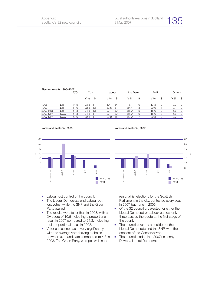|           |            | T/O  | Con        | Labour |    | Lib Dem |    | <b>SNP</b> |    | <b>Others</b> |    |
|-----------|------------|------|------------|--------|----|---------|----|------------|----|---------------|----|
|           |            |      | V%<br>S    | V %    | S  | V%      | s  | V %        | S  | V%            | -S |
| 1995      | _ab        | 44.5 | 23.3<br>14 | 40.7   | 34 | 18.1    | 10 | 17.3       |    | 0.7           |    |
| 1999      | _ab        | 61.0 | 22.3<br>13 | 32.5   | 31 | 24.4    | 13 | 20.6       |    | 0.7           |    |
| 2003 Real | _ab        | 51.3 | 13<br>24.5 | 27.4   | 30 | 26.9    | 15 | 15.6       |    | 5.6           |    |
| 2003 STV  | <b>NOC</b> | 51.3 | 24.5<br>14 | 27.4   | 20 | 26.9    | 16 | 15.6       | 8  | 5.6           |    |
| 2007 STV  | <b>NOC</b> | 57.6 | 22.1<br>11 | 22.9   | 15 | 22.0    | 17 | 20.3       | 12 | 12.7          | 3  |

### Votes and seats %, 2003 Votes and seats %, 2007





- **•** Labour lost control of the council.
- **P** The Liberal Democrats and Labour both lost votes, while the SNP and the Green Party gained.
- The results were fairer than in 2003, with a DV score of 10.6 indicating a proportional result in 2007 compared to 24.3, indicating a disproportional result in 2003.
- **•** Voter choice increased very significantly, with the average voter having a choice between 9.1 candidates compared to 4.8 in 2003. The Green Party, who poll well in the

regional list elections for the Scottish Parliament in the city, contested every seat in 2007 but none in 2003.

- **•** Of the 32 councillors elected for either the Liberal Democrat or Labour parties, only three passed the quota at the first stage of the count.
- $\blacksquare$  The council is run by a coalition of the Liberal Democrats and the SNP, with the consent of the Conservatives.
- **•** The council leader (late 2007) is Jenny Dawe, a Liberal Democrat.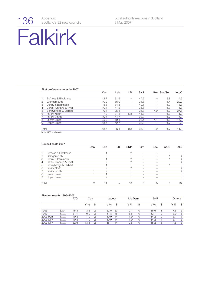## Falkirk

|                              | Con  | Lab  | LD  | <b>SNP</b> | Grn | Soc/Sol* | Ind/O |
|------------------------------|------|------|-----|------------|-----|----------|-------|
|                              |      |      |     |            |     |          |       |
| Bo'ness & Blackness          | 12.7 | 31.9 |     | 47.2       |     | 3.8      | 4.3   |
| 2<br>Grangemouth             | 10.2 | 36.9 |     | 31.3       |     | 1.4      | 20.2  |
| 3<br>Denny & Banknock        | 5.3  | 34.5 |     | 40.1       |     | 1.9      | 18.3  |
| Carse, Kinnaird & Tryst<br>4 | 10.4 | 47.2 |     | 35.8       |     | 1.3      | 5.3   |
| 5<br>Bonnybridge & Larbert   | 9.4  | 25.4 |     | 31.3       | 4.9 | 1.2      | 27.8  |
| 6<br><b>Falkirk North</b>    | 7.9  | 37.8 | 6.3 | 44.8       |     | 1.3      | 1.9   |
| <b>Falkirk South</b>         | 19.6 | 44.7 |     | 29.0       |     | 1.7      | 5.2   |
| 8<br>Lower Braes             | 35.9 | 19.4 |     | 22.5       | 4.1 | 1.3      | 16.9  |
| 9<br>Upper Braes             | 13.5 | 42.7 |     | 32.8       |     | 1.7      | 9.3   |
|                              |      |      |     |            |     |          |       |
| Total                        | 13.5 | 36.1 | 0.8 | 35.2       | 0.9 | 1.7      | 11.9  |

|       | Council seats 2007      |               |     |    |            |     |     |       |            |
|-------|-------------------------|---------------|-----|----|------------|-----|-----|-------|------------|
|       |                         | Con           | Lab | LD | <b>SNP</b> | Grn | Soc | Ind/O | <b>ALL</b> |
|       | Bo'ness & Blackness     |               |     |    | ⌒          |     |     | 3     |            |
| 2     | Grangemouth             |               | Ω   |    |            |     |     |       | 4          |
| 3     | Denny & Banknock        |               |     |    |            |     |     |       |            |
| 4     | Carse, Kinnaird & Tryst |               | ∩   |    | ∩          |     |     |       | 4          |
| 5     | Bonnybridge & Larbert   |               |     |    |            |     |     |       | 3          |
| 6     | <b>Falkirk North</b>    |               | C   |    |            |     |     |       | 4          |
|       | <b>Falkirk South</b>    |               | n   |    |            |     |     |       | 4          |
| 8     | Lower Braes             |               |     |    |            |     |     |       | 3          |
| 9     | Upper Braes             |               | Ω   |    |            |     |     |       | 3          |
| Total |                         | $\mathcal{P}$ | 14  |    | 13         |     |     | 3     | 32         |

|           |            | T/O  | Con  |   | Labour |    |     | Lib Dem |      | <b>SNP</b> | <b>Others</b> |  |
|-----------|------------|------|------|---|--------|----|-----|---------|------|------------|---------------|--|
|           |            |      | V%   | S | V%     | S  | V % | s       | V %  | S          | V%<br>S       |  |
| 1995      | _ab        | 45.3 | 3.6  | 2 | 52.0   | 23 | 0.1 |         | 36.6 | 8          | -3<br>7.6     |  |
| 1999      | <b>NOC</b> | 61.1 | 6.0  | 2 | 41.8   | 15 | 3.8 |         | 32.7 |            | 15.9<br>6     |  |
| 2003 Real | <b>NOC</b> | 49.8 | 7.0  | 2 | 40.9   | 14 | .9  |         | 34.2 | 9          | 16.1          |  |
| 2003 STV  | <b>NOC</b> | 49.8 | 7.0  | っ | 40.9   | 14 | .9  |         | 34.2 |            | 16.1<br>5     |  |
| 2007 STV  | <b>NOC</b> | 52.6 | 13.5 | 2 | 36.7   | 14 | 0.8 |         | 35.2 | 13         | -3<br>14.5    |  |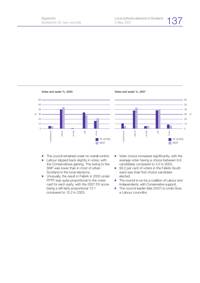





- **•** The council remained under no overall control.
- **Example 2** Labour slipped back slightly in votes, with the Conservatives gaining. The swing to the SNP was lower than in most of urban Scotland in the local elections.
- **P** Unusually, the result in Falkirk in 2003 under FPTP was quite proportional to the votes cast for each party, with the 2007 DV score being a still fairly proportional 13.1 compared to 10.2 in 2003.
- **•** Voter choice increased significantly, with the average voter having a choice between 6.9 candidates compared to 3.0 in 2003.
- 93.2 per cent of voters in the Falkirk South ward saw their first choice candidate elected.
- **P** The council is run by a coalition of Labour and Independents, with Conservative support.
- **The council leader (late 2007) is Linda Gow,** a Labour councillor.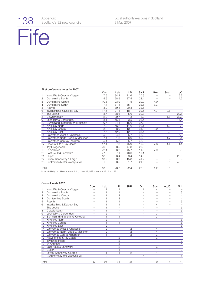138 Appendix Scotland's 32 new councils

# Fife

|                | First preference votes % 2007       | Con  | Lab  | LD   | <b>SNP</b> | Grn                      | Soc*                     | I/O                      |
|----------------|-------------------------------------|------|------|------|------------|--------------------------|--------------------------|--------------------------|
|                | West Fife & Coastal Villages        | 7.6  | 34.2 | 21.6 | 20.9       | $\overline{\phantom{0}}$ | -                        | 15.6                     |
| $\overline{2}$ | Dunfermline North                   | 5.9  | 28.9 | 27.5 | 23.4       | $\overline{\phantom{0}}$ | $\overline{\phantom{0}}$ | 14.2                     |
| 3              | Dunfermline Central                 | 10.6 | 23.9 | 41.5 | 20.0       | 4.0                      | $\overline{\phantom{0}}$ |                          |
| 4              | Dunfermline South                   | 7.4  | 31.4 | 35.1 | 22.8       | 3.3                      | $\overline{\phantom{0}}$ |                          |
| $\overline{5}$ | Rosyth                              | 8.0  | 39.1 | 20.8 | 32.1       | $\overline{\phantom{0}}$ | $\overline{\phantom{0}}$ |                          |
| 6              | Inverkeithing & Dalgety Bay         | 17.5 | 27.4 | 18.1 | 29.5       | 4.7                      | 0.8                      | $\overline{\phantom{0}}$ |
|                | The Lochs                           | 3.7  | 38.6 | 5.6  | 20.8       | $\overline{\phantom{0}}$ | $\overline{\phantom{0}}$ | 29.6                     |
| $\overline{8}$ | Cowdenbeath                         | 2.9  | 39.7 | 4.8  | 18.9       | -                        | 1.8                      | 33.8                     |
| 9              | Lochgelly & Cardenden               | 3.1  | 55.5 | 3.5  | 23.5       | -                        | $\overline{a}$           | 14.4                     |
| 10             | Burntisland, Kinghorn, W Kirkcaldy  | 9.7  | 34.1 | 15.6 | 37.8       | -                        | $\overline{\phantom{0}}$ |                          |
| 11             | Kirkcaldy North                     | 7.9  | 46.2 | 11.6 | 29.1       | $\overline{\phantom{0}}$ | 1.9                      | 3.3                      |
| 12             | Kirkcaldy Central                   | 8.2  | 38.9 | 19.1 | 31.8       | 2.0                      | $\overline{\phantom{0}}$ |                          |
| 13             | <b>Kirkcaldy East</b>               | 7.6  | 42.0 | 12.1 | 35.4       | $\overline{\phantom{0}}$ | 2.9                      |                          |
| 14             | Glenrothes West & Kinglassie        | 5.9  | 34.3 | 5.7  | 48.2       | $\overline{\phantom{0}}$ | $\overline{\phantom{m}}$ | 5.8                      |
| 15             | Glenrothes North, Leslie & Markinch | 7.4  | 31.3 | 6.0  | 50.0       | $\overline{\phantom{0}}$ | 1.7                      | 2.4                      |
| 16             | Glenrothes Central/Thornton         | 5.1  | 35.8 | 5.7  | 48.0       |                          |                          | $\overline{5.3}$         |
| 17             | Howe of Fife & Tay Coast            | 17.4 | 7.3  | 45.9 | 19.2       | 7.8                      | 1.4                      | 1.1                      |
| 18             | Tay Bridgehead                      | 20.6 | 8.5  | 47.3 | 20.3       | $\overline{\phantom{0}}$ | $\overline{\phantom{0}}$ |                          |
| 19             | <b>St Andrews</b>                   | 22.1 | 6.2  | 45.7 | 11.6       | 7.9                      | $\qquad \qquad -$        | 6.6                      |
| 20             | East Neuk & Landward                | 27.8 | 7.1  | 46.0 | 19.1       | $\overline{a}$           | $\overline{\phantom{0}}$ |                          |
| 21             | Cupar                               | 18.9 | 6.4  | 39.4 | 14.6       | $\overline{\phantom{0}}$ | $\overline{\phantom{0}}$ | 20.8                     |
| 22             | Leven, Kennoway & Largo             | 10.9 | 30.9 | 15.3 | 41.7       | -                        | $\overline{\phantom{0}}$ |                          |
| 23             | Buckhaven Methil Wemyss Vill        | 1.5  | 30.5 | 1.7  | 21.6       | $\overline{\phantom{0}}$ | 0.8                      | 43.3                     |
| Total          |                                     | 10.6 | 28.7 | 22.4 | 27.8       | 1.2                      | 0.6                      | 8.5                      |

Note: \*Solidarity candidates in wards 8, 11, 12 and 17, SSP in wards 6, 13, 15 and 23.

|                 |                                        | Con | Lab                      | LD                       | <b>SNP</b>               | Grn                      | Soc                      | Ind/O                    | <b>ALL</b>                |
|-----------------|----------------------------------------|-----|--------------------------|--------------------------|--------------------------|--------------------------|--------------------------|--------------------------|---------------------------|
|                 | West Fife & Coastal Villages           |     |                          |                          |                          |                          | 4                        |                          |                           |
| $\overline{2}$  | Dunfermline North                      | -   |                          |                          |                          | $\overline{\phantom{0}}$ |                          |                          | 3                         |
| 3               | <b>Dunfermline Central</b>             | -   |                          | 2                        |                          | $\overline{\phantom{0}}$ | $\overline{\phantom{0}}$ | $\overline{\phantom{0}}$ | 4                         |
| 4               | Dumfermline South                      |     |                          | $\overline{2}$           |                          |                          | $\overline{\phantom{0}}$ | -                        | 4                         |
| 5               | Rosyth                                 | -   |                          |                          |                          | -                        | $\overline{\phantom{0}}$ | $\overline{\phantom{0}}$ | 3                         |
| $\overline{6}$  | <b>Inverkeithing &amp; Dalgety Bay</b> |     |                          |                          |                          | -                        | 4                        | $\overline{\phantom{0}}$ |                           |
|                 | The Lochs                              |     |                          |                          |                          |                          |                          |                          | 3                         |
| 8               | Cowdenbeath                            | -   |                          | -                        |                          | $\overline{\phantom{0}}$ | -                        |                          | $\overline{\overline{3}}$ |
| $\overline{9}$  | Lochgelly & Cardenden                  | -   | 2                        |                          |                          | $\equiv$                 | 3                        |                          |                           |
| 10              | Burntisland Kinghorn W Kirkcaldy       | -   |                          |                          |                          | $\overline{\phantom{0}}$ | 3                        |                          |                           |
| 11              | <b>Kirkcaldy North</b>                 | -   | 2                        | $\overline{\phantom{0}}$ |                          |                          | $\overline{\phantom{0}}$ | $\overline{\phantom{0}}$ | 3                         |
| 12              | <b>Kirkcaldy Central</b>               | -   |                          | 1                        |                          |                          |                          | $\overline{\phantom{0}}$ | $\overline{\overline{3}}$ |
| 13              | <b>Kirkcaldy East</b>                  | -   | $\overline{2}$           | $\overline{\phantom{0}}$ |                          |                          | $\overline{\phantom{0}}$ | $\overline{\phantom{0}}$ | $\overline{3}$            |
| 14              | Glenrothes West & Kinglassie           |     | $\overline{2}$           | -                        | $\overline{2}$           | $\overline{\phantom{0}}$ | 4                        |                          |                           |
| 15              | Glenrothes North, Leslie & Markinch    | -   | $\overline{2}$           | $\overline{\phantom{0}}$ | $\overline{2}$           | $\overline{\phantom{0}}$ | 4                        |                          |                           |
| 16              | Glenrothes Central /Thornton           |     | H                        | -                        | $\overline{2}$           | $\overline{\phantom{0}}$ | 3                        |                          |                           |
| 17              | Howe of Fife & Tay Coast               |     | -                        | $\overline{2}$           |                          |                          | 3                        |                          |                           |
| 18              | <b>Tay Bridgehead</b>                  |     | $\overline{\phantom{0}}$ | $\overline{2}$           | $\equiv$                 | -                        | -                        | -                        | 3                         |
| 19              | <b>St Andrews</b>                      |     | $\overline{\phantom{0}}$ | 3                        | $\overline{\phantom{0}}$ | $\overline{\phantom{0}}$ | $\overline{\phantom{0}}$ | $\overline{\phantom{0}}$ | 4                         |
| 20              | East Neuk & Landward                   |     | -                        | $\overline{2}$           | $\overline{\phantom{0}}$ |                          | 3                        | $\overline{\phantom{0}}$ |                           |
| $\overline{21}$ | Cupar                                  |     | -                        |                          | -                        | $\overline{\phantom{0}}$ |                          |                          | 3                         |
| $\overline{22}$ | Leven, Kennoway & Largo                |     | H                        |                          | 2                        | $\overline{\phantom{0}}$ | 4                        |                          |                           |
| 23              | <b>Buckhaven Methil Wemyss Vill</b>    | -   | $\overline{2}$           | $\overline{\phantom{0}}$ | $\overline{1}$           | 4                        | $\overline{\phantom{0}}$ |                          |                           |
| Total           |                                        | 5   | 24                       | 21                       | 23                       | 0                        | $\Omega$                 | 5                        | 78                        |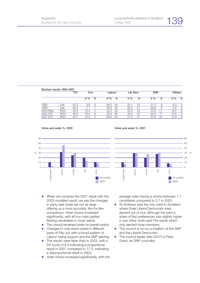|           |            | T/O  | Con  |   | Labour |    | Lib Dem |    | <b>SNP</b> |    | <b>Others</b> |    |
|-----------|------------|------|------|---|--------|----|---------|----|------------|----|---------------|----|
|           |            |      | V%   | S | V%     | S  | V%      | s  | V%         | s  | V %           | -S |
| 1995      | _ab        | 42.3 | 5.8  |   | 46.5   | 54 | 20.7    | 25 | 21.2       | 9  | 6.3           | 4  |
| 1999      | _ab        | 56.4 |      |   | 38.8   | 43 | 22.3    | 21 | 26.8       | 9  | 4.9           | 4  |
| 2003 Real | <b>NOC</b> | 45.8 | 10.3 | 2 | 33.3   | 36 | 25.2    | 23 | 20.8       |    | 10.5          | 6  |
| 2003 STV  | <b>NOC</b> | 45.8 | 10.3 | 6 | 33.3   | 28 | 25.2    | 22 | 20.8       |    | 10.5          | 5  |
| 2007 STV  | <b>NOC</b> | 50.1 | 10.3 | 5 | 29.5   | 24 | 21.5    | 21 | 27.8       | 23 | 10.3          | 5  |

### Votes and seats %, 2003 Votes and seats %, 2007





- When we compare the 2007 result with the 2003 modelled result, we see the changes in party seat totals are not as large – offering us a more accurate, like-for-like comparison. Voter choice increased significantly, with all four main parties fielding candidates in most wards.
- The council remained under no overall control.
- **•** Changes in vote share varied in different parts of Fife, but with a broad pattern of Labour losing support and the SNP gaining.
- The results were fairer than in 2003, with a DV score of 8.3 indicating a proportional result in 2007 compared to 17.0, indicating a disproportional result in 2003.
- **•** Voter choice increased significantly, with the

average voter having a choice between 7.1 candidates compared to 3.7 in 2003.

- **F** St Andrews was the only ward in Scotland where three Liberal Democrats were elected out of four, although the party's share of first preferences was slightly higher in two other north-east Fife wards which only elected three members.
- The council is run by a coalition of the SNP and the Liberal Democrats.
- **F** The council leader (late 2007) is Peter Grant, an SNP councillor.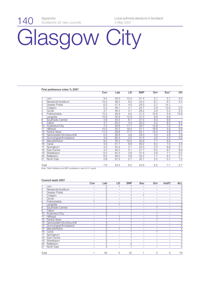140 Appendix Scotland's 32 new councils

Local authority elections in Scotland 3 May 2007

# Glasgow City

|                | First preference votes % 2007                                  |      |      |      |            |      |        |                          |
|----------------|----------------------------------------------------------------|------|------|------|------------|------|--------|--------------------------|
|                |                                                                | Con  | Lab  | LD   | <b>SNP</b> | Grn  | $Soc*$ | I/O                      |
| 1              | Linn                                                           | 9.4  | 43.0 | 13.4 | 21.4       | 3.1  | 5.7    | 4.0                      |
| $\overline{2}$ | Newlands/Auldburn                                              | 15.5 | 38.5 | 6.5  | 24.3       | 6.7  | 6.1    | 2.4                      |
| 3              | <b>Greater Pollok</b>                                          | 6.3  | 47.4 | 4.5  | 25.0       | 2.7  | 14.1   | $\overline{\phantom{0}}$ |
| 4              | Craigton                                                       | 5.2  | 48.1 | 4.1  | 24.7       | 2.9  | 13.0   | 2.0                      |
| $\overline{5}$ | Govan                                                          | 4.7  | 48.3 | 4.1  | 28.2       | 3.9  | 5.4    | 5.4                      |
| $\overline{6}$ | Pollokshields                                                  | 15.0 | 26.9 | 9.0  | 21.5       | 10.9 | 5.9    | 10.8                     |
|                | _angside                                                       | 10.6 | 32.9 | 12.9 | 27.0       | 9.6  | 6.9    | $\qquad \qquad -$        |
| $\overline{8}$ | Southside Central                                              | 4.8  | 43.4 | 6.1  | 27.4       | 9.3  | 9.0    | $\qquad \qquad -$        |
| $\overline{9}$ | Calton                                                         | 4.7  | 50.2 | 4.4  | 22.0       | 4.2  | 8.2    | 6.2                      |
| 10             | Anderston/City                                                 | 7.0  | 35.8 | 11.7 | 23.7       | 12.8 | 7.0    | 2.1                      |
| 11             | Hillhead                                                       | 10.2 | 25.3 | 18.3 | 21.1       | 18.6 | 5.9    | 0.6                      |
| 12             | Partick West                                                   | 11.0 | 29.8 | 17.7 | 22.1       | 12.5 | 4.8    | 2.1                      |
| 13             | Garscadden/Scotstounhill                                       | 5.3  | 56.6 | 4.8  | 23.0       | 4.0  | 4.6    | 1.9                      |
| 14             | Drumchapel/Anniesland                                          | 4.8  | 60.4 | 4.0  | 21.5       | 3.0  | 4.3    | 2.0                      |
| 15             | Maryhill/Kelvin                                                | 9.5  | 35.3 | 16.2 | 25.9       | 7.1  | 6.0    | $\overline{\phantom{0}}$ |
| 16             | Canal                                                          | 3.9  | 41.7 | 6.8  | 29.2       | 8.2  | 7.0    | 3.3                      |
| 17             | Springburn                                                     | 3.2  | 54.4 | 3.1  | 24.0       | 2.5  | 8.8    | 4.1                      |
| 18             | <b>East Centre</b>                                             | 4.2  | 45.3 | 5.1  | 21.7       | 5.2  | 9.7    | 8.9                      |
| 19             | Shettleston                                                    | 6.4  | 52.4 | 4.8  | 21.5       | 2.6  | 7.1    | 5.2                      |
| 20             | Baillieston                                                    | 6.5  | 46.0 | 3.8  | 33.2       | 1.7  | 6.7    | 2.1                      |
| 21             | North East                                                     | 5.8  | 57.2 | 2.7  | 25.1       | 2.2  | 5.7    | 1.2                      |
| Total          |                                                                | 7.6  | 43.3 | 8.2  | 24.6       | 6.5  | 7.1    | 2.7                      |
|                | Note: *Both Solidarity and SSP candidates in each of 21 wards. |      |      |      |            |      |        |                          |

|                   |                          | Con                      | Lab            | LD                       | <b>SNP</b>     | Soc                      | Grn                      | Ind/O                    | <b>ALL</b>     |
|-------------------|--------------------------|--------------------------|----------------|--------------------------|----------------|--------------------------|--------------------------|--------------------------|----------------|
|                   | Linn                     | $\overline{\phantom{0}}$ | 2              |                          |                | $\overline{\phantom{0}}$ | $\overline{\phantom{0}}$ | $\overline{\phantom{0}}$ | 4              |
| $\overline{2}$    | Newlands/Auldburn        | $\overline{\phantom{0}}$ | $\overline{2}$ | $\overline{\phantom{0}}$ |                | $\overline{\phantom{0}}$ | $\overline{\phantom{0}}$ | $\overline{\phantom{0}}$ | 3              |
| 3                 | <b>Greater Pollok</b>    | $\overline{\phantom{0}}$ | 3              | $\overline{\phantom{0}}$ |                | $\overline{\phantom{0}}$ | $\overline{\phantom{0}}$ |                          | 4              |
| 4                 | Craigton                 | $\overline{\phantom{0}}$ | $\overline{2}$ |                          |                | н                        |                          |                          | 4              |
| 5                 | Govan                    |                          | 3              | $\overline{\phantom{0}}$ |                | $\overline{\phantom{0}}$ | $\overline{\phantom{0}}$ | $\overline{\phantom{0}}$ | 4              |
| $\overline{6}$    | Pollokshields            |                          |                | $\overline{\phantom{0}}$ |                | $\overline{\phantom{0}}$ | $\overline{\phantom{0}}$ | $\overline{\phantom{0}}$ | 3              |
|                   | Langside                 | $\overline{\phantom{0}}$ |                | 4                        |                | $\overline{\phantom{0}}$ | -                        | $\overline{\phantom{0}}$ | $\overline{3}$ |
| 8                 | Southside Central        | $\overline{\phantom{0}}$ | $\overline{2}$ | $\overline{\phantom{0}}$ |                | $\overline{\phantom{0}}$ |                          | $\overline{\phantom{0}}$ | 4              |
| 9                 | Calton                   | $\overline{\phantom{0}}$ | $\overline{2}$ | $\overline{\phantom{0}}$ |                | $\overline{\phantom{0}}$ |                          | $\overline{\phantom{0}}$ | 3              |
| 10                | Anderston/City           |                          | $\overline{2}$ | -                        |                | -                        |                          |                          | $\overline{4}$ |
| 11                | Hillhead                 | $\overline{\phantom{0}}$ | ٠              |                          |                | $\overline{\phantom{0}}$ |                          | $\overline{\phantom{0}}$ | 4              |
| $12 \overline{ }$ | <b>Partick West</b>      | $\overline{\phantom{0}}$ | H.             |                          |                | $\overline{\phantom{0}}$ |                          | $\overline{\phantom{0}}$ | 4              |
| $\overline{13}$   | Garscadden/Scotstounhill |                          | 3              |                          |                | $\overline{\phantom{0}}$ |                          | $\overline{\phantom{0}}$ | 4              |
| 14                | Drumchapel/Anniesland    | $\overline{\phantom{0}}$ | 3              |                          |                | $\overline{\phantom{0}}$ | $\overline{\phantom{0}}$ | $\overline{\phantom{0}}$ | 4              |
| 15                | Maryhill/Kelvin          |                          | $\overline{2}$ | 1                        |                |                          | $\overline{\phantom{a}}$ | $\overline{\phantom{0}}$ | 4              |
| 16                | Canal                    | $\overline{\phantom{0}}$ | $\overline{2}$ | $\overline{\phantom{0}}$ |                | $\overline{\phantom{0}}$ |                          | $\overline{\phantom{0}}$ | 4              |
| 17                | Springburn               | $\overline{\phantom{0}}$ | $\overline{2}$ | $\overline{\phantom{0}}$ |                | $\overline{\phantom{0}}$ | $\overline{\phantom{0}}$ | $\overline{\phantom{0}}$ | 3              |
| 18                | <b>East Centre</b>       | $\overline{\phantom{0}}$ | 3              | $\overline{\phantom{0}}$ |                | -                        | $\overline{\phantom{a}}$ | $\overline{\phantom{0}}$ | 4              |
| 19                | Shettleston              | $\overline{\phantom{0}}$ | 3              | $\overline{\phantom{0}}$ |                | $\overline{\phantom{0}}$ |                          | $\overline{\phantom{0}}$ | 4              |
| $\overline{20}$   | Baillieston              | $\overline{\phantom{0}}$ | $\overline{2}$ | $\overline{\phantom{0}}$ | $\overline{2}$ | $\overline{\phantom{0}}$ | $\overline{\phantom{0}}$ | -                        | 4              |
| 21                | <b>North East</b>        | $\equiv$                 | 3              |                          |                | -                        | -                        | $\equiv$                 | 4              |
| Total             |                          |                          | 46             | 5                        | 22             |                          | 5                        | 0                        | 79             |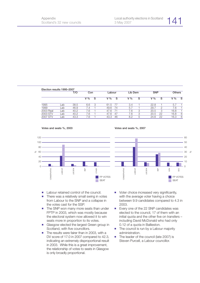|               |     | T/O  | Con |              | Labour |    | Lib Dem |   | <b>SNP</b> |    | <b>Others</b> |   |
|---------------|-----|------|-----|--------------|--------|----|---------|---|------------|----|---------------|---|
|               |     |      | V%  | <sub>S</sub> | V%     | S  | V%      | S | V%         | S  | V%            | S |
| 1995          | .ab | 38.5 | 6.6 | 3            | 61.5   |    | 3.4     |   | 22.8       |    | 5.7           |   |
| 1999          | _ab | 46.9 | .4  |              | 49.6   | 74 | 5.      |   | 29.        | Ω  | 7.6           |   |
| 2003 Real     | _ab | 40.2 | 7.6 |              | 47.6   |    | 7.6     | 3 | 20.5       | 3  | 16.8          |   |
| 2003 STV      | _ab | 40.2 | 7.6 |              | 47.6   | 47 | 7.6     | 3 | 20.5       | 22 | 16.8          | 6 |
| 2007<br>' STV | _ab | 43.3 | 7.6 |              | 43.3   | 46 | 8.2     | 5 | 24.6       | 22 | 16.3          | 6 |



- **E** Labour retained control of the council.
- **n** There was a relatively small swing in votes from Labour to the SNP and a collapse in the votes cast for the SSP.
- **P** The SNP won many more seats than under FPTP in 2003, which was mostly because the electoral system now allowed it to win seats more in proportion to its votes.
- **Glasgow elected the largest Green group in** Scotland, with five councillors.
- $\blacksquare$  The results were fairer than in 2003, with a DV score of 17.0 in 2007 compared to 42.3, indicating an extremely disproportional result in 2003. While this is a great improvement, the relationship of votes to seats in Glasgow is only broadly proportional.



- **•** Voter choice increased very significantly, with the average voter having a choice between 9.9 candidates compared to 4.3 in 2003.
- **P** Every one of the 22 SNP candidates was elected to the council, 17 of them with an initial quota and the other five on transfers – including David McDonald who had only 0.12 of a quota in Ballieston.
- $\blacksquare$  The council is run by a Labour majority administration.
- The leader of the council (late 2007) is Steven Purcell, a Labour councillor.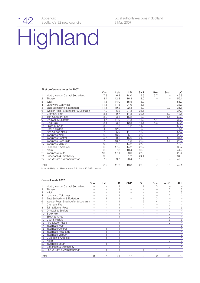# **Highland**

### First preference votes % 2007

|                 |                                      | Con  | Lab                      | LD   | <b>SNP</b> | Grn                      | Soc*                     | I/O  |
|-----------------|--------------------------------------|------|--------------------------|------|------------|--------------------------|--------------------------|------|
|                 | North, West & Central Sutherland     | 7.3  | 6.3                      | 14.0 | 19.9       | 5.7                      |                          | 46.8 |
| $\overline{2}$  | Thurso                               | 3.4  | 12.3                     | 16.3 | 13.0       | $\overline{\phantom{0}}$ | $\overline{\phantom{0}}$ | 55.1 |
| $\overline{3}$  | <b>Wick</b>                          | 1.8  | 14.0                     | 15.5 | 16.9       | -                        | $\overline{\phantom{0}}$ | 51.9 |
| 4               | Landward Caithness                   | 11.5 | 11.5                     | 24.9 | 18.8       | -                        | $\qquad \qquad -$        | 33.3 |
| $\overline{5}$  | East Sutherland & Edderton           | 11.5 | 19.2                     | 22.8 | 13.9       | $\overline{\phantom{0}}$ | 0.7                      | 31.8 |
| $\overline{6}$  | Wester Ross, Strathpeffer & Lochalsh | 7.9  | 6.2                      | 21.8 | 26.1       | -                        |                          | 37.9 |
| 7               | Cromarty Firth                       | 3.1  | 9.7                      | 14.3 | 22.5       | -                        | 1.9                      | 48.5 |
| $\overline{8}$  | Tain & Easter Ross                   | 3.2  | 3.8                      | 16.2 | 12.0       | $\overline{\phantom{0}}$ | 1.5                      | 63.3 |
| $\overline{9}$  | Dingwall & Seaforth                  | 4.7  | 11.9                     | 21.8 | 18.3       | 4.4                      | $\overline{\phantom{0}}$ | 38.9 |
| $\overline{10}$ | <b>Black Isle</b>                    | 8.1  | 3.8                      | 19.3 | 11.1       | 5.3                      | $\overline{\phantom{0}}$ | 52.5 |
| 11              | Eilean a' Chèo                       | 3.9  | 7.8                      | 21.2 | 14.8       | -                        | -                        | 52.3 |
| 12              | Caol & Mallaig                       | 4.0  | 12.0                     |      | 9.9        | -                        | -                        | 74.1 |
| 13              | Aird & Loch Ness                     | 7.2  | 5.9                      | 11.1 | 18.0       | -                        | -                        | 57.7 |
| 14              | <b>Inverness West</b>                | 6.9  | 16.0                     | 25.1 | 28.8       | -                        | $\overline{\phantom{0}}$ | 23.2 |
| 15              | <b>Inverness Central</b>             | 5.7  | 20.5                     | 15.6 | 21.8       | -                        | 1.9                      | 34.4 |
| 16              | <b>Inverness Ness Side</b>           | 7.2  | 13.7                     | 31.8 | 20.2       | -                        | 1.4                      | 25.7 |
| 17              | Inverness Millburn                   | 9.9  | 31.2                     | 14.2 | 27.9       | -                        | $\overline{\phantom{0}}$ | 16.9 |
| 18              | Culloden & Ardersier                 | 6.8  | 17.5                     | 14.2 | 28.7       | -                        | -                        | 32.7 |
| 19              | Nairn                                | 6.9  | 7.8                      | 10.4 | 30.6       | -                        | $\overline{\phantom{0}}$ | 44.2 |
| 20              | <b>Inverness South</b>               | 10.5 | 17.1                     | 23.0 | 27.0       | -                        | $\overline{\phantom{0}}$ | 22.4 |
| 21              | Badenoch & Strathspey                | 9.6  | $\overline{\phantom{0}}$ | 31.2 | 24.4       | -                        | $\overline{\phantom{0}}$ | 34.8 |
| 22              | Fort William & Ardnamurchan          | 7.2  | 9.7                      | 20.4 | 15.0       | -                        | $\overline{\phantom{0}}$ | 47.8 |
| Total           |                                      | 6.9  | 11.2                     | 18.8 | 20.3       | 0.7                      | 0.3                      | 42.1 |
|                 |                                      |      |                          |      |            |                          |                          |      |

Note: \*Solidarity candidates in wards 5, 7, 15 and 16, SSP in ward 8.

|                 |                                      | Con                      | Lab                      | LD | <b>SNP</b> | Grn            | Soc      | Ind/O                    | <b>ALL</b>               |
|-----------------|--------------------------------------|--------------------------|--------------------------|----|------------|----------------|----------|--------------------------|--------------------------|
|                 | North, West & Central Sutherland     |                          | -                        |    |            |                | 3        |                          |                          |
| $\overline{2}$  | Thurso                               | $\overline{\phantom{0}}$ | -                        |    |            |                |          | $\overline{2}$           | $\overline{3}$           |
| 3               | <b>Wick</b>                          |                          | -                        |    |            | -              |          | $\overline{2}$           | $\overline{3}$           |
| 4               | <b>Landward Caithness</b>            |                          |                          |    |            |                |          | $\overline{2}$           | $\frac{1}{4}$            |
| 5               | East Sutherland & Edderton           | $\equiv$                 | 1                        |    |            | 4              | 3        | $\overline{\phantom{0}}$ |                          |
| 6               | Wester Ross, Strathpeffer & Lochalsh | $\overline{\phantom{0}}$ | -                        |    |            | $\overline{2}$ | 4        |                          |                          |
| 7               | <b>Cromarty Firth</b>                |                          | -                        |    |            | -              |          | 2                        | 4                        |
| $\overline{8}$  | <b>Tain &amp; Easter Ross</b>        |                          |                          |    |            |                |          | $\overline{2}$           | 3                        |
| 9               | Dingwall & Seaforth                  |                          | $\overline{\phantom{0}}$ |    |            | -              |          | 2                        | 4                        |
| 10              | <b>Black Isle</b>                    |                          |                          |    |            |                |          | $\overline{2}$           | 4                        |
| 11              | Eilean a' Chèo                       |                          |                          |    |            | -              |          | 2                        | 4                        |
| $\overline{12}$ | Caol & Mallaig                       |                          |                          |    |            |                |          | 3                        | $\overline{\mathcal{S}}$ |
| 13              | Aird & Loch Ness                     |                          | $\overline{\phantom{0}}$ |    |            | -              |          | 2                        | 4                        |
| $\overline{14}$ | <b>Inverness West</b>                | $\overline{\phantom{a}}$ |                          |    |            | -              | -        |                          | $\overline{3}$           |
| 15              | <b>Inverness Central</b>             | -                        |                          |    |            | -              | -        |                          | 4                        |
|                 | 16 Inverness Ness Side               | $\overline{\phantom{0}}$ |                          |    |            | -              | -        |                          | 4                        |
| 17              | <b>Inverness Millburn</b>            | $\overline{\phantom{0}}$ |                          |    |            | -              | -        |                          | 3                        |
| 18              | Culloden & Ardersier                 |                          |                          |    |            | -              | -        |                          | 4                        |
| 19              | Nairn                                | $\overline{\phantom{0}}$ |                          |    |            | -              | -        | $\overline{2}$           | 3                        |
| $\overline{20}$ | <b>Inverness South</b>               | $\overline{\phantom{0}}$ |                          |    |            | -              | -        |                          | 4                        |
| $\overline{21}$ | <b>Badenoch &amp; Strathspey</b>     | $\overline{\phantom{0}}$ |                          |    |            | -              | -        | 2                        | 4                        |
|                 | 22 Fort William & Ardnamurchan       |                          |                          |    |            |                | 4        | $\overline{\phantom{0}}$ |                          |
| Total           |                                      | $\Omega$                 | 7                        | 21 | 17         | $\circ$        | $\Omega$ | 35                       | 79                       |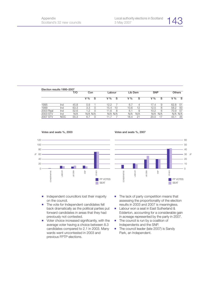|           |            | T/O  | Con |     | Labour  |    | Lib Dem |     | <b>SNP</b> |     | <b>Others</b> |     |
|-----------|------------|------|-----|-----|---------|----|---------|-----|------------|-----|---------------|-----|
|           |            |      | V%  | S   | V%      | s  | V%      | s   | V %        | s   | V%            | S   |
| 1995      | Ind        | 45.8 | 0.9 |     | 12.2    |    | 6.      | 4   | 17.4       | 9   | 62.8          | 51  |
| 1999      | Ind        | 63.3 | 3.3 |     | 15.4    | 10 | 10.6    | 12  | 12.5       | 8   | 58.2          | 50  |
| 2003 Real | Ind        | 52.6 | .2  |     | 11.6    | 8  | 6.      | 9   | 10.2       | 6   | 70.9          | 57  |
| 2003 STV  | Ind        | N/A  | N/A | N/A | N/A N/A |    | N/A     | N/A | N/A        | N/A | N/A           | N/A |
| 2007 STV  | <b>NOC</b> | 55.3 | 6.  |     | 11.7    |    | 18.4    | 21  | 20.C       |     | 43.           | 35  |







- 60 50  $-40$ 30 % $-20$  $-10$  $-0$ LIB DEM SNP OTHER CONSERVATIVE LABOUR CONSERVATIVE FP VOTES SEAT
- **n** Independent councillors lost their majority on the council.
- $\blacksquare$  The vote for Independent candidates fell back dramatically as the political parties put forward candidates in areas that they had previously not contested.
- voter choice increased significantly, with the average voter having a choice between 8.3 candidates compared to 2.1 in 2003. Many wards went uncontested in 2003 and previous FPTP elections.
- **P** The lack of party competition means that assessing the proportionality of the election results in 2003 and 2007 is meaningless.
- **Example 2** Labour won a seat in East Sutherland & Edderton, accounting for a considerable gain in acreage represented by the party in 2007.
- $\blacksquare$  The council is run by a coalition of Independents and the SNP.
- The council leader (late 2007) is Sandy Park, an Independent.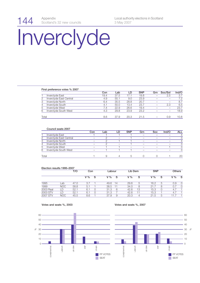144 Appendix<br>Scotland's 32 new councils

## Inverclyde

### First preference votes % 2007

|       |                              | Con  | Lab  | LD   | <b>SNP</b> | Grn | Soc/Sol | Ind/O |
|-------|------------------------------|------|------|------|------------|-----|---------|-------|
|       | Inverclyde East              | 19.4 | 37.5 | 17.1 | 19.8       |     | 2.5     | 3.7   |
| 2     | Inverclyde East Central      | 4.9  | 55.1 | 9.0  | 23.9       |     |         | 7.2   |
| 3     | Inverclyde North             | 6.4  | 35.5 | 28.8 | 20.7       |     |         | 8.7   |
| 4     | Invercivde South             | 4.1  | 50.0 | 13.4 | 23.7       |     | 2.3     | 6.5   |
| 5     | Inverciyde West              | 7.4  | 22.9 | 26.6 | 19.4       |     |         | 23.7  |
| 6     | <b>Invercivde South West</b> | 4.3  | 29.8 | 23.9 | 23.2       | -   |         | 18.9  |
|       |                              |      |      |      |            |     |         |       |
| Total |                              | 8.6  | 37.9 | 20.3 | 21.5       |     | 0.9     | 10.8  |
|       |                              |      |      |      |            |     |         |       |

### Council seats 2007

|       |                         | Con | Lab | <b>SNP</b>               | Grn | <b>Soc</b> | Ind/O | ALL |
|-------|-------------------------|-----|-----|--------------------------|-----|------------|-------|-----|
|       | Inverclyde East         |     |     |                          |     |            |       |     |
| 2     | Inverclyde East Central |     |     |                          |     |            |       |     |
| 3     | Inverclyde North        |     |     |                          |     |            |       |     |
| 4     | Inverclyde South        |     |     |                          |     |            |       |     |
| 5     | Inverclyde West         |     |     | $\overline{\phantom{a}}$ |     |            |       | З   |
| 6     | Inverciyde South West   |     |     |                          | -   |            |       | З   |
|       |                         |     |     |                          |     |            |       |     |
| Total |                         |     |     |                          |     |            |       | 20  |

### Election results 1995–2007

|           |            | T/O  | Con |   |      | Labour |      | Lib Dem |      | <b>SNP</b> |                    |
|-----------|------------|------|-----|---|------|--------|------|---------|------|------------|--------------------|
|           |            |      | V%  | S | V%   | S      | V%   | S       | V %  | S          | V%<br><sub>S</sub> |
| 1995      | _ab        | 47.0 | 3.7 |   | 49.6 | 14     | 29.6 | 5       | 16.2 | 5          | 0.9<br>0           |
| 1999      | <b>NOC</b> | 58.8 | 5.1 |   | 38.5 |        | 34.0 | 8       | 21.7 | Я          | 0.7<br>Ω           |
| 2003 Real |            | 52.1 | 6.  |   | 31.3 | 6      | 42.6 | 13      | 15.3 |            | 4.7                |
| 2003 STV  |            | 52.1 | 6.  |   | 31.3 |        | 42.6 |         | 15.3 |            | 4.7                |
| 2007 STV  | <b>NOC</b> | 45.5 | 8.6 |   | 37.9 | 9      | 20.3 |         | 21.5 | 5          | 11.7               |



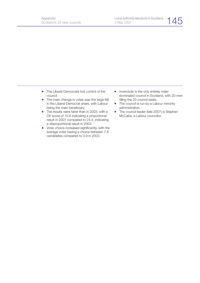- **F** The Liberal Democrats lost control of the council.
- **P** The main change in votes was the large fall in the Liberal Democrat share, with Labour being the main beneficiary.
- **P** The results were fairer than in 2003, with a DV score of 10.6 indicating a proportional result in 2007 compared to 24.4, indicating a disproportional result in 2003.
- **•** Voter choice increased significantly, with the average voter having a choice between 7.8 candidates compared to 3.9 in 2003.
- **n** Inverclyde is the only entirely maledominated council in Scotland, with 20 men filling the 20 council seats.
- The council is run by a Labour minority administration.
- **•** The council leader (late 2007) is Stephen McCabe, a Labour councillor.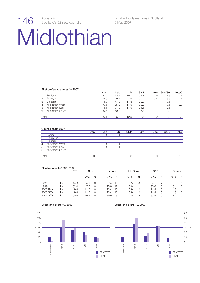146 Appendix<br>
Scotland's 32 new councils

### Midlothian

### First preference votes % 2007

|       |                  | Con  | Lab  | LD   | <b>SNP</b> | Grn                      | Soc/Sol | Ind/O                    |
|-------|------------------|------|------|------|------------|--------------------------|---------|--------------------------|
|       | Penicuik         | 10.4 | 23.4 | 29.7 | 34.7       |                          | 1.9     |                          |
| 2     | Bonnyrigg        | 9.6  | 46.4 |      | 30.4       | 10.4                     | 3.3     | $\qquad \qquad -$        |
| 3     | Dalkeith         | 4.9  | 47.0 | 14.8 | 29.9       |                          | 3.5     |                          |
| 4     | Midlothian West  | 10.6 | 25.2 | 14.5 | 33.2       |                          | 3.5     | 12.9                     |
| 5     | Midlothian East  | 14.1 | 34.3 | 14.5 | 34.6       |                          | 2.5     |                          |
| 6     | Midlothian South | 9.6  | 49.8 | -    | 37.4       | $\overline{\phantom{a}}$ | 3.2     | $\overline{\phantom{m}}$ |
|       |                  |      |      |      |            |                          |         |                          |
| Total |                  | 10.1 | 36.8 | 12.5 | 33.4       | 1.9                      | 2.9     | 2.3                      |
|       |                  |      |      |      |            |                          |         |                          |

### Council seats 2007

|       |                  | Con | _ab | LD                       | <b>SNP</b> | Grn | Soc | Ind/O | ALL |
|-------|------------------|-----|-----|--------------------------|------------|-----|-----|-------|-----|
|       | Penicuik         |     |     |                          |            |     |     |       |     |
| 2     | Bonnyrigg        |     |     | $\overline{\phantom{a}}$ |            | -   |     |       |     |
| 3     | Dalkeith         |     |     | -                        |            |     |     |       |     |
| 4     | Midlothian West  |     |     |                          |            |     |     |       |     |
| 5     | Midlothian East  |     |     |                          |            |     |     |       |     |
| 6     | Midlothian South |     |     |                          |            |     |     |       |     |
|       |                  |     |     |                          |            |     |     |       |     |
| Total |                  |     |     |                          |            |     |     |       | 18  |

| Election results 1995-2007 |            |      |      |              |      |        |         |   |            |   |                  |   |
|----------------------------|------------|------|------|--------------|------|--------|---------|---|------------|---|------------------|---|
|                            |            | T/O  |      | Con          |      | Labour | Lib Dem |   | <b>SNP</b> |   | <b>Others</b>    |   |
|                            |            |      | V %  | <sub>S</sub> | V%   | s      | V%      | s | V %        | s | V%               | S |
| 1995                       | _ab        | 44.9 | 4.2  |              | 57.4 | 13     | 3.5     | Ω | 34.5       | 2 | 0.3              | C |
| 1999                       | _ab        | 62.0 | ′.5  |              | 45.9 | 17     | 15.6    |   | 30.6       |   | 0.4              | C |
| 2003 Real                  | _ab        | 49.6 | 11.O |              | 43.4 | 15     | 16.9    | っ | 24.4       | ∩ | 4.3              |   |
| 2003 STV                   | _ab        | 49.6 | 11.0 |              | 43.4 | 10     | 16.9    | 2 | 24.4       | 6 | 4.3              | C |
| 2007 STV                   | <b>NOC</b> | 55.6 | 10.1 |              | 36.8 | 9      | 12.5    | 3 | 33.4       | 6 | $\mathfrak{c}$ . | C |
|                            |            |      |      |              |      |        |         |   |            |   |                  |   |

### Votes and seats %, 2003 Votes and seats %, 2007



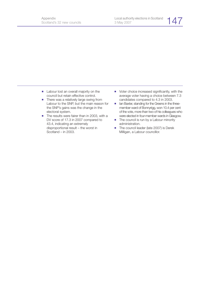- **•** Labour lost an overall majority on the council but retain effective control.
- **P** There was a relatively large swing from Labour to the SNP, but the main reason for the SNP's gains was the change in the electoral system.
- The results were fairer than in 2003, with a DV score of 17.3 in 2007 compared to 43.4, indicating an extremely disproportional result – the worst in Scotland – in 2003.
- **•** Voter choice increased significantly, with the average voter having a choice between 7.3 candidates compared to 4.3 in 2003.
- **P** Ian Baxter, standing for the Greens in the threemember ward of Bonnyrigg, won 10.4 per cent of the vote, more than two of his colleagues who were elected in four-member wards in Glasgow.
- **P** The council is run by a Labour minority administration.
- **The council leader (late 2007) is Derek** Milligan, a Labour councillor.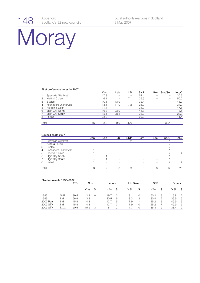### Moray

### First preference votes % 2007

|       |                     |    | Con  | Lab                      | ĹD   | <b>SNP</b> | Grn | Soc/Sol | Ind/O |
|-------|---------------------|----|------|--------------------------|------|------------|-----|---------|-------|
|       | Speyside Glenlivet  |    | 17.3 | -                        | -    | 52.4       |     |         | 30.3  |
| 2     | Keith & Cullen      |    | 6.1  | -                        | 7.1  | 36.9       |     |         | 50.0  |
| 3     | <b>Buckie</b>       |    | 10.8 | 13.9                     |      | 32.4       |     |         | 43.0  |
| 4     | Fochabers Lhanbryde |    | 18.1 | 11.0                     | 7.2  | 28.9       |     |         | 34.9  |
| 5     | Heldon & Laich      |    | 11.4 |                          |      | 31.0       |     |         | 47.6  |
| 6     | Elgin City North    |    | 16.3 | 23.9                     |      | 41.3       |     |         | 18.5  |
|       | Elgin City South    |    | 15.1 | 28.8                     |      | 33.2       |     |         | 23.0  |
| 8     | Forres              |    | 28.8 | $\overline{\phantom{a}}$ |      | 29.8       |     |         | 41.4  |
|       |                     |    |      |                          |      |            |     |         |       |
| Total |                     | 16 | 8.8  | 0.9                      | 35.6 |            |     | 38.4    |       |
|       |                     |    |      |                          |      |            |     |         |       |

|       |                         | Con      | Lab                      | LD | <b>SNP</b> | Grn | Soc | Ind/O | <b>ALL</b> |
|-------|-------------------------|----------|--------------------------|----|------------|-----|-----|-------|------------|
|       | Speyside Glenlivet      |          |                          |    |            |     |     |       | 3          |
| 2     | Keith & Cullen          |          |                          |    |            |     |     |       | 3          |
| 3     | <b>Buckie</b>           |          |                          | -  |            |     |     | ◠     | 3          |
| 4     | Fochabers Lhanbryde     |          |                          |    |            |     |     |       | 3          |
| 5     | Heldon & Laich          |          |                          |    |            |     |     |       | 4          |
| 6     | <b>Elgin City North</b> |          |                          |    |            |     |     |       | 3          |
|       | <b>Elgin City South</b> |          |                          |    |            |     |     |       | 3          |
| 8     | Forres                  |          | $\overline{\phantom{a}}$ |    |            |     |     | ∩     | 4          |
|       |                         |          |                          |    |            |     |     |       |            |
| Total |                         | $\Omega$ |                          |    | 9          |     |     | 12    | 26         |

| Election results 1995-2007 |            |      |      |   |        |   |         |   |            |    |               |              |
|----------------------------|------------|------|------|---|--------|---|---------|---|------------|----|---------------|--------------|
|                            |            | T/O  | Con  |   | Labour |   | Lib Dem |   | <b>SNP</b> |    | <b>Others</b> |              |
|                            |            |      | V%   | S | V%     | S | V%      | s | V %        | S  | V%            | <sub>S</sub> |
| 1995                       | <b>SNP</b> | 39.5 | 2.2  |   | 19.7   | 3 | 8.1     |   | 50.2       | 13 | 19.8          | 2            |
| 1999                       | Ind        | 56.9 | 3.8  |   | 20.5   | 6 | 8.3     | ∩ | 30.4       | っ  | 36.9          | 15           |
| 2003 Real                  | Ind        | 45.8 | 4.3  |   | 12.7   | 5 | 9.'     |   | 25.2       | 3  | 49.9          | 16           |
| 2003 STV                   | Ind        | 45.8 | 4.3  |   | 12.7   | 3 | ۰.9     |   | 25.2       |    | 49.9          | 15           |
| <b>STV</b><br>2007         | <b>NOC</b> | 50.5 | 15.9 | 3 | 8.7    | ⌒ |         |   | 35.3       |    | 38.4          | 12           |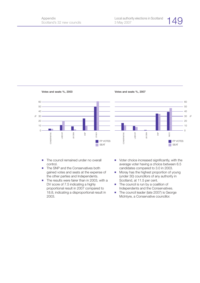

- The council remained under no overall control.
- **F** The SNP and the Conservatives both gained votes and seats at the expense of the other parties and Independents.
- **P** The results were fairer than in 2003, with a DV score of 7.5 indicating a highly proportional result in 2007 compared to 18.8, indicating a disproportional result in 2003.





- **•** Voter choice increased significantly, with the average voter having a choice between 6.5 candidates compared to 3.0 in 2003.
- Moray has the highest proportion of young (under 30) councillors of any authority in Scotland, at 11.5 per cent.
- **P** The council is run by a coalition of Independents and the Conservatives.
- **•** The council leader (late 2007) is George McIntyre, a Conservative councillor.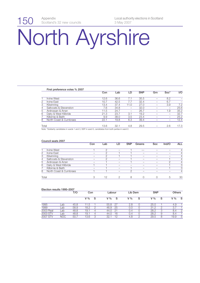Local authority elections in Scotland 3 May 2007

### North Ayrshire

|       | First preference votes % 2007                                                                         |      |      |      |            |     |                          |      |
|-------|-------------------------------------------------------------------------------------------------------|------|------|------|------------|-----|--------------------------|------|
|       |                                                                                                       | Con  | Lab  | LD   | <b>SNP</b> | Grn | $Soc*$                   | I/O  |
|       | Irvine West                                                                                           | 12.6 | 36.6 | 7.1  | 35.5       |     | 8.2                      |      |
| 2     | <b>Irvine East</b>                                                                                    | 10.7 | 42.5 | 7.7  | 32.4       |     | 6.7                      |      |
| 3     | <b>Kilwinning</b>                                                                                     | 13.4 | 37.4 | 11.0 | 27.0       |     | 3.9                      | 7.2  |
| 4     | Saltcoats & Stevenston                                                                                | 7.6  | 34.8 |      | 32.0       |     |                          | 25.6 |
| 5     | Ardrossan & Arran                                                                                     | 11.5 | 24.7 |      | 26.7       |     | 1.9                      | 35.2 |
| 6     | Dalry & West Kilbride                                                                                 | 21.3 | 23.7 | 3.1  | 19.2       |     | $\overline{\phantom{0}}$ | 32.7 |
|       | Kilbirnie & Beith                                                                                     | 9.9  | 38.0 | 3.5  | 23.4       |     |                          | 25.2 |
| 8     | North Coast & Cumbraes                                                                                | 22.1 | 19.8 | 6.3  | 39.4       |     |                          | 12.4 |
| Total |                                                                                                       | 13.6 | 32.1 | 4.8  | 29.5       |     | 2.6                      | 17.3 |
|       | Note: *Solidarity candidates in wards 1 and 3, SSP in ward 5, candidates from both parties in ward 2. |      |      |      |            |     |                          |      |

te: \*Solidarity candidates in wards 1 and 3, SSP in ward 5, candidates from both parties in ward 2.<br>

|       | Council seats 2007     |     |     |    |            |        |     |       |            |
|-------|------------------------|-----|-----|----|------------|--------|-----|-------|------------|
|       |                        | Con | Lab | LD | <b>SNP</b> | Greens | Soc | Ind/O | <b>ALL</b> |
|       | <b>Irvine West</b>     |     | っ   | -  |            |        |     |       | 4          |
| 2     | <b>Irvine East</b>     |     | ∩   |    |            |        |     |       | 4          |
| 3     | Kilwinning             |     | ⌒   |    |            |        |     |       | 4          |
| 4     | Saltcoats & Stevenston |     | ∩   |    |            |        |     |       | 4          |
| 5     | Ardrossan & Arran      |     |     | -  |            |        |     | ⌒     | 4          |
| 6     | Dalry & West Kilbride  |     |     |    |            |        |     |       | 3          |
|       | Kilbirnie & Beith      |     |     |    |            |        |     |       | 3          |
| 8     | North Coast & Cumbraes |     |     |    | r          |        |     |       | 4          |
| Total |                        | 3   | 12  | 2  | 8          | 0      |     | 5     | 30         |

| Election results 1995-2007 |            |      |      |   |        |    |         |   |            |   |               |    |
|----------------------------|------------|------|------|---|--------|----|---------|---|------------|---|---------------|----|
|                            |            | T/O  | Con  |   | Labour |    | Lib Dem |   | <b>SNP</b> |   | <b>Others</b> |    |
|                            |            |      | V%   | S | V%     | S  | V%      | S | V%         | S | V%            | -S |
| 1995                       | .ab        | 45.8 | 1.5  |   | 55.8   | 27 | 2.8     |   | 25.0       |   | 4.9           |    |
| 1999                       | _ab        | 58.9 | 18.2 | 2 | 46.9   | 25 | 0.0     |   | 31.2       | っ | 3.7           |    |
| 2003 Real                  | .ab        | 48.8 | 19.1 | 4 | 44.0   | 21 | 0.4     |   | 28.2       | 3 | 8.4           | 2  |
| 2003 STV                   | _ab        | 48.8 | 19.1 | 4 | 44.0   | 16 | 0.4     |   | 28.2       | 9 | 8.4           |    |
| 2007 STV                   | <b>NOC</b> | 50.7 | 13.6 | 3 | 32.1   | 12 | 4.8     | ◠ | 29.5       | 8 | 19.9          | 5  |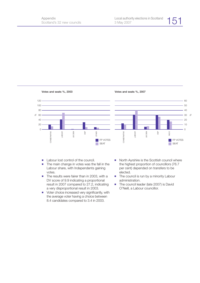





- 
- **E** Labour lost control of the council. **P** The main change in votes was the fall in the Labour share, with Independents gaining
- votes. **P** The results were fairer than in 2003, with a DV score of 9.9 indicating a proportional result in 2007 compared to 27.2, indicating a very disproportional result in 2003.
- **•** Voter choice increased very significantly, with the average voter having a choice between 8.4 candidates compared to 3.4 in 2003.





- **North Ayrshire is the Scottish council where** the highest proportion of councillors (76.7 per cent) depended on transfers to be elected.
- **P** The council is run by a minority Labour administration.
- **•** The council leader (late 2007) is David O'Neill, a Labour councillor.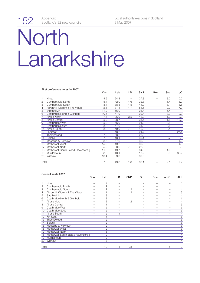Local authority elections in Scotland 3 May 2007

### North Lanarkshire

|       | First preference votes % 2007       |                          |      |                          |            |                          |                          |                          |
|-------|-------------------------------------|--------------------------|------|--------------------------|------------|--------------------------|--------------------------|--------------------------|
|       |                                     | Con                      | Lab  | LD                       | <b>SNP</b> | Grn                      | Soc                      | I/O                      |
|       | Kilsyth                             | 4.9                      | 64.3 | $\overline{\phantom{0}}$ | 27.8       | $\overline{\phantom{0}}$ | 3.0                      | 0.0                      |
| 2     | Cumbernauld North                   | 5.4                      | 42.0 | 4.6                      | 32.3       | $\overline{\phantom{0}}$ | 1.4                      | 13.9                     |
| 3     | Cumbernauld South                   | 3.4                      | 38.5 | 4.5                      | 41.9       | $\overline{\phantom{0}}$ | 3.1                      | 8.6                      |
| 4     | Abronhill, Kildrum & The Village    | 2.6                      | 31.4 | 4.7                      | 51.5       | $\overline{\phantom{0}}$ | 2.7                      | 7.2                      |
| 5     | Strathkelvin                        | 11.2                     | 56.0 | $\overline{\phantom{0}}$ | 26.4       | $\overline{\phantom{0}}$ | 5.4                      | $\overline{\phantom{0}}$ |
| 6     | Coatbridge North & Glenboig         | 10.6                     | 47.9 | $\overline{\phantom{0}}$ | 29.4       | $\overline{\phantom{0}}$ | 3.3                      | 9.0                      |
|       | Airdrie North                       | 7.4                      | 36.9 | 3.5                      | 43.0       | $\overline{\phantom{0}}$ | 1.2                      | 8.0                      |
| 8     | Airdrie Central                     | 5.9                      | 38.7 | $\overline{\phantom{0}}$ | 35.6       | $\overline{\phantom{0}}$ | 1.8                      | 18.2                     |
| 9     | Coatbridge West                     | 5.0                      | 66.9 | $\overline{\phantom{0}}$ | 24.3       | $\overline{\phantom{0}}$ | 3.8                      | $\overline{\phantom{0}}$ |
| 10    | Coatbridge South                    | 8.2                      | 57.0 | $\overline{\phantom{0}}$ | 31.3       | $\overline{\phantom{0}}$ | 3.6                      | $\overline{\phantom{0}}$ |
| 11    | <b>Airdrie South</b>                | 8.0                      | 40.9 | 7.1                      | 40.0       | $\overline{\phantom{0}}$ | 2.4                      | $\overline{\phantom{0}}$ |
| 12    | Fortissat                           | $\overline{\phantom{0}}$ | 48.2 | $\qquad \qquad -$        | 24.7       | $\overline{\phantom{0}}$ | $\overline{\phantom{0}}$ | 27.1                     |
| 13    | Thorniewood                         | 7.9                      | 68.2 | $\qquad \qquad -$        | 23.8       | $\overline{\phantom{0}}$ | $\overline{\phantom{0}}$ | -                        |
| 14    | Bellshill                           | 7.3                      | 48.1 | $\overline{\phantom{0}}$ | 39.1       | $\overline{\phantom{0}}$ | 2.7                      | 2.9                      |
| 15    | Mossend & Holytown                  | 8.6                      | 57.0 | -                        | 30.3       | -                        |                          | 4.2                      |
| 16    | Motherwell West                     | 15.9                     | 49.2 | $\overline{\phantom{0}}$ | 30.9       | $\overline{\phantom{0}}$ | $\overline{\phantom{0}}$ | 4.0                      |
| 17    | Motherwell North                    | 5.9                      | 58.6 | 7.1                      | 22.6       | -                        | -                        | 5.8                      |
| 18    | Motherwell South East & Ravenscraig | 11.8                     | 49.7 | $\overline{\phantom{0}}$ | 34.5       | $\overline{\phantom{0}}$ | 4.0                      |                          |
| 19    | Murdostoun                          | 8.5                      | 40.1 | -                        | 18.2       | $\overline{\phantom{0}}$ | 2.9                      | 30.2                     |
| 20    | Wishaw                              | 10.4                     | 59.0 | $\overline{\phantom{0}}$ | 30.6       | $\overline{\phantom{0}}$ | $\overline{\phantom{0}}$ |                          |
| Total |                                     | 7.5                      | 49.3 | 1.8                      | 32.1       |                          | 2.1                      | 7.2                      |

|                 |                                     | Con                      | Lab            | LD                       | <b>SNP</b>     | Grn                      | Soc                      | Ind/O                    | <b>ALL</b>     |
|-----------------|-------------------------------------|--------------------------|----------------|--------------------------|----------------|--------------------------|--------------------------|--------------------------|----------------|
|                 | Kilsyth                             | $\overline{\phantom{0}}$ | 2              | $\overline{\phantom{0}}$ |                |                          |                          |                          | 3              |
| $\overline{2}$  | Cumbernauld North                   |                          | $\overline{2}$ | $\overline{\phantom{0}}$ |                | -                        |                          | н                        | 4              |
| З               | Cumbernauld South                   | $\overline{\phantom{0}}$ | $\overline{2}$ | $\overline{\phantom{0}}$ | $\overline{2}$ | $\overline{\phantom{a}}$ | -                        | $\overline{\phantom{0}}$ | 4              |
| 4               | Abronhill, Kildrum & The Village    | $\overline{\phantom{0}}$ |                |                          | $\overline{2}$ | $\overline{\phantom{m}}$ | $\overline{\phantom{0}}$ | $\overline{\phantom{0}}$ | 3              |
| $\overline{5}$  | Strathkelvin                        | $\overline{\phantom{0}}$ | 3              |                          |                | $\equiv$                 | -                        | $\overline{\phantom{a}}$ | 4              |
| 6               | Coatbridge North & Glenboig         | $\overline{\phantom{0}}$ | $\overline{2}$ | $\overline{\phantom{0}}$ |                | $\overline{\phantom{0}}$ |                          | 4                        |                |
|                 | Airdrie North                       | $\overline{\phantom{0}}$ | 2              | $\overline{\phantom{0}}$ | $\overline{2}$ | $\overline{\phantom{0}}$ | $\overline{\phantom{0}}$ | $\overline{\phantom{0}}$ | 4              |
| 8               | Airdrie Central                     | $\overline{\phantom{0}}$ |                | $\overline{\phantom{0}}$ |                |                          |                          |                          | $\overline{3}$ |
| 9               | Coatbridge West                     |                          | 2              | $\overline{\phantom{0}}$ |                |                          |                          |                          | $\overline{3}$ |
| 10              | Coatbridge South                    |                          | $\overline{2}$ |                          |                |                          |                          | $\overline{\phantom{0}}$ | $\frac{1}{3}$  |
| 11              | <b>Airdrie South</b>                |                          | $\overline{2}$ |                          |                | -                        |                          | $\overline{\phantom{0}}$ | $\overline{4}$ |
| 12              | Fortissat                           | $\overline{\phantom{0}}$ |                | $\overline{\phantom{0}}$ |                | $\overline{\phantom{a}}$ | $\overline{\phantom{0}}$ | 1                        | $\overline{3}$ |
| 13              | Thorniewood                         | $\overline{\phantom{0}}$ | $\overline{2}$ |                          |                | $\overline{\phantom{0}}$ | $\overline{\phantom{0}}$ | $\overline{\phantom{0}}$ | $\overline{3}$ |
| 14              | Bellshill                           | $\overline{\phantom{0}}$ | 2              | $\overline{\phantom{m}}$ |                |                          | $\overline{\phantom{0}}$ |                          | $rac{1}{3}$    |
| 15              | Mossend & Holytown                  |                          | $\overline{2}$ | $\overline{\phantom{0}}$ |                | $\overline{\phantom{0}}$ |                          | $\overline{\phantom{0}}$ |                |
| 16              | <b>Motherwell West</b>              | -                        | 2              | $\overline{\phantom{0}}$ |                | -                        | -                        | $\overline{\phantom{0}}$ | $\overline{3}$ |
| $\overline{17}$ | <b>Motherwell North</b>             | $\overline{\phantom{a}}$ | 3              | $\overline{\phantom{0}}$ |                |                          |                          | $\overline{\phantom{0}}$ | 4              |
| 18              | Motherwell South East & Ravenscraig |                          | $\overline{2}$ | $\overline{\phantom{0}}$ |                |                          |                          | -                        | 4              |
| 19              | Murdostoun                          |                          | $\overline{2}$ | $\overline{\phantom{0}}$ |                |                          |                          | 1                        | $\overline{4}$ |
| 20              | Wishaw                              | $\overline{\phantom{0}}$ | 3              | $\overline{\phantom{0}}$ |                | -                        |                          | $\overline{\phantom{0}}$ | 4              |
| Total           |                                     |                          | 40             |                          | 23             |                          |                          | 5                        | 70             |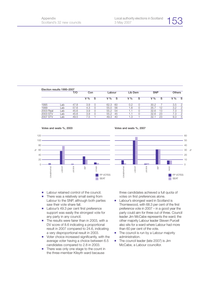|            |     | T/O  | Con |   | ∟abour |    | Lib Dem |   | <b>SNP</b> |    | <b>Others</b> |              |
|------------|-----|------|-----|---|--------|----|---------|---|------------|----|---------------|--------------|
|            |     |      | V % | S | V%     | S  | V%      | s | V %        | s  | V%            | <sub>S</sub> |
| 1995       | _ab | 47.8 | 3.9 |   | 62.3   | 60 | 0.2     |   | 30.2       |    | 3.5           | -2           |
| 1999       | _ab | 57.6 | 4.3 |   | 55.0   | 56 | . .8    |   | 35.        | 12 | 3.2           | 2            |
| 2003 Real  | _ab | 45.6 | 3.9 |   | 55.2   | 54 | . .     |   | 32.6       | 13 | 7.3           | 3            |
| 2003 STV   | _ab | 45.6 | 3.9 |   | 55.2   | 45 | . .     |   | 32.6       | 23 | ′.З           | 2            |
| <b>STV</b> | _ab | 49.5 | .5  |   | 49.3   | 40 | г. е    |   | 32.        | 23 | 9.3           | 5            |







- **E** Labour retained control of the council.
- **n** There was a relatively small swing from Labour to the SNP, although both parties saw their vote share fall.
- **Labour's 49.3 per cent first preference** support was easily the strongest vote for any party in any council.
- The results were fairer than in 2003, with a DV score of 8.6 indicating a proportional result in 2007 compared to 24.6, indicating a very disproportional result in 2003.
- **•** Voter choice increased significantly, with the average voter having a choice between 6.5 candidates compared to 2.8 in 2003.
- $\blacksquare$  There was only one stage to the count in the three-member Kilsyth ward because

three candidates achieved a full quota of votes on first preferences alone.

- **•** Labour's strongest ward in Scotland is Thorniewood, with 68.3 per cent of the first preference vote in 2007 – in a good year the party could aim for three out of three. Council leader Jim McCabe represents the ward; the other majority Labour leader Steven Purcell also sits for a ward where Labour had more than 60 per cent of the vote.
- **P** The council is run by a Labour majority administration.
- **•** The council leader (late 2007) is Jim McCabe, a Labour councillor.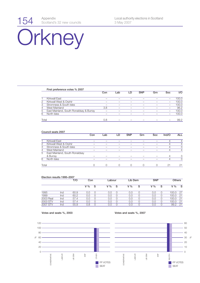### **Orkney**

### First preference votes % 2007

|       |                                         | Con                      | _ab                      | LD | <b>SNP</b> | Grn | Soc                      | I/O   |
|-------|-----------------------------------------|--------------------------|--------------------------|----|------------|-----|--------------------------|-------|
|       | Kirkwall East                           | -                        |                          |    |            |     |                          | 100.0 |
| 2     | Kirkwall West & Orphir                  | -                        |                          |    |            |     |                          | 100.0 |
| З     | Stromness & South Isles                 | -                        | $\overline{\phantom{a}}$ |    |            |     |                          | 100.0 |
| 4     | West Mainland                           | 3.8                      | $\overline{\phantom{a}}$ | -  |            |     |                          | 96.2  |
| 5     | East Mainland, South Ronaldsay & Burray | $\overline{\phantom{a}}$ |                          |    |            |     | $\overline{\phantom{0}}$ | 100.0 |
| 6     | North Isles                             |                          |                          | -  |            |     |                          | 100.0 |
| Total |                                         | 0.8                      |                          |    |            |     |                          | 99.2  |

### Council seats 2007

|                                | Con                      | Lab | LD | <b>SNP</b> | Grn | Soc | Ind/O | <b>ALL</b>     |
|--------------------------------|--------------------------|-----|----|------------|-----|-----|-------|----------------|
|                                |                          |     |    |            |     |     |       | 4              |
| Kirkwall West & Orphir         |                          |     |    |            |     |     |       | $\overline{4}$ |
| Stromness & South Isles        | $\overline{\phantom{a}}$ |     |    |            |     |     |       | 3              |
| West Mainland                  |                          |     |    |            |     |     |       | $\overline{4}$ |
| East Mainland, South Ronaldsay |                          |     |    |            |     |     |       |                |
| & Burray                       |                          |     |    |            |     |     | 4     | 3              |
| North Isles                    |                          |     |    |            |     |     |       | $\overline{3}$ |
|                                |                          |     |    |            |     |     |       |                |
| Total                          |                          |     |    |            |     |     | 21    | 21             |
|                                | Kirkwall East            |     |    |            |     |     |       |                |

### Election results 1995–2007

|           |     | T/O  | Con<br>Labour |        |     | Lib Dem |     | <b>SNP</b> |        | <b>Others</b> |       |    |
|-----------|-----|------|---------------|--------|-----|---------|-----|------------|--------|---------------|-------|----|
|           |     |      | V %           | S      | V % | s       | V%  | s          | V %    | S             | V%    | S  |
| 1995      | Ind | 60.9 | 0.0           | $\cup$ | 0.0 |         | 0.0 |            | (1)(1) |               | 100.0 | 27 |
| 1999      | Ind | 60.2 | 0.0           |        | 0.0 |         | 0.0 |            | 0.0    |               | 100.0 | 21 |
| 2003 Real | Ind | 57.4 | 0.0           | 0      | 0.0 |         | 0.0 |            | 0.0    |               | 100.C | 21 |
| 2003 STV  | Ind | 57.4 | 0.0           | 0      | 0.0 |         | 0.0 |            | 0.0    |               | 100.C | 21 |
| 2007 STV  | Ind | 55.9 | 0.8           | 0      | 0.0 |         | 0.0 |            |        |               | 99.2  | 21 |

### Votes and seats %, 2003 Votes and seats %, 2007

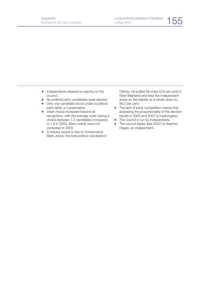- **n** Independents retained a majority on the council.
- No political party candidates were elected.
- Only one candidate stood under a political party label, a Conservative.
- **•** Voter choice increased beyond all recognition, with the average voter having a choice between 7.3 candidates compared to 1.8 in 2003. Many wards were not contested in 2003.
- A bravery award is due to Conservative Mark Jones, the sole political candidate in

Orkney. He polled 68 votes (3.8 per cent) in West Mainland and held the Independent share on the islands as a whole down to 99.2 per cent.

- **P** The lack of party competition means that assessing the proportionality of the election results in 2003 and 2007 is meaningless.
- **P** The council is run by Independents.
- **The council leader (late 2007) is Stephen** Hagan, an Independent.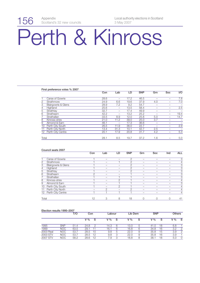Appendix 156 Appendix<br>
Scotland's 32 new councils

Local authority elections in Scotland 3 May 2007

### Perth & Kinross

|                 | First preference votes % 2007  |      |                          |      |            |     |     |                 |
|-----------------|--------------------------------|------|--------------------------|------|------------|-----|-----|-----------------|
|                 |                                | Con  | Lab                      | LD   | <b>SNP</b> | Grn | Soc | $\overline{VQ}$ |
|                 | Carse of Gowrie                | 28.6 |                          | 17.2 | 46.5       |     | -   | 7.8             |
| 2               | Strathmore                     | 24.9 | 6.6                      | 19.6 | 37.9       | 4.0 |     | 7.0             |
| 3               | <b>Blairgowrie &amp; Glens</b> | 28.9 | 7.2                      | 9.2  | 54.7       |     |     |                 |
| 4               | Highland                       | 25.6 | -                        | 13.5 | 58.4       |     |     | 2.5             |
| 5               | Strathtav                      | 32.7 | $\overline{\phantom{0}}$ | 17.4 | 49.9       |     |     |                 |
| 6               | Strathearn                     | 42.2 |                          | 13.2 | 25.2       |     |     | 19.4            |
| 7               | Strathallan                    | 33.5 | 8.9                      | 12.0 | 25.8       | 5.0 |     | 14.7            |
| 8               | Kinross-shire                  | 21.0 | 11.2                     | 39.0 | 25.0       | 3.7 |     |                 |
| 9               | Almond & Earn                  | 46.1 | -                        | 17.3 | 36.6       |     |     |                 |
| 10              | Perth City South               | 26.5 | 11.9                     | 36.0 | 22.7       |     |     | 2.9             |
|                 | Perth City North               | 13.4 | 31.3                     | 10.1 | 42.7       | 2.5 |     |                 |
| 12 <sup>2</sup> | Perth City Centre              | 20.1 | 17.9                     | 20.8 | 31.7       | 4.2 |     | 5.3             |
| Total           |                                | 28.1 | 8.5                      | 19.7 | 37.2       | 1.6 |     | 5.0             |
|                 |                                |      |                          |      |            |     |     |                 |

| Council seats 2007 |  |  |
|--------------------|--|--|
|--------------------|--|--|

|                |                                | Con           | Lab | LD | <b>SNP</b>    | Grn | Soc      | Ind | <b>ALL</b>     |
|----------------|--------------------------------|---------------|-----|----|---------------|-----|----------|-----|----------------|
|                | Carse of Gowrie                |               |     |    | 2             |     |          |     | 3              |
|                |                                |               |     |    |               |     |          |     |                |
| $\overline{2}$ | Strathmore                     |               |     |    | 2             |     |          |     | 4              |
| 3              | <b>Blairgowrie &amp; Glens</b> |               |     |    | $\mathcal{P}$ |     |          |     | 3              |
| 4              | <b>Highland</b>                |               |     |    | 2             |     |          |     | 3              |
| 5              | Strathtay                      |               |     |    | っ             |     |          |     | $\overline{3}$ |
| 6              | Strathearn                     | $\mathcal{P}$ |     |    |               |     |          |     | 3              |
| 7              | Strathallan                    |               | -   |    |               |     |          |     | $\overline{3}$ |
| 8              | Kinross-shire                  |               |     | っ  |               |     |          |     | 4              |
| 9              | Almond & Earn                  |               |     |    |               |     |          |     | 3              |
| 10             | Perth City South               |               |     | 2  |               |     |          |     | 4              |
| 11             | Perth City North               |               | 2   |    | 2             |     |          |     | 4              |
| $12^{-}$       | Perth City Centre              |               |     |    |               |     |          |     | $\overline{4}$ |
| Total          |                                | 12            | 3   | 8  | 18            | 0   | $\Omega$ | 0   | 41             |
|                |                                |               |     |    |               |     |          |     |                |

### Election results 1995–2007

|           |            | T/O  | Con        | Labour    | Lib Dem   | <b>SNP</b> | <b>Others</b>         |  |
|-----------|------------|------|------------|-----------|-----------|------------|-----------------------|--|
|           |            |      | V%<br>S    | V%<br>S   | V%<br>S   | V %<br>S   | V%<br>-S              |  |
| 1995      | <b>SNP</b> | 51.4 | 24.8<br>2  | 14.3<br>6 | 13.0<br>5 | 18<br>41.C | 6.8                   |  |
| 1999      | NOC        | 63.5 | 29.1<br>11 | 16.1<br>6 | 16.8<br>6 | 34.8<br>16 | 3.2<br>-2             |  |
| 2003 Real | <b>NOC</b> | 53.7 | 28.5<br>10 | 9.8<br>5  | 22.0<br>9 | 35.8<br>15 | 3.9<br>$\overline{2}$ |  |
| 2003 STV  | NOC        | 53.7 | 28.5<br>12 | 9.8<br>3  | 22.0<br>9 | 35.8<br>16 | 3.9                   |  |
| 2007 STV  | NOC        | 58.2 | 28.6<br>12 | 7.9<br>3  | 18.8<br>8 | 38.<br>18  | 5.0<br>0              |  |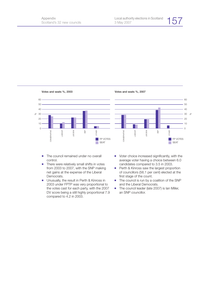

- **•** The council remained under no overall control.
- $\blacksquare$  There were relatively small shifts in votes from 2003 to 2007, with the SNP making net gains at the expense of the Liberal Democrats.
- **•** Unusually, the result in Perth & Kinross in 2003 under FPTP was very proportional to the votes cast for each party, with the 2007 DV score being a still highly proportional 7.9 compared to 4.2 in 2003.





- **•** Voter choice increased significantly, with the average voter having a choice between 6.0 candidates compared to 3.5 in 2003.
- **Perth & Kinross saw the largest proportion** of councillors (56.1 per cent) elected at the first stage of the count.
- **P** The council is run by a coalition of the SNP and the Liberal Democrats.
- **P** The council leader (late 2007) is Ian Miller, an SNP councillor.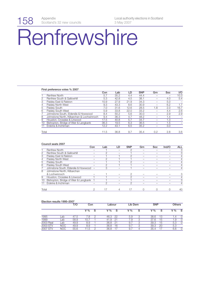Local authority elections in Scotland 3 May 2007

### **Renfrewshire**

### First preference votes % 2007

|    |                                           | Con  | Lab  | LD   | <b>SNP</b> | Grn | Soc | I/O  |
|----|-------------------------------------------|------|------|------|------------|-----|-----|------|
|    | Renfrew North                             | 5.7  | 35.2 | 4.4  | 44.4       |     |     | 10.3 |
| 2  | Renfrew South & Gallowhill                | 5.3  | 42.8 | 4.5  | 38.1       |     | 4.0 | 5.4  |
| 3  | Paisley East & Ralston                    | 10.9 | 27.9 | 21.9 | 34.3       |     | 5.0 |      |
| 4  | Paisley North West                        | 9.3  | 43.3 | 8.6  | 30.9       |     | 6.2 | 1.7  |
| 5  | Paisley South                             | 7.0  | 31.6 | 12.6 | 28.5       | 1.8 | 2.0 | 16.7 |
| 6  | Paisley South West                        | 5.9  | 33.8 | 22.0 | 33.2       |     | 4.4 | 2.6  |
|    | Johnstone South, Elderslie & Howwood      | 8.4  | 50.2 | 5.6  | 30.0       |     | 2.9 | 2.9  |
| 8  | Johnstone North, Kilbarchan & Lochwinnoch | 9.4  | 36.3 | 4.7  | 48.2       |     | 1.4 |      |
| 9  | Houston, Crosslee & Linwood               | 17.5 | 40.8 | 5.7  | 34.7       |     | 1.3 |      |
| 10 | Bishopton, Bridge of Weir & Langbank      | 36.3 | 19.5 | 6.3  | 36.5       |     | 1.5 |      |
|    | Erskine & Inchinnan                       | 12.2 | 43.1 | 6.5  | 35.2       |     | 3.0 |      |
|    | Total                                     |      | 36.8 | 9.7  | 35.4       | 0.2 | 2.8 | 3.6  |

|       |                                      | Con | Lab | LD | <b>SNP</b> | Grn | Soc | Ind/O | <b>ALL</b> |
|-------|--------------------------------------|-----|-----|----|------------|-----|-----|-------|------------|
|       | Renfrew North                        |     |     |    |            |     |     |       | 3          |
| 2     | Renfrew South & Gallowhill           |     | 2   |    |            |     |     |       | 3          |
| 3     | Paisley East & Ralston               |     |     |    |            |     |     |       | 4          |
| 4     | Paisley North West                   |     |     |    |            |     |     |       | 4          |
| 5     | Paisley South                        |     |     |    |            |     |     |       |            |
| 6     | Paisley South West                   |     |     |    |            |     |     |       | 4          |
|       | Johnstone South, Elderslie & Howwood |     | З   |    |            |     |     |       | 4          |
| 8     | Johnstone North, Kilbarchan          |     |     |    |            |     |     |       |            |
|       | & Lochwinnoch                        |     |     |    |            |     |     |       | 3          |
| 9     | Houston, Crosslee & Linwood          |     |     |    |            |     |     |       | 4          |
| 10    | Bishopton, Bridge of Weir & Langbank |     |     |    |            |     |     |       | 3          |
|       | Erskine & Inchinnan                  |     | 2   |    |            |     |     |       | 4          |
|       |                                      |     |     |    |            |     |     |       |            |
| Total |                                      | 2   |     |    |            |     |     |       | 40         |

|           | Election results 1995-2007 |      |      |   |        |    |         |   |            |    |               |          |  |  |
|-----------|----------------------------|------|------|---|--------|----|---------|---|------------|----|---------------|----------|--|--|
|           |                            | T/O  | Con  |   | Labour |    | Lib Dem |   | <b>SNP</b> |    | <b>Others</b> |          |  |  |
|           |                            |      | V%   | S | V %    | S  | V%      | s | V %        | s  | V%            | -S       |  |  |
| 1995      | _ab                        | 47.5 | 7.8  | 2 | 46.3   | 22 | 5.9     | 3 | 38.6       | 13 | 1.4           | $\Omega$ |  |  |
| 1999      | _ab                        | 58.9 | 10.7 |   | 41.9   | 21 | 7.9     | ↷ | 37.6       | 15 | 1.9           | $\Omega$ |  |  |
| 2003 Real | _ab                        | 49.9 | 8.9  |   | 36.8   | 21 | 9.7     | 3 | 39.3       | 15 | 5.3           | $\Omega$ |  |  |
| 2003 STV  | <b>NOC</b>                 | 49.9 | 8.9  |   | 36.8   | 16 | 9.7     | 3 | 39.3       | 20 | 5.3           |          |  |  |
| 2007 STV  | <b>NOC</b>                 | 55.6 | 1.5  | ◠ | 36.8   |    | 9.7     | 4 | 35.4       |    | 6.6           | 0        |  |  |
|           |                            |      |      |   |        |    |         |   |            |    |               |          |  |  |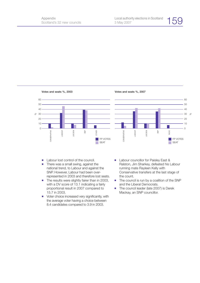



- **Exercise Labour lost control of the council.**
- **P** There was a small swing, against the national trend, to Labour and against the SNP. However, Labour had been overrepresented in 2003 and therefore lost seats.
- **P** The results were slightly fairer than in 2003, with a DV score of 13.1 indicating a fairly proportional result in 2007 compared to 15.7 in 2003.
- **•** Voter choice increased very significantly, with the average voter having a choice between 8.4 candidates compared to 3.9 in 2003.





- **Labour councillor for Paisley East &** Ralston, Jim Sharkey, defeated his Labour running mate Rayleen Kelly with Conservative transfers at the last stage of the count.
- **P** The council is run by a coalition of the SNP and the Liberal Democrats.
- **P** The council leader (late 2007) is Derek Mackay, an SNP councillor.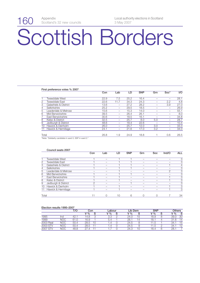Appendix 160 Appendix<br>Scotland's 32 new councils Local authority elections in Scotland 3 May 2007

### Scottish Borders

### First preference votes % 2007

|       |                                                         | Con  | Lab  | LD   | <b>SNP</b> | Grn | Soc*                     | I/O  |
|-------|---------------------------------------------------------|------|------|------|------------|-----|--------------------------|------|
|       | Tweeddale West                                          | 22.9 | 7.5  | 25.2 | 16.4       |     |                          | 28.1 |
| 2     | <b>Tweeddale East</b>                                   | 22.6 | 11.7 | 34.3 | 24.3       |     | 2.2                      | 4.8  |
| 3     | Galashiels & District                                   | 13.6 | -    | 27.2 | 28.2       |     | 3.9                      | 27.0 |
| 4     | Selkirkshire                                            | 25.2 | -    | 29.5 | 18.5       |     |                          | 26.9 |
| 5     | Leaderdale & Melrose                                    | 15.6 | -    | 15.3 | 14.0       |     |                          | 55.1 |
| 6     | Mid Berwickshire                                        | 39.5 | -    | 26.4 | 26.1       |     |                          | 8.0  |
|       | East Berwickshire                                       | 30.6 | -    | 18.5 | 16.1       |     |                          | 34.8 |
| 8     | Kelso & District                                        | 32.5 | -    | 25.7 | 8.0        | 5.0 | $\overline{\phantom{0}}$ | 28.7 |
| 9     | Jedburgh & District                                     | 48.6 | -    | 18.4 | 22.6       |     |                          | 10.4 |
| 10    | Hawick & Denholm                                        | 26.0 | -    | 25.7 | 12.0       | 3.0 |                          | 33.3 |
|       | Hawick & Hermitage                                      | 24.1 | -    | 21.6 | 17.0       | 3.2 |                          | 34.0 |
| Total |                                                         | 26.8 | 1.9  | 24.9 | 18.8       |     | 0.6                      | 26.5 |
|       | "Note: *Solidarity candidate in ward 3, SSP in ward 2." |      |      |      |            |     |                          |      |

|       | Council seats 2007    |     |     |    |            |     |     |       |                |
|-------|-----------------------|-----|-----|----|------------|-----|-----|-------|----------------|
|       |                       | Con | Lab | LD | <b>SNP</b> | Grn | Soc | Ind/O | <b>ALL</b>     |
|       | Tweeddale West        |     |     |    |            |     |     |       | 3              |
| 2     | Tweeddale East        |     |     |    |            |     |     |       | 3              |
| 3     | Galashiels & District |     |     |    |            |     |     |       | $\overline{4}$ |
| 4     | Selkirkshire          |     |     |    |            |     |     |       | 3              |
| 5     | Leaderdale & Melrose  |     |     |    |            |     |     | 2     | 3              |
| 6     | Mid Berwickshire      |     |     |    |            |     |     |       | 3              |
|       | East Berwickshire     |     |     |    |            |     |     |       | 3              |
| 8     | Kelso & District      |     |     |    |            |     |     |       | 3              |
| 9     | Jedburgh & District   | C   |     |    |            |     |     |       | 3              |
| 10    | Hawick & Denholm      |     |     |    |            |     |     |       | 3              |
|       | Hawick & Hermitage    |     |     |    |            |     |     |       | 3              |
| Total |                       |     | 0   | 10 | 6          |     |     |       | 34             |

### Election results 1995–2007 T/O Con Labour Lib Dem SNP Others V % S V % S V % S V % S V % S 1995 Ind 42.1 14.8 3 3.3 2 24.0 15 18.9 8 39.0 30 1999 NOC 61.0 16.9 1 5.4 1 28.1 14 18.1 4 31.6 14 2003 Real NOC 50.4 28.5 10 1.4 0 24.5 8 11.5 1 34.1 15 2003 STV NOC 50.4 28.5 11 1.4 0 24.5 9 11.5 2 34.1 12 2007 STV NOC 48.8 27.4 11 1.7 0 24.3 10 18.4 6 28.1 7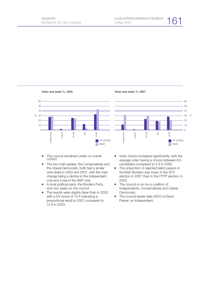



- **n** The council remained under no overall control.
- **•** The two main parties, the Conservatives and the Liberal Democrats, both had a similar vote share in 2003 and 2007, with the main change being a decline in the Independent vote and a rise in the SNP vote.
- A local political party, the Borders Party, won two seats on the council.
- $\blacksquare$  The results were slightly fairer than in 2003, with a DV score of 10.4 indicating a proportional result in 2007 compared to 12.8 in 2003.





- **•** Voter choice increased significantly, with the average voter having a choice between 6.5 candidates compared to 2.9 in 2003.
- The proportion of rejected ballot papers in Scottish Borders was lower in the STV election in 2007 than in the FPTP election in 2003.
- **P** The council is run by a coalition of Independents, Conservatives and Liberal Democrats.
- **•** The council leader (late 2007) is David Parker, an Independent.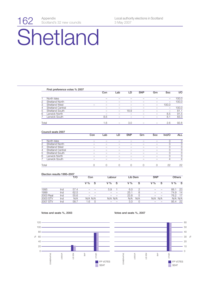### Shetland

### First preference votes % 2007

|       |                         |                          | Con                      | Lab                      | LD   | <b>SNP</b>               | Grn | Soc                      | I/O   |
|-------|-------------------------|--------------------------|--------------------------|--------------------------|------|--------------------------|-----|--------------------------|-------|
|       | North Isles             |                          | $\overline{\phantom{0}}$ | -                        |      |                          |     | -                        | 100.0 |
| 2     | Shetland North          |                          | -                        |                          |      |                          |     | -                        | 100.0 |
| 3     | Shetland West           | $\overline{\phantom{a}}$ | $\overline{\phantom{0}}$ |                          | -    |                          | -   | 100.0                    |       |
| 4     | <b>Shetland Central</b> |                          |                          |                          |      |                          |     | $\overline{\phantom{0}}$ | 100.0 |
| 5     | <b>Shetland South</b>   |                          |                          | -                        | 18.9 | $\overline{\phantom{a}}$ | -   | $\overline{\phantom{0}}$ | 81.1  |
| 6     | Lerwick North           |                          | -                        |                          |      |                          |     | 8.5                      | 91.5  |
|       | Lerwick South           |                          | 8.6                      | $\overline{\phantom{a}}$ |      |                          |     | 8.1                      | 83.3  |
|       |                         |                          |                          |                          |      |                          |     |                          |       |
| Total |                         |                          | 1.6                      |                          | 3.0  |                          |     | 2.6                      | 92.8  |

### Council seats 2007

|       |                         | Con                      | Lab | LD | <b>SNP</b> | Grn | Soc                      | Ind/O | <b>ALL</b>     |
|-------|-------------------------|--------------------------|-----|----|------------|-----|--------------------------|-------|----------------|
|       | North Isles             |                          |     |    |            |     |                          | 3     | 3              |
| 2     | <b>Shetland North</b>   |                          |     |    |            |     |                          | 3     | 3              |
| 3     | <b>Shetland West</b>    | $\overline{\phantom{a}}$ | -   | -  | -          |     | $\overline{\phantom{a}}$ | 3     | 3              |
| 4     | <b>Shetland Central</b> |                          |     |    |            |     |                          | 3     | 3              |
| 5     | Shetland South          |                          |     |    |            |     | -                        | 3     | 3              |
| 6     | Lerwick North           | $\overline{\phantom{a}}$ |     |    |            |     | -                        | 3     | 3              |
|       | Lerwick South           |                          |     |    |            |     | -                        | 4     | $\overline{4}$ |
|       |                         |                          |     |    |            |     |                          |       |                |
| Total |                         |                          |     |    |            |     |                          | 22    | 22             |

### Election results 1995–2007

|           |     | T/O  | Con             | Labour   | Lib Dem    | <b>SNP</b> | <b>Others</b>  |
|-----------|-----|------|-----------------|----------|------------|------------|----------------|
|           |     |      | V %<br>S        | V %<br>S | V%<br>S    | V %<br>S   | V%<br><b>S</b> |
| 1995      | Ind | 57.4 |                 | 5.9      | 6.0<br>2   |            | 23<br>88.1     |
| 1999      | Ind | 62.5 |                 |          | 25.1<br>8  |            | 74.9<br>14     |
| 2003 Real | Ind | 55.6 |                 |          | 23.8<br>5  |            | 76.2<br>17     |
| 2003 STV  | Ind | N/A  | N/A N/A         | N/A N/A  | N/A<br>N/A | N/A<br>N/A | N/A N/A        |
| 2007 STV  | Ind | 58.7 | $\Omega$<br>1.6 |          | 3.0        |            | 22<br>95.4     |



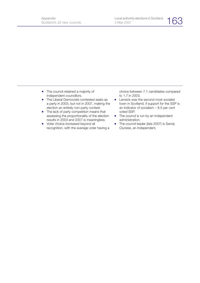- **P** The council retained a majority of Independent councillors.
- **P** The Liberal Democrats contested seats as a party in 2003, but not in 2007, making the election an entirely non-party contest.
- **P** The lack of party competition means that assessing the proportionality of the election results in 2003 and 2007 is meaningless.
- **•** Voter choice increased beyond all recognition, with the average voter having a

choice between 7.1 candidates compared to 1.7 in 2003.

- **EXECUTE:** Lerwick was the second most socialist town in Scotland, if support for the SSP is an indicator of socialism – 8.5 per cent voted SSP.
- **P** The council is run by an Independent administration.
- The council leader (late 2007) is Sandy Cluness, an Independent.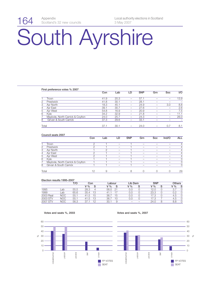164 Appendix Local author<br>3 May 2007<br>3 May 2007

Local authority elections in Scotland

### South Ayrshire

|       | First preference votes % 2007    |      |      |    |            |     |     |      |
|-------|----------------------------------|------|------|----|------------|-----|-----|------|
|       |                                  | Con  | Lab  | LD | <b>SNP</b> | Grn | Soc | $U$  |
|       | Troon                            | 41.9 | 20.3 | -  | 57.1       |     |     | 13.9 |
| 2     | Prestwick                        | 41.8 | 30.1 | -  | 28.1       |     |     |      |
| 3     | Ayr North                        | 18.3 | 45.1 | -  | 24.9       |     | 3.0 | 8.8  |
| 4     | Ayr East                         | 39.1 | 30.7 |    | 27.6       |     |     | 2.6  |
| 5     | Ayr West                         | 54.8 | 16.9 |    | 20.9       |     |     | 7.5  |
| 6     | Kvle                             | 34.2 | 32.9 | -  | 21.8       |     | -   | 11.1 |
|       | Maybole, North Carrick & Coylton | 24.0 | 25.7 | -  | 24.3       |     |     | 26.0 |
| 8     | Girvan & South Carrick           | 37.3 | 29.6 |    | 33.1       |     |     |      |
| Total |                                  | 37.1 | 30.1 |    | 24.0       |     | 0.7 | 8.1  |

|  | Council seats 2007 |  |  |
|--|--------------------|--|--|
|--|--------------------|--|--|

|       |                                  | Con    | Lab | LD                       | <b>SNP</b> | Grn                      | Soc | Ind/O | <b>ALL</b>     |
|-------|----------------------------------|--------|-----|--------------------------|------------|--------------------------|-----|-------|----------------|
|       | Troon                            | $\cap$ |     | $\overline{\phantom{0}}$ |            |                          |     |       | 4              |
| 2     | Prestwick                        |        |     | $\overline{\phantom{0}}$ |            |                          |     |       | $\overline{4}$ |
| 3     | Ayr North                        |        | ↷   | $\overline{\phantom{0}}$ |            | $\overline{\phantom{a}}$ |     |       | $\overline{4}$ |
| 4     | Avr East                         | ∩      |     | -                        |            |                          |     |       | $\overline{4}$ |
| 5     | Ayr West                         | ◠      |     | -                        |            |                          |     |       | $\overline{4}$ |
| 6     | Kyle                             |        |     | -                        |            |                          |     |       | 3              |
| 7     | Maybole, North Carrick & Coylton |        |     | $\overline{\phantom{0}}$ |            |                          |     |       | 3              |
| 8     | Girvan & South Carrick           |        |     | $\overline{\phantom{0}}$ |            |                          |     |       | 3              |
|       |                                  |        |     |                          |            |                          |     |       |                |
| Total |                                  | 12     | 9   |                          | 8          |                          |     |       | 29             |

### Election results 1995–2007

|           |            | T/O  | Con           | _abour     | Lib Dem                  | <b>SNP</b> | Others   |
|-----------|------------|------|---------------|------------|--------------------------|------------|----------|
|           |            |      | V %<br>c<br>ə | / %<br>s   | $^{\prime}$ %            | V %        | S<br>V % |
| 1995      | _ab        | 55.5 | 28.3<br>4     | 56.0<br>21 | U.U                      | 12.C       | 3.       |
| 1999      | _ab        | 65.6 | 35.4<br>13    |            | 0.0                      | 23.3       | 0.2      |
| 2003 Real | <b>NOC</b> | 55.1 | 15<br>41.5    | 36.<br>15  | U.O                      | 17.3       | 4.5      |
| 2003 STV  | <b>NOC</b> | 55.1 | 13<br>41.5    | 36.<br>10  | U.C                      | 17.3       | 4.5      |
| 2007 STV  | <b>NOC</b> | 56.3 | 37<br>12      | 30.1<br>9  | $\overline{\phantom{a}}$ | 24.0       | 0<br>8.8 |





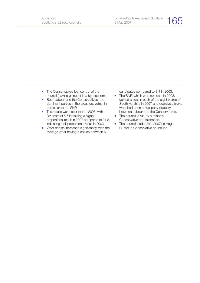- **P** The Conservatives lost control of the council (having gained it in a by-election).
- **Both Labour and the Conservatives, the** dominant parties in the area, lost votes, in particular to the SNP.
- The results were fairer than in 2003, with a DV score of 5.6 indicating a highly proportional result in 2007 compared to 21.8, indicating a disproportional result in 2003.
- **•** Voter choice increased significantly, with the average voter having a choice between 6.1

candidates compared to 3.4 in 2003.

- **P** The SNP, which won no seats in 2003, gained a seat in each of the eight wards of South Ayrshire in 2007 and decisively broke what had been a two-party duopoly between Labour and the Conservatives.
- $\blacksquare$  The council is run by a minority Conservative administration.
- **•** The council leader (late 2007) is Hugh Hunter, a Conservative councillor.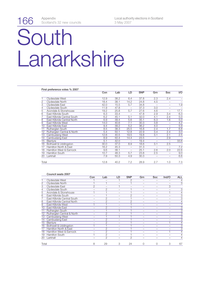Council seats 2007

Local authority elections in Scotland 3 May 2007

## **South** Lanarkshire

|                | First preference votes % 2007 |      |      |                          |            |                          |                          |                          |
|----------------|-------------------------------|------|------|--------------------------|------------|--------------------------|--------------------------|--------------------------|
|                |                               | Con  | Lab  | LD                       | <b>SNP</b> | Grn                      | Soc                      | I/O                      |
|                | Clydesdale West               | 12.9 | 38.2 | 6.4                      | 37.8       | 2.3                      | $2.4\,$                  |                          |
| 2              | Clydesdale North              | 18.4 | 38.1 | 14.2                     | 24.8       | 4.5                      | $\overline{\phantom{0}}$ | -                        |
| $\overline{3}$ | Clydesdale East               | 42.0 | 15.5 | 5.7                      | 34.8       | $\overline{\phantom{0}}$ | -                        | 1.9                      |
| 4              | Clydesdale South              | 11.9 | 47.8 | $\overline{\phantom{m}}$ | 37.3       | 3.0                      | $\overline{\phantom{0}}$ | $\overline{\phantom{0}}$ |
| 5              | Avondale & Stonehouse         | 19.2 | 25.8 | 5.7                      | 27.6       | 4.6                      | $\overline{\phantom{0}}$ | 17.1                     |
| 6              | East Kilbride South           | 6.3  | 33.4 | $\overline{\phantom{0}}$ | 47.8       | 2.9                      | 3.4                      | 6.3                      |
|                | East Kilbride Central South   | 6.2  | 45.1 | 5.1                      | 32.0       | 4.1                      | 2.4                      | 5.0                      |
| 8              | East Kilbride Central North   | 6.9  | 39.4 | 5.6                      | 35.1       | 6.3                      | 1.6                      | 5.0                      |
| 9              | East Kilbride West            | 14.0 | 40.6 | 7.1                      | 30.3       | 3.8                      | $\overline{\phantom{0}}$ | 4.2                      |
| 10             | East Kilbride East            | 9.4  | 39.2 | 5.2                      | 36.2       | 4.0                      | $\overline{\phantom{0}}$ | 5.9                      |
| 11             | Rutherglen South              | 8.5  | 38.3 | 25.5                     | 16.8       | 2.4                      | 1.7                      | 6.8                      |
| 12             | Rutherglen Central & North    | 5.4  | 50.1 | 12.8                     | 22.9       | 3.4                      | 2.4                      | 3.0                      |
| 13             | Cambuslang West               | 12.6 | 40.5 | 19.5                     | 19.8       | 3.1                      | 2.1                      | 2.5                      |
| 14             | Cambuslang East               | 8.9  | 50.4 | 14.4                     | 23.5       | -                        | 2.9                      | $\qquad \qquad -$        |
| 15             | Blantyre                      | 5.1  | 42.0 |                          | 19.4       | $\overline{\phantom{0}}$ | $\overline{\phantom{0}}$ | 33.6                     |
| 16             | Bothwell & Uddingston         | 30.0 | 37.0 | 8.9                      | 18.6       | 3.1                      | 2.5                      | $\qquad \qquad -$        |
| 17             | Hamilton North & East         | 16.2 | 45.3 | $\qquad \qquad -$        | 31.3       | $\overline{\phantom{0}}$ |                          | 7.2                      |
| 18             | Hamilton West & Earnock       | 9.6  | 38.1 | $\overline{\phantom{0}}$ | 25.1       | 2.6                      | 2.0                      | 22.6                     |
| 19             | <b>Hamilton South</b>         | 10.7 | 48.3 | 5.7                      | 23.8       | 2.5                      | $\overline{\phantom{0}}$ | 9.0                      |
| 20             | Larkhall                      | 7.9  | 50.3 | 4.9                      | 30.3       | $\overline{\phantom{0}}$ | $\overline{\phantom{0}}$ | 6.6                      |
| Total          |                               | 12.8 | 40.2 | 7.2                      | 28.9       | 2.7                      | 1.0                      | 7.3                      |

|                 | ovunun uuuu cuu                    |                |                          |                          |                          |                          |                          |                          |                           |
|-----------------|------------------------------------|----------------|--------------------------|--------------------------|--------------------------|--------------------------|--------------------------|--------------------------|---------------------------|
|                 |                                    | Con            | Lab                      | LD                       | <b>SNP</b>               | Grn                      | Soc                      | Ind/O                    | <b>ALL</b>                |
|                 | Clydesdale West                    |                |                          |                          | 2                        |                          |                          |                          | 4                         |
| $\overline{2}$  | Clydesdale North                   |                | H                        |                          |                          | $\overline{\phantom{0}}$ | $\overline{\phantom{0}}$ | -                        | $\overline{\mathbf{3}}$   |
| $\overline{3}$  | <b>Clydesdale East</b>             | $\overline{2}$ | $\overline{\phantom{0}}$ |                          | $\overline{\phantom{a}}$ | $\overline{\phantom{0}}$ | $\overline{\phantom{0}}$ | $\overline{3}$           |                           |
| 4               | Clydesdale South                   |                | 2                        |                          |                          | $\overline{\phantom{0}}$ | $\overline{\phantom{0}}$ | $\overline{\phantom{0}}$ | 3                         |
| 5               | Avondale & Stonehouse              |                |                          |                          |                          |                          |                          |                          | $\overline{4}$            |
| 6               | East Kilbride South                |                |                          |                          | $\overline{c}$           |                          |                          | -                        | $\overline{\mathbf{3}}$   |
|                 | East Kilbride Central South        | -              | $\overline{2}$           | -                        |                          | -                        |                          | -                        | $\overline{\overline{3}}$ |
| 8               | East Kilbride Central North        | -              | 2                        |                          | $\overline{c}$           | $\overline{\phantom{m}}$ | $\overline{\phantom{0}}$ | -                        | 4                         |
| 9               | East Kilbride West                 |                |                          |                          |                          | $\overline{\phantom{0}}$ |                          | -                        |                           |
| 10              | East Kilbride East                 |                | $\overline{2}$           |                          |                          |                          |                          | -                        | 3                         |
| 11              | Rutherglen South                   |                |                          |                          |                          |                          |                          | -                        | 3                         |
| 12              | Rutherglen Central & North         | -              | 2                        |                          |                          | $\overline{\phantom{0}}$ |                          | $\overline{\phantom{0}}$ | $\overline{\overline{3}}$ |
| 13              | Cambuslang West                    | -              |                          |                          |                          | $\overline{\phantom{0}}$ | $\overline{\phantom{0}}$ | -                        | 3                         |
| 14              | Cambuslang East                    |                | 2                        |                          |                          | -                        | -                        | -                        | $\overline{3}$            |
| 15              | Blantyre                           |                | 2                        |                          |                          |                          |                          |                          | 4                         |
| $\overline{16}$ | Bothwell & Uddingston              |                |                          | $\overline{\phantom{0}}$ |                          | $\overline{\phantom{0}}$ | $\overline{\phantom{0}}$ | -                        | 3                         |
| 17              | <b>Hamilton North &amp; East</b>   |                | $\overline{2}$           | $\equiv$                 |                          | $\overline{\phantom{0}}$ | -                        | -                        | $\overline{3}$            |
| 18              | <b>Hamilton West &amp; Earnock</b> |                | 2                        |                          |                          | $\overline{\phantom{0}}$ |                          | 1                        | 4                         |
| 19              | <b>Hamilton South</b>              |                | $\overline{2}$           |                          |                          |                          | -                        | -                        | 4                         |
| 20              | Larkhall                           |                | $\overline{2}$           |                          | $\overline{2}$           | -                        |                          |                          | 4                         |
| Total           |                                    | 8              | 29                       | 3                        | 24                       | $\Omega$                 | 0                        | 3                        | 67                        |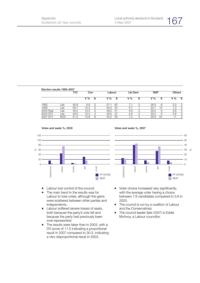|               |            | T/O  | Con  |   | Labour |    | Lib Dem |   | <b>SNP</b> |    | <b>Others</b> |              |
|---------------|------------|------|------|---|--------|----|---------|---|------------|----|---------------|--------------|
|               |            |      | V%   | S | V%     | S  | V%      | S | V %        | S  | V%            | <sub>S</sub> |
| 1995          | .ab        | 46.8 | 6.9  | 2 | 57.1   | 62 |         | ∩ | 26.9       | 8  | 2.0           | $\Omega$     |
| 1999          | _ab        | 59.7 | 10.3 | 2 | 50.0   | 54 | 5.,     |   | 33.1       | 10 | LC.           |              |
| 2003 Real     | _ab        | 49.5 | 12.5 | ◠ | 48.0   | 51 | 4.6     | ∩ | 29.2       | 9  | 5.6           | 3            |
| 2003 STV      | _ab        | 49.5 | 12.5 | 4 | 48.0   | 37 | 4.6     | n | 29.2       | 9  | 5.6           | -3           |
| ' STV<br>2007 | <b>NOC</b> | 51.5 | 12.8 | 8 | 40.2   | 29 | 7.2     | 3 | 28.9       | 24 |               | 3            |



### Votes and seats %, 2003 Votes and seats %, 2007

- **E** Labour lost control of the council.
- $\blacksquare$  The main trend in the results was for Labour to lose votes, although the gains were scattered between other parties and independents.
- **E** Labour suffered severe losses of seats, both because the party's vote fell and because the party had previously been over-represented.
- **P** The results were fairer than in 2003, with a DV score of 11.5 indicating a proportional result in 2007 compared to 30.3, indicating a very disproportional result in 2003.



- **•** Voter choice increased very significantly, with the average voter having a choice between 7.6 candidates compared to 3.6 in 2003.
- The council is run by a coalition of Labour and the Conservatives.
- **•** The council leader (late 2007) is Eddie McAvoy, a Labour councillor.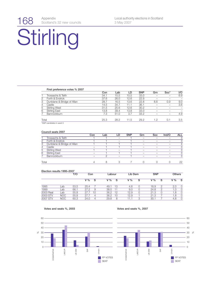### **Stirling**

### First preference votes % 2007

|                                 | Con  | Lab  | LD   | <b>SNP</b> | Grn | $Soc*$ | I/O |
|---------------------------------|------|------|------|------------|-----|--------|-----|
| Trossachs & Teith               | 34.1 | 15.5 | 10.5 | 33.0       |     |        | 6.9 |
| Forth & Endrick<br>2            | 37.6 | 26.0 | 12.6 | 22.9       |     |        |     |
| 3<br>Dunblane & Bridge of Allan | 28.7 | 16.5 | 13.6 | 22.8       | 8.6 | 0.9    | 9.0 |
| Castle<br>4                     | 14.5 | 34.7 | 1.1  | 36.1       |     |        | 3.6 |
| <b>Stirling West</b><br>5       | 31.5 | 25.6 | 12.6 | 30.2       |     |        |     |
| 6<br><b>Stirling East</b>       | 13.8 | 39.4 | 13.8 | 33.0       |     |        |     |
| Bannockburn                     | 7.3  | 51.0 | 3.7  | 33.2       |     |        | 4.9 |
|                                 |      |      |      |            |     |        |     |
| Total                           | 25.3 | 28.2 | 11.5 | 29.2       | 1.2 | 0.1    | 3.5 |
| $1000$ $1111$                   |      |      |      |            |     |        |     |

\*SSP candidate in ward 3

### Council seats 2007

| <b>SNP</b><br>Con<br>LD<br>∟ab | Ind/O<br>Grn<br>Soc | <b>ALL</b> |
|--------------------------------|---------------------|------------|
| Trossachs & Teith              |                     | 3          |
| Forth & Endrick                |                     | 3          |
| Dunblane & Bridge of Allan     |                     |            |
|                                |                     | 3          |
|                                |                     | 3          |
|                                |                     | З          |
| Bannockburn                    |                     | З          |
|                                |                     |            |
|                                |                     | 22         |
|                                |                     |            |

|            | T/O  | Con                        | Labour     | Lib Dem | <b>SNP</b>             | <b>Others</b>         |
|------------|------|----------------------------|------------|---------|------------------------|-----------------------|
|            |      | V%<br>S                    | V%<br>S    | V%<br>S | V %<br>S               | V%<br>- S             |
| _ab        | 53.5 | 25.4                       | 49.1<br>13 | 4.6     | 18.9<br>$\overline{2}$ | $\overline{0}$<br>2.0 |
| _ab        | 66.1 | 27.2<br>9                  | 38.0       | 9.0     | 24.8<br>2              | $\Omega$<br>1.0       |
| _ab        | 55.9 | 27.7<br>10                 | 36.2<br>12 | 12.9    | 21.3                   | 0<br>1.8              |
| <b>NOC</b> | 55.9 | 27.7<br>4                  | 36.2<br>10 | 12.9    | 21.3                   | 0<br>1.8              |
| NOC        | 60.3 | 24.0<br>4                  | 29.8<br>8  | 3       | 30.1                   | 0<br>4.8              |
|            |      | Election results 1995-2007 |            |         |                        |                       |

### Votes and seats %, 2003 Votes and seats %, 2007



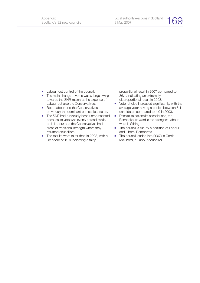- **•** Labour lost control of the council.
- **P** The main change in votes was a large swing towards the SNP, mainly at the expense of Labour but also the Conservatives.
- **Both Labour and the Conservatives.** previously the dominant parties, lost seats.
- **P** The SNP had previously been unrepresented because its vote was evenly spread, while both Labour and the Conservatives had areas of traditional strength where they returned councillors.
- The results were fairer than in 2003, with a DV score of 12.9 indicating a fairly

proportional result in 2007 compared to 36.1, indicating an extremely disproportional result in 2003.

- **•** Voter choice increased significantly, with the average voter having a choice between 6.1 candidates compared to 4.0 in 2003.
- **P** Despite its nationalist associations, the Bannockburn ward is the strongest Labour ward in Stirling.
- **•** The council is run by a coalition of Labour and Liberal Democrats.
- **•** The council leader (late 2007) is Corrie McChord, a Labour councillor.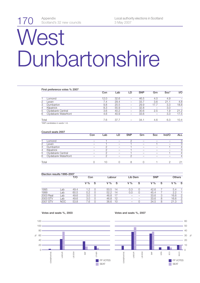170 Appendix<br>Scotland's 32 new councils

Local authority elections in Scotland 3 May 2007

### West Dunbartonshire

|       |                               | Con  | Lab  | LD. | <b>SNP</b> | Grn  | $Soc*$ | I/O  |
|-------|-------------------------------|------|------|-----|------------|------|--------|------|
|       | Lomond                        | 12.0 | 32.6 |     | 46.5       | 4.0  | 4.9    |      |
| 2     | even                          | 7.4  | 29.4 |     | 33.7       | 3.6  | 21.1   | 4.8  |
| 3     | Dumbarton                     | 9.8  | 20.5 |     | 29.9       | 17.7 | 3.3    | 18.8 |
| 4     | Kilpatrick                    | 8.3  | 55.9 |     | 32.8       |      | 3.0    |      |
| 5     | Clydebank Central             | 3.6  | 40.2 |     | 30.6       | 2.5  | 1.9    | 21.2 |
| 6     | Clydebank Waterfront          | 4.6  | 40.9 |     | 33.6       |      | 3.3    | 17.5 |
| Total |                               | 7.6  | 37.7 |     | 34.1       | 4.6  | 6.3    | 10.4 |
|       | *SSP candidates in wards 1-6. |      |      |     |            |      |        |      |

|       |                      | Con                      | ∟ab | LD                       | <b>SNP</b> | Grn                      | Soc | Ind/O                    | <b>ALL</b>     |
|-------|----------------------|--------------------------|-----|--------------------------|------------|--------------------------|-----|--------------------------|----------------|
|       | Lomond               | $\overline{\phantom{a}}$ |     | -                        |            | -                        |     |                          | 3              |
| 2     | Leven                | $\overline{\phantom{a}}$ |     | $\overline{\phantom{0}}$ |            | $\overline{\phantom{a}}$ |     | $\overline{\phantom{a}}$ | 3              |
| 3     | Dumbarton            | $\overline{\phantom{a}}$ |     | $\overline{\phantom{0}}$ |            | -                        |     |                          | 4              |
| 4     | Kilpatrick           | $\overline{\phantom{a}}$ |     | $\overline{\phantom{0}}$ |            | -                        | -   |                          | 3              |
| 5     | Clydebank Central    | $\overline{\phantom{a}}$ | ∩   | -                        |            | $\overline{\phantom{a}}$ |     |                          | $\overline{4}$ |
| 6     | Clydebank Waterfront | $\overline{\phantom{a}}$ |     | -                        |            | -                        |     |                          | 4              |
|       |                      |                          |     |                          |            |                          |     |                          |                |
| Total |                      |                          | 10  |                          |            |                          |     |                          | 21             |

| Election results 1995-2007 |            |      |     |   |        |    |                          |   |            |   |               |              |
|----------------------------|------------|------|-----|---|--------|----|--------------------------|---|------------|---|---------------|--------------|
|                            |            | T/O  | Con |   | Labour |    | Lib Dem                  |   | <b>SNP</b> |   | <b>Others</b> |              |
|                            |            |      | V%  | S | V%     | S  | V%                       | S | V%         | S | V%            | <sub>S</sub> |
| 1995                       | _ab        | 49.4 | 1.2 |   | 50.5   | 14 | 0.3                      |   | 42.6       |   | 5.4           |              |
| 1999                       | _ab        | 60.5 | 0.2 |   | 52.2   | 14 | 0.0                      |   | 45.4       |   | 2.2           |              |
| 2003 Real                  | _ab        | 49.6 | 3.0 | O | 46.8   | 17 |                          |   | 33.6       | 3 | 16.6          | 2            |
| 2003 STV                   | _ab        | 49.6 | 3.0 |   | 46.8   | 12 |                          |   | 33.6       | 8 | 16.6          | 2            |
| 2007 STV                   | <b>NOC</b> | 53.8 | 7.6 |   | 36.6   | 10 | $\overline{\phantom{0}}$ |   | 34.5       | 8 | 21.3          | 3            |







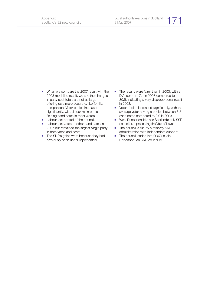- When we compare the 2007 result with the 2003 modelled result, we see the changes in party seat totals are not as large – offering us a more accurate, like-for-like comparison. Voter choice increased significantly, with all four main parties fielding candidates in most wards.
- Labour lost control of the council.
- **E** Labour lost votes to other candidates in 2007 but remained the largest single party in both votes and seats.
- **P** The SNP's gains were because they had previously been under-represented.
- **P** The results were fairer than in 2003, with a DV score of 17.1 in 2007 compared to 30.5, indicating a very disproportional result in 2003.
- **•** Voter choice increased significantly, with the average voter having a choice between 8.5 candidates compared to 3.0 in 2003.
- **West Dunbartonshire has Scotland's only SSP** councillor, representing the Vale of Leven.
- **P** The council is run by a minority SNP administration with Independent support.
- **P** The council leader (late 2007) is lain Robertson, an SNP councillor.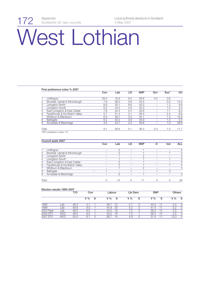Appendix 172 Appendix<br>Scotland's 32 new councils Local authority elections in Scotland 3 May 2007

### West Lothian

|       | First preference votes % 2007  | Con  | Lab  | LD  | <b>SNP</b> | Grn | $Soc*$ | I/O  |
|-------|--------------------------------|------|------|-----|------------|-----|--------|------|
|       | Linlithgow                     | 29.4 | 16.9 | 9.4 | 39.8       | 4.0 | 0.6    |      |
| 2     | Broxhall, Uphall & Winchburgh  | 7.6  | 38.0 | 5.8 | 34.5       |     | 0.0    | 14.2 |
| 3     | Livingston North               | 8.9  | 33.1 | 6.6 | 40.3       |     | 1.2    | 9.9  |
| 4     | Livingston South               | 6.2  | 43.2 | 4.9 | 40.3       |     | 1.4    | 4.0  |
| 5     | East Livingston & East Calder  | 7.6  | 42.4 | 5.4 | 34.8       |     | 1.7    | 8.0  |
| 6     | Fauldhouse & the Breich Valley | 5.7  | 51.4 | 3.1 | 28.5       |     | 2.4    | 8.9  |
| 7     | Whitburn & Blackburn           | 6.0  | 39.7 | 3.0 | 34.1       |     | 1.3    | 15.9 |
| 8     | Bathgate                       | 6.2  | 42.2 | 3.9 | 40.9       |     | 1.4    | 5.4  |
| 9     | Armadale & Blackridge          | 4.5  | 23.7 | 2.4 | 29.8       |     | 1.0    | 38.6 |
| Total |                                | 9.1  | 36.6 | 5.1 | 36.3       | 0.4 | 1.2    | 11.7 |
|       | *SSP candidates in wards 1-9.  |      |      |     |            |     |        |      |

|       | Council seats 2007             |     |     |    |            |   |     |                |
|-------|--------------------------------|-----|-----|----|------------|---|-----|----------------|
|       |                                | Con | Lab | LD | <b>SNP</b> | Ω | Ind | <b>ALL</b>     |
|       | Linlithgow                     |     | ∩   |    |            |   |     | 3              |
| 2     | Broxhall, Uphall & Winchburgh  |     |     |    |            |   |     |                |
| 3     | Livingston North               |     |     | -  |            |   |     | 3              |
| 4     | Livingston South               |     |     |    |            |   |     | $\overline{3}$ |
| 5     | East Livingston & East Calder  |     |     |    |            |   |     | 3              |
| 6     | Fauldhouse & the Breich Valley |     |     | -  |            |   |     | 4              |
|       | Whitburn & Blackburn           |     |     |    | $\cap$     |   |     | 3              |
| 8     | Bathgate                       |     |     |    |            |   | З   |                |
| 9     | Armadale & Blackridge          |     |     |    |            |   |     | 3              |
| Total |                                |     | 14  |    |            |   | 4   | 29             |

| Election results 1995-2007 |            |      |     |   |        |    |         |   |                     |    |               |    |
|----------------------------|------------|------|-----|---|--------|----|---------|---|---------------------|----|---------------|----|
|                            |            | T/O  | Con |   | Labour |    | Lib Dem |   | <b>SNP</b>          |    | <b>Others</b> |    |
|                            |            |      | V%  | S | V%     | S  | V%      | S | V%                  | S  | V%            | -S |
| 1995                       | .ab        | 46.2 | 4.1 |   | 46.7   | 15 | 2.7     |   | 44.0                |    | 2.4           | 0  |
| 1999                       | _ab        | 59.9 | 9.0 |   | 44.9   | 20 | 4.2     |   | 41<br>$\mathcal{A}$ |    | 0.2           | 0  |
| 2003 Real                  | .ab        | 48.5 | 9.2 |   | 43.5   | 18 | 7.O     |   | 36.3                | 12 | 2.5           |    |
| 2003 STV                   | <b>NOC</b> | 48.5 | 9.2 |   | 43.5   | 16 | 7.0     |   | 36.3                | 14 | 2.5           | 0  |
| 2007 STV                   | <b>NOC</b> | 54.0 | 9.7 |   | 36.7   | 14 | 4.9     |   | 31<br>.4            |    | 13.3          | 4  |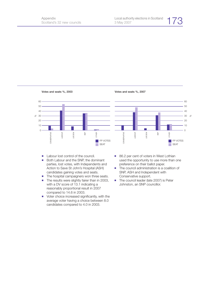





- **E** Labour lost control of the council.
- **Both Labour and the SNP, the dominant** parties, lost votes, with Independents and Action to Save St John's Hospital (ASH) candidates gaining votes and seats.
- The hospital campaigners won three seats.
- **n** The results were slightly fairer than in 2003, with a DV score of 13.1 indicating a reasonably proportional result in 2007 compared to 14.6 in 2003.
- **•** Voter choice increased significantly, with the average voter having a choice between 8.0 candidates compared to 4.0 in 2003.





- 86.2 per cent of voters in West Lothian used the opportunity to use more than one preference on their ballot paper.
- **p** The council administration is a coalition of SNP, ASH and Independent with Conservative support.
- **P** The council leader (late 2007) is Peter Johnston, an SNP councillor.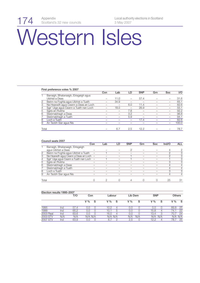### Western Isles

|            | First preference votes % 2007          |     |      |     |            |     |     |       |
|------------|----------------------------------------|-----|------|-----|------------|-----|-----|-------|
|            |                                        | Con | Lab  | LD  | <b>SNP</b> | Grn | Soc | I/O   |
|            | Barraigh, Bhatarsaigh, Eirisgeigh agus |     |      |     |            |     |     |       |
|            | Uibhist a Deas                         |     | 11.0 |     | 57.4       |     |     | 31.6  |
| 2          | Beinn na Foghla agus Uibhist a Tuath   |     | 34.9 |     |            |     |     | 65.1  |
| 3          | Na Hearadh agus Ceann a Deas an Loch   |     |      | 6.0 | 11.4       |     |     | 82.6  |
| 4          | Sgir' Uige agus Ceann a Tuath nan Loch |     | 18.0 |     | 26.9       |     |     | 55.1  |
| 5          | Sgire an Rubha                         |     |      | 7.8 |            |     |     | 92.2  |
| 6          | Steòrnabhagh a Deas                    |     |      | 3.2 |            |     |     | 96.8  |
| 7          | Steòrnabhagh a Tuath                   |     |      | 5.9 |            |     |     | 94.1  |
| 8          | Loch a Tuath                           |     |      |     | 17.4       |     |     | 82.6  |
|            | An Taobh Siar agus Nis                 |     |      |     |            |     |     | 100.0 |
|            |                                        |     |      |     |            |     |     |       |
|            |                                        |     | 6.7  | 2.5 | 12.2       |     |     | 78.7  |
| 9<br>Total |                                        |     |      |     |            |     |     |       |

|       | Con                                      | Lab | LD | <b>SNP</b> | Grn | Soc | Ind/O | <b>ALL</b> |
|-------|------------------------------------------|-----|----|------------|-----|-----|-------|------------|
|       | Barraigh, Bhatarsaigh, Eirisgeigh        |     |    |            |     |     |       |            |
|       | aqus Uibhist a Deas                      |     |    |            |     |     | 4     |            |
| 2     | Beinn na Foghla agus Uibhist a Tuath     |     |    |            |     |     |       | 3          |
| 3     | Na Hearadh agus Ceann a Deas an Loch -   |     |    |            |     |     | ∩     | 3          |
| 4     | Sgir' Uige agus Ceann a Tuath nan Loch - |     |    |            |     |     |       | 3          |
| 5     | Sgire an Rubha                           |     |    |            |     |     | 3     | 3          |
| 6.    | Steòrnabhagh a Deas                      |     |    |            |     |     | 4     | 4          |
|       | Steòrnabhagh a Tuath                     |     |    |            |     |     |       | 4          |
| 8     | Loch a Tuath                             |     |    |            |     |     | 3     | 3          |
| 9     | An Taobh Siar agus Nis                   |     |    |            |     |     |       | 4          |
|       |                                          |     |    |            |     |     |       |            |
| Total |                                          |     |    |            |     |     | 25    | 31         |

| Election results 1995-2007 |     |      |                    |                        |            |                         |               |
|----------------------------|-----|------|--------------------|------------------------|------------|-------------------------|---------------|
|                            | T/O |      | Con                | Labour                 | Lib Dem    | <b>SNP</b>              | <b>Others</b> |
|                            |     |      | V%<br><sub>S</sub> | V%<br><sub>S</sub>     | V%<br>S    | V%<br>S                 | V%<br>-S      |
| 1995                       | Ind | 57.4 | 0.0<br>$\Omega$    | 10.2<br>$\overline{4}$ | 0.0        | 0.0<br>$\left( \right)$ | 25<br>89.8    |
| 1999                       | Ind | 65.2 | 0.0<br>$\Omega$    | 10.1<br>5              | 0.0        | 15.8<br>4               | 22<br>74.1    |
| 2003 Real                  | Ind | 63.6 | 0.0<br>∩           | 16.0<br>$\Delta$       | 0.0        | 13.4<br>3               | 70.7<br>24    |
| 2003 STV                   | N/A | N/A  | N/A N/A            | N/A N/A                | N/A<br>N/A | N/A<br>N/A              | N/A<br>N/A    |
| 2007 STV                   | Ind | 63.9 | 0<br>0.0           | 6.7<br>◠               | 2.5        | 12.2                    | 25<br>78.7    |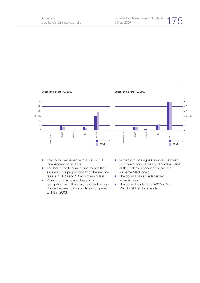



- $\blacksquare$  The council remained with a majority of Independent councillors.
- **P** The lack of party competition means that assessing the proportionality of the election results in 2003 and 2007 is meaningless.
- voter choice increased beyond all recognition, with the average voter having a choice between 5.8 candidates compared to 1.8 in 2003.





- **n** In the Sgir' Uige agus Ceann a Tuath nan Loch ward, four of the six candidates (and all three elected candidates) had the surname MacDonald.
- The council has an Independent administration.
- **P** The council leader (late 2007) is Alex MacDonald, an Independent.